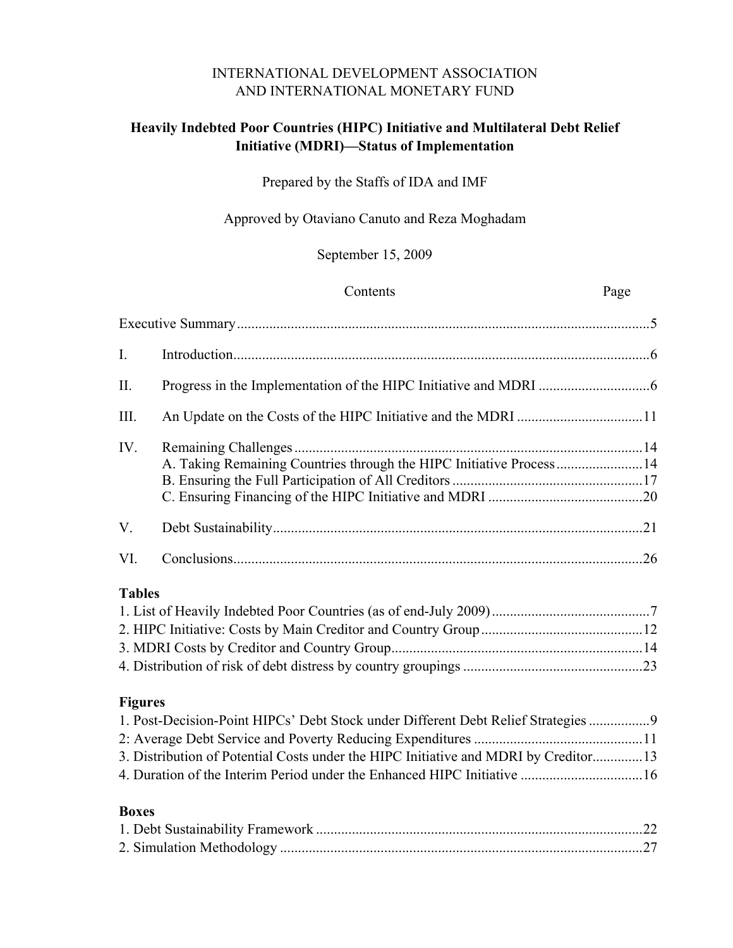### INTERNATIONAL DEVELOPMENT ASSOCIATION AND INTERNATIONAL MONETARY FUND

### **Heavily Indebted Poor Countries (HIPC) Initiative and Multilateral Debt Relief Initiative (MDRI)—Status of Implementation**

### Prepared by the Staffs of IDA and IMF

### Approved by Otaviano Canuto and Reza Moghadam

### September 15, 2009

|                | Contents                                                                            | Page |
|----------------|-------------------------------------------------------------------------------------|------|
|                |                                                                                     |      |
| I.             |                                                                                     |      |
| II.            |                                                                                     |      |
| III.           | An Update on the Costs of the HIPC Initiative and the MDRI 11                       |      |
| IV.            | A. Taking Remaining Countries through the HIPC Initiative Process14                 |      |
|                |                                                                                     |      |
| V.             |                                                                                     |      |
| VI.            |                                                                                     |      |
| <b>Tables</b>  |                                                                                     |      |
|                |                                                                                     |      |
|                |                                                                                     |      |
|                |                                                                                     |      |
|                |                                                                                     |      |
| <b>Figures</b> |                                                                                     |      |
|                | 1. Post-Decision-Point HIPCs' Debt Stock under Different Debt Relief Strategies 9   |      |
|                |                                                                                     |      |
|                | 3. Distribution of Potential Costs under the HIPC Initiative and MDRI by Creditor13 |      |
|                |                                                                                     |      |
| <b>Boxes</b>   |                                                                                     |      |

# [1. Debt Sustainability Framework ...........................................................................................22](#page-21-0)  [2. Simulation Methodology .....................................................................................................27](#page-26-0)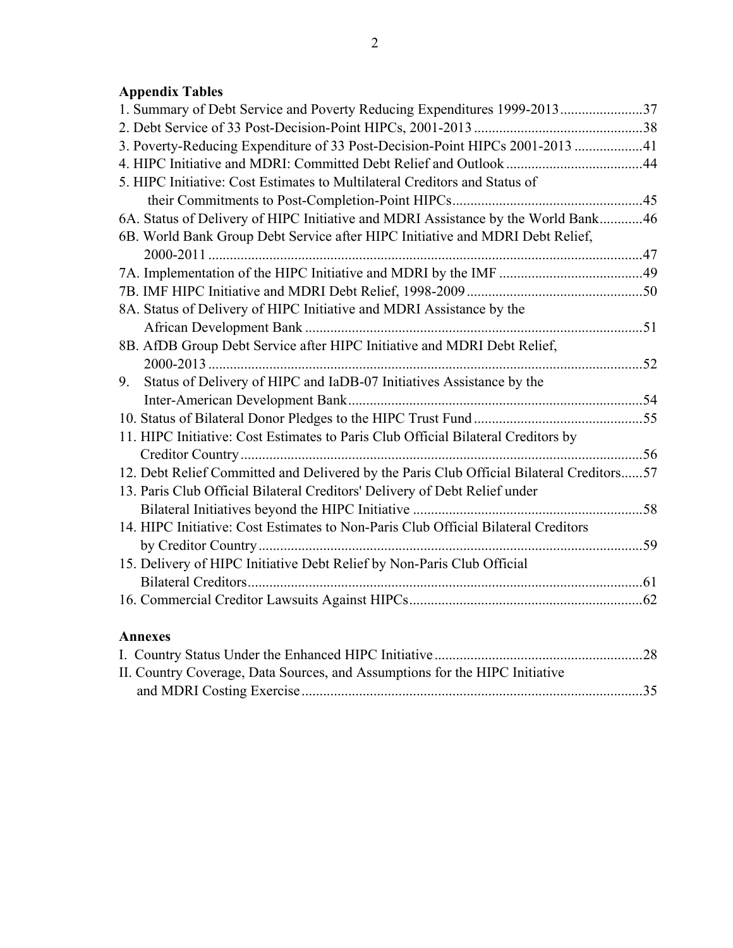| 1. Summary of Debt Service and Poverty Reducing Expenditures 1999-201337                 |  |
|------------------------------------------------------------------------------------------|--|
|                                                                                          |  |
| 3. Poverty-Reducing Expenditure of 33 Post-Decision-Point HIPCs 2001-2013 41             |  |
|                                                                                          |  |
| 5. HIPC Initiative: Cost Estimates to Multilateral Creditors and Status of               |  |
|                                                                                          |  |
| 6A. Status of Delivery of HIPC Initiative and MDRI Assistance by the World Bank46        |  |
| 6B. World Bank Group Debt Service after HIPC Initiative and MDRI Debt Relief,            |  |
|                                                                                          |  |
|                                                                                          |  |
|                                                                                          |  |
| 8A. Status of Delivery of HIPC Initiative and MDRI Assistance by the                     |  |
|                                                                                          |  |
| 8B. AfDB Group Debt Service after HIPC Initiative and MDRI Debt Relief,                  |  |
|                                                                                          |  |
| Status of Delivery of HIPC and IaDB-07 Initiatives Assistance by the<br>9.               |  |
|                                                                                          |  |
|                                                                                          |  |
| 11. HIPC Initiative: Cost Estimates to Paris Club Official Bilateral Creditors by        |  |
|                                                                                          |  |
| 12. Debt Relief Committed and Delivered by the Paris Club Official Bilateral Creditors57 |  |
| 13. Paris Club Official Bilateral Creditors' Delivery of Debt Relief under               |  |
|                                                                                          |  |
| 14. HIPC Initiative: Cost Estimates to Non-Paris Club Official Bilateral Creditors       |  |
|                                                                                          |  |
| 15. Delivery of HIPC Initiative Debt Relief by Non-Paris Club Official                   |  |
|                                                                                          |  |
|                                                                                          |  |
|                                                                                          |  |
| <b>Annexes</b>                                                                           |  |

| II. Country Coverage, Data Sources, and Assumptions for the HIPC Initiative |  |
|-----------------------------------------------------------------------------|--|
|                                                                             |  |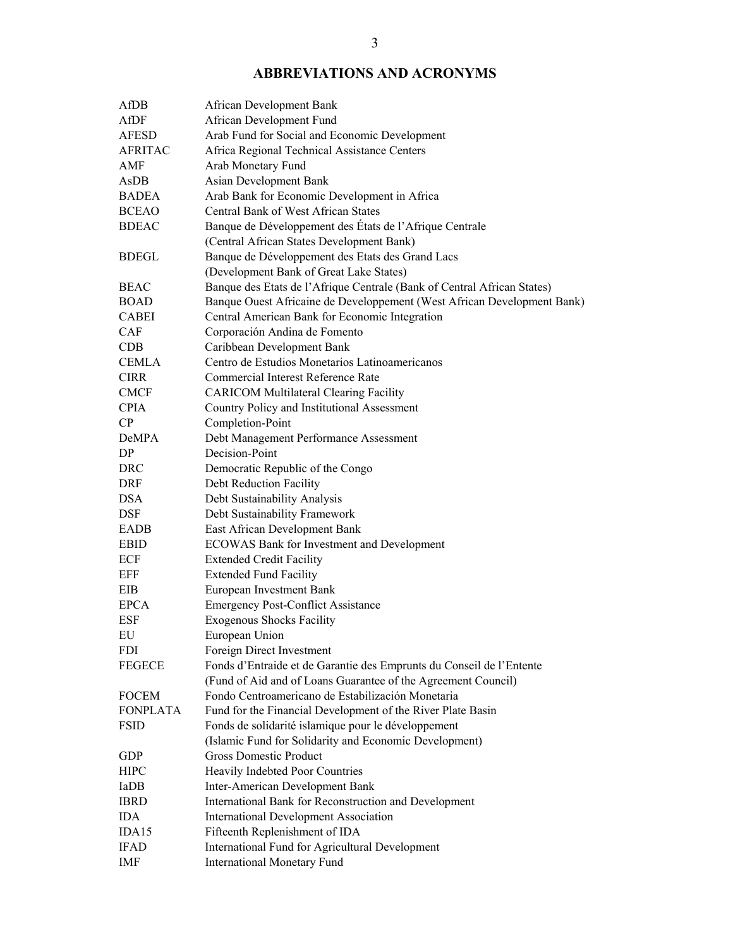### **ABBREVIATIONS AND ACRONYMS**

| AfDB            | African Development Bank                                                |
|-----------------|-------------------------------------------------------------------------|
| AfDF            | African Development Fund                                                |
| <b>AFESD</b>    | Arab Fund for Social and Economic Development                           |
| <b>AFRITAC</b>  | Africa Regional Technical Assistance Centers                            |
| AMF             | Arab Monetary Fund                                                      |
| AsDB            | Asian Development Bank                                                  |
| <b>BADEA</b>    | Arab Bank for Economic Development in Africa                            |
| <b>BCEAO</b>    | <b>Central Bank of West African States</b>                              |
| <b>BDEAC</b>    | Banque de Développement des États de l'Afrique Centrale                 |
|                 | (Central African States Development Bank)                               |
| <b>BDEGL</b>    | Banque de Développement des Etats des Grand Lacs                        |
|                 | (Development Bank of Great Lake States)                                 |
| BEAC            | Banque des Etats de l'Afrique Centrale (Bank of Central African States) |
| <b>BOAD</b>     | Banque Ouest Africaine de Developpement (West African Development Bank) |
| <b>CABEI</b>    | Central American Bank for Economic Integration                          |
| <b>CAF</b>      | Corporación Andina de Fomento                                           |
| <b>CDB</b>      | Caribbean Development Bank                                              |
| <b>CEMLA</b>    | Centro de Estudios Monetarios Latinoamericanos                          |
| <b>CIRR</b>     | Commercial Interest Reference Rate                                      |
| <b>CMCF</b>     | <b>CARICOM Multilateral Clearing Facility</b>                           |
| <b>CPIA</b>     | Country Policy and Institutional Assessment                             |
| CP              | Completion-Point                                                        |
| DeMPA           | Debt Management Performance Assessment                                  |
| DP              | Decision-Point                                                          |
| <b>DRC</b>      | Democratic Republic of the Congo                                        |
| DRF             | Debt Reduction Facility                                                 |
| <b>DSA</b>      | Debt Sustainability Analysis                                            |
| <b>DSF</b>      | Debt Sustainability Framework                                           |
|                 |                                                                         |
| EADB            | East African Development Bank                                           |
| <b>EBID</b>     | <b>ECOWAS Bank for Investment and Development</b>                       |
| ECF             | <b>Extended Credit Facility</b>                                         |
| EFF             | <b>Extended Fund Facility</b>                                           |
| EIB             | European Investment Bank                                                |
| <b>EPCA</b>     | <b>Emergency Post-Conflict Assistance</b>                               |
| <b>ESF</b>      | <b>Exogenous Shocks Facility</b>                                        |
| EU              | European Union                                                          |
| FDI             | Foreign Direct Investment                                               |
| <b>FEGECE</b>   | Fonds d'Entraide et de Garantie des Emprunts du Conseil de l'Entente    |
|                 | (Fund of Aid and of Loans Guarantee of the Agreement Council)           |
| <b>FOCEM</b>    | Fondo Centroamericano de Estabilización Monetaria                       |
| <b>FONPLATA</b> | Fund for the Financial Development of the River Plate Basin             |
| <b>FSID</b>     | Fonds de solidarité islamique pour le développement                     |
|                 | (Islamic Fund for Solidarity and Economic Development)                  |
| <b>GDP</b>      | <b>Gross Domestic Product</b>                                           |
| <b>HIPC</b>     | Heavily Indebted Poor Countries                                         |
| IaDB            | Inter-American Development Bank                                         |
| <b>IBRD</b>     | International Bank for Reconstruction and Development                   |
| <b>IDA</b>      | <b>International Development Association</b>                            |
| IDA15           | Fifteenth Replenishment of IDA                                          |
| <b>IFAD</b>     | International Fund for Agricultural Development                         |
| IMF             | <b>International Monetary Fund</b>                                      |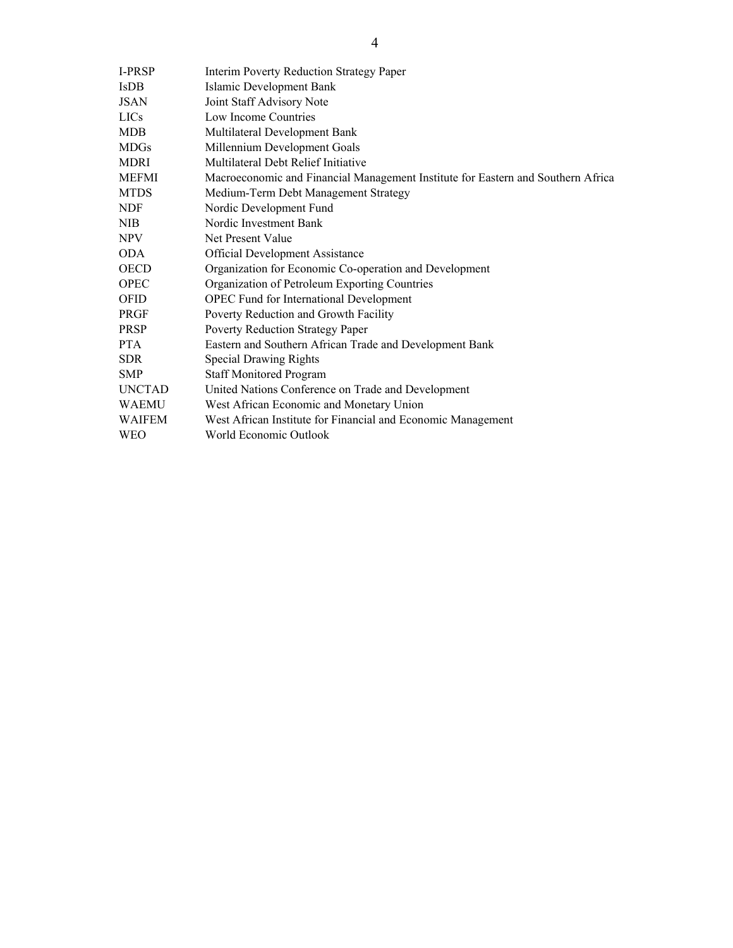| <b>I-PRSP</b> | <b>Interim Poverty Reduction Strategy Paper</b>                                  |
|---------------|----------------------------------------------------------------------------------|
| <b>IsDB</b>   | Islamic Development Bank                                                         |
| <b>JSAN</b>   | Joint Staff Advisory Note                                                        |
| <b>LICs</b>   | Low Income Countries                                                             |
| <b>MDB</b>    | Multilateral Development Bank                                                    |
| <b>MDGs</b>   | Millennium Development Goals                                                     |
| <b>MDRI</b>   | Multilateral Debt Relief Initiative                                              |
| <b>MEFMI</b>  | Macroeconomic and Financial Management Institute for Eastern and Southern Africa |
| <b>MTDS</b>   | Medium-Term Debt Management Strategy                                             |
| <b>NDF</b>    | Nordic Development Fund                                                          |
| NIB           | Nordic Investment Bank                                                           |
| <b>NPV</b>    | Net Present Value                                                                |
| <b>ODA</b>    | Official Development Assistance                                                  |
| <b>OECD</b>   | Organization for Economic Co-operation and Development                           |
| <b>OPEC</b>   | Organization of Petroleum Exporting Countries                                    |
| <b>OFID</b>   | <b>OPEC Fund for International Development</b>                                   |
| PRGF          | Poverty Reduction and Growth Facility                                            |
| <b>PRSP</b>   | Poverty Reduction Strategy Paper                                                 |
| <b>PTA</b>    | Eastern and Southern African Trade and Development Bank                          |
| <b>SDR</b>    | Special Drawing Rights                                                           |
| <b>SMP</b>    | <b>Staff Monitored Program</b>                                                   |
| <b>UNCTAD</b> | United Nations Conference on Trade and Development                               |
| <b>WAEMU</b>  | West African Economic and Monetary Union                                         |
| <b>WAIFEM</b> | West African Institute for Financial and Economic Management                     |
| <b>WEO</b>    | World Economic Outlook                                                           |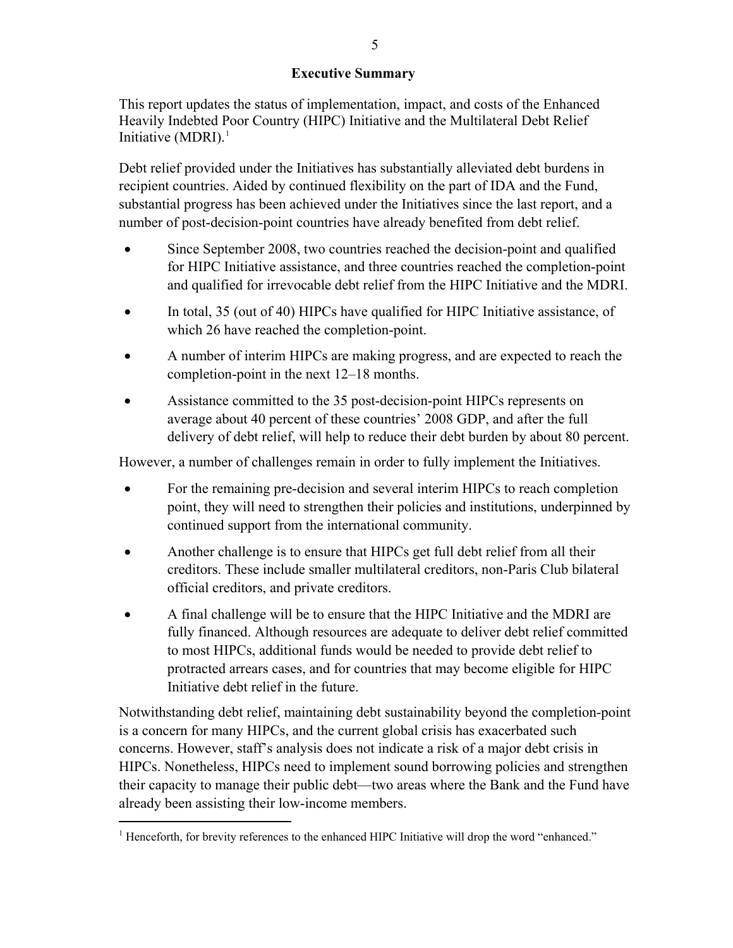### **Executive Summary**

<span id="page-4-0"></span>This report updates the status of implementation, impact, and costs of the Enhanced Heavily Indebted Poor Country (HIPC) Initiative and the Multilateral Debt Relief Initiative  $(MDRI)^1$  $(MDRI)^1$ 

Debt relief provided under the Initiatives has substantially alleviated debt burdens in recipient countries. Aided by continued flexibility on the part of IDA and the Fund, substantial progress has been achieved under the Initiatives since the last report, and a number of post-decision-point countries have already benefited from debt relief.

- Since September 2008, two countries reached the decision-point and qualified for HIPC Initiative assistance, and three countries reached the completion-point and qualified for irrevocable debt relief from the HIPC Initiative and the MDRI.
- In total, 35 (out of 40) HIPCs have qualified for HIPC Initiative assistance, of which 26 have reached the completion-point.
- A number of interim HIPCs are making progress, and are expected to reach the completion-point in the next 12–18 months.
- Assistance committed to the 35 post-decision-point HIPCs represents on average about 40 percent of these countries' 2008 GDP, and after the full delivery of debt relief, will help to reduce their debt burden by about 80 percent.

However, a number of challenges remain in order to fully implement the Initiatives.

- For the remaining pre-decision and several interim HIPCs to reach completion point, they will need to strengthen their policies and institutions, underpinned by continued support from the international community.
- Another challenge is to ensure that HIPCs get full debt relief from all their creditors. These include smaller multilateral creditors, non-Paris Club bilateral official creditors, and private creditors.
- A final challenge will be to ensure that the HIPC Initiative and the MDRI are fully financed. Although resources are adequate to deliver debt relief committed to most HIPCs, additional funds would be needed to provide debt relief to protracted arrears cases, and for countries that may become eligible for HIPC Initiative debt relief in the future.

Notwithstanding debt relief, maintaining debt sustainability beyond the completion-point is a concern for many HIPCs, and the current global crisis has exacerbated such concerns. However, staff's analysis does not indicate a risk of a major debt crisis in HIPCs. Nonetheless, HIPCs need to implement sound borrowing policies and strengthen their capacity to manage their public debt—two areas where the Bank and the Fund have already been assisting their low-income members.

<u>.</u>

<span id="page-4-1"></span><sup>&</sup>lt;sup>1</sup> Henceforth, for brevity references to the enhanced HIPC Initiative will drop the word "enhanced."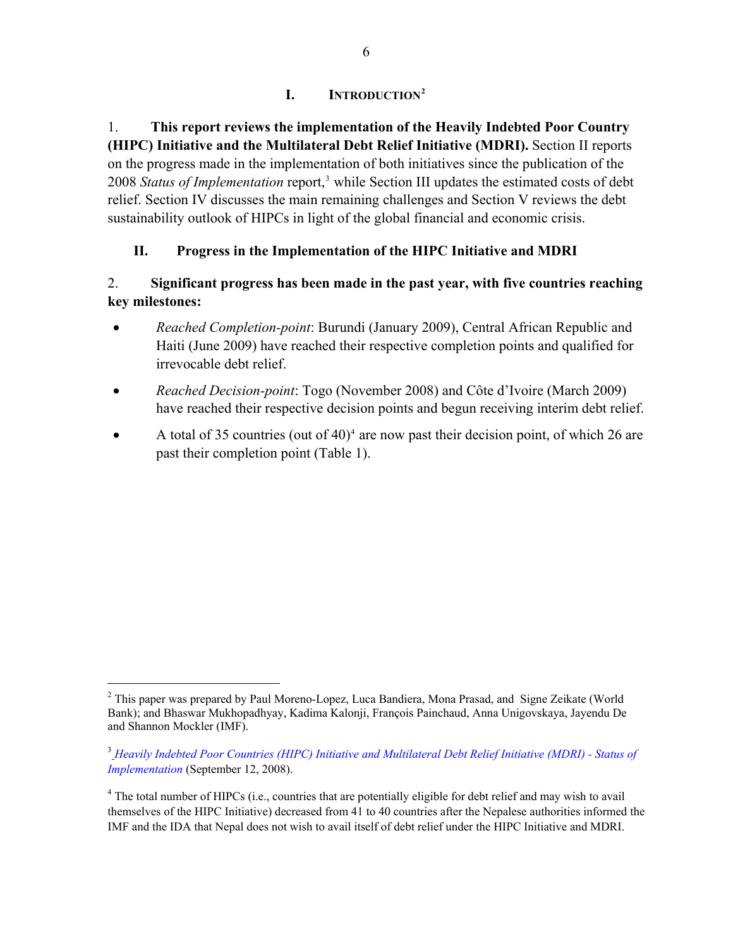## **I. INTRODUCTION[2](#page-5-2)**

<span id="page-5-0"></span>1. **This report reviews the implementation of the Heavily Indebted Poor Country (HIPC) Initiative and the Multilateral Debt Relief Initiative (MDRI).** Section II reports on the progress made in the implementation of both initiatives since the publication of the 2008 Status of Implementation report,<sup>[3](#page-5-3)</sup> while Section III updates the estimated costs of debt relief. Section IV discusses the main remaining challenges and Section V reviews the debt sustainability outlook of HIPCs in light of the global financial and economic crisis.

# **II. Progress in the Implementation of the HIPC Initiative and MDRI**

## <span id="page-5-1"></span>2. **Significant progress has been made in the past year, with five countries reaching key milestones:**

- *Reached Completion-point*: Burundi (January 2009), Central African Republic and Haiti (June 2009) have reached their respective completion points and qualified for irrevocable debt relief.
- *Reached Decision-point*: Togo (November 2008) and Côte d'Ivoire (March 2009) have reached their respective decision points and begun receiving interim debt relief.
- $\bullet$  A total of 35 countries (out of [4](#page-5-4)0)<sup>4</sup> are now past their decision point, of which 26 are past their completion point (Table 1).

 $\overline{a}$ 

<span id="page-5-2"></span><sup>&</sup>lt;sup>2</sup> This paper was prepared by Paul Moreno-Lopez, Luca Bandiera, Mona Prasad, and Signe Zeikate (World Bank); and Bhaswar Mukhopadhyay, Kadima Kalonji, François Painchaud, Anna Unigovskaya, Jayendu De and Shannon Mockler (IMF).

<span id="page-5-3"></span><sup>3</sup> *[Heavily Indebted Poor Countries \(HIPC\) Initiative and Multilateral Debt Relief Initiative \(MDRI\) - Status of](http://www.imf.org/external/pp/longres.aspx?id=4278)  [Implementation](http://www.imf.org/external/pp/longres.aspx?id=4278)* (September 12, 2008).

<span id="page-5-4"></span><sup>&</sup>lt;sup>4</sup> The total number of HIPCs (i.e., countries that are potentially eligible for debt relief and may wish to avail themselves of the HIPC Initiative) decreased from 41 to 40 countries after the Nepalese authorities informed the IMF and the IDA that Nepal does not wish to avail itself of debt relief under the HIPC Initiative and MDRI.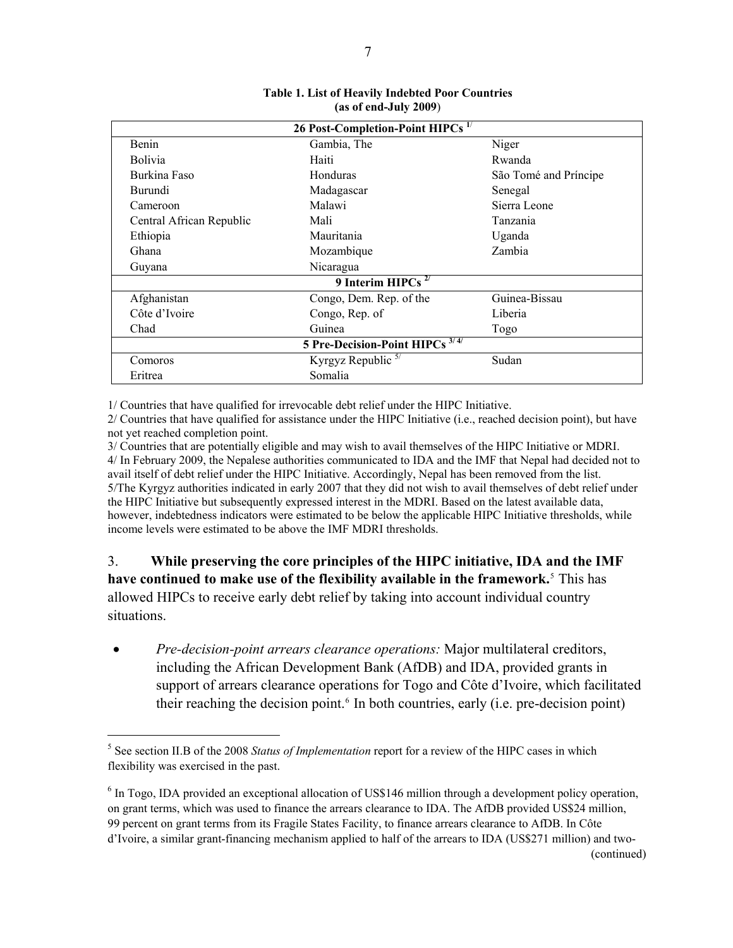<span id="page-6-0"></span>

| 26 Post-Completion-Point HIPCs <sup>1/</sup> |                                            |                       |  |  |  |  |
|----------------------------------------------|--------------------------------------------|-----------------------|--|--|--|--|
| Benin                                        | Gambia, The                                | Niger                 |  |  |  |  |
| <b>Bolivia</b>                               | Haiti                                      | Rwanda                |  |  |  |  |
| Burkina Faso                                 | Honduras                                   | São Tomé and Príncipe |  |  |  |  |
| <b>Burundi</b>                               | Madagascar                                 | Senegal               |  |  |  |  |
| Cameroon                                     | Malawi                                     | Sierra Leone          |  |  |  |  |
| Central African Republic                     | Mali                                       | Tanzania              |  |  |  |  |
| Ethiopia                                     | Mauritania                                 | Uganda                |  |  |  |  |
| Ghana                                        | Mozambique                                 | Zambia                |  |  |  |  |
| Guyana                                       | Nicaragua                                  |                       |  |  |  |  |
|                                              | 9 Interim HIPCs $2/$                       |                       |  |  |  |  |
| Afghanistan                                  | Congo, Dem. Rep. of the                    | Guinea-Bissau         |  |  |  |  |
| Côte d'Ivoire                                | Congo, Rep. of                             | Liberia               |  |  |  |  |
| Chad                                         | Guinea                                     | Togo                  |  |  |  |  |
|                                              | 5 Pre-Decision-Point HIPCs <sup>3/4/</sup> |                       |  |  |  |  |
| Comoros                                      | Kyrgyz Republic $5/$                       | Sudan                 |  |  |  |  |
| Eritrea                                      | Somalia                                    |                       |  |  |  |  |

#### **Table 1. List of Heavily Indebted Poor Countries (as of end-July 2009**)

1/ Countries that have qualified for irrevocable debt relief under the HIPC Initiative.

2/ Countries that have qualified for assistance under the HIPC Initiative (i.e., reached decision point), but have not yet reached completion point.

3/ Countries that are potentially eligible and may wish to avail themselves of the HIPC Initiative or MDRI. 4/ In February 2009, the Nepalese authorities communicated to IDA and the IMF that Nepal had decided not to avail itself of debt relief under the HIPC Initiative. Accordingly, Nepal has been removed from the list. 5/The Kyrgyz authorities indicated in early 2007 that they did not wish to avail themselves of debt relief under the HIPC Initiative but subsequently expressed interest in the MDRI. Based on the latest available data, however, indebtedness indicators were estimated to be below the applicable HIPC Initiative thresholds, while income levels were estimated to be above the IMF MDRI thresholds.

3. **While preserving the core principles of the HIPC initiative, IDA and the IMF**  have continued to make use of the flexibility available in the framework.<sup>[5](#page-6-1)</sup> This has allowed HIPCs to receive early debt relief by taking into account individual country situations.

 *Pre-decision-point arrears clearance operations:* Major multilateral creditors, including the African Development Bank (AfDB) and IDA, provided grants in support of arrears clearance operations for Togo and Côte d'Ivoire, which facilitated their reaching the decision point.<sup>[6](#page-6-2)</sup> In both countries, early (i.e. pre-decision point)

 $\overline{a}$ 

<span id="page-6-1"></span><sup>&</sup>lt;sup>5</sup> See section II.B of the 2008 *Status of Implementation* report for a review of the HIPC cases in which flexibility was exercised in the past.

<span id="page-6-2"></span><sup>&</sup>lt;sup>6</sup> In Togo, IDA provided an exceptional allocation of US\$146 million through a development policy operation, on grant terms, which was used to finance the arrears clearance to IDA. The AfDB provided US\$24 million, 99 percent on grant terms from its Fragile States Facility, to finance arrears clearance to AfDB. In Côte d'Ivoire, a similar grant-financing mechanism applied to half of the arrears to IDA (US\$271 million) and two-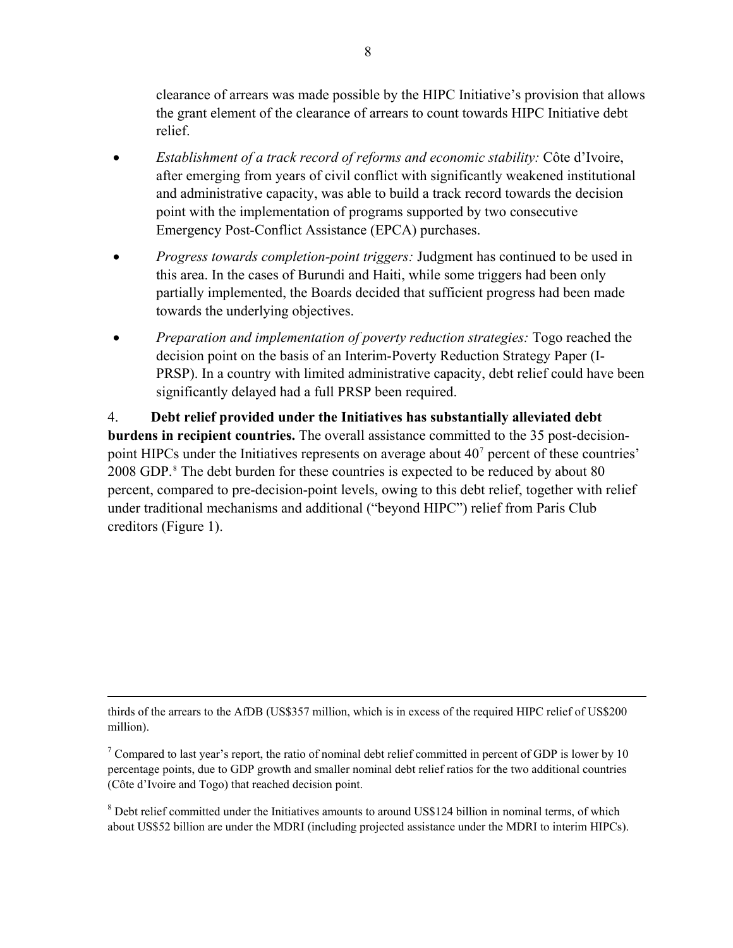clearance of arrears was made possible by the HIPC Initiative's provision that allows the grant element of the clearance of arrears to count towards HIPC Initiative debt relief.

- *Establishment of a track record of reforms and economic stability:* Côte d'Ivoire, after emerging from years of civil conflict with significantly weakened institutional and administrative capacity, was able to build a track record towards the decision point with the implementation of programs supported by two consecutive Emergency Post-Conflict Assistance (EPCA) purchases.
- *Progress towards completion-point triggers:* Judgment has continued to be used in this area. In the cases of Burundi and Haiti, while some triggers had been only partially implemented, the Boards decided that sufficient progress had been made towards the underlying objectives.
- *Preparation and implementation of poverty reduction strategies:* Togo reached the decision point on the basis of an Interim-Poverty Reduction Strategy Paper (I-PRSP). In a country with limited administrative capacity, debt relief could have been significantly delayed had a full PRSP been required.

4. **Debt relief provided under the Initiatives has substantially alleviated debt burdens in recipient countries.** The overall assistance committed to the 35 post-decisionpoint HIPCs under the Initiatives represents on average about  $40<sup>7</sup>$  $40<sup>7</sup>$  $40<sup>7</sup>$  percent of these countries' 200[8](#page-7-1) GDP.<sup>8</sup> The debt burden for these countries is expected to be reduced by about 80 percent, compared to pre-decision-point levels, owing to this debt relief, together with relief under traditional mechanisms and additional ("beyond HIPC") relief from Paris Club creditors (Figure 1).

thirds of the arrears to the AfDB (US\$357 million, which is in excess of the required HIPC relief of US\$200 million).

 $\overline{a}$ 

<span id="page-7-0"></span><sup>7</sup> Compared to last year's report, the ratio of nominal debt relief committed in percent of GDP is lower by 10 percentage points, due to GDP growth and smaller nominal debt relief ratios for the two additional countries (Côte d'Ivoire and Togo) that reached decision point.

<span id="page-7-1"></span><sup>8</sup> Debt relief committed under the Initiatives amounts to around US\$124 billion in nominal terms, of which about US\$52 billion are under the MDRI (including projected assistance under the MDRI to interim HIPCs).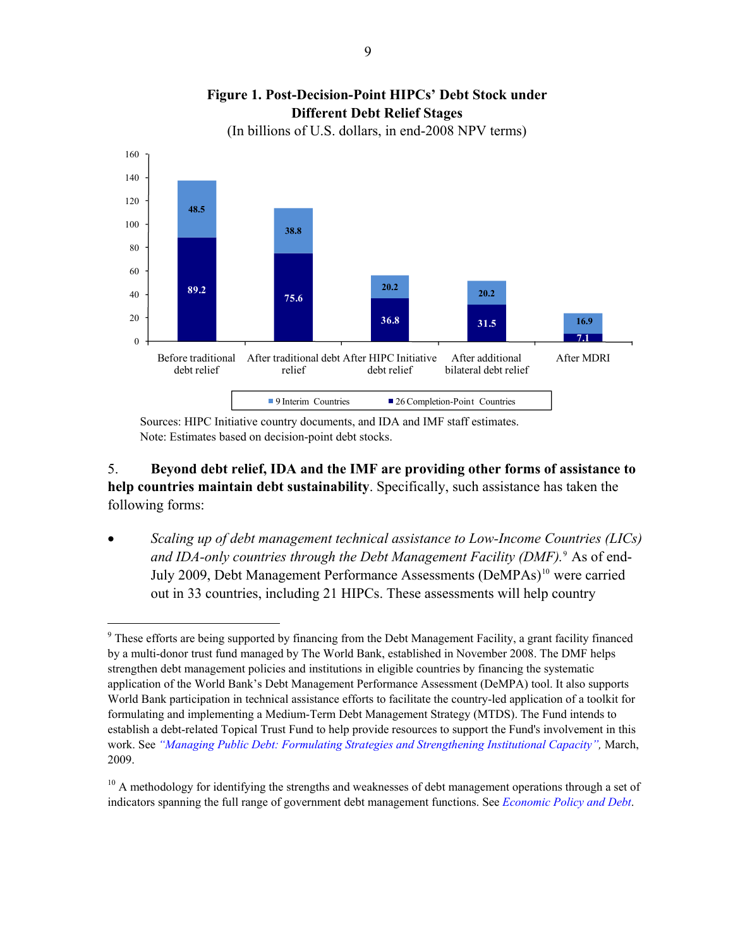<span id="page-8-0"></span>

**Figure 1. Post-Decision-Point HIPCs' Debt Stock under Different Debt Relief Stages** 

(In billions of U.S. dollars, in end-2008 NPV terms)

Sources: HIPC Initiative country documents, and IDA and IMF staff estimates. Note: Estimates based on decision-point debt stocks.

 $\overline{a}$ 

5. **Beyond debt relief, IDA and the IMF are providing other forms of assistance to help countries maintain debt sustainability**. Specifically, such assistance has taken the following forms:

 *Scaling up of debt management technical assistance to Low-Income Countries (LICs) and IDA-only countries through the Debt Management Facility (DMF).*[9](#page-8-1) As of end-July 2009, Debt Management Performance Assessments (DeMPAs)<sup>[10](#page-8-2)</sup> were carried out in 33 countries, including 21 HIPCs. These assessments will help country

<span id="page-8-1"></span><sup>&</sup>lt;sup>9</sup> These efforts are being supported by financing from the Debt Management Facility, a grant facility financed by a multi-donor trust fund managed by The World Bank, established in November 2008. The DMF helps strengthen debt management policies and institutions in eligible countries by financing the systematic application of the World Bank's Debt Management Performance Assessment (DeMPA) tool. It also supports World Bank participation in technical assistance efforts to facilitate the country-led application of a toolkit for formulating and implementing a Medium-Term Debt Management Strategy (MTDS). The Fund intends to establish a debt-related Topical Trust Fund to help provide resources to support the Fund's involvement in this work. See *["Managing Public Debt: Formulating Strategies and Strengthening Institutional Capacity"](http://www.imf.org/external/np/pp/eng/2009/030309.pdf),* March, 2009.

<span id="page-8-2"></span> $10$  A methodology for identifying the strengths and weaknesses of debt management operations through a set of indicators spanning the full range of government debt management functions. See *[Economic Policy and Debt](http://web.worldbank.org/WBSITE/EXTERNAL/TOPICS/EXTDEBTDEPT/0,,menuPK:64166739%7EpagePK:64166681%7EpiPK:64166725%7EtheSitePK:469043,00.html)*.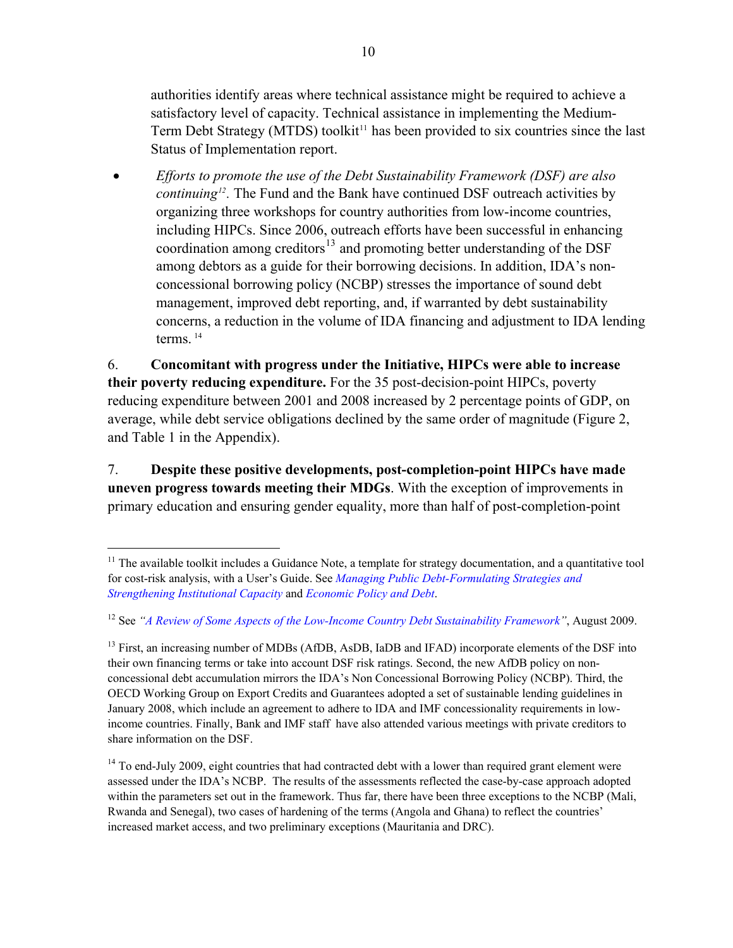authorities identify areas where technical assistance might be required to achieve a satisfactory level of capacity. Technical assistance in implementing the Medium-Term Debt Strategy (MTDS) toolkit $11$  has been provided to six countries since the last Status of Implementation report.

 *Efforts to promote the use of the Debt Sustainability Framework (DSF) are also continuing[12](#page-9-0).* The Fund and the Bank have continued DSF outreach activities by organizing three workshops for country authorities from low-income countries, including HIPCs. Since 2006, outreach efforts have been successful in enhancing coordination among creditors<sup>[13](#page-9-1)</sup> and promoting better understanding of the DSF among debtors as a guide for their borrowing decisions. In addition, IDA's nonconcessional borrowing policy (NCBP) stresses the importance of sound debt management, improved debt reporting, and, if warranted by debt sustainability concerns, a reduction in the volume of IDA financing and adjustment to IDA lending terms<sup>[14](#page-9-2)</sup>

6. **Concomitant with progress under the Initiative, HIPCs were able to increase their poverty reducing expenditure.** For the 35 post-decision-point HIPCs, poverty reducing expenditure between 2001 and 2008 increased by 2 percentage points of GDP, on average, while debt service obligations declined by the same order of magnitude (Figure 2, and Table 1 in the Appendix).

7. **Despite these positive developments, post-completion-point HIPCs have made uneven progress towards meeting their MDGs**. With the exception of improvements in primary education and ensuring gender equality, more than half of post-completion-point

<u>.</u>

<sup>&</sup>lt;sup>11</sup> The available toolkit includes a Guidance Note, a template for strategy documentation, and a quantitative tool for cost-risk analysis, with a User's Guide. See *[Managing Public Debt-Formulating Strategies and](http://www.imf.org/external/pp/longres.aspx?id=4326)  [Strengthening Institutional Capacity](http://www.imf.org/external/pp/longres.aspx?id=4326)* and *[Economic Policy and Debt](http://web.worldbank.org/WBSITE/EXTERNAL/TOPICS/EXTDEBTDEPT/0,,menuPK:64166739%7EpagePK:64166681%7EpiPK:64166725%7EtheSitePK:469043,00.html)*.

<span id="page-9-0"></span><sup>12</sup> See *"[A Review of Some Aspects of the Low-Income Country Debt Sustainability Framework"](http://www.imf.org/external/np/pp/eng/2009/080509a.pdf)*, August 2009.

<span id="page-9-1"></span><sup>&</sup>lt;sup>13</sup> First, an increasing number of MDBs (AfDB, AsDB, IaDB and IFAD) incorporate elements of the DSF into their own financing terms or take into account DSF risk ratings. Second, the new AfDB policy on nonconcessional debt accumulation mirrors the IDA's Non Concessional Borrowing Policy (NCBP). Third, the OECD Working Group on Export Credits and Guarantees adopted a set of sustainable lending guidelines in January 2008, which include an agreement to adhere to IDA and IMF concessionality requirements in lowincome countries. Finally, Bank and IMF staff have also attended various meetings with private creditors to share information on the DSF.

<span id="page-9-2"></span><sup>&</sup>lt;sup>14</sup> To end-July 2009, eight countries that had contracted debt with a lower than required grant element were assessed under the IDA's NCBP. The results of the assessments reflected the case-by-case approach adopted within the parameters set out in the framework. Thus far, there have been three exceptions to the NCBP (Mali, Rwanda and Senegal), two cases of hardening of the terms (Angola and Ghana) to reflect the countries' increased market access, and two preliminary exceptions (Mauritania and DRC).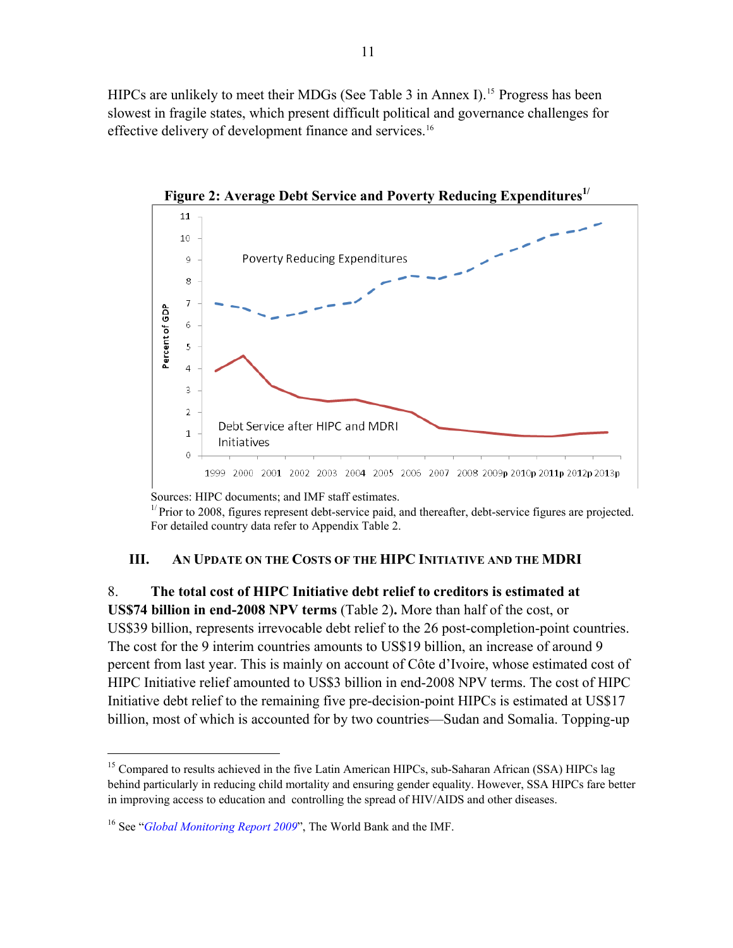<span id="page-10-1"></span>HIPCs are unlikely to meet their MDGs (See Table 3 in Annex I).<sup>15</sup> Progress has been slowest in fragile states, which present difficult political and governance challenges for effective delivery of development finance and services.<sup>16</sup>



Figure 2: Average Debt Service and Poverty Reducing Expenditures<sup>1/</sup>

Sources: HIPC documents; and IMF staff estimates.

 $1/$  Prior to 2008, figures represent debt-service paid, and thereafter, debt-service figures are projected. For detailed country data refer to Appendix Table 2.

### **III. AN UPDATE ON THE COSTS OF THE HIPC INITIATIVE AND THE MDRI**

<span id="page-10-0"></span>8. **The total cost of HIPC Initiative debt relief to creditors is estimated at** 

**US\$74 billion in end-2008 NPV terms** (Table 2)**.** More than half of the cost, or US\$39 billion, represents irrevocable debt relief to the 26 post-completion-point countries. The cost for the 9 interim countries amounts to US\$19 billion, an increase of around 9 percent from last year. This is mainly on account of Côte d'Ivoire, whose estimated cost of HIPC Initiative relief amounted to US\$3 billion in end-2008 NPV terms. The cost of HIPC Initiative debt relief to the remaining five pre-decision-point HIPCs is estimated at US\$17 billion, most of which is accounted for by two countries—Sudan and Somalia. Topping-up

1

<sup>&</sup>lt;sup>15</sup> Compared to results achieved in the five Latin American HIPCs, sub-Saharan African (SSA) HIPCs lag behind particularly in reducing child mortality and ensuring gender equality. However, SSA HIPCs fare better in improving access to education and controlling the spread of HIV/AIDS and other diseases.

<sup>16</sup> See "*[Global Monitoring Report 2009](http://web.worldbank.org/WBSITE/EXTERNAL/EXTDEC/EXTGLOBALMONITOR/EXTGLOMONREP2009/0,,menuPK:5924413%7EpagePK:64168427%7EpiPK:64168435%7EtheSitePK:5924405,00.html)*", The World Bank and the IMF.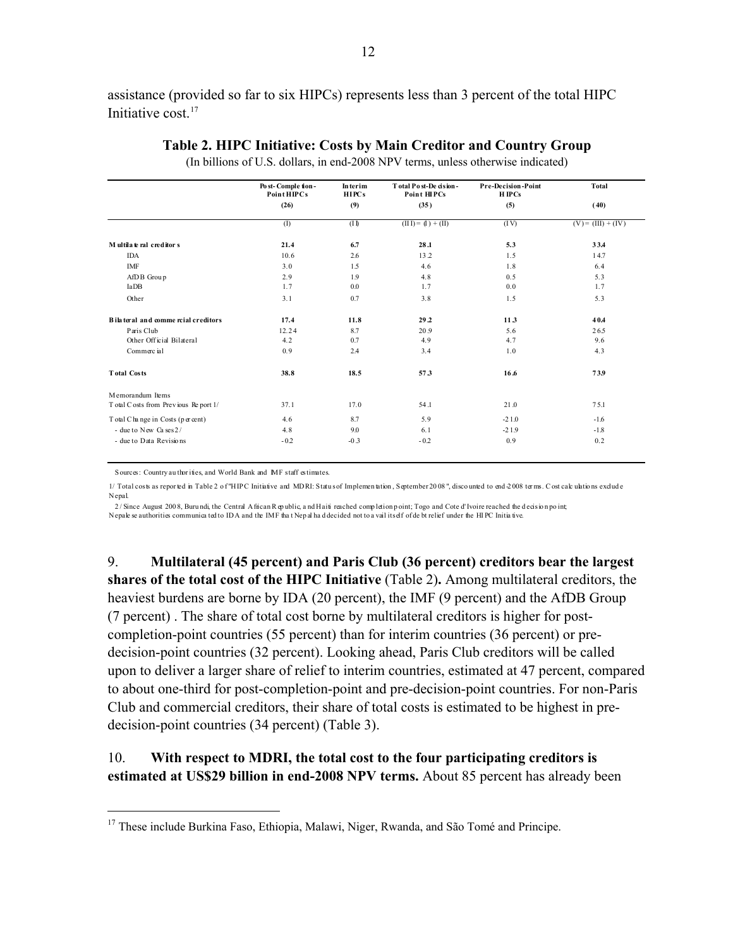assistance (provided so far to six HIPCs) represents less than 3 percent of the total HIPC Initiative cost.<sup>17</sup>

<span id="page-11-0"></span>

|                                       | Post-Comple tion-<br><b>Point HIPCs</b> | <b>Interim</b><br><b>HIPCs</b> | Total Post-De cision-<br>Point HIPCs | <b>Pre-Decision-Point</b><br><b>HIPCs</b> | <b>Total</b>         |
|---------------------------------------|-----------------------------------------|--------------------------------|--------------------------------------|-------------------------------------------|----------------------|
|                                       | (26)                                    | (9)                            | (35)                                 | (5)                                       | (40)                 |
|                                       | (I)                                     | (11)                           | $(III) = (I) + (II)$                 | (IV)                                      | $(V) = (III) + (IV)$ |
| Multilate ral creditors               | 21.4                                    | 6.7                            | 28.1                                 | 5.3                                       | 334                  |
| <b>IDA</b>                            | 10.6                                    | 2.6                            | 13.2                                 | 1.5                                       | 14.7                 |
| <b>IMF</b>                            | 3.0                                     | 1.5                            | 4.6                                  | 1.8                                       | 6.4                  |
| AfDB Group                            | 2.9                                     | 1.9                            | 4.8                                  | 0.5                                       | 5.3                  |
| IaDB                                  | 1.7                                     | 0.0                            | 1.7                                  | 0.0                                       | 1.7                  |
| Other                                 | 3.1                                     | 0.7                            | 3.8                                  | 1.5                                       | 5.3                  |
| Bilateral and comme reial creditors   | 17.4                                    | 11.8                           | 29.2                                 | 11.3                                      | 40.4                 |
| Paris Club                            | 12.24                                   | 8.7                            | 20.9                                 | 5.6                                       | 26.5                 |
| Other Official Bilateral              | 4.2                                     | 0.7                            | 4.9                                  | 4.7                                       | 9.6                  |
| Commerc ial                           | 0.9                                     | 2.4                            | 3.4                                  | 1.0                                       | 4.3                  |
| <b>Total Costs</b>                    | 38.8                                    | 18.5                           | 57.3                                 | 16.6                                      | 73.9                 |
| Memorandum Items                      |                                         |                                |                                      |                                           |                      |
| T otal C osts from Previous Report 1/ | 37.1                                    | 17.0                           | 54.1                                 | 21.0                                      | 75.1                 |
| Total C hange in Costs (per cent)     | 4.6                                     | 8.7                            | 5.9                                  | $-21.0$                                   | $-1.6$               |
| - due to New Cases2/                  | 4.8                                     | 9.0                            | 6.1                                  | $-21.9$                                   | $-1.8$               |
| - due to Data Revisions               | $-0.2$                                  | $-0.3$                         | $-0.2$                               | 0.9                                       | 0.2                  |

### **Table 2. HIPC Initiative: Costs by Main Creditor and Country Group**

(In billions of U.S. dollars, in end-2008 NPV terms, unless otherwise indicated)

Sources: Country au thor ities, and World Bank and MF staff estimates.

 $\overline{a}$ 

1/ Total costs as reported in Table 2 of "HIPC Initiative and MDRI: Status of Implemen tation, September 2008 ", discounted to end 2008 terms. Cost calculations exclude Nepal.

 $2/$  Since August 2008, Buru ndi, the Central African R epublic, a nd Haiti reached comp letion point; Togo and Cote d'Ivoire reached the decision point; Nepale se authorities communica ted to IDA and the IMF tha t Nep al ha d decided not to a vail itself of de bt relief under the HI PC Initia tive.

9. **Multilateral (45 percent) and Paris Club (36 percent) creditors bear the largest shares of the total cost of the HIPC Initiative** (Table 2)**.** Among multilateral creditors, the heaviest burdens are borne by IDA (20 percent), the IMF (9 percent) and the AfDB Group (7 percent) . The share of total cost borne by multilateral creditors is higher for postcompletion-point countries (55 percent) than for interim countries (36 percent) or predecision-point countries (32 percent). Looking ahead, Paris Club creditors will be called upon to deliver a larger share of relief to interim countries, estimated at 47 percent, compared to about one-third for post-completion-point and pre-decision-point countries. For non-Paris Club and commercial creditors, their share of total costs is estimated to be highest in predecision-point countries (34 percent) (Table 3).

## 10. **With respect to MDRI, the total cost to the four participating creditors is estimated at US\$29 billion in end-2008 NPV terms.** About 85 percent has already been

<sup>&</sup>lt;sup>17</sup> These include Burkina Faso, Ethiopia, Malawi, Niger, Rwanda, and São Tomé and Principe.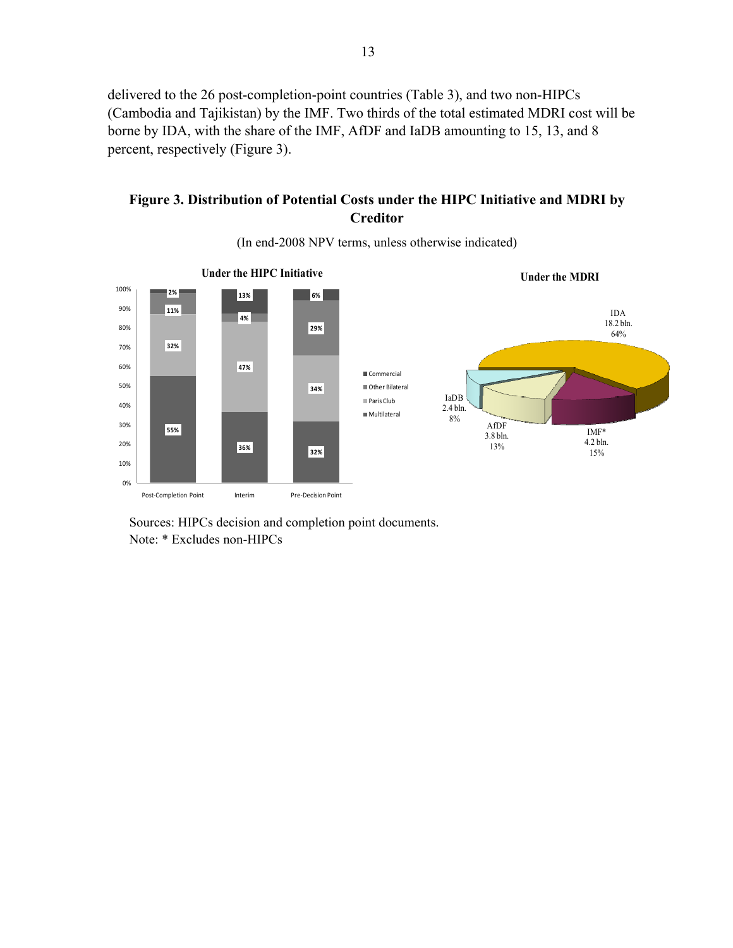delivered to the 26 post-completion-point countries (Table 3), and two non-HIPCs (Cambodia and Tajikistan) by the IMF. Two thirds of the total estimated MDRI cost will be borne by IDA, with the share of the IMF, AfDF and IaDB amounting to 15, 13, and 8 percent, respectively (Figure 3).

### **Figure 3. Distribution of Potential Costs under the HIPC Initiative and MDRI by Creditor**

<span id="page-12-0"></span>

(In end-2008 NPV terms, unless otherwise indicated)

Sources: HIPCs decision and completion point documents. Note: \* Excludes non-HIPCs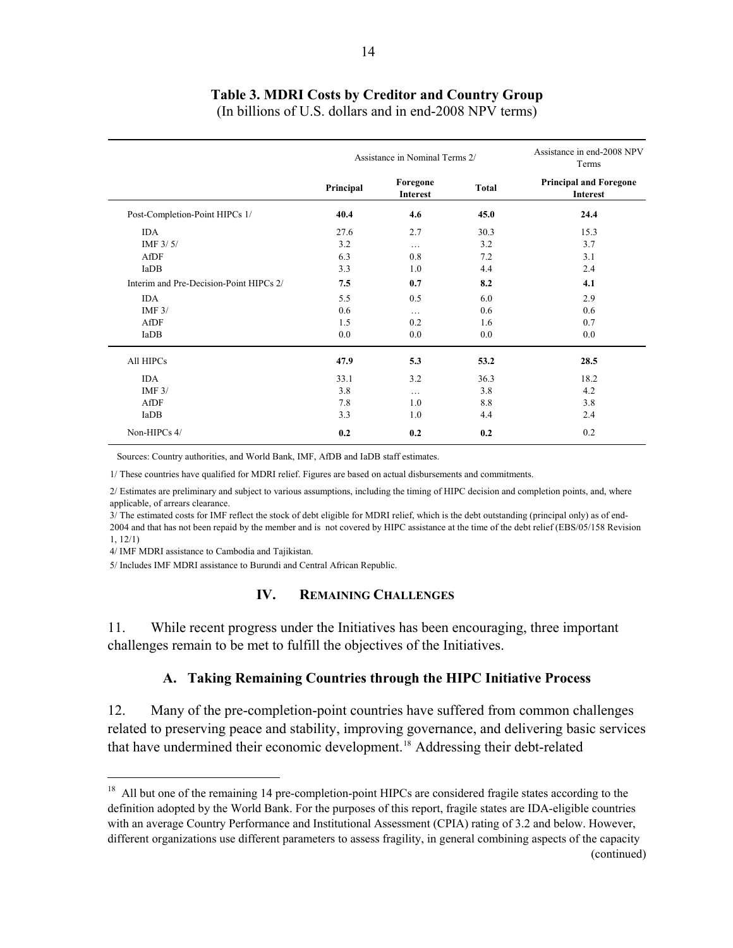## **Table 3. MDRI Costs by Creditor and Country Group**

(In billions of U.S. dollars and in end-2008 NPV terms)

<span id="page-13-2"></span>

|                                         | Assistance in Nominal Terms 2/ |                      | Assistance in end-2008 NPV<br>Terms |                                                  |
|-----------------------------------------|--------------------------------|----------------------|-------------------------------------|--------------------------------------------------|
|                                         | Principal                      | Foregone<br>Interest | <b>Total</b>                        | <b>Principal and Foregone</b><br><b>Interest</b> |
| Post-Completion-Point HIPCs 1/          | 40.4                           | 4.6                  | 45.0                                | 24.4                                             |
| <b>IDA</b>                              | 27.6                           | 2.7                  | 30.3                                | 15.3                                             |
| IMF $3/5/$                              | 3.2                            | $\cdots$             | 3.2                                 | 3.7                                              |
| AfDF                                    | 6.3                            | 0.8                  | 7.2                                 | 3.1                                              |
| IaDB                                    | 3.3                            | 1.0                  | 4.4                                 | 2.4                                              |
| Interim and Pre-Decision-Point HIPCs 2/ | 7.5                            | 0.7                  | 8.2                                 | 4.1                                              |
| <b>IDA</b>                              | 5.5                            | 0.5                  | 6.0                                 | 2.9                                              |
| IMF $3/$                                | 0.6                            | $\cdots$             | 0.6                                 | 0.6                                              |
| AfDF                                    | 1.5                            | 0.2                  | 1.6                                 | 0.7                                              |
| IaDB                                    | 0.0                            | 0.0                  | 0.0                                 | 0.0                                              |
| All HIPCs                               | 47.9                           | 5.3                  | 53.2                                | 28.5                                             |
| <b>IDA</b>                              | 33.1                           | 3.2                  | 36.3                                | 18.2                                             |
| IMF $3/$                                | 3.8                            | $\cdots$             | 3.8                                 | 4.2                                              |
| AfDF                                    | 7.8                            | 1.0                  | 8.8                                 | 3.8                                              |
| IaDB                                    | 3.3                            | 1.0                  | 4.4                                 | 2.4                                              |
| Non-HIPCs 4/                            | 0.2                            | 0.2                  | 0.2                                 | 0.2                                              |

Sources: Country authorities, and World Bank, IMF, AfDB and IaDB staff estimates.

1/ These countries have qualified for MDRI relief. Figures are based on actual disbursements and commitments.

2/ Estimates are preliminary and subject to various assumptions, including the timing of HIPC decision and completion points, and, where applicable, of arrears clearance.

3/ The estimated costs for IMF reflect the stock of debt eligible for MDRI relief, which is the debt outstanding (principal only) as of end-2004 and that has not been repaid by the member and is not covered by HIPC assistance at the time of the debt relief (EBS/05/158 Revision 1, 12/1)

4/ IMF MDRI assistance to Cambodia and Tajikistan.

 $\overline{a}$ 

<span id="page-13-0"></span>5/ Includes IMF MDRI assistance to Burundi and Central African Republic.

### **IV. REMAINING CHALLENGES**

11. While recent progress under the Initiatives has been encouraging, three important challenges remain to be met to fulfill the objectives of the Initiatives.

#### **A. Taking Remaining Countries through the HIPC Initiative Process**

<span id="page-13-1"></span>12. Many of the pre-completion-point countries have suffered from common challenges related to preserving peace and stability, improving governance, and delivering basic services that have undermined their economic development.[18](#page-13-3) Addressing their debt-related

<span id="page-13-3"></span><sup>&</sup>lt;sup>18</sup> All but one of the remaining 14 pre-completion-point HIPCs are considered fragile states according to the definition adopted by the World Bank. For the purposes of this report, fragile states are IDA-eligible countries with an average Country Performance and Institutional Assessment (CPIA) rating of 3.2 and below. However, different organizations use different parameters to assess fragility, in general combining aspects of the capacity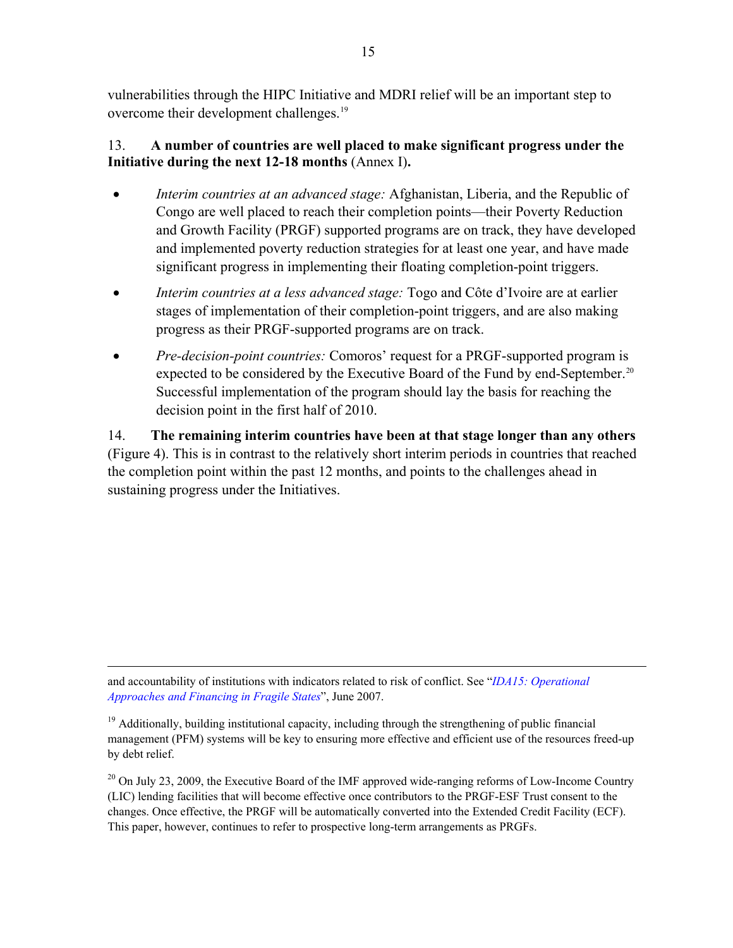vulnerabilities through the HIPC Initiative and MDRI relief will be an important step to overcome their development challenges.<sup>19</sup>

### 13. **A number of countries are well placed to make significant progress under the Initiative during the next 12-18 months** (Annex I)**.**

- *Interim countries at an advanced stage:* Afghanistan, Liberia, and the Republic of Congo are well placed to reach their completion points—their Poverty Reduction and Growth Facility (PRGF) supported programs are on track, they have developed and implemented poverty reduction strategies for at least one year, and have made significant progress in implementing their floating completion-point triggers.
- *Interim countries at a less advanced stage:* Togo and Côte d'Ivoire are at earlier stages of implementation of their completion-point triggers, and are also making progress as their PRGF-supported programs are on track.
- *Pre-decision-point countries:* Comoros' request for a PRGF-supported program is expected to be considered by the Executive Board of the Fund by end-September.<sup>[20](#page-14-0)</sup> Successful implementation of the program should lay the basis for reaching the decision point in the first half of 2010.

14. **The remaining interim countries have been at that stage longer than any others**  (Figure 4). This is in contrast to the relatively short interim periods in countries that reached the completion point within the past 12 months, and points to the challenges ahead in sustaining progress under the Initiatives.

and accountability of institutions with indicators related to risk of conflict. See "*[IDA15: Operational](http://web.worldbank.org/WBSITE/EXTERNAL/EXTABOUTUS/IDA/0,,contentMDK:21389950%7EpagePK:51236175%7EpiPK:437394%7EtheSitePK:73154,00.html)  [Approaches and Financing in Fragile States](http://web.worldbank.org/WBSITE/EXTERNAL/EXTABOUTUS/IDA/0,,contentMDK:21389950%7EpagePK:51236175%7EpiPK:437394%7EtheSitePK:73154,00.html)*", June 2007.

1

<sup>19</sup> Additionally, building institutional capacity, including through the strengthening of public financial management (PFM) systems will be key to ensuring more effective and efficient use of the resources freed-up by debt relief.

<span id="page-14-0"></span><sup>20</sup> On July 23, 2009, the Executive Board of the IMF approved wide-ranging reforms of Low-Income Country (LIC) lending facilities that will become effective once contributors to the PRGF-ESF Trust consent to the changes. Once effective, the PRGF will be automatically converted into the Extended Credit Facility (ECF). This paper, however, continues to refer to prospective long-term arrangements as PRGFs.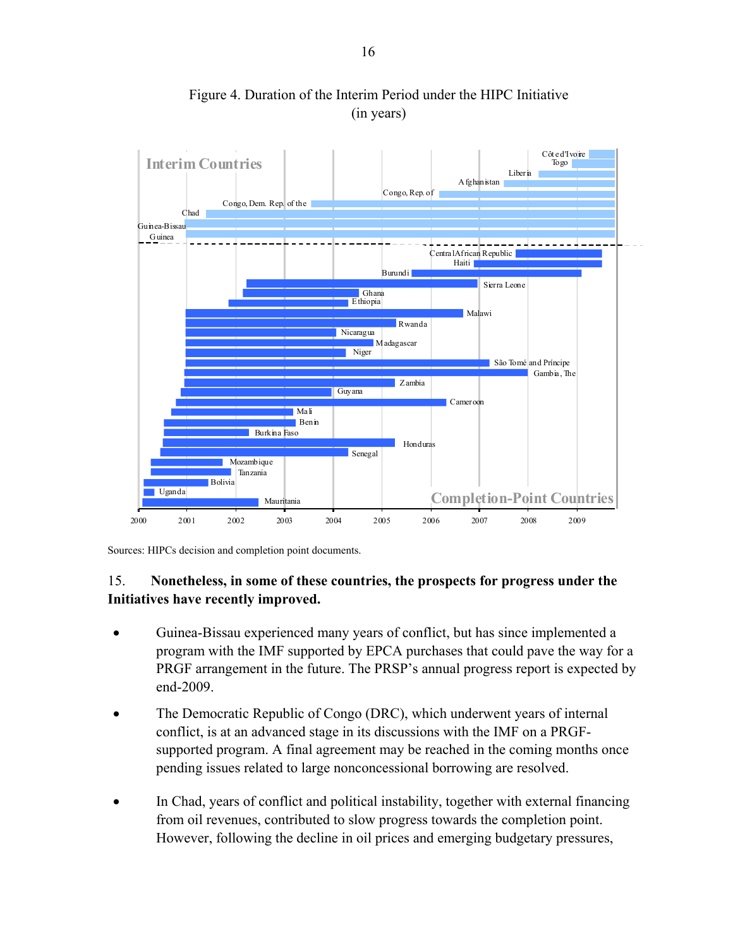<span id="page-15-0"></span>

 Figure 4. Duration of the Interim Period under the HIPC Initiative (in years)

Sources: HIPCs decision and completion point documents.

### 15. **Nonetheless, in some of these countries, the prospects for progress under the Initiatives have recently improved.**

- Guinea-Bissau experienced many years of conflict, but has since implemented a program with the IMF supported by EPCA purchases that could pave the way for a PRGF arrangement in the future. The PRSP's annual progress report is expected by end-2009.
- The Democratic Republic of Congo (DRC), which underwent years of internal conflict, is at an advanced stage in its discussions with the IMF on a PRGFsupported program. A final agreement may be reached in the coming months once pending issues related to large nonconcessional borrowing are resolved.
- In Chad, years of conflict and political instability, together with external financing from oil revenues, contributed to slow progress towards the completion point. However, following the decline in oil prices and emerging budgetary pressures,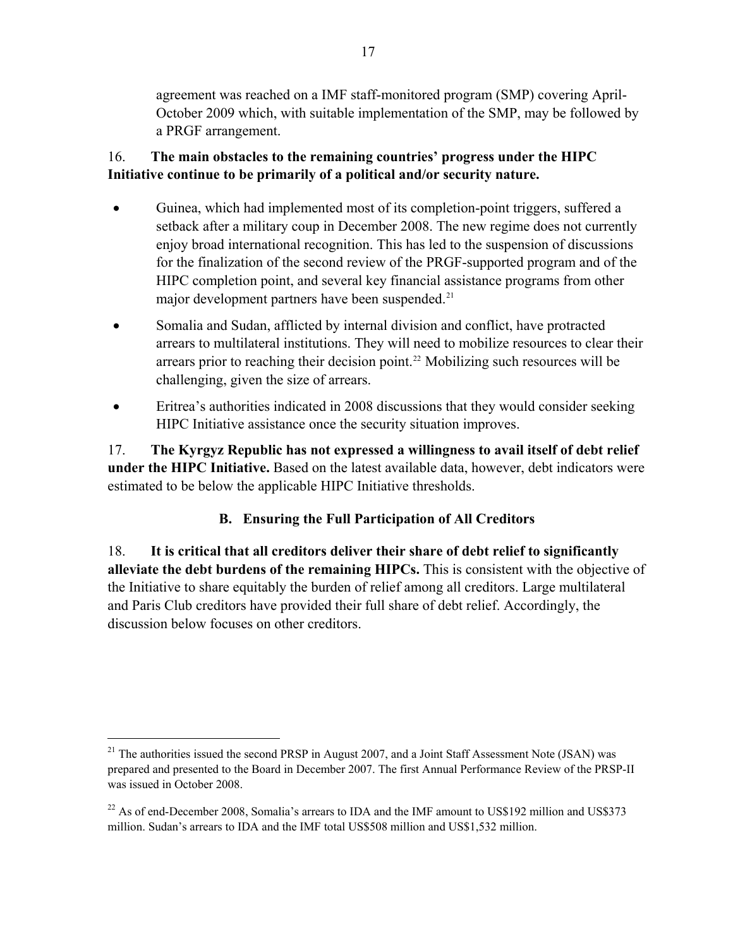agreement was reached on a IMF staff-monitored program (SMP) covering April-October 2009 which, with suitable implementation of the SMP, may be followed by a PRGF arrangement.

### 16. **The main obstacles to the remaining countries' progress under the HIPC Initiative continue to be primarily of a political and/or security nature.**

- Guinea, which had implemented most of its completion-point triggers, suffered a setback after a military coup in December 2008. The new regime does not currently enjoy broad international recognition. This has led to the suspension of discussions for the finalization of the second review of the PRGF-supported program and of the HIPC completion point, and several key financial assistance programs from other major development partners have been suspended.<sup>[21](#page-16-1)</sup>
- Somalia and Sudan, afflicted by internal division and conflict, have protracted arrears to multilateral institutions. They will need to mobilize resources to clear their arrears prior to reaching their decision point.<sup>[22](#page-16-2)</sup> Mobilizing such resources will be challenging, given the size of arrears.
- Eritrea's authorities indicated in 2008 discussions that they would consider seeking HIPC Initiative assistance once the security situation improves.

17. **The Kyrgyz Republic has not expressed a willingness to avail itself of debt relief under the HIPC Initiative.** Based on the latest available data, however, debt indicators were estimated to be below the applicable HIPC Initiative thresholds.

### **B. Ensuring the Full Participation of All Creditors**

<span id="page-16-0"></span>18. **It is critical that all creditors deliver their share of debt relief to significantly alleviate the debt burdens of the remaining HIPCs.** This is consistent with the objective of the Initiative to share equitably the burden of relief among all creditors. Large multilateral and Paris Club creditors have provided their full share of debt relief. Accordingly, the discussion below focuses on other creditors.

 $\overline{a}$ 

<span id="page-16-1"></span> $^{21}$  The authorities issued the second PRSP in August 2007, and a Joint Staff Assessment Note (JSAN) was prepared and presented to the Board in December 2007. The first Annual Performance Review of the PRSP-II was issued in October 2008.

<span id="page-16-2"></span><sup>&</sup>lt;sup>22</sup> As of end-December 2008, Somalia's arrears to IDA and the IMF amount to US\$192 million and US\$373 million. Sudan's arrears to IDA and the IMF total US\$508 million and US\$1,532 million.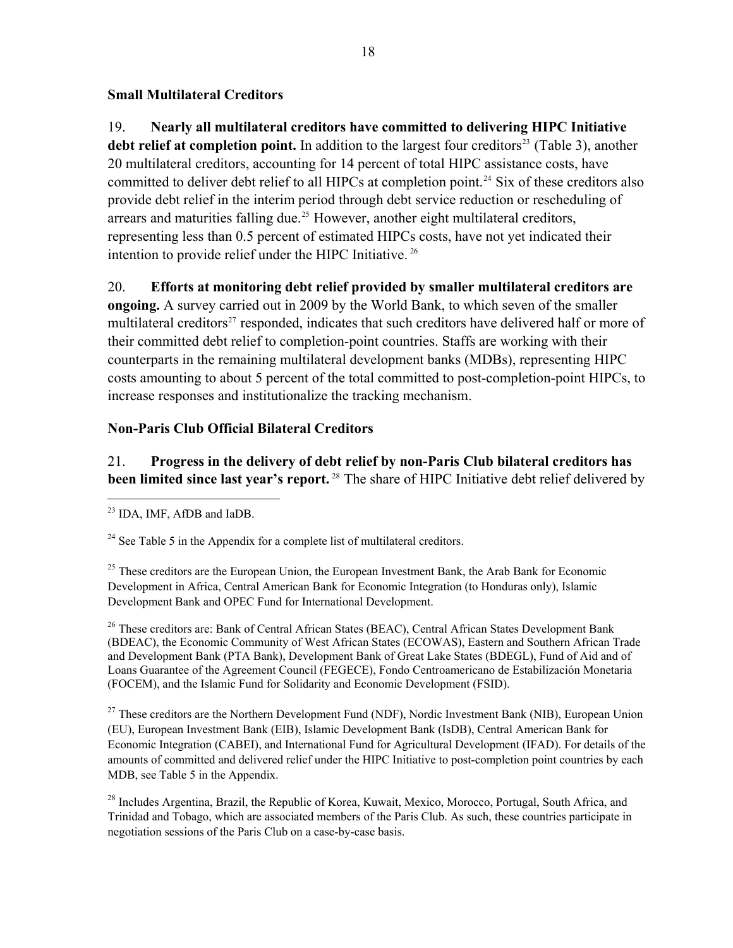### **Small Multilateral Creditors**

19. **Nearly all multilateral creditors have committed to delivering HIPC Initiative**  debt relief at completion point. In addition to the largest four creditors<sup>[23](#page-17-0)</sup> (Table 3), another 20 multilateral creditors, accounting for 14 percent of total HIPC assistance costs, have committed to deliver debt relief to all HIPCs at completion point.<sup>[24](#page-17-1)</sup> Six of these creditors also provide debt relief in the interim period through debt service reduction or rescheduling of arrears and maturities falling due.<sup>[25](#page-17-2)</sup> However, another eight multilateral creditors, representing less than 0.5 percent of estimated HIPCs costs, have not yet indicated their intention to provide relief under the HIPC Initiative. [26](#page-17-3)

20. **Efforts at monitoring debt relief provided by smaller multilateral creditors are** 

**ongoing.** A survey carried out in 2009 by the World Bank, to which seven of the smaller multilateral creditors<sup>[27](#page-17-4)</sup> responded, indicates that such creditors have delivered half or more of their committed debt relief to completion-point countries. Staffs are working with their counterparts in the remaining multilateral development banks (MDBs), representing HIPC costs amounting to about 5 percent of the total committed to post-completion-point HIPCs, to increase responses and institutionalize the tracking mechanism.

### **Non-Paris Club Official Bilateral Creditors**

21. **Progress in the delivery of debt relief by non-Paris Club bilateral creditors has**  been limited since last year's report.<sup>[28](#page-17-5)</sup> The share of HIPC Initiative debt relief delivered by

 $\overline{a}$ 

<span id="page-17-2"></span><sup>25</sup> These creditors are the European Union, the European Investment Bank, the Arab Bank for Economic Development in Africa, Central American Bank for Economic Integration (to Honduras only), Islamic Development Bank and OPEC Fund for International Development.

<span id="page-17-3"></span><sup>26</sup> These creditors are: Bank of Central African States (BEAC), Central African States Development Bank (BDEAC), the Economic Community of West African States (ECOWAS), Eastern and Southern African Trade and Development Bank (PTA Bank), Development Bank of Great Lake States (BDEGL), Fund of Aid and of Loans Guarantee of the Agreement Council (FEGECE), Fondo Centroamericano de Estabilización Monetaria (FOCEM), and the Islamic Fund for Solidarity and Economic Development (FSID).

<span id="page-17-4"></span><sup>27</sup> These creditors are the Northern Development Fund (NDF), Nordic Investment Bank (NIB), European Union (EU), European Investment Bank (EIB), Islamic Development Bank (IsDB), Central American Bank for Economic Integration (CABEI), and International Fund for Agricultural Development (IFAD). For details of the amounts of committed and delivered relief under the HIPC Initiative to post-completion point countries by each MDB, see Table 5 in the Appendix.

<span id="page-17-5"></span> $^{28}$  Includes Argentina, Brazil, the Republic of Korea, Kuwait, Mexico, Morocco, Portugal, South Africa, and Trinidad and Tobago, which are associated members of the Paris Club. As such, these countries participate in negotiation sessions of the Paris Club on a case-by-case basis.

<span id="page-17-0"></span><sup>23</sup> IDA, IMF, AfDB and IaDB.

<span id="page-17-1"></span> $24$  See Table 5 in the Appendix for a complete list of multilateral creditors.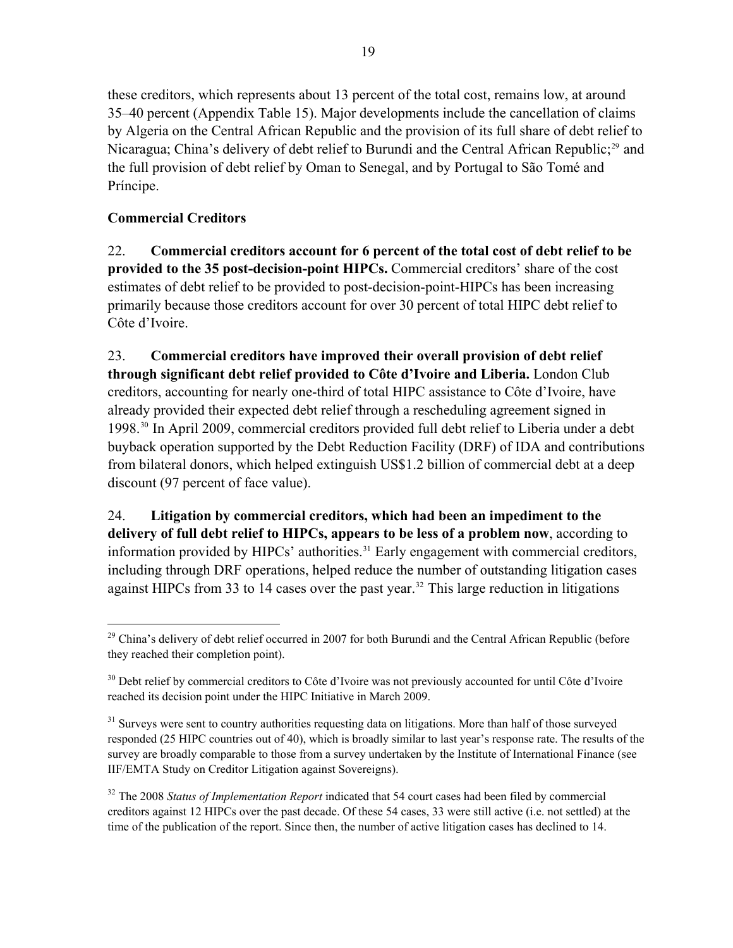these creditors, which represents about 13 percent of the total cost, remains low, at around 35–40 percent (Appendix Table 15). Major developments include the cancellation of claims by Algeria on the Central African Republic and the provision of its full share of debt relief to Nicaragua; China's delivery of debt relief to Burundi and the Central African Republic;<sup>29</sup> and the full provision of debt relief by Oman to Senegal, and by Portugal to São Tomé and Príncipe.

## **Commercial Creditors**

 $\overline{a}$ 

22. **Commercial creditors account for 6 percent of the total cost of debt relief to be provided to the 35 post-decision-point HIPCs.** Commercial creditors' share of the cost estimates of debt relief to be provided to post-decision-point-HIPCs has been increasing primarily because those creditors account for over 30 percent of total HIPC debt relief to Côte d'Ivoire.

23. **Commercial creditors have improved their overall provision of debt relief through significant debt relief provided to Côte d'Ivoire and Liberia.** London Club creditors, accounting for nearly one-third of total HIPC assistance to Côte d'Ivoire, have already provided their expected debt relief through a rescheduling agreement signed in 1998.[30](#page-18-0) In April 2009, commercial creditors provided full debt relief to Liberia under a debt buyback operation supported by the Debt Reduction Facility (DRF) of IDA and contributions from bilateral donors, which helped extinguish US\$1.2 billion of commercial debt at a deep discount (97 percent of face value).

24. **Litigation by commercial creditors, which had been an impediment to the delivery of full debt relief to HIPCs, appears to be less of a problem now**, according to information provided by HIPCs' authorities.<sup>31</sup> Early engagement with commercial creditors, including through DRF operations, helped reduce the number of outstanding litigation cases against HIPCs from 33 to 14 cases over the past year.<sup>[32](#page-18-2)</sup> This large reduction in litigations

<sup>&</sup>lt;sup>29</sup> China's delivery of debt relief occurred in 2007 for both Burundi and the Central African Republic (before they reached their completion point).

<span id="page-18-0"></span><sup>&</sup>lt;sup>30</sup> Debt relief by commercial creditors to Côte d'Ivoire was not previously accounted for until Côte d'Ivoire reached its decision point under the HIPC Initiative in March 2009.

<span id="page-18-1"></span><sup>&</sup>lt;sup>31</sup> Surveys were sent to country authorities requesting data on litigations. More than half of those surveyed responded (25 HIPC countries out of 40), which is broadly similar to last year's response rate. The results of the survey are broadly comparable to those from a survey undertaken by the Institute of International Finance (see IIF/EMTA Study on Creditor Litigation against Sovereigns).

<span id="page-18-2"></span><sup>32</sup> The 2008 *Status of Implementation Report* indicated that 54 court cases had been filed by commercial creditors against 12 HIPCs over the past decade. Of these 54 cases, 33 were still active (i.e. not settled) at the time of the publication of the report. Since then, the number of active litigation cases has declined to 14.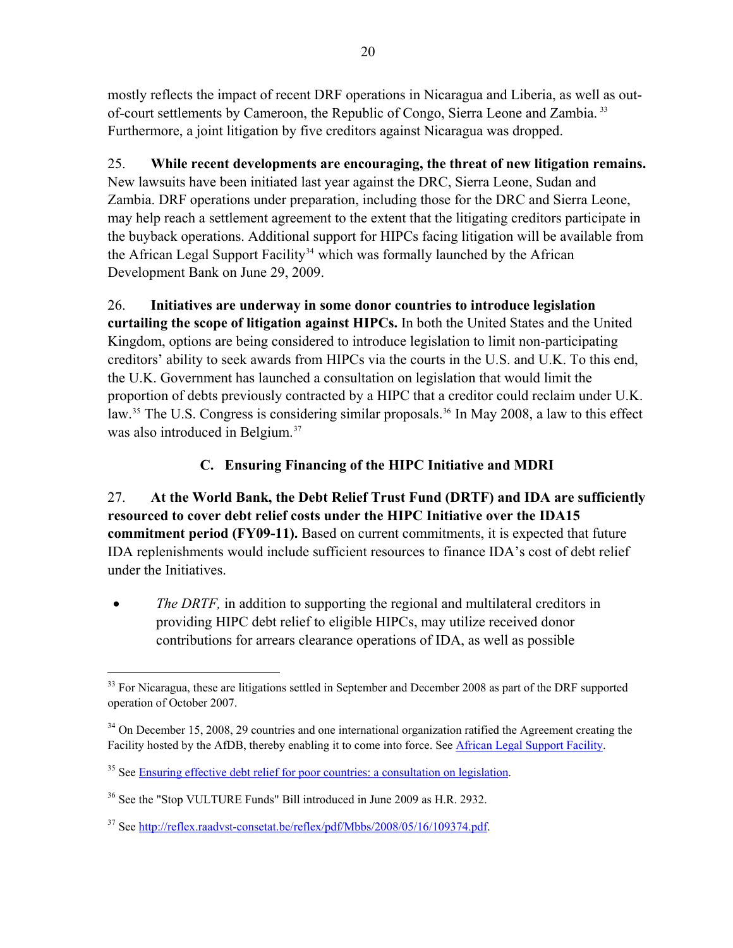mostly reflects the impact of recent DRF operations in Nicaragua and Liberia, as well as outof-court settlements by Cameroon, the Republic of Congo, Sierra Leone and Zambia. <sup>33</sup> Furthermore, a joint litigation by five creditors against Nicaragua was dropped.

25. **While recent developments are encouraging, the threat of new litigation remains.**  New lawsuits have been initiated last year against the DRC, Sierra Leone, Sudan and Zambia. DRF operations under preparation, including those for the DRC and Sierra Leone, may help reach a settlement agreement to the extent that the litigating creditors participate in the buyback operations. Additional support for HIPCs facing litigation will be available from the African Legal Support Facility<sup>[34](#page-19-1)</sup> which was formally launched by the African Development Bank on June 29, 2009.

26. **Initiatives are underway in some donor countries to introduce legislation curtailing the scope of litigation against HIPCs.** In both the United States and the United Kingdom, options are being considered to introduce legislation to limit non-participating creditors' ability to seek awards from HIPCs via the courts in the U.S. and U.K. To this end, the U.K. Government has launched a consultation on legislation that would limit the proportion of debts previously contracted by a HIPC that a creditor could reclaim under U.K. law.<sup>[35](#page-19-2)</sup> The U.S. Congress is considering similar proposals.<sup>[36](#page-19-3)</sup> In May 2008, a law to this effect was also introduced in Belgium.<sup>[37](#page-19-4)</sup>

# **C. Ensuring Financing of the HIPC Initiative and MDRI**

<span id="page-19-0"></span>27. **At the World Bank, the Debt Relief Trust Fund (DRTF) and IDA are sufficiently resourced to cover debt relief costs under the HIPC Initiative over the IDA15 commitment period (FY09-11).** Based on current commitments, it is expected that future IDA replenishments would include sufficient resources to finance IDA's cost of debt relief under the Initiatives.

• *The DRTF*, in addition to supporting the regional and multilateral creditors in providing HIPC debt relief to eligible HIPCs, may utilize received donor contributions for arrears clearance operations of IDA, as well as possible

 $\overline{a}$ 

<sup>&</sup>lt;sup>33</sup> For Nicaragua, these are litigations settled in September and December 2008 as part of the DRF supported operation of October 2007.

<span id="page-19-1"></span><sup>&</sup>lt;sup>34</sup> On December 15, 2008, 29 countries and one international organization ratified the Agreement creating the Facility hosted by the AfDB, thereby enabling it to come into force. See [African Legal Support Facility.](http://www.afdb.org/en/topics-sectors/initiatives-partnerships/african-legal-support-facility-alsf/)

<span id="page-19-2"></span><sup>&</sup>lt;sup>35</sup> See [Ensuring effective debt relief for poor countries: a consultation on legislation.](http://www.hm-treasury.gov.uk/d/consult_effectivedebtrelief_200709.pdf)

<span id="page-19-3"></span><sup>&</sup>lt;sup>36</sup> See the "Stop VULTURE Funds" Bill introduced in June 2009 as H.R. 2932.

<span id="page-19-4"></span><sup>&</sup>lt;sup>37</sup> See <http://reflex.raadvst-consetat.be/reflex/pdf/Mbbs/2008/05/16/109374.pdf>.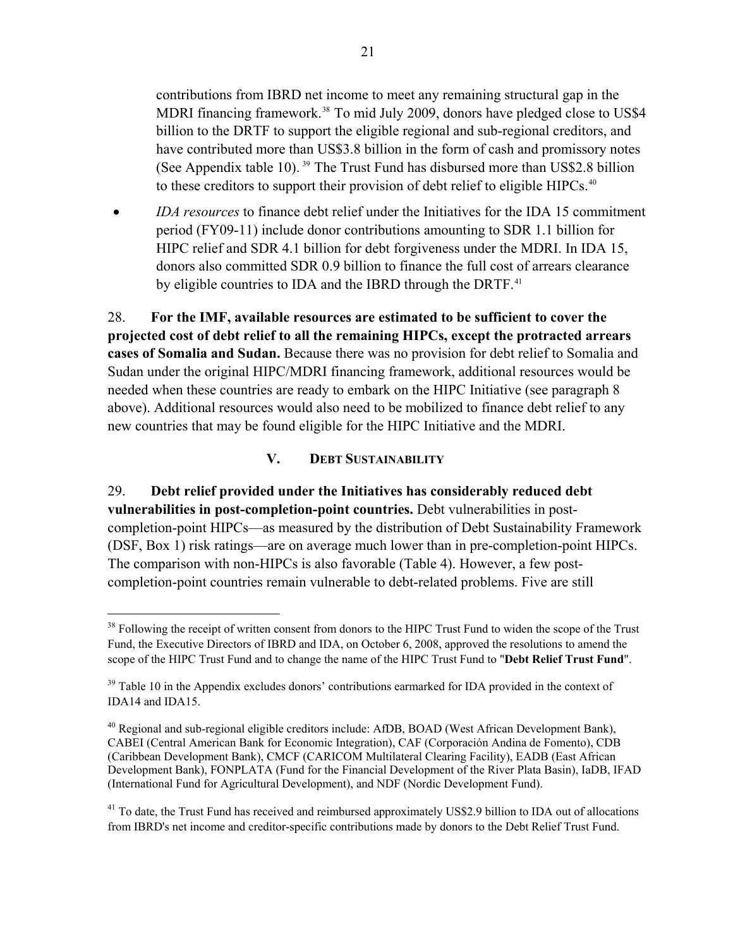contributions from IBRD net income to meet any remaining structural gap in the MDRI financing framework.<sup>38</sup> To mid July 2009, donors have pledged close to US\$4 billion to the DRTF to support the eligible regional and sub-regional creditors, and have contributed more than US\$3.8 billion in the form of cash and promissory notes (See Appendix table 10). 39 The Trust Fund has disbursed more than US\$2.8 billion to these creditors to support their provision of debt relief to eligible HIPCs.<sup>40</sup>

 *IDA resources* to finance debt relief under the Initiatives for the IDA 15 commitment period (FY09-11) include donor contributions amounting to SDR 1.1 billion for HIPC relief and SDR 4.1 billion for debt forgiveness under the MDRI. In IDA 15, donors also committed SDR 0.9 billion to finance the full cost of arrears clearance by eligible countries to IDA and the IBRD through the DRTF.<sup>[41](#page-20-1)</sup>

28. **For the IMF, available resources are estimated to be sufficient to cover the projected cost of debt relief to all the remaining HIPCs, except the protracted arrears cases of Somalia and Sudan.** Because there was no provision for debt relief to Somalia and Sudan under the original HIPC/MDRI financing framework, additional resources would be needed when these countries are ready to embark on the HIPC Initiative (see paragraph 8 above). Additional resources would also need to be mobilized to finance debt relief to any new countries that may be found eligible for the HIPC Initiative and the MDRI.

### **V. DEBT SUSTAINABILITY**

<span id="page-20-0"></span>29. **Debt relief provided under the Initiatives has considerably reduced debt vulnerabilities in post-completion-point countries.** Debt vulnerabilities in postcompletion-point HIPCs—as measured by the distribution of Debt Sustainability Framework (DSF, Box 1) risk ratings—are on average much lower than in pre-completion-point HIPCs. The comparison with non-HIPCs is also favorable (Table 4). However, a few postcompletion-point countries remain vulnerable to debt-related problems. Five are still

 $\overline{a}$ 

<sup>&</sup>lt;sup>38</sup> Following the receipt of written consent from donors to the HIPC Trust Fund to widen the scope of the Trust Fund, the Executive Directors of IBRD and IDA, on October 6, 2008, approved the resolutions to amend the scope of the HIPC Trust Fund and to change the name of the HIPC Trust Fund to "**Debt Relief Trust Fund**".

 $39$  Table 10 in the Appendix excludes donors' contributions earmarked for IDA provided in the context of IDA14 and IDA15.

 $^{40}$  Regional and sub-regional eligible creditors include: AfDB, BOAD (West African Development Bank), CABEI (Central American Bank for Economic Integration), CAF (Corporación Andina de Fomento), CDB (Caribbean Development Bank), CMCF (CARICOM Multilateral Clearing Facility), EADB (East African Development Bank), FONPLATA (Fund for the Financial Development of the River Plata Basin), IaDB, IFAD (International Fund for Agricultural Development), and NDF (Nordic Development Fund).

<span id="page-20-1"></span><sup>&</sup>lt;sup>41</sup> To date, the Trust Fund has received and reimbursed approximately US\$2.9 billion to IDA out of allocations from IBRD's net income and creditor-specific contributions made by donors to the Debt Relief Trust Fund.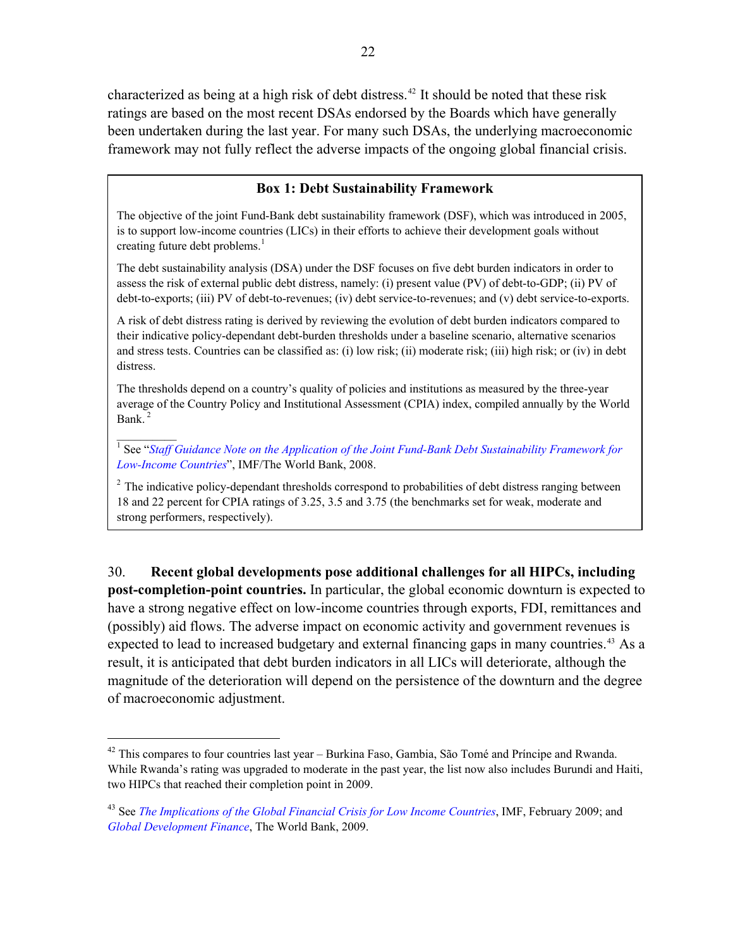characterized as being at a high risk of debt distress.42 It should be noted that these risk ratings are based on the most recent DSAs endorsed by the Boards which have generally been undertaken during the last year. For many such DSAs, the underlying macroeconomic framework may not fully reflect the adverse impacts of the ongoing global financial crisis.

### **Box 1: Debt Sustainability Framework**

The objective of the joint Fund-Bank debt sustainability framework (DSF), which was introduced in 2005, is to support low-income countries (LICs) in their efforts to achieve their development goals without creating future debt problems. $<sup>1</sup>$ </sup>

The debt sustainability analysis (DSA) under the DSF focuses on five debt burden indicators in order to assess the risk of external public debt distress, namely: (i) present value (PV) of debt-to-GDP; (ii) PV of debt-to-exports; (iii) PV of debt-to-revenues; (iv) debt service-to-revenues; and (v) debt service-to-exports.

A risk of debt distress rating is derived by reviewing the evolution of debt burden indicators compared to their indicative policy-dependant debt-burden thresholds under a baseline scenario, alternative scenarios and stress tests. Countries can be classified as: (i) low risk; (ii) moderate risk; (iii) high risk; or (iv) in debt distress.

The thresholds depend on a country's quality of policies and institutions as measured by the three-year average of the Country Policy and Institutional Assessment (CPIA) index, compiled annually by the World Bank<sup>2</sup>

<sup>1</sup> See "*Staff Guidance Note on the Application of the Joint Fund-Bank Debt Sustainability Framework for [Low-Income Countries](http://www.imf.org/external/np/pp/eng/2008/070308.pdf)*", IMF/The World Bank, 2008.

 $\frac{1}{2}$ 

1

<sup>2</sup> The indicative policy-dependant thresholds correspond to probabilities of debt distress ranging between 18 and 22 percent for CPIA ratings of 3.25, 3.5 and 3.75 (the benchmarks set for weak, moderate and strong performers, respectively).

<span id="page-21-0"></span>30. **Recent global developments pose additional challenges for all HIPCs, including post-completion-point countries.** In particular, the global economic downturn is expected to have a strong negative effect on low-income countries through exports, FDI, remittances and (possibly) aid flows. The adverse impact on economic activity and government revenues is expected to lead to increased budgetary and external financing gaps in many countries.<sup>[43](#page-21-1)</sup> As a result, it is anticipated that debt burden indicators in all LICs will deteriorate, although the magnitude of the deterioration will depend on the persistence of the downturn and the degree of macroeconomic adjustment.

<sup>&</sup>lt;sup>42</sup> This compares to four countries last year – Burkina Faso, Gambia, São Tomé and Príncipe and Rwanda. While Rwanda's rating was upgraded to moderate in the past year, the list now also includes Burundi and Haiti, two HIPCs that reached their completion point in 2009.

<span id="page-21-1"></span><sup>43</sup> See *[The Implications of the Global Financial Crisis for Low Income Countries](http://www.imf.org/external/pubs/ft/books/2009/globalfin/globalfin.pdf)*, IMF, February 2009; and *[Global Development Finance](http://www.worldbank.org/gdf2009)*, The World Bank, 2009.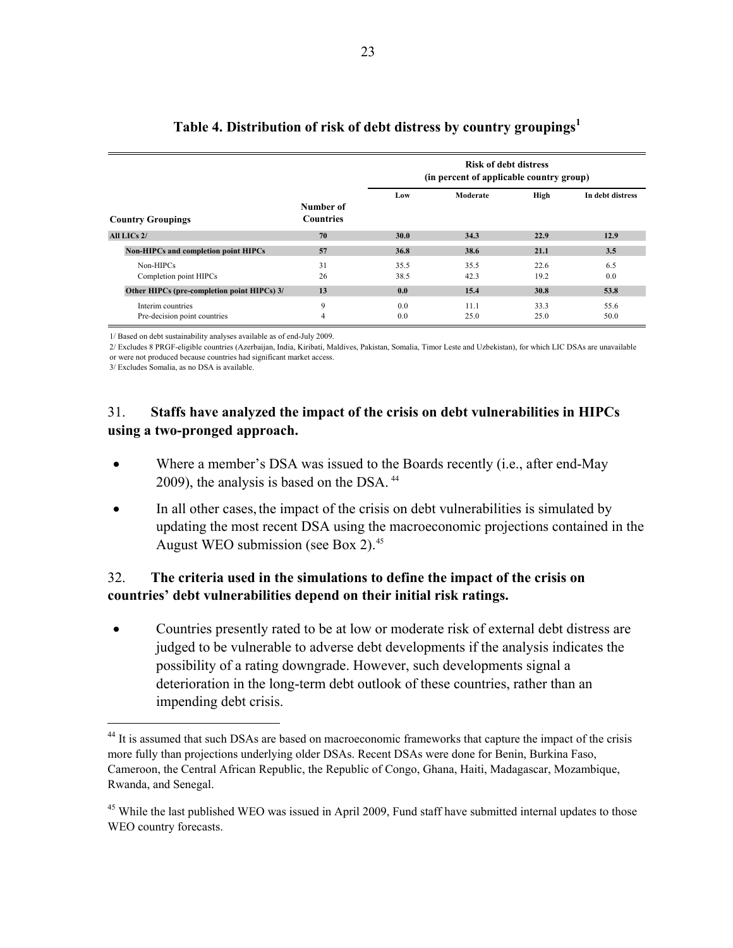<span id="page-22-0"></span>

|                                                   |                               | <b>Risk of debt distress</b><br>(in percent of applicable country group) |              |              |                  |
|---------------------------------------------------|-------------------------------|--------------------------------------------------------------------------|--------------|--------------|------------------|
| <b>Country Groupings</b>                          | Number of<br><b>Countries</b> | Low                                                                      | Moderate     | High         | In debt distress |
|                                                   |                               |                                                                          |              |              |                  |
| All LICs 2/                                       | 70                            | 30.0                                                                     | 34.3         | 22.9         | 12.9             |
| Non-HIPCs and completion point HIPCs              | 57                            | 36.8                                                                     | 38.6         | 21.1         | 3.5              |
| Non-HIPCs<br>Completion point HIPCs               | 31<br>26                      | 35.5<br>38.5                                                             | 35.5<br>42.3 | 226<br>19.2  | 6.5<br>0.0       |
| Other HIPCs (pre-completion point HIPCs) 3/       | 13                            | 0.0                                                                      | 15.4         | 30.8         | 53.8             |
| Interim countries<br>Pre-decision point countries | 9<br>$\overline{4}$           | 0.0<br>0.0                                                               | 11.1<br>25.0 | 33.3<br>25.0 | 55.6<br>50.0     |

# **Table 4. Distribution of risk of debt distress by country groupings1**

1/ Based on debt sustainability analyses available as of end-July 2009.

2/ Excludes 8 PRGF-eligible countries (Azerbaijan, India, Kiribati, Maldives, Pakistan, Somalia, Timor Leste and Uzbekistan), for which LIC DSAs are unavailable or were not produced because countries had significant market access.

3/ Excludes Somalia, as no DSA is available.

 $\overline{a}$ 

## 31. **Staffs have analyzed the impact of the crisis on debt vulnerabilities in HIPCs using a two-pronged approach.**

- Where a member's DSA was issued to the Boards recently (i.e., after end-May 2009), the analysis is based on the DSA.<sup>[44](#page-22-1)</sup>
- In all other cases, the impact of the crisis on debt vulnerabilities is simulated by updating the most recent DSA using the macroeconomic projections contained in the August WEO submission (see Box 2).<sup>[45](#page-22-2)</sup>

## 32. **The criteria used in the simulations to define the impact of the crisis on countries' debt vulnerabilities depend on their initial risk ratings.**

 Countries presently rated to be at low or moderate risk of external debt distress are judged to be vulnerable to adverse debt developments if the analysis indicates the possibility of a rating downgrade. However, such developments signal a deterioration in the long-term debt outlook of these countries, rather than an impending debt crisis.

<span id="page-22-1"></span><sup>&</sup>lt;sup>44</sup> It is assumed that such DSAs are based on macroeconomic frameworks that capture the impact of the crisis more fully than projections underlying older DSAs. Recent DSAs were done for Benin, Burkina Faso, Cameroon, the Central African Republic, the Republic of Congo, Ghana, Haiti, Madagascar, Mozambique, Rwanda, and Senegal.

<span id="page-22-2"></span><sup>&</sup>lt;sup>45</sup> While the last published WEO was issued in April 2009, Fund staff have submitted internal updates to those WEO country forecasts.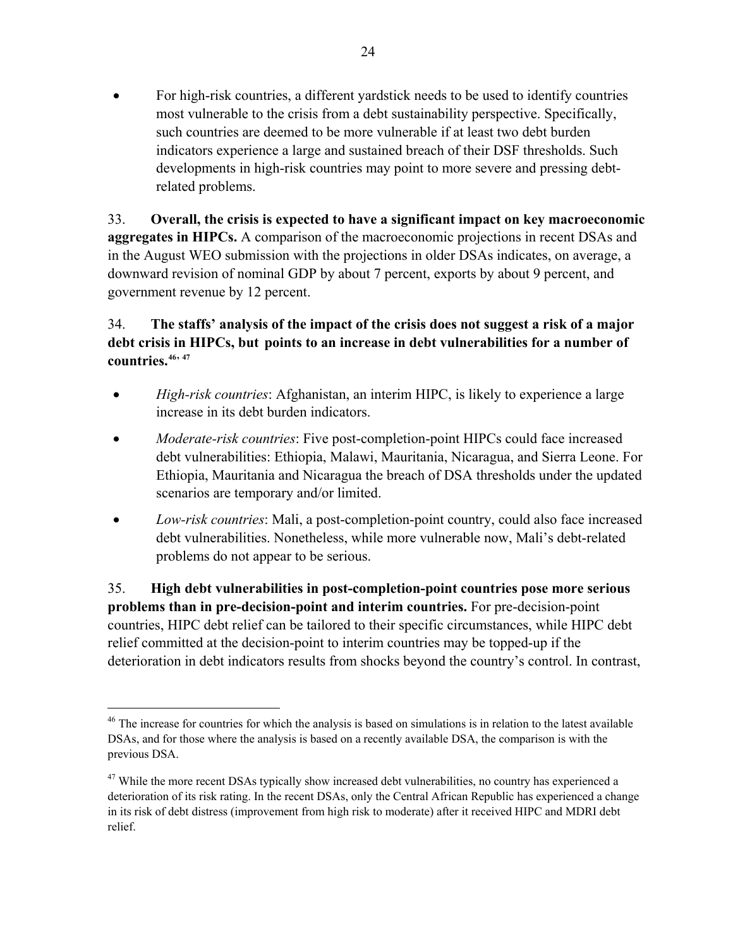For high-risk countries, a different yardstick needs to be used to identify countries most vulnerable to the crisis from a debt sustainability perspective. Specifically, such countries are deemed to be more vulnerable if at least two debt burden indicators experience a large and sustained breach of their DSF thresholds. Such developments in high-risk countries may point to more severe and pressing debtrelated problems.

33. **Overall, the crisis is expected to have a significant impact on key macroeconomic aggregates in HIPCs.** A comparison of the macroeconomic projections in recent DSAs and in the August WEO submission with the projections in older DSAs indicates, on average, a downward revision of nominal GDP by about 7 percent, exports by about 9 percent, and government revenue by 12 percent.

### 34. **The staffs' analysis of the impact of the crisis does not suggest a risk of a major debt crisis in HIPCs, but points to an increase in debt vulnerabilities for a number of countries.[46](#page-23-0), [47](#page-23-1)**

- *High-risk countries*: Afghanistan, an interim HIPC, is likely to experience a large increase in its debt burden indicators.
- *Moderate-risk countries*: Five post-completion-point HIPCs could face increased debt vulnerabilities: Ethiopia, Malawi, Mauritania, Nicaragua, and Sierra Leone. For Ethiopia, Mauritania and Nicaragua the breach of DSA thresholds under the updated scenarios are temporary and/or limited.
- *Low-risk countries*: Mali, a post-completion-point country, could also face increased debt vulnerabilities. Nonetheless, while more vulnerable now, Mali's debt-related problems do not appear to be serious.

35. **High debt vulnerabilities in post-completion-point countries pose more serious problems than in pre-decision-point and interim countries.** For pre-decision-point countries, HIPC debt relief can be tailored to their specific circumstances, while HIPC debt relief committed at the decision-point to interim countries may be topped-up if the deterioration in debt indicators results from shocks beyond the country's control. In contrast,

 $\overline{a}$ 

<span id="page-23-0"></span><sup>&</sup>lt;sup>46</sup> The increase for countries for which the analysis is based on simulations is in relation to the latest available DSAs, and for those where the analysis is based on a recently available DSA, the comparison is with the previous DSA.

<span id="page-23-1"></span><sup>&</sup>lt;sup>47</sup> While the more recent DSAs typically show increased debt vulnerabilities, no country has experienced a deterioration of its risk rating. In the recent DSAs, only the Central African Republic has experienced a change in its risk of debt distress (improvement from high risk to moderate) after it received HIPC and MDRI debt relief.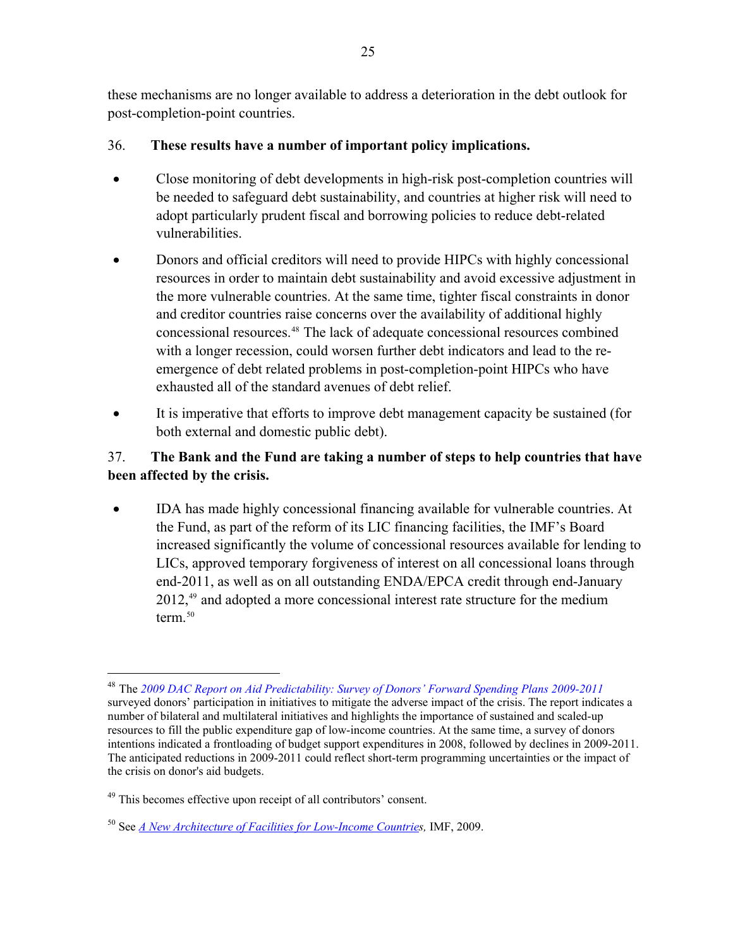these mechanisms are no longer available to address a deterioration in the debt outlook for post-completion-point countries.

### 36. **These results have a number of important policy implications.**

- Close monitoring of debt developments in high-risk post-completion countries will be needed to safeguard debt sustainability, and countries at higher risk will need to adopt particularly prudent fiscal and borrowing policies to reduce debt-related vulnerabilities.
- Donors and official creditors will need to provide HIPCs with highly concessional resources in order to maintain debt sustainability and avoid excessive adjustment in the more vulnerable countries. At the same time, tighter fiscal constraints in donor and creditor countries raise concerns over the availability of additional highly concessional resources.[48](#page-24-0) The lack of adequate concessional resources combined with a longer recession, could worsen further debt indicators and lead to the reemergence of debt related problems in post-completion-point HIPCs who have exhausted all of the standard avenues of debt relief.
- It is imperative that efforts to improve debt management capacity be sustained (for both external and domestic public debt).

## 37. **The Bank and the Fund are taking a number of steps to help countries that have been affected by the crisis.**

 IDA has made highly concessional financing available for vulnerable countries. At the Fund, as part of the reform of its LIC financing facilities, the IMF's Board increased significantly the volume of concessional resources available for lending to LICs, approved temporary forgiveness of interest on all concessional loans through end-2011, as well as on all outstanding ENDA/EPCA credit through end-January 2012,<sup>[49](#page-24-1)</sup> and adopted a more concessional interest rate structure for the medium term $50$ 

 $\overline{a}$ 

<span id="page-24-0"></span><sup>48</sup> The *[2009 DAC Report on Aid Predictability: Survey of Donors' Forward Spending Plans 2009-2011](http://www.oecd.org/dataoecd/46/19/43161677.pdf)* surveyed donors' participation in initiatives to mitigate the adverse impact of the crisis. The report indicates a number of bilateral and multilateral initiatives and highlights the importance of sustained and scaled-up resources to fill the public expenditure gap of low-income countries. At the same time, a survey of donors intentions indicated a frontloading of budget support expenditures in 2008, followed by declines in 2009-2011. The anticipated reductions in 2009-2011 could reflect short-term programming uncertainties or the impact of the crisis on donor's aid budgets.

<span id="page-24-1"></span> $49$  This becomes effective upon receipt of all contributors' consent.

<span id="page-24-2"></span><sup>50</sup> See *[A New Architecture of Facilities for Low-Income Countrie](http://www.imf.org/external/np/pp/eng/2009/062609.pdf)s,* IMF, 2009.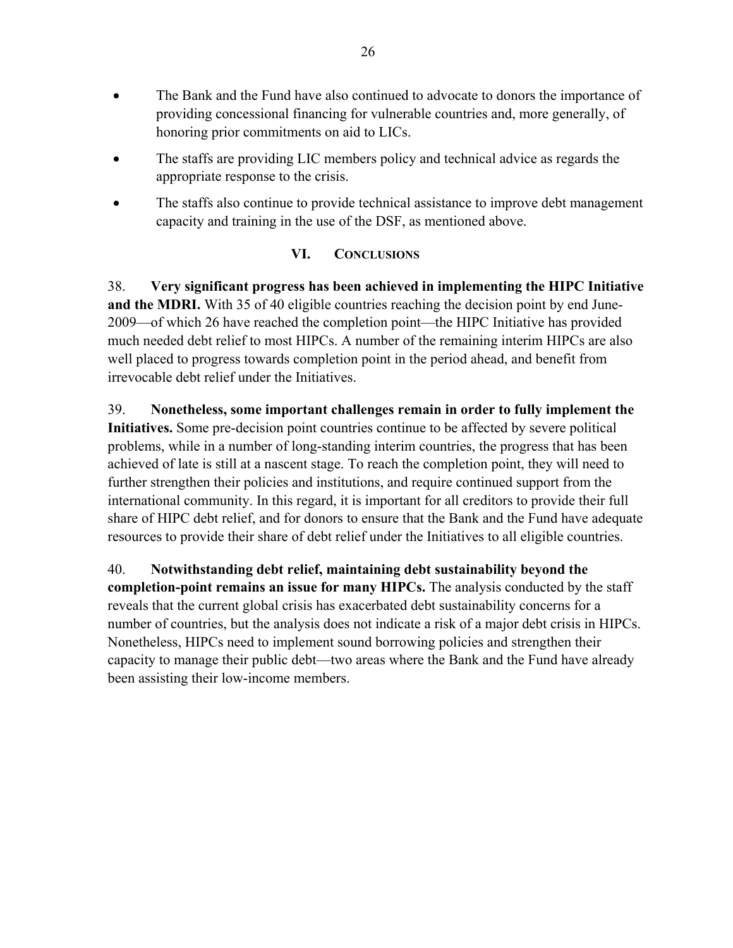- The Bank and the Fund have also continued to advocate to donors the importance of providing concessional financing for vulnerable countries and, more generally, of honoring prior commitments on aid to LICs.
- The staffs are providing LIC members policy and technical advice as regards the appropriate response to the crisis.
- The staffs also continue to provide technical assistance to improve debt management capacity and training in the use of the DSF, as mentioned above.

### **VI. CONCLUSIONS**

<span id="page-25-0"></span>38. **Very significant progress has been achieved in implementing the HIPC Initiative and the MDRI.** With 35 of 40 eligible countries reaching the decision point by end June-2009—of which 26 have reached the completion point—the HIPC Initiative has provided much needed debt relief to most HIPCs. A number of the remaining interim HIPCs are also well placed to progress towards completion point in the period ahead, and benefit from irrevocable debt relief under the Initiatives.

39. **Nonetheless, some important challenges remain in order to fully implement the Initiatives.** Some pre-decision point countries continue to be affected by severe political problems, while in a number of long-standing interim countries, the progress that has been achieved of late is still at a nascent stage. To reach the completion point, they will need to further strengthen their policies and institutions, and require continued support from the international community. In this regard, it is important for all creditors to provide their full share of HIPC debt relief, and for donors to ensure that the Bank and the Fund have adequate resources to provide their share of debt relief under the Initiatives to all eligible countries.

40. **Notwithstanding debt relief, maintaining debt sustainability beyond the completion-point remains an issue for many HIPCs.** The analysis conducted by the staff reveals that the current global crisis has exacerbated debt sustainability concerns for a number of countries, but the analysis does not indicate a risk of a major debt crisis in HIPCs. Nonetheless, HIPCs need to implement sound borrowing policies and strengthen their capacity to manage their public debt—two areas where the Bank and the Fund have already been assisting their low-income members.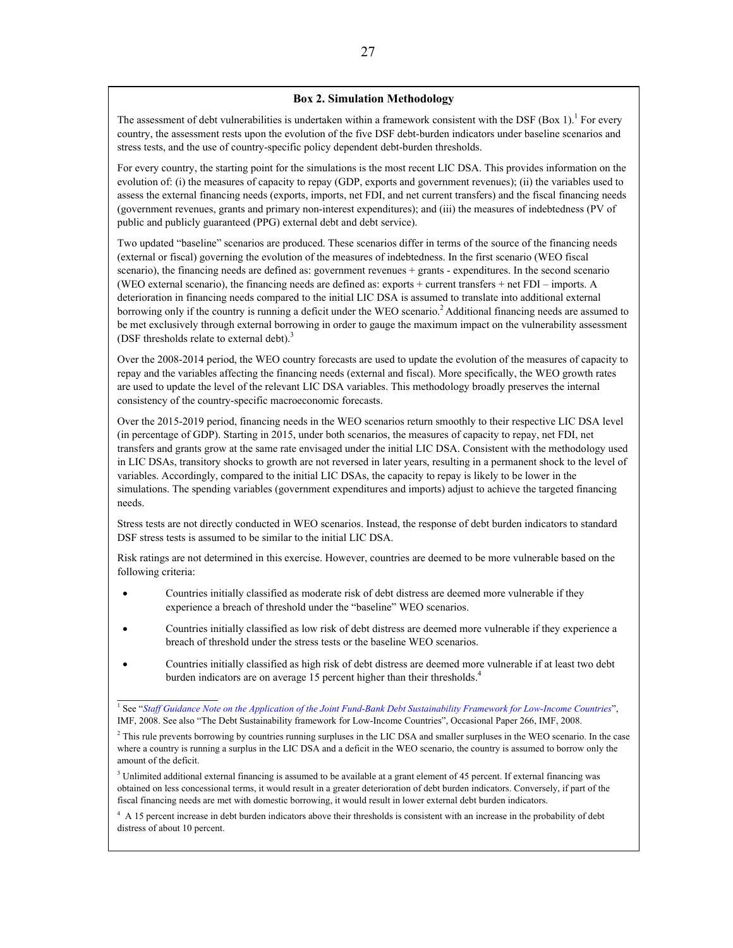#### **Box 2. Simulation Methodology**

The assessment of debt vulnerabilities is undertaken within a framework consistent with the DSF (Box 1).<sup>1</sup> For every country, the assessment rests upon the evolution of the five DSF debt-burden indicators under baseline scenarios and stress tests, and the use of country-specific policy dependent debt-burden thresholds.

For every country, the starting point for the simulations is the most recent LIC DSA. This provides information on the evolution of: (i) the measures of capacity to repay (GDP, exports and government revenues); (ii) the variables used to assess the external financing needs (exports, imports, net FDI, and net current transfers) and the fiscal financing needs (government revenues, grants and primary non-interest expenditures); and (iii) the measures of indebtedness (PV of public and publicly guaranteed (PPG) external debt and debt service).

Two updated "baseline" scenarios are produced. These scenarios differ in terms of the source of the financing needs (external or fiscal) governing the evolution of the measures of indebtedness. In the first scenario (WEO fiscal scenario), the financing needs are defined as: government revenues + grants - expenditures. In the second scenario (WEO external scenario), the financing needs are defined as: exports + current transfers + net FDI – imports. A deterioration in financing needs compared to the initial LIC DSA is assumed to translate into additional external borrowing only if the country is running a deficit under the WEO scenario.<sup>2</sup> Additional financing needs are assumed to be met exclusively through external borrowing in order to gauge the maximum impact on the vulnerability assessment (DSF thresholds relate to external debt).<sup>3</sup>

Over the 2008-2014 period, the WEO country forecasts are used to update the evolution of the measures of capacity to repay and the variables affecting the financing needs (external and fiscal). More specifically, the WEO growth rates are used to update the level of the relevant LIC DSA variables. This methodology broadly preserves the internal consistency of the country-specific macroeconomic forecasts.

Over the 2015-2019 period, financing needs in the WEO scenarios return smoothly to their respective LIC DSA level (in percentage of GDP). Starting in 2015, under both scenarios, the measures of capacity to repay, net FDI, net transfers and grants grow at the same rate envisaged under the initial LIC DSA. Consistent with the methodology used in LIC DSAs, transitory shocks to growth are not reversed in later years, resulting in a permanent shock to the level of variables. Accordingly, compared to the initial LIC DSAs, the capacity to repay is likely to be lower in the simulations. The spending variables (government expenditures and imports) adjust to achieve the targeted financing needs.

Stress tests are not directly conducted in WEO scenarios. Instead, the response of debt burden indicators to standard DSF stress tests is assumed to be similar to the initial LIC DSA.

Risk ratings are not determined in this exercise. However, countries are deemed to be more vulnerable based on the following criteria:

- Countries initially classified as moderate risk of debt distress are deemed more vulnerable if they experience a breach of threshold under the "baseline" WEO scenarios.
- Countries initially classified as low risk of debt distress are deemed more vulnerable if they experience a breach of threshold under the stress tests or the baseline WEO scenarios.
- Countries initially classified as high risk of debt distress are deemed more vulnerable if at least two debt burden indicators are on average 15 percent higher than their thresholds.<sup>4</sup>

 $\frac{1}{2}$ 

<sup>&</sup>lt;sup>1</sup> See "*[Staff Guidance Note on the Application of the Joint Fund-Bank Debt Sustainability Framework for Low-Income Countries](http://www.imf.org/external/np/pp/eng/2008/070308.pdf)",* IMF, 2008. See also "The Debt Sustainability framework for Low-Income Countries", Occasional Paper 266, IMF, 2008.

 $<sup>2</sup>$  This rule prevents borrowing by countries running surpluses in the LIC DSA and smaller surpluses in the WEO scenario. In the case</sup> where a country is running a surplus in the LIC DSA and a deficit in the WEO scenario, the country is assumed to borrow only the amount of the deficit.

 $3$  Unlimited additional external financing is assumed to be available at a grant element of 45 percent. If external financing was obtained on less concessional terms, it would result in a greater deterioration of debt burden indicators. Conversely, if part of the fiscal financing needs are met with domestic borrowing, it would result in lower external debt burden indicators.

<span id="page-26-0"></span><sup>&</sup>lt;sup>4</sup> A 15 percent increase in debt burden indicators above their thresholds is consistent with an increase in the probability of debt distress of about 10 percent.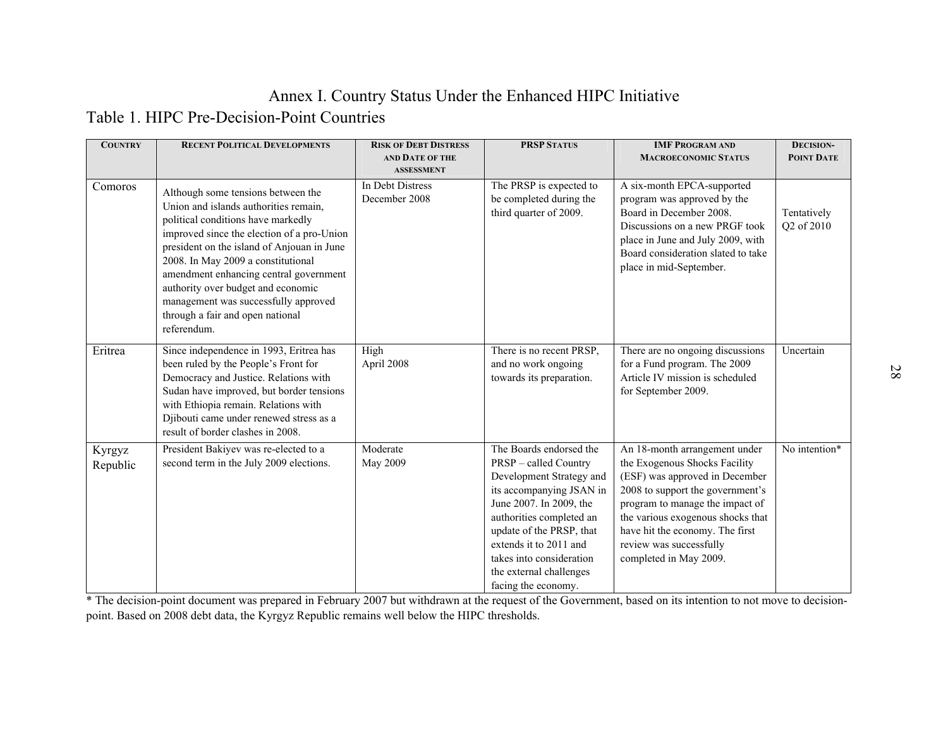# Annex I. Country Status Under the Enhanced HIPC Initiative

Table 1. HIPC Pre-Decision-Point Countries

| <b>COUNTRY</b>     | <b>RECENT POLITICAL DEVELOPMENTS</b>                                                                                                                                                                                                                                                                                                                                                                                           | <b>RISK OF DEBT DISTRESS</b>                           | <b>PRSP STATUS</b>                                                                                                                                                                                                                                                                                         | <b>IMF PROGRAM AND</b>                                                                                                                                                                                                                                                                               | <b>DECISION-</b>          |
|--------------------|--------------------------------------------------------------------------------------------------------------------------------------------------------------------------------------------------------------------------------------------------------------------------------------------------------------------------------------------------------------------------------------------------------------------------------|--------------------------------------------------------|------------------------------------------------------------------------------------------------------------------------------------------------------------------------------------------------------------------------------------------------------------------------------------------------------------|------------------------------------------------------------------------------------------------------------------------------------------------------------------------------------------------------------------------------------------------------------------------------------------------------|---------------------------|
|                    |                                                                                                                                                                                                                                                                                                                                                                                                                                | AND DATE OF THE                                        |                                                                                                                                                                                                                                                                                                            | <b>MACROECONOMIC STATUS</b>                                                                                                                                                                                                                                                                          | POINT DATE                |
| Comoros            | Although some tensions between the<br>Union and islands authorities remain,<br>political conditions have markedly<br>improved since the election of a pro-Union<br>president on the island of Anjouan in June<br>2008. In May 2009 a constitutional<br>amendment enhancing central government<br>authority over budget and economic<br>management was successfully approved<br>through a fair and open national<br>referendum. | <b>ASSESSMENT</b><br>In Debt Distress<br>December 2008 | The PRSP is expected to<br>be completed during the<br>third quarter of 2009.                                                                                                                                                                                                                               | A six-month EPCA-supported<br>program was approved by the<br>Board in December 2008.<br>Discussions on a new PRGF took<br>place in June and July 2009, with<br>Board consideration slated to take<br>place in mid-September.                                                                         | Tentatively<br>Q2 of 2010 |
| Eritrea            | Since independence in 1993, Eritrea has<br>been ruled by the People's Front for<br>Democracy and Justice. Relations with<br>Sudan have improved, but border tensions<br>with Ethiopia remain. Relations with<br>Djibouti came under renewed stress as a<br>result of border clashes in 2008.                                                                                                                                   | High<br>April 2008                                     | There is no recent PRSP,<br>and no work ongoing<br>towards its preparation.                                                                                                                                                                                                                                | There are no ongoing discussions<br>for a Fund program. The 2009<br>Article IV mission is scheduled<br>for September 2009.                                                                                                                                                                           | Uncertain                 |
| Kyrgyz<br>Republic | President Bakiyev was re-elected to a<br>second term in the July 2009 elections.                                                                                                                                                                                                                                                                                                                                               | Moderate<br>May 2009                                   | The Boards endorsed the<br><b>PRSP</b> – called Country<br>Development Strategy and<br>its accompanying JSAN in<br>June 2007. In 2009, the<br>authorities completed an<br>update of the PRSP, that<br>extends it to 2011 and<br>takes into consideration<br>the external challenges<br>facing the economy. | An 18-month arrangement under<br>the Exogenous Shocks Facility<br>(ESF) was approved in December<br>2008 to support the government's<br>program to manage the impact of<br>the various exogenous shocks that<br>have hit the economy. The first<br>review was successfully<br>completed in May 2009. | No intention*             |

<span id="page-27-0"></span>\* The decision-point document was prepared in February 2007 but withdrawn at the request of the Government, based on its intention to not move to decisionpoint. Based on 2008 debt data, the Kyrgyz Republic remains well below the HIPC thresholds.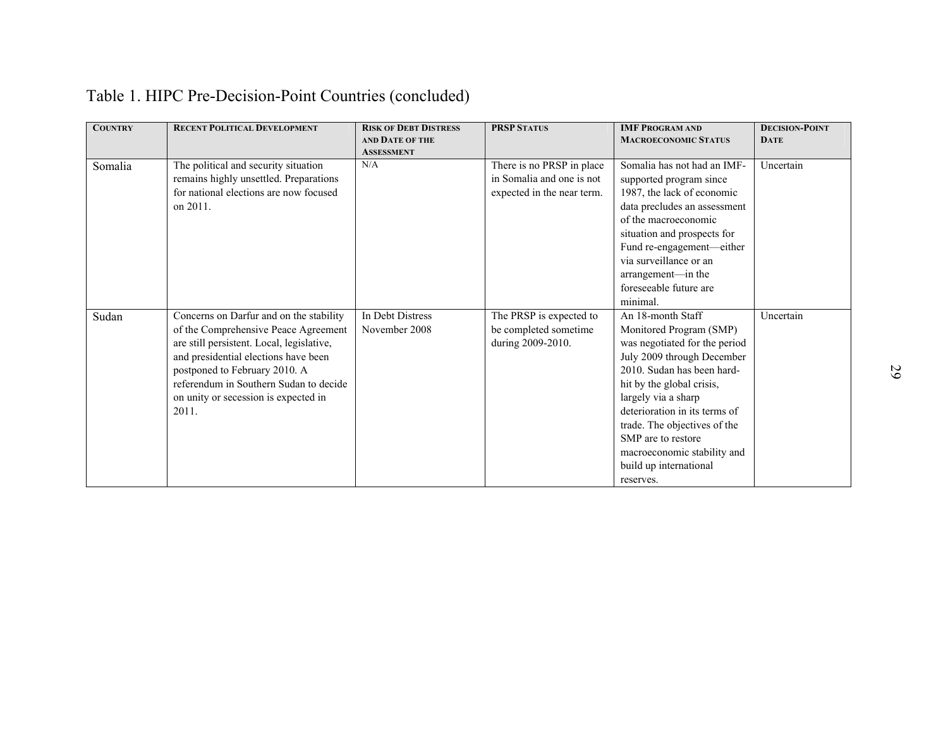| Table 1. HIPC Pre-Decision-Point Countries (concluded) |
|--------------------------------------------------------|
|--------------------------------------------------------|

| <b>COUNTRY</b> | <b>RECENT POLITICAL DEVELOPMENT</b>       | <b>RISK OF DEBT DISTRESS</b> | <b>PRSP STATUS</b>         | <b>IMF PROGRAM AND</b>        | <b>DECISION-POINT</b> |
|----------------|-------------------------------------------|------------------------------|----------------------------|-------------------------------|-----------------------|
|                |                                           | <b>AND DATE OF THE</b>       |                            | <b>MACROECONOMIC STATUS</b>   | <b>DATE</b>           |
|                |                                           | <b>ASSESSMENT</b>            |                            |                               |                       |
| Somalia        | The political and security situation      | N/A                          | There is no PRSP in place  | Somalia has not had an IMF-   | Uncertain             |
|                | remains highly unsettled. Preparations    |                              | in Somalia and one is not  | supported program since       |                       |
|                | for national elections are now focused    |                              | expected in the near term. | 1987, the lack of economic    |                       |
|                | on 2011.                                  |                              |                            | data precludes an assessment  |                       |
|                |                                           |                              |                            | of the macroeconomic          |                       |
|                |                                           |                              |                            | situation and prospects for   |                       |
|                |                                           |                              |                            | Fund re-engagement-either     |                       |
|                |                                           |                              |                            | via surveillance or an        |                       |
|                |                                           |                              |                            | arrangement-in the            |                       |
|                |                                           |                              |                            | foreseeable future are        |                       |
|                |                                           |                              |                            | minimal.                      |                       |
| Sudan          | Concerns on Darfur and on the stability   | In Debt Distress             | The PRSP is expected to    | An 18-month Staff             | Uncertain             |
|                | of the Comprehensive Peace Agreement      | November 2008                | be completed sometime      | Monitored Program (SMP)       |                       |
|                | are still persistent. Local, legislative, |                              | during 2009-2010.          | was negotiated for the period |                       |
|                | and presidential elections have been      |                              |                            | July 2009 through December    |                       |
|                | postponed to February 2010. A             |                              |                            | 2010. Sudan has been hard-    |                       |
|                | referendum in Southern Sudan to decide    |                              |                            | hit by the global crisis,     |                       |
|                | on unity or secession is expected in      |                              |                            | largely via a sharp           |                       |
|                | 2011.                                     |                              |                            | deterioration in its terms of |                       |
|                |                                           |                              |                            | trade. The objectives of the  |                       |
|                |                                           |                              |                            | SMP are to restore            |                       |
|                |                                           |                              |                            | macroeconomic stability and   |                       |
|                |                                           |                              |                            | build up international        |                       |
|                |                                           |                              |                            | reserves.                     |                       |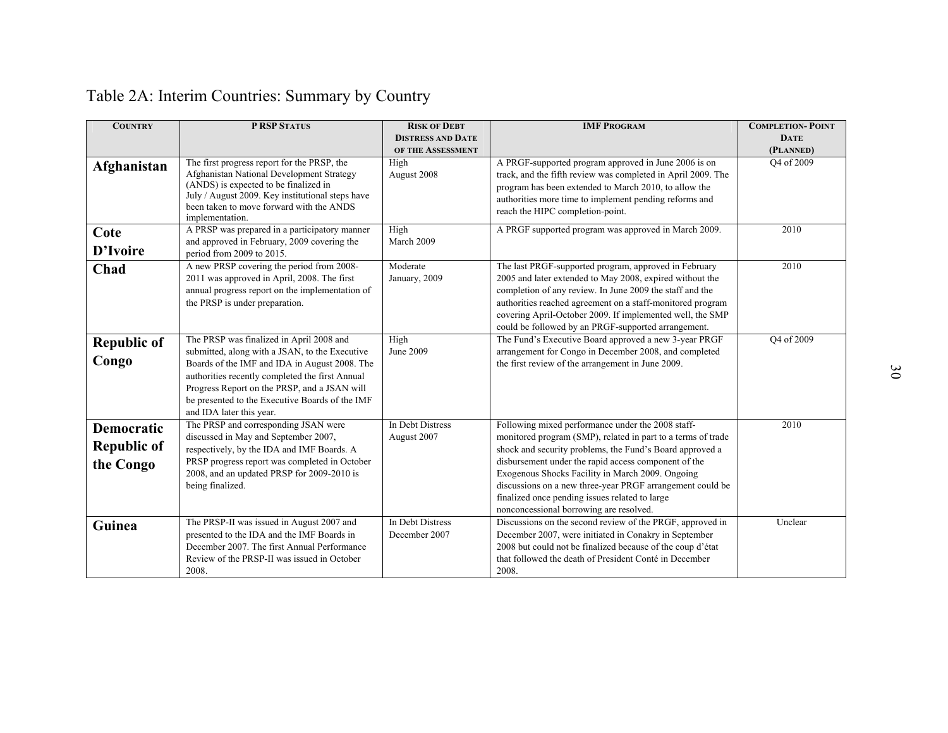| <b>COUNTRY</b>                                       | <b>P RSP STATUS</b>                                                                                                                                                                                                                                                                                                           | <b>RISK OF DEBT</b>               | <b>IMF PROGRAM</b>                                                                                                                                                                                                                                                                                                                                                                                                                                  | <b>COMPLETION-POINT</b> |
|------------------------------------------------------|-------------------------------------------------------------------------------------------------------------------------------------------------------------------------------------------------------------------------------------------------------------------------------------------------------------------------------|-----------------------------------|-----------------------------------------------------------------------------------------------------------------------------------------------------------------------------------------------------------------------------------------------------------------------------------------------------------------------------------------------------------------------------------------------------------------------------------------------------|-------------------------|
|                                                      |                                                                                                                                                                                                                                                                                                                               | <b>DISTRESS AND DATE</b>          |                                                                                                                                                                                                                                                                                                                                                                                                                                                     | <b>DATE</b>             |
|                                                      |                                                                                                                                                                                                                                                                                                                               | OF THE ASSESSMENT                 |                                                                                                                                                                                                                                                                                                                                                                                                                                                     | (PLANNED)               |
| Afghanistan                                          | The first progress report for the PRSP, the<br>Afghanistan National Development Strategy<br>(ANDS) is expected to be finalized in<br>July / August 2009. Key institutional steps have<br>been taken to move forward with the ANDS<br>implementation.                                                                          | High<br>August 2008               | A PRGF-supported program approved in June 2006 is on<br>track, and the fifth review was completed in April 2009. The<br>program has been extended to March 2010, to allow the<br>authorities more time to implement pending reforms and<br>reach the HIPC completion-point.                                                                                                                                                                         | Q4 of 2009              |
| Cote<br>D'Ivoire                                     | A PRSP was prepared in a participatory manner<br>and approved in February, 2009 covering the<br>period from 2009 to 2015.                                                                                                                                                                                                     | High<br>March 2009                | A PRGF supported program was approved in March 2009.                                                                                                                                                                                                                                                                                                                                                                                                | 2010                    |
| Chad                                                 | A new PRSP covering the period from 2008-<br>2011 was approved in April, 2008. The first<br>annual progress report on the implementation of<br>the PRSP is under preparation.                                                                                                                                                 | Moderate<br>January, 2009         | The last PRGF-supported program, approved in February<br>2005 and later extended to May 2008, expired without the<br>completion of any review. In June 2009 the staff and the<br>authorities reached agreement on a staff-monitored program<br>covering April-October 2009. If implemented well, the SMP<br>could be followed by an PRGF-supported arrangement.                                                                                     | 2010                    |
| <b>Republic of</b><br>Congo                          | The PRSP was finalized in April 2008 and<br>submitted, along with a JSAN, to the Executive<br>Boards of the IMF and IDA in August 2008. The<br>authorities recently completed the first Annual<br>Progress Report on the PRSP, and a JSAN will<br>be presented to the Executive Boards of the IMF<br>and IDA later this year. | High<br>June 2009                 | The Fund's Executive Board approved a new 3-year PRGF<br>arrangement for Congo in December 2008, and completed<br>the first review of the arrangement in June 2009.                                                                                                                                                                                                                                                                                 | Q4 of 2009              |
| <b>Democratic</b><br><b>Republic of</b><br>the Congo | The PRSP and corresponding JSAN were<br>discussed in May and September 2007,<br>respectively, by the IDA and IMF Boards. A<br>PRSP progress report was completed in October<br>2008, and an updated PRSP for 2009-2010 is<br>being finalized.                                                                                 | In Debt Distress<br>August 2007   | Following mixed performance under the 2008 staff-<br>monitored program (SMP), related in part to a terms of trade<br>shock and security problems, the Fund's Board approved a<br>disbursement under the rapid access component of the<br>Exogenous Shocks Facility in March 2009. Ongoing<br>discussions on a new three-year PRGF arrangement could be<br>finalized once pending issues related to large<br>nonconcessional borrowing are resolved. | 2010                    |
| Guinea                                               | The PRSP-II was issued in August 2007 and<br>presented to the IDA and the IMF Boards in<br>December 2007. The first Annual Performance<br>Review of the PRSP-II was issued in October<br>2008.                                                                                                                                | In Debt Distress<br>December 2007 | Discussions on the second review of the PRGF, approved in<br>December 2007, were initiated in Conakry in September<br>2008 but could not be finalized because of the coup d'état<br>that followed the death of President Conté in December<br>2008.                                                                                                                                                                                                 | Unclear                 |

# Table 2A: Interim Countries: Summary by Country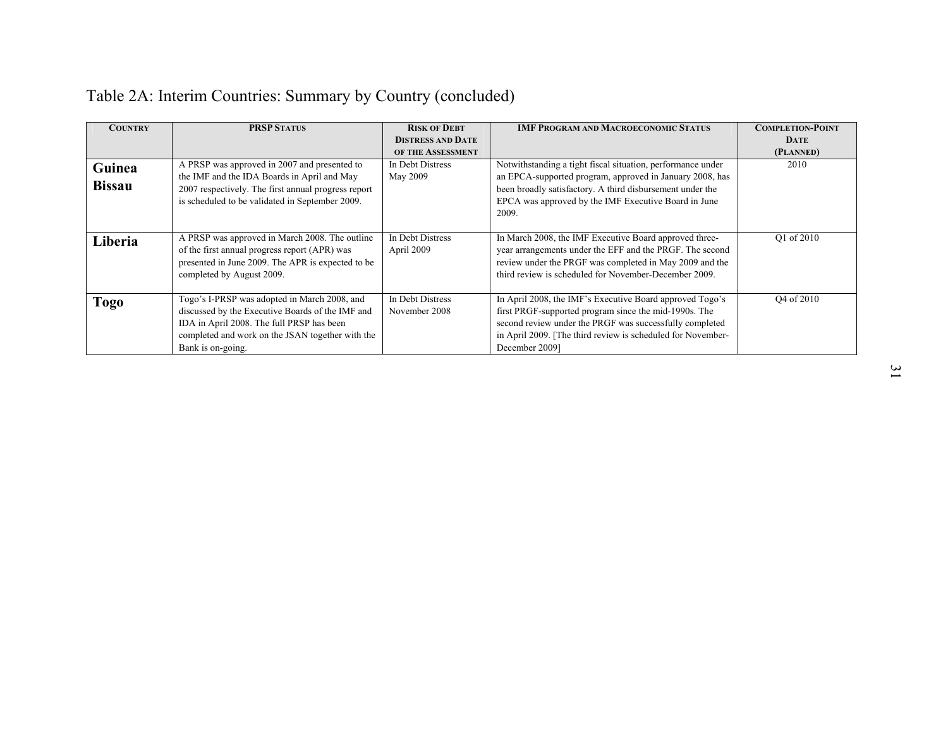| <b>COUNTRY</b> | <b>PRSP STATUS</b>                                                                                                                                                                                                     | <b>RISK OF DEBT</b>               | <b>IMF PROGRAM AND MACROECONOMIC STATUS</b>                                                                                                                                                                                                                   | <b>COMPLETION-POINT</b> |
|----------------|------------------------------------------------------------------------------------------------------------------------------------------------------------------------------------------------------------------------|-----------------------------------|---------------------------------------------------------------------------------------------------------------------------------------------------------------------------------------------------------------------------------------------------------------|-------------------------|
|                |                                                                                                                                                                                                                        | <b>DISTRESS AND DATE</b>          |                                                                                                                                                                                                                                                               | <b>DATE</b>             |
|                |                                                                                                                                                                                                                        | OF THE ASSESSMENT                 |                                                                                                                                                                                                                                                               | (PLANNED)               |
| Guinea         | A PRSP was approved in 2007 and presented to<br>the IMF and the IDA Boards in April and May                                                                                                                            | In Debt Distress<br>May 2009      | Notwithstanding a tight fiscal situation, performance under<br>an EPCA-supported program, approved in January 2008, has                                                                                                                                       | 2010                    |
| <b>Bissau</b>  | 2007 respectively. The first annual progress report<br>is scheduled to be validated in September 2009.                                                                                                                 |                                   | been broadly satisfactory. A third disbursement under the<br>EPCA was approved by the IMF Executive Board in June<br>2009.                                                                                                                                    |                         |
| Liberia        | A PRSP was approved in March 2008. The outline<br>of the first annual progress report (APR) was<br>presented in June 2009. The APR is expected to be<br>completed by August 2009.                                      | In Debt Distress<br>April 2009    | In March 2008, the IMF Executive Board approved three-<br>year arrangements under the EFF and the PRGF. The second<br>review under the PRGF was completed in May 2009 and the<br>third review is scheduled for November-December 2009.                        | O1 of 2010              |
| <b>Togo</b>    | Togo's I-PRSP was adopted in March 2008, and<br>discussed by the Executive Boards of the IMF and<br>IDA in April 2008. The full PRSP has been<br>completed and work on the JSAN together with the<br>Bank is on-going. | In Debt Distress<br>November 2008 | In April 2008, the IMF's Executive Board approved Togo's<br>first PRGF-supported program since the mid-1990s. The<br>second review under the PRGF was successfully completed<br>in April 2009. [The third review is scheduled for November-<br>December 2009] | O <sub>4</sub> of 2010  |

# Table 2A: Interim Countries: Summary by Country (concluded)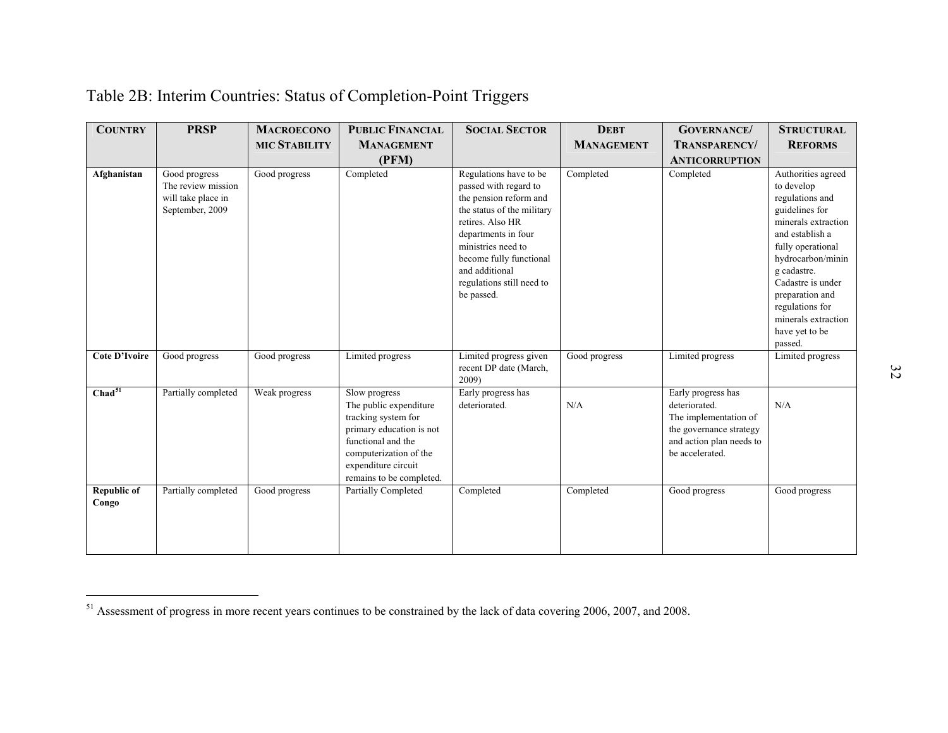# Table 2B: Interim Countries: Status of Completion-Point Triggers

| <b>COUNTRY</b>              | <b>PRSP</b>                                                                  | <b>MACROECONO</b>    | <b>PUBLIC FINANCIAL</b>                                                                                                                                                                       | <b>SOCIAL SECTOR</b>                                                                                                                                                                                                                                             | <b>DEBT</b>       | <b>GOVERNANCE</b> /                                                                                                                    | <b>STRUCTURAL</b>                                                                                                                                                                                                                                                                       |
|-----------------------------|------------------------------------------------------------------------------|----------------------|-----------------------------------------------------------------------------------------------------------------------------------------------------------------------------------------------|------------------------------------------------------------------------------------------------------------------------------------------------------------------------------------------------------------------------------------------------------------------|-------------------|----------------------------------------------------------------------------------------------------------------------------------------|-----------------------------------------------------------------------------------------------------------------------------------------------------------------------------------------------------------------------------------------------------------------------------------------|
|                             |                                                                              | <b>MIC STABILITY</b> | <b>MANAGEMENT</b>                                                                                                                                                                             |                                                                                                                                                                                                                                                                  | <b>MANAGEMENT</b> | <b>TRANSPARENCY/</b>                                                                                                                   | <b>REFORMS</b>                                                                                                                                                                                                                                                                          |
|                             |                                                                              |                      | (PFM)                                                                                                                                                                                         |                                                                                                                                                                                                                                                                  |                   | <b>ANTICORRUPTION</b>                                                                                                                  |                                                                                                                                                                                                                                                                                         |
| Afghanistan                 | Good progress<br>The review mission<br>will take place in<br>September, 2009 | Good progress        | Completed                                                                                                                                                                                     | Regulations have to be<br>passed with regard to<br>the pension reform and<br>the status of the military<br>retires. Also HR<br>departments in four<br>ministries need to<br>become fully functional<br>and additional<br>regulations still need to<br>be passed. | Completed         | Completed                                                                                                                              | Authorities agreed<br>to develop<br>regulations and<br>guidelines for<br>minerals extraction<br>and establish a<br>fully operational<br>hydrocarbon/minin<br>g cadastre.<br>Cadastre is under<br>preparation and<br>regulations for<br>minerals extraction<br>have yet to be<br>passed. |
| <b>Cote D'Ivoire</b>        | Good progress                                                                | Good progress        | Limited progress                                                                                                                                                                              | Limited progress given<br>recent DP date (March,<br>2009)                                                                                                                                                                                                        | Good progress     | Limited progress                                                                                                                       | Limited progress                                                                                                                                                                                                                                                                        |
| Chad <sup>51</sup>          | Partially completed                                                          | Weak progress        | Slow progress<br>The public expenditure<br>tracking system for<br>primary education is not<br>functional and the<br>computerization of the<br>expenditure circuit<br>remains to be completed. | Early progress has<br>deteriorated.                                                                                                                                                                                                                              | N/A               | Early progress has<br>deteriorated.<br>The implementation of<br>the governance strategy<br>and action plan needs to<br>be accelerated. | N/A                                                                                                                                                                                                                                                                                     |
| <b>Republic of</b><br>Congo | Partially completed                                                          | Good progress        | Partially Completed                                                                                                                                                                           | Completed                                                                                                                                                                                                                                                        | Completed         | Good progress                                                                                                                          | Good progress                                                                                                                                                                                                                                                                           |

<span id="page-31-0"></span><sup>&</sup>lt;sup>51</sup> Assessment of progress in more recent years continues to be constrained by the lack of data covering 2006, 2007, and 2008.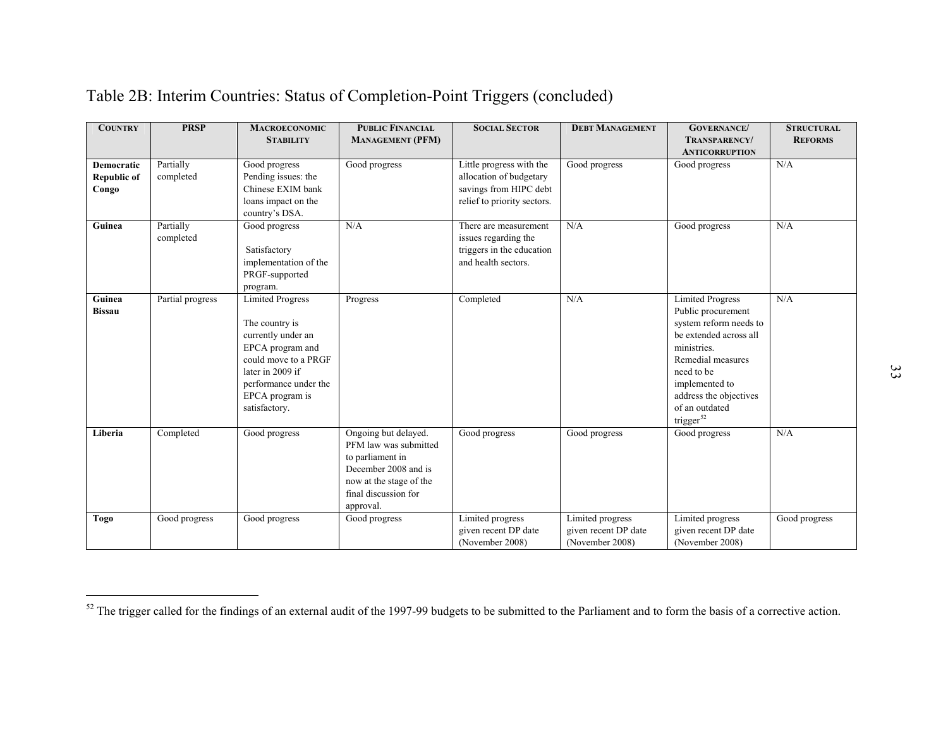| <b>COUNTRY</b>                            | <b>PRSP</b>            | <b>MACROECONOMIC</b><br><b>STABILITY</b>                                                                                                                                                     | <b>PUBLIC FINANCIAL</b><br><b>MANAGEMENT (PFM)</b>                                                                                                        | <b>SOCIAL SECTOR</b>                                                                                         | <b>DEBT MANAGEMENT</b>                                      | <b>GOVERNANCE/</b><br>TRANSPARENCY/                                                                                                                                                                                                        | <b>STRUCTURAL</b><br><b>REFORMS</b> |
|-------------------------------------------|------------------------|----------------------------------------------------------------------------------------------------------------------------------------------------------------------------------------------|-----------------------------------------------------------------------------------------------------------------------------------------------------------|--------------------------------------------------------------------------------------------------------------|-------------------------------------------------------------|--------------------------------------------------------------------------------------------------------------------------------------------------------------------------------------------------------------------------------------------|-------------------------------------|
| Democratic<br><b>Republic of</b><br>Congo | Partially<br>completed | Good progress<br>Pending issues: the<br>Chinese EXIM bank<br>loans impact on the<br>country's DSA.                                                                                           | Good progress                                                                                                                                             | Little progress with the<br>allocation of budgetary<br>savings from HIPC debt<br>relief to priority sectors. | Good progress                                               | <b>ANTICORRUPTION</b><br>Good progress                                                                                                                                                                                                     | N/A                                 |
| Guinea                                    | Partially<br>completed | Good progress<br>Satisfactory<br>implementation of the<br>PRGF-supported<br>program.                                                                                                         | N/A                                                                                                                                                       | There are measurement<br>issues regarding the<br>triggers in the education<br>and health sectors.            | N/A                                                         | Good progress                                                                                                                                                                                                                              | N/A                                 |
| Guinea<br><b>Bissau</b>                   | Partial progress       | <b>Limited Progress</b><br>The country is<br>currently under an<br>EPCA program and<br>could move to a PRGF<br>later in 2009 if<br>performance under the<br>EPCA program is<br>satisfactory. | Progress                                                                                                                                                  | Completed                                                                                                    | N/A                                                         | <b>Limited Progress</b><br>Public procurement<br>system reform needs to<br>be extended across all<br>ministries.<br>Remedial measures<br>need to be<br>implemented to<br>address the objectives<br>of an outdated<br>trigger <sup>52</sup> | N/A                                 |
| Liberia                                   | Completed              | Good progress                                                                                                                                                                                | Ongoing but delayed.<br>PFM law was submitted<br>to parliament in<br>December 2008 and is<br>now at the stage of the<br>final discussion for<br>approval. | Good progress                                                                                                | Good progress                                               | Good progress                                                                                                                                                                                                                              | N/A                                 |
| Togo                                      | Good progress          | Good progress                                                                                                                                                                                | Good progress                                                                                                                                             | Limited progress<br>given recent DP date<br>(November 2008)                                                  | Limited progress<br>given recent DP date<br>(November 2008) | Limited progress<br>given recent DP date<br>(November 2008)                                                                                                                                                                                | Good progress                       |

# Table 2B: Interim Countries: Status of Completion-Point Triggers (concluded)

<sup>&</sup>lt;sup>52</sup> The trigger called for the findings of an external audit of the 1997-99 budgets to be submitted to the Parliament and to form the basis of a corrective action.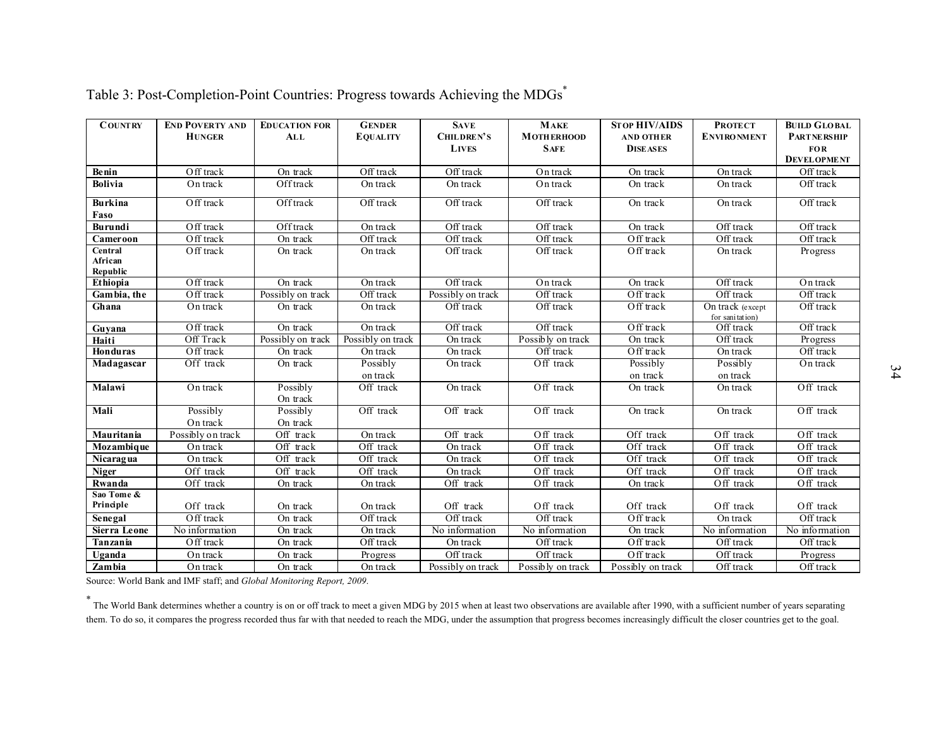| <b>COUNTRY</b>                 | <b>END POVERTY AND</b><br><b>HUNGER</b> | <b>EDUCATION FOR</b><br><b>ALL</b> | <b>GENDER</b><br><b>EQUALITY</b> | <b>SAVE</b><br>CHILDREN'S<br><b>LIVES</b> | <b>MAKE</b><br><b>MOTHERHOOD</b><br><b>SAFE</b> | <b>STOP HIV/AIDS</b><br><b>AND OTHER</b><br><b>DISEASES</b> | <b>PROTECT</b><br><b>ENVIRONMENT</b> | <b>BUILD GLOBAL</b><br><b>PARTNE RSHIP</b><br><b>FOR</b><br><b>DEVELOPMENT</b> |
|--------------------------------|-----------------------------------------|------------------------------------|----------------------------------|-------------------------------------------|-------------------------------------------------|-------------------------------------------------------------|--------------------------------------|--------------------------------------------------------------------------------|
| Benin                          | Off track                               | On track                           | Off track                        | Off track                                 | On track                                        | On track                                                    | On track                             | Off track                                                                      |
| <b>Bolivia</b>                 | On track                                | Offtrack                           | On track                         | On track                                  | On track                                        | On track                                                    | On track                             | Off track                                                                      |
| <b>Burkina</b><br>Faso         | $\overline{O}$ ff track                 | Offtrack                           | Off track                        | Off track                                 | Off track                                       | On track                                                    | On track                             | Off track                                                                      |
| Burundi                        | $\overline{O}$ ff track                 | Offtrack                           | On track                         | Off track                                 | Off track                                       | On track                                                    | Off track                            | Off track                                                                      |
| Cameroon                       | Off track                               | On track                           | Off track                        | Off track                                 | Off track                                       | Off track                                                   | Off track                            | Off track                                                                      |
| Central<br>African<br>Republic | Off track                               | On track                           | On track                         | Off track                                 | Off track                                       | Off track                                                   | On track                             | Progress                                                                       |
| Ethiopia                       | Off track                               | On track                           | On track                         | Off track                                 | On track                                        | On track                                                    | Off track                            | On track                                                                       |
| Gambia, the                    | Off track                               | Possibly on track                  | Off track                        | Possibly on track                         | Off track                                       | Off track                                                   | Off track                            | Off track                                                                      |
| Ghana                          | On track                                | On track                           | On track                         | Off track                                 | Off track                                       | Off track                                                   | On track (except<br>for sanitation)  | Off track                                                                      |
| Guyana                         | Off track                               | On track                           | On track                         | Off track                                 | Off track                                       | Off track                                                   | Off track                            | Off track                                                                      |
| Haiti                          | Off Track                               | Possibly on track                  | Possibly on track                | On track                                  | Possibly on track                               | On track                                                    | Off track                            | Progress                                                                       |
| Honduras                       | Off track                               | On track                           | On track                         | On track                                  | Off track                                       | Off track                                                   | On track                             | Off track                                                                      |
| Madagascar                     | Off track                               | On track                           | Possibly                         | On track                                  | Off track                                       | Possibly                                                    | Possibly                             | On track                                                                       |
|                                |                                         |                                    | on track                         |                                           |                                                 | on track                                                    | on track                             |                                                                                |
| Malawi                         | On track                                | Possibly<br>On track               | Off track                        | On track                                  | $\overline{\text{Off}}$ track                   | On track                                                    | On track                             | Off track                                                                      |
| Mali                           | Possibly                                | Possibly                           | Off track                        | Off track                                 | Off track                                       | On track                                                    | On track                             | Off track                                                                      |
|                                | On track                                | On track                           |                                  |                                           |                                                 |                                                             |                                      |                                                                                |
| Mauritania                     | Possibly on track                       | Off track                          | On track                         | $\overline{Off}$ track                    | $\overline{O}$ ff track                         | Off track                                                   | Off track                            | Off track                                                                      |
| Mozambique                     | On track                                | Off track                          | Off track                        | On track                                  | Off track                                       | Off track                                                   | Off track                            | Off track                                                                      |
| Nicaragua                      | On track                                | Off track                          | Off track                        | On track                                  | $\overline{O}$ ff track                         | Off track                                                   | Off track                            | $\overline{O}$ ff track                                                        |
| <b>Niger</b>                   | Off track                               | Off track                          | Off track                        | On track                                  | Off track                                       | Off track                                                   | Off track                            | Off track                                                                      |
| Rwanda                         | Off track                               | On track                           | On track                         | Off track                                 | Off track                                       | On track                                                    | Off track                            | Off track                                                                      |
| Sao Tome &<br>Principle        | Off track                               | On track                           | On track                         | Off track                                 | Off track                                       | Off track                                                   | Off track                            | Off track                                                                      |
| Senegal                        | Off track                               | On track                           | Off track                        | Off track                                 | Off track                                       | $\overline{Off}$ track                                      | On track                             | Off track                                                                      |
| Sierra Leone                   | No information                          | On track                           | On track                         | No information                            | No information                                  | On track                                                    | No information                       | No information                                                                 |
| Tanzania                       | Off track                               | On track                           | Off track                        | On track                                  | Off track                                       | Off track                                                   | Off track                            | Off track                                                                      |
| Uganda                         | On track                                | On track                           | Progress                         | Off track                                 | Off track                                       | Off track                                                   | Off track                            | Progress                                                                       |
| Zambia                         | On track                                | On track                           | On track                         | Possibly on track                         | Possibly on track                               | Possibly on track                                           | Off track                            | Off track                                                                      |

Table 3: Post-Completion-Point Countries: Progress towards Achieving the MDGs\*

Source: World Bank and IMF staff; and *Global Monitoring Report, 2009*.

\* The World Bank determines whether a country is on or off track to meet a given MDG by 2015 when at least two observations are available after 1990, with a sufficient number of years separating them. To do so, it compares the progress recorded thus far with that needed to reach the MDG, under the assumption that progress becomes increasingly difficult the closer countries get to the goal.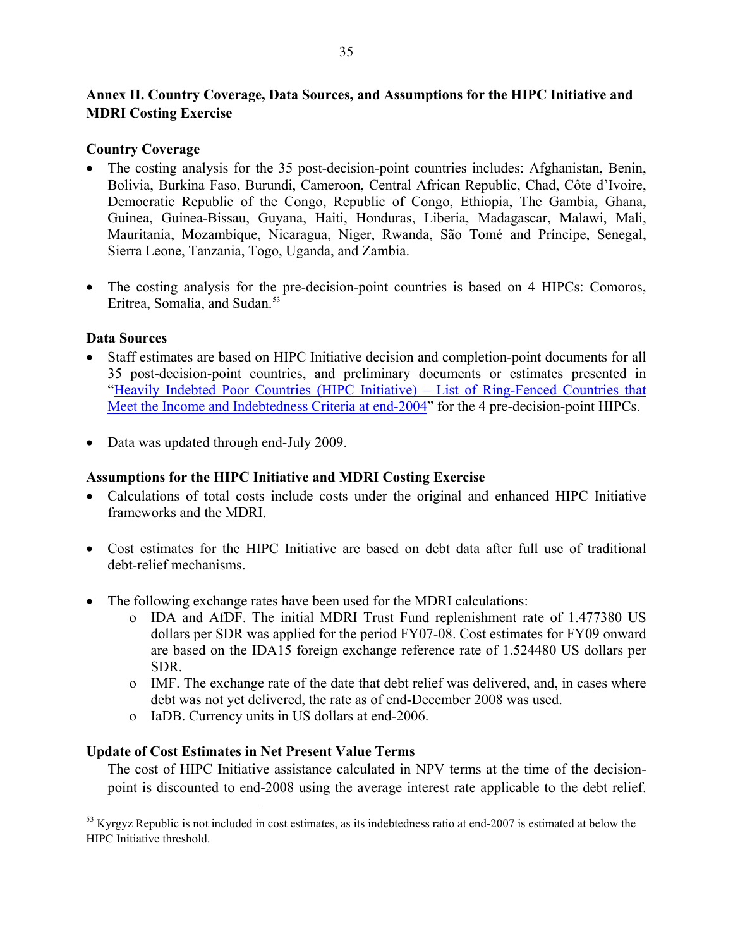### <span id="page-34-0"></span>**Annex II. Country Coverage, Data Sources, and Assumptions for the HIPC Initiative and MDRI Costing Exercise**

### **Country Coverage**

- The costing analysis for the 35 post-decision-point countries includes: Afghanistan, Benin, Bolivia, Burkina Faso, Burundi, Cameroon, Central African Republic, Chad, Côte d'Ivoire, Democratic Republic of the Congo, Republic of Congo, Ethiopia, The Gambia, Ghana, Guinea, Guinea-Bissau, Guyana, Haiti, Honduras, Liberia, Madagascar, Malawi, Mali, Mauritania, Mozambique, Nicaragua, Niger, Rwanda, São Tomé and Príncipe, Senegal, Sierra Leone, Tanzania, Togo, Uganda, and Zambia.
- The costing analysis for the pre-decision-point countries is based on 4 HIPCs: Comoros, Eritrea, Somalia, and Sudan.<sup>[53](#page-34-1)</sup>

### **Data Sources**

 $\overline{a}$ 

- Staff estimates are based on HIPC Initiative decision and completion-point documents for all 35 post-decision-point countries, and preliminary documents or estimates presented in ["Heavily Indebted Poor Countries \(HIPC Initiative\) – List of Ring-Fenced Countries that](http://www.imf.org/external/np/pp/eng/2006/041106.pdf)  [Meet the Income and Indebtedness Criteria at end-2004](http://www.imf.org/external/np/pp/eng/2006/041106.pdf)" for the 4 pre-decision-point HIPCs.
- Data was updated through end-July 2009.

### **Assumptions for the HIPC Initiative and MDRI Costing Exercise**

- Calculations of total costs include costs under the original and enhanced HIPC Initiative frameworks and the MDRI.
- Cost estimates for the HIPC Initiative are based on debt data after full use of traditional debt-relief mechanisms.
- The following exchange rates have been used for the MDRI calculations:
	- o IDA and AfDF. The initial MDRI Trust Fund replenishment rate of 1.477380 US dollars per SDR was applied for the period FY07-08. Cost estimates for FY09 onward are based on the IDA15 foreign exchange reference rate of 1.524480 US dollars per SDR.
	- o IMF. The exchange rate of the date that debt relief was delivered, and, in cases where debt was not yet delivered, the rate as of end-December 2008 was used.
	- o IaDB. Currency units in US dollars at end-2006.

### **Update of Cost Estimates in Net Present Value Terms**

The cost of HIPC Initiative assistance calculated in NPV terms at the time of the decisionpoint is discounted to end-2008 using the average interest rate applicable to the debt relief.

<span id="page-34-1"></span> $<sup>53</sup>$  Kyrgyz Republic is not included in cost estimates, as its indebtedness ratio at end-2007 is estimated at below the</sup> HIPC Initiative threshold.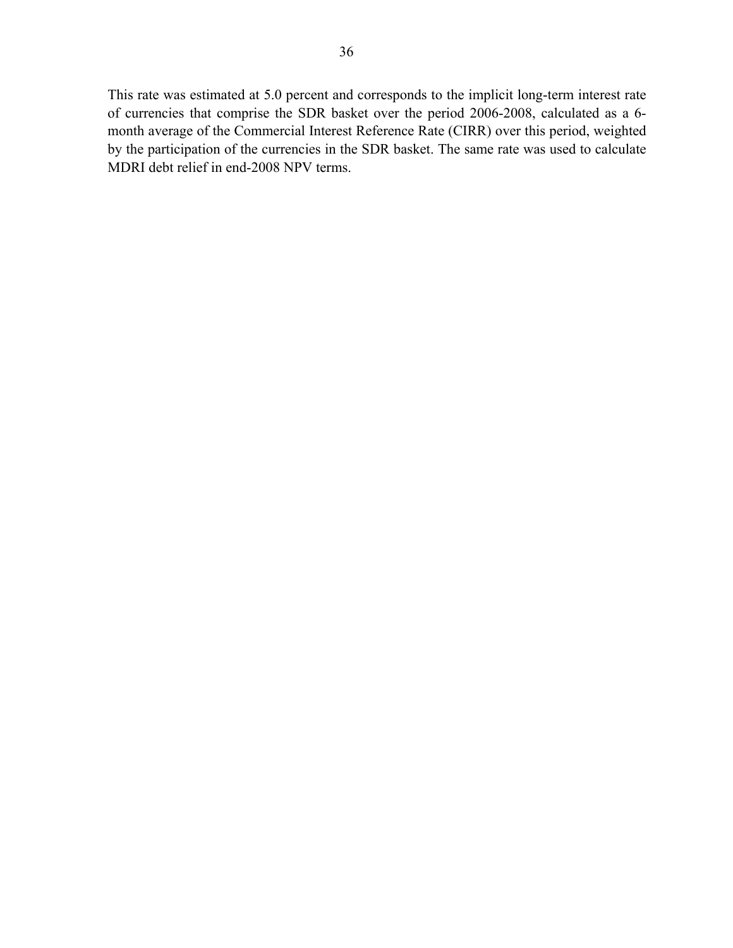This rate was estimated at 5.0 percent and corresponds to the implicit long-term interest rate of currencies that comprise the SDR basket over the period 2006-2008, calculated as a 6 month average of the Commercial Interest Reference Rate (CIRR) over this period, weighted by the participation of the currencies in the SDR basket. The same rate was used to calculate MDRI debt relief in end-2008 NPV terms.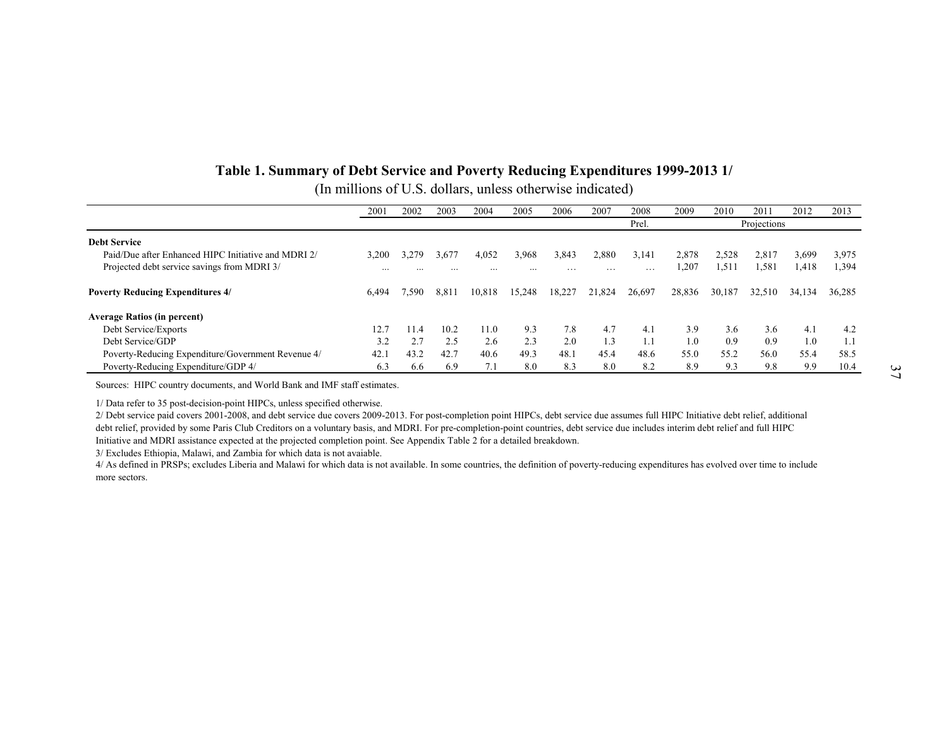### **Table 1. Summary of Debt Service and Poverty Reducing Expenditures 1999-2013 1/**  (In millions of U.S. dollars, unless otherwise indicated)

|                                                     | 2001  | 2002     | 2003     | 2004     | 2005     | 2006              | 2007     | 2008   | 2009   | 2010   | 2011        | 2012   | 2013   |
|-----------------------------------------------------|-------|----------|----------|----------|----------|-------------------|----------|--------|--------|--------|-------------|--------|--------|
|                                                     |       |          |          |          |          |                   |          | Prel.  |        |        | Projections |        |        |
| <b>Debt Service</b>                                 |       |          |          |          |          |                   |          |        |        |        |             |        |        |
| Paid/Due after Enhanced HIPC Initiative and MDRI 2/ | 3,200 | 3,279    | 3,677    | 4,052    | 3,968    | 3,843             | 2,880    | 3.141  | 2,878  | 2,528  | 2,817       | 3,699  | 3,975  |
| Projected debt service savings from MDRI 3/         |       | $\cdots$ | $\cdots$ | $\cdots$ | $\cdots$ | $\cdot\cdot\cdot$ | $\cdots$ | .      | ,207   | 1,511  | 1.581       | 1,418  | 1,394  |
|                                                     |       |          |          |          |          |                   |          |        |        |        |             |        |        |
| <b>Poverty Reducing Expenditures 4/</b>             | 6.494 | '.590    | 8,811    | 10,818   | 15.248   | 18,227            | 21.824   | 26,697 | 28,836 | 30,187 | 32.510      | 34,134 | 36,285 |
| <b>Average Ratios (in percent)</b>                  |       |          |          |          |          |                   |          |        |        |        |             |        |        |
| Debt Service/Exports                                | 12.7  | 1.4      | 10.2     | 11.0     | 9.3      | 7.8               | 4.7      | 4.1    | 3.9    | 3.6    | 3.6         | 4.1    | 4.2    |
| Debt Service/GDP                                    | 3.2   |          | 2.5      | 2.6      | 2.3      | 2.0               | 1.3      |        | 1.0    | 0.9    | 0.9         | 1.0    |        |
| Poverty-Reducing Expenditure/Government Revenue 4/  | 42.1  | 43.2     | 42.7     | 40.6     | 49.3     | 48.1              | 45.4     | 48.6   | 55.0   | 55.2   | 56.0        | 55.4   | 58.5   |
| Poverty-Reducing Expenditure/GDP 4/                 | 6.3   | 6.6      | 6.9      |          | 8.0      | 8.3               | 8.0      | 8.2    | 8.9    | 9.3    | 9.8         | 9.9    | 10.4   |

Sources: HIPC country documents, and World Bank and IMF staff estimates.

1/ Data refer to 35 post-decision-point HIPCs, unless specified otherwise.

2/ Debt service paid covers 2001-2008, and debt service due covers 2009-2013. For post-completion point HIPCs, debt service due assumes full HIPC Initiative debt relief, additional debt relief, provided by some Paris Club Creditors on a voluntary basis, and MDRI. For pre-completion-point countries, debt service due includes interim debt relief and full HIPC Initiative and MDRI assistance expected at the projected completion point. See Appendix Table 2 for a detailed breakdown.

3/ Excludes Ethiopia, Malawi, and Zambia for which data is not avaiable.

<span id="page-36-0"></span>4/ As defined in PRSPs; excludes Liberia and Malawi for which data is not available. In some countries, the definition of poverty-reducing expenditures has evolved over time to include more sectors.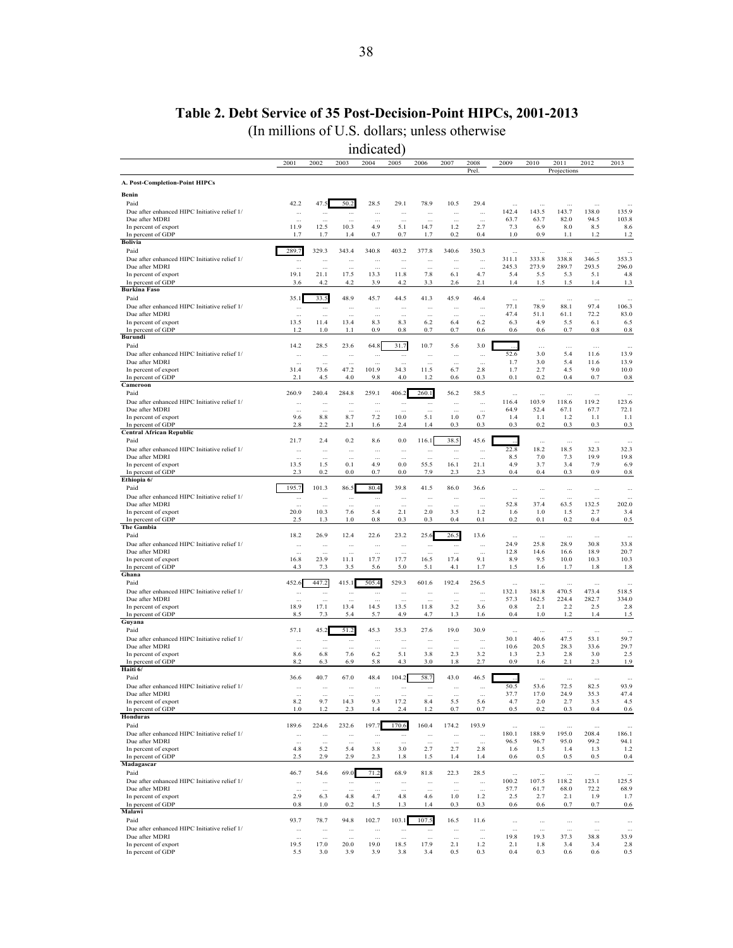## **Table 2. Debt Service of 35 Post-Decision-Point HIPCs, 2001-2013**

(In millions of U.S. dollars; unless otherwise

<span id="page-37-0"></span>

|                                                                |                       |                   |                          | indicated)            |                       |                        |                        |                      |                    |                   |                   |                    |                   |
|----------------------------------------------------------------|-----------------------|-------------------|--------------------------|-----------------------|-----------------------|------------------------|------------------------|----------------------|--------------------|-------------------|-------------------|--------------------|-------------------|
|                                                                | 2001                  | 2002              | 2003                     | 2004                  | 2005                  | 2006                   | 2007                   | 2008                 | 2009               | 2010              | 2011              | 2012               | 2013              |
| A. Post-Completion-Point HIPCs                                 |                       |                   |                          |                       |                       |                        |                        | Prel.                |                    |                   | Projections       |                    |                   |
| Benin                                                          |                       |                   |                          |                       |                       |                        |                        |                      |                    |                   |                   |                    |                   |
| Paid                                                           | 42.2                  | 47.5              | 50.2                     | 28.5                  | 29.1                  | 78.9                   | 10.5                   | 29.4                 |                    | Ω,                |                   |                    |                   |
| Due after enhanced HIPC Initiative relief 1/<br>Due after MDRI |                       |                   |                          | $\cdots$              | $\cdots$              | $\ddotsc$              | $\cdots$               |                      | 142.4<br>63.7      | 143.5<br>63.7     | 143.7<br>82.0     | 138.0<br>94.5      | 135.9<br>103.8    |
| In percent of export                                           | 11.9                  | $\cdots$<br>12.5  | à.<br>10.3               | 4.9                   | à.<br>5.1             | $\bar{a}$<br>14.7      | à.<br>1.2              | à.<br>2.7            | 7.3                | 6.9               | 8.0               | 8.5                | 8.6               |
| In percent of GDP                                              | 1.7                   | 1.7               | 1.4                      | 0.7                   | 0.7                   | 1.7                    | 0.2                    | 0.4                  | 1.0                | 0.9               | 1.1               | 1.2                | 1.2               |
| <b>Bolivia</b><br>Paid                                         | 289.7                 | 329.3             | 343.4                    | 340.8                 | 403.2                 | 377.8                  | 340.6                  | 350.3                |                    |                   |                   |                    |                   |
| Due after enhanced HIPC Initiative relief 1/                   | $\cdots$              | $\cdots$          | $\cdots$                 | $\cdots$              | $\cdots$              | $\ddotsc$              | $\cdots$               |                      | $\ddotsc$<br>311.1 | Ω,<br>333.8       | $\cdots$<br>338.8 | $\ddotsc$<br>346.5 | $\ldots$<br>353.3 |
| Due after MDRI                                                 | $\cdots$              | $\cdots$          | $\ddotsc$                | $\cdots$              | $\cdots$              | $\ddotsc$              | $\cdots$               | $\cdots$             | 245.3              | 273.9             | 289.7             | 293.5              | 296.0             |
| In percent of export                                           | 19.1                  | 21.1              | 17.5                     | 13.3                  | 11.8                  | 7.8                    | 6.1                    | 4.7                  | 5.4                | 5.5               | 5.3               | 5.1                | 4.8               |
| In percent of GDP<br><b>Burkina Faso</b>                       | 3.6                   | 4.2               | 4.2                      | 3.9                   | 4.2                   | 3.3                    | 2.6                    | 2.1                  | 1.4                | 1.5               | 1.5               | 1.4                | 1.3               |
| Paid                                                           | 35.1                  | 33.5              | 48.9                     | 45.7                  | 44.5                  | 41.3                   | 45.9                   | 46.4                 | $\ldots$           | $\ddotsc$         | $\ddots$          |                    |                   |
| Due after enhanced HIPC Initiative relief 1/                   |                       | $\cdots$          | $\cdots$                 | $\cdots$              | $\cdots$              | $\ddots$               | $\cdots$               | $\cdots$             | 77.1               | 78.9              | 88.1              | 97.4               | 106.3             |
| Due after MDRI<br>In percent of export                         | $\ddotsc$<br>13.5     | $\sim$<br>11.4    | 13.4                     | $\cdots$<br>8.3       | $\ddotsc$<br>8.3      | 6.2                    | $\cdots$<br>6.4        | $\ddotsc$<br>6.2     | 47.4<br>6.3        | 51.1<br>4.9       | 61.1<br>5.5       | 72.2<br>6.1        | 83.0<br>6.5       |
| In percent of GDP                                              | 1.2                   | 1.0               | 1.1                      | 0.9                   | 0.8                   | 0.7                    | 0.7                    | 0.6                  | 0.6                | 0.6               | 0.7               | 0.8                | $0.8\,$           |
| Burundi                                                        |                       |                   |                          |                       |                       |                        |                        |                      |                    |                   |                   |                    |                   |
| Paid                                                           | 14.2                  | 28.5              | 23.6                     | 64.8                  | 31.7                  | 10.7                   | 5.6                    | 3.0                  |                    | $\cdots$          | $\ldots$          | $\ldots$           | $\cdots$          |
| Due after enhanced HIPC Initiative relief 1/<br>Due after MDRI | à.                    | Ω,<br>$\cdots$    |                          |                       | $\cdots$<br>$\ddotsc$ |                        | à,                     | $\ddotsc$<br>ă.      | 52.6<br>1.7        | 3.0<br>3.0        | 5.4<br>5.4        | 11.6<br>11.6       | 13.9<br>13.9      |
| In percent of export                                           | 31.4                  | 73.6              | 47.2                     | 101.9                 | 34.3                  | 11.5                   | 6.7                    | 2.8                  | 1.7                | 2.7               | 4.5               | 9.0                | 10.0              |
| In percent of GDP                                              | 2.1                   | 4.5               | 4.0                      | 9.8                   | 4.0                   | 1.2                    | 0.6                    | 0.3                  | 0.1                | 0.2               | 0.4               | 0.7                | 0.8               |
| Cameroon<br>Paid                                               | 260.9                 | 240.4             | 284.8                    | 259.1                 | 406.2                 | 260.1                  | 56.2                   | 58.5                 |                    |                   |                   |                    |                   |
| Due after enhanced HIPC Initiative relief 1/                   | $\cdots$              | $\cdots$          | $\cdots$                 | $\cdots$              | $\cdots$              | $\cdots$               | $\cdots$               | $\cdots$             | $\ddotsc$<br>116.4 | $\cdots$<br>103.9 | $\cdots$<br>118.6 | $\cdots$<br>119.2  | $\sim$<br>123.6   |
| Due after MDRI                                                 | $\ddotsc$             | $\cdots$          | $\ddotsc$                | $\cdots$              | $\ddotsc$             |                        | $\cdots$               | $\ddotsc$            | 64.9               | 52.4              | 67.1              | 67.7               | 72.1              |
| In percent of export                                           | 9.6                   | 8.8               | 8.7                      | 7.2                   | 10.0                  | 5.1                    | 1.0                    | 0.7                  | 1.4                | 1.1               | 1.2               | 1.1                | 1.1               |
| In percent of GDP<br><b>Central African Republic</b>           | 2.8                   | 2.2               | 2.1                      | 1.6                   | 2.4                   | 1.4                    | 0.3                    | 0.3                  | 0.3                | 0.2               | 0.3               | 0.3                | 0.3               |
| Paid                                                           | 21.7                  | 2.4               | 0.2                      | 8.6                   | 0.0                   | 116.1                  | 38.5                   | 45.6                 |                    | $\ddotsc$         | $\ddotsc$         | $\ddotsc$          | $\ddotsc$         |
| Due after enhanced HIPC Initiative relief 1/                   |                       |                   |                          |                       |                       | $\ddotsc$              | $\cdots$               | $\ddotsc$            | 22.8               | 18.2              | 18.5              | 32.3               | 32.3              |
| Due after MDRI                                                 |                       | $\cdots$          |                          |                       | $\ddotsc$             |                        | $\sim$                 |                      | 8.5<br>4.9         | 7.0               | 7.3               | 19.9               | 19.8              |
| In percent of export<br>In percent of GDP                      | 13.5<br>2.3           | 1.5<br>0.2        | 0.1<br>0.0               | 4.9<br>0.7            | 0.0<br>0.0            | 55.5<br>7.9            | 16.1<br>2.3            | 21.1<br>2.3          | 0.4                | 3.7<br>0.4        | 3.4<br>0.3        | 7.9<br>0.9         | 6.9<br>0.8        |
| Ethiopia 6/                                                    |                       |                   |                          |                       |                       |                        |                        |                      |                    |                   |                   |                    |                   |
| Paid                                                           | 195.7                 | 101.3             | 86.5                     | 80.4                  | 39.8                  | 41.5                   | 86.0                   | 36.6                 | $\ddotsc$          | $\cdots$          | $\cdots$          | $\cdots$           | $\cdots$          |
| Due after enhanced HIPC Initiative relief 1/<br>Due after MDRI | $\cdots$              | $\cdots$          | $\cdots$                 | $\cdots$              | $\cdots$              | $\ddotsc$              | $\cdots$               |                      | 52.8               | $\ddotsc$<br>37.4 | Ω,<br>63.5        | 132.5              | 202.0             |
| In percent of export                                           | $\ddotsc$<br>20.0     | $\cdots$<br>10.3  | $\cdots$<br>7.6          | $\cdots$<br>5.4       | $\cdots$<br>2.1       | $\ddotsc$<br>2.0       | $\cdots$<br>3.5        | $\cdots$<br>1.2      | 1.6                | 1.0               | 1.5               | 2.7                | 3.4               |
| In percent of GDP                                              | 2.5                   | 1.3               | 1.0                      | 0.8                   | 0.3                   | 0.3                    | 0.4                    | 0.1                  | 0.2                | 0.1               | 0.2               | 0.4                | 0.5               |
| The Gambia                                                     |                       |                   |                          |                       |                       |                        |                        |                      |                    |                   |                   |                    |                   |
| Paid<br>Due after enhanced HIPC Initiative relief 1/           | 18.2<br>$\cdots$      | 26.9<br>$\ddotsc$ | 12.4                     | 22.6                  | 23.2                  | 25.6                   | 26.5                   | 13.6<br>$\ddotsc$    | $\ldots$<br>24.9   | $\ddotsc$<br>25.8 | $\ddotsc$<br>28.9 | $\ddotsc$<br>30.8  | $\sim$<br>33.8    |
| Due after MDRI                                                 | ă,                    | $\cdots$          | $\ddotsc$<br>$\bar{\nu}$ | $\cdots$<br>$\ddotsc$ | $\ddotsc$<br>ă.       | $\ddotsc$<br>$\ddotsc$ | $\ddotsc$<br>$\ddotsc$ | $\ddotsc$            | 12.8               | 14.6              | 16.6              | 18.9               | 20.7              |
| In percent of export                                           | 16.8                  | 23.9              | 11.1                     | 17.7                  | 17.7                  | 16.5                   | 17.4                   | 9.1                  | 8.9                | 9.5               | 10.0              | 10.3               | 10.3              |
| In percent of GDP<br>Ghana                                     | 4.3                   | 7.3               | 3.5                      | 5.6                   | 5.0                   | 5.1                    | 4.1                    | 1.7                  | 1.5                | 1.6               | 1.7               | 1.8                | 1.8               |
| Paid                                                           | 452.6                 | 447.2             | 415.1                    | 505.4                 | 529.3                 | 601.6                  | 192.4                  | 256.5                | $\cdots$           | $\cdots$          | $\cdots$          | $\cdots$           | $\cdots$          |
| Due after enhanced HIPC Initiative relief 1/                   | $\cdots$              | $\cdots$          | $\ddotsc$                | $\cdots$              | $\cdots$              | $\ddotsc$              | $\cdots$               |                      | 132.1              | 381.8             | 470.5             | 473.4              | 518.5             |
| Due after MDRI                                                 | $\ddotsc$             |                   |                          |                       | $\cdots$              | $\ddotsc$              | $\ddotsc$              | $\ddotsc$            | 57.3               | 162.5             | 224.4             | 282.7              | 334.0             |
| In percent of export<br>In percent of GDP                      | 18.9<br>8.5           | 17.1<br>7.3       | 13.4<br>5.4              | 14.5<br>5.7           | 13.5<br>4.9           | 11.8<br>4.7            | 3.2<br>1.3             | 3.6<br>1.6           | 0.8<br>0.4         | 2.1<br>1.0        | 2.2<br>1.2        | 2.5<br>1.4         | 2.8<br>1.5        |
| Guyana                                                         |                       |                   |                          |                       |                       |                        |                        |                      |                    |                   |                   |                    |                   |
| Paid                                                           | 57.1                  | 45.2              | 51.2                     | 45.3                  | 35.3                  | 27.6                   | 19.0                   | 30.9                 | $\ddotsc$          | $\ddotsc$         | $\cdots$          | $\ddotsc$          | $\sim$            |
| Due after enhanced HIPC Initiative relief 1/                   |                       | $\cdots$          | $\cdots$                 | $\cdots$              | $\cdots$              | $\ddotsc$              | $\cdots$               | $\cdots$             | 30.1               | 40.6              | 47.5              | 53.1               | 59.7              |
| Due after MDRI<br>In percent of export                         | 8.6                   | 6.8               | 7.6                      | 6.2                   | 5.1                   | 3.8                    | 2.3                    | à.<br>3.2            | 10.6<br>1.3        | 20.5<br>2.3       | 28.3<br>2.8       | 33.6<br>3.0        | 29.7<br>2.5       |
| In percent of GDP                                              | 8.2                   | 6.3               | 6.9                      | 5.8                   | 4.3                   | 3.0                    | 1.8                    | 2.7                  | 0.9                | 1.6               | 2.1               | 2.3                | 1.9               |
| Haiti 6/                                                       |                       |                   |                          |                       |                       |                        |                        |                      |                    |                   |                   |                    |                   |
| Paid<br>Due after enhanced HIPC Initiative relief 1/           | 36.6                  | 40.7              | 67.0                     | 48.4                  | 104.2                 | 58.7                   | 43.0                   | 46.5                 |                    |                   |                   |                    |                   |
| Due after MDRI                                                 | $\cdots$<br>$\ddotsc$ | <br>$\cdots$      | $\cdots$<br>             | $\cdots$<br>$\cdots$  | $\cdots$<br>$\cdots$  | $\cdots$               | $\cdots$<br>$\cdots$   | $\cdots$<br>$\cdots$ | 50.5<br>37.7       | 53.6<br>17.0      | 72.5<br>24.9      | 82.5<br>35.3       | 93.9<br>47.4      |
| In percent of export                                           | 8.2                   | 9.7               | 14.3                     | 9.3                   | 17.2                  | 8.4                    | 5.5                    | 5.6                  | 4.7                | 2.0               | 2.7               | 3.5                | 4.5               |
| In percent of GDP                                              | 1.0                   | 1.2               | 2.3                      | 1.4                   | 2.4                   | 1.2                    | 0.7                    | 0.7                  | 0.5                | 0.2               | 0.3               | 0.4                | 0.6               |
| Honduras<br>Paid                                               | 189.6                 | 224.6             | 232.6                    | 197.7                 | 170.6                 | 160.4                  | 174.2                  | 193.9                |                    |                   |                   |                    |                   |
| Due after enhanced HIPC Initiative relief 1/                   |                       | $\cdots$          | $\cdots$                 | $\cdots$              | $\cdots$              | $\cdots$               | $\cdots$               | $\cdots$             | $\cdots$<br>180.1  | $\cdots$<br>188.9 | $\cdots$<br>195.0 | 208.4              | 186.1             |
| Due after MDRI                                                 | $\ddotsc$             | $\cdots$          |                          | $\cdots$              | $\ddotsc$             | $\ddotsc$              | $\cdots$               | $\cdots$             | 96.5               | 96.7              | 95.0              | 99.2               | 94.1              |
| In percent of export                                           | 4.8                   | 5.2               | 5.4                      | 3.8                   | 3.0                   | 2.7                    | 2.7                    | 2.8                  | 1.6                | 1.5               | 1.4               | 1.3                | 1.2               |
| In percent of GDP<br>Madagascar                                | 2.5                   | $2.9\,$           | 2.9                      | 2.3                   | 1.8                   | 1.5                    | 1.4                    | $1.4\,$              | 0.6                | 0.5               | 0.5               | 0.5                | 0.4               |
| Paid                                                           | 46.7                  | 54.6              | 69.0                     | 71.2                  | 68.9                  | 81.8                   | 22.3                   | 28.5                 | $\cdots$           | $\cdots$          | $\ldots$          | $\cdots$           | $\cdots$          |
| Due after enhanced HIPC Initiative relief 1/                   |                       | $\cdots$          | $\ddot{\phantom{a}}$     | $\ddotsc$             | $\cdots$              | à.                     | $\cdots$               | $\ldots$             | 100.2              | 107.5             | 118.2             | 123.1              | 125.5             |
| Due after MDRI                                                 | $\ddotsc$             | $\cdots$          | $\ddotsc$                | $\cdots$              | $\cdots$              | $\sim$                 | $\cdots$               | $\ldots$             | 57.7               | 61.7              | 68.0              | 72.2               | 68.9              |
| In percent of export<br>In percent of GDP                      | 2.9<br>0.8            | 6.3<br>1.0        | 4.8<br>0.2               | 4.7<br>1.5            | 4.8<br>1.3            | 4.6<br>1.4             | 1.0<br>0.3             | 1.2<br>0.3           | 2.5<br>0.6         | 2.7<br>0.6        | 2.1<br>0.7        | 1.9<br>0.7         | 1.7<br>0.6        |
| Malawi                                                         |                       |                   |                          |                       |                       |                        |                        |                      |                    |                   |                   |                    |                   |
| Paid                                                           | 93.7                  | 78.7              | 94.8                     | 102.7                 | 103.1                 | 107.5                  | 16.5                   | 11.6                 | $\cdots$           | $\cdots$          | $\cdots$          | $\cdots$           | $\cdots$          |
| Due after enhanced HIPC Initiative relief 1/                   | $\cdots$              | $\cdots$          | $\ddots$                 | $\cdots$              | $\cdots$              | $\cdots$               | $\ldots$               |                      |                    |                   |                   |                    |                   |
| Due after MDRI<br>In percent of export                         | $\ddotsc$<br>19.5     | $\cdots$<br>17.0  | 20.0                     | 19.0                  | 18.5                  | $\ddotsc$<br>17.9      | $\cdots$<br>2.1        | $\cdots$<br>1.2      | 19.8<br>2.1        | 19.3<br>1.8       | 37.3<br>3.4       | 38.8<br>3.4        | 33.9<br>2.8       |
| In percent of GDP                                              | 5.5                   | 3.0               | 3.9                      | 3.9                   | 3.8                   | 3.4                    | 0.5                    | 0.3                  | 0.4                | 0.3               | 0.6               | 0.6                | 0.5               |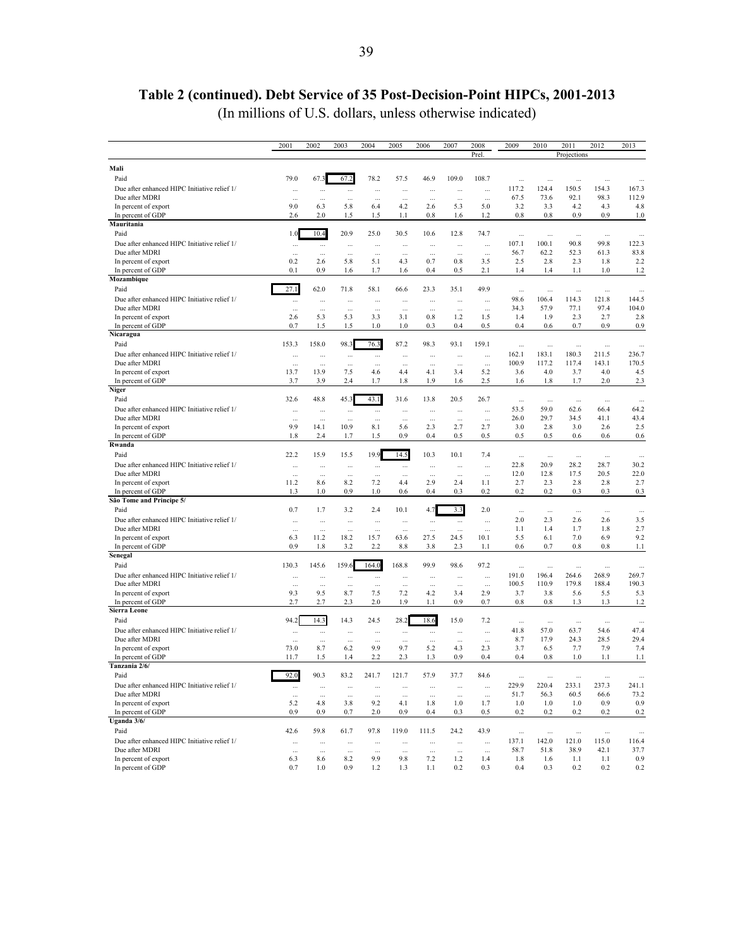# **Table 2 (continued). Debt Service of 35 Post-Decision-Point HIPCs, 2001-2013**

(In millions of U.S. dollars, unless otherwise indicated)

|                                                                | 2001                | 2002                 | 2003                 | 2004                 | 2005            | 2006             | 2007                | 2008            | 2009              | 2010              | 2011              | 2012              | 2013              |
|----------------------------------------------------------------|---------------------|----------------------|----------------------|----------------------|-----------------|------------------|---------------------|-----------------|-------------------|-------------------|-------------------|-------------------|-------------------|
|                                                                |                     |                      |                      |                      |                 |                  |                     | Prel.           |                   |                   | Projections       |                   |                   |
| Mali                                                           |                     |                      |                      |                      |                 |                  |                     |                 |                   |                   |                   |                   |                   |
| Paid                                                           | 79.0                | 67.3                 | 67.2                 | 78.2                 | 57.5            | 46.9             | 109.0               | 108.7           | $\ddotsc$         | Ω,                | $\ddotsc$         | $\ddotsc$         |                   |
| Due after enhanced HIPC Initiative relief 1/                   |                     | $\cdots$             | $\cdots$             |                      | $\cdots$        | $\ddotsc$        | $\ddotsc$           |                 | 117.2             | 124.4             | 150.5             | 154.3             | 167.3             |
| Due after MDRI                                                 | $\ddotsc$           | $\ddotsc$            | $\ddotsc$            | $\ddotsc$            | $\cdots$        | $\ddotsc$        | $\cdots$            | $\ddotsc$       | 67.5              | 73.6              | 92.1              | 98.3              | 112.9             |
| In percent of export                                           | 9.0                 | 6.3                  | 5.8                  | 6.4                  | 4.2             | 2.6              | 5.3                 | 5.0             | 3.2               | 3.3               | 4.2               | 4.3               | 4.8               |
| In percent of GDP                                              | 2.6                 | 2.0                  | 1.5                  | 1.5                  | 1.1             | 0.8              | 1.6                 | 1.2             | 0.8               | 0.8               | 0.9               | 0.9               | 1.0               |
| Mauritania                                                     |                     |                      |                      |                      |                 |                  |                     |                 |                   |                   |                   |                   |                   |
| Paid                                                           | 1.0                 | 10.4                 | 20.9                 | 25.0                 | 30.5            | 10.6             | 12.8                | 74.7            | $\ldots$          | $\cdots$          | $\cdots$          | $\ldots$          | $\ldots$          |
| Due after enhanced HIPC Initiative relief 1/                   | $\cdots$            | $\cdots$             | $\cdots$             | $\ddotsc$            | $\cdots$        | $\ddotsc$        | $\bar{\mathcal{L}}$ | $\cdots$        | 107.1             | 100.1             | 90.8              | 99.8              | 122.3             |
| Due after MDRI                                                 | $\ddotsc$           | $\ldots$             | $\ddotsc$            | $\cdots$             |                 | $\ddotsc$        | $\bar{\mathcal{L}}$ | $\ldots$        | 56.7              | 62.2              | 52.3              | 61.3              | 83.8              |
| In percent of export                                           | 0.2                 | 2.6                  | 5.8                  | 5.1                  | 4.3             | 0.7              | 0.8                 | 3.5             | 2.5               | 2.8               | 2.3               | 1.8               | 2.2               |
| In percent of GDP                                              | 0.1                 | 0.9                  | 1.6                  | 1.7                  | 1.6             | 0.4              | 0.5                 | 2.1             | 1.4               | 1.4               | 1.1               | 1.0               | 1.2               |
| Mozambique                                                     |                     |                      |                      |                      |                 |                  |                     |                 |                   |                   |                   |                   |                   |
| Paid                                                           | 27.1                | 62.0                 | 71.8                 | 58.1                 | 66.6            | 23.3             | 35.1                | 49.9            | $\ldots$          | $\cdots$          | $\cdots$          | $\ldots$          | $\ddotsc$         |
| Due after enhanced HIPC Initiative relief 1/                   | $\cdots$            | $\cdots$             | $\cdots$             | $\cdots$             | $\cdots$        | $\cdots$         | $\cdots$            | $\ddotsc$       | 98.6              | 106.4             | 114.3             | 121.8             | 144.5             |
| Due after MDRI                                                 | ă.                  | $\cdots$             | $\ddotsc$            | $\ddotsc$            | $\cdots$        | $\ddotsc$        | $\ddotsc$           | $\ddotsc$       | 34.3              | 57.9              | 77.1              | 97.4              | 104.0             |
| In percent of export                                           | 2.6                 | 5.3                  | 5.3                  | 3.3                  | 3.1             | 0.8              | 1.2                 | 1.5             | 1.4               | 1.9               | 2.3               | 2.7               | 2.8               |
| In percent of GDP                                              | 0.7                 | 1.5                  | 1.5                  | 1.0                  | 1.0             | 0.3              | 0.4                 | 0.5             | 0.4               | 0.6               | 0.7               | 0.9               | 0.9               |
| Nicaragua                                                      |                     |                      |                      |                      |                 |                  |                     |                 |                   |                   |                   |                   |                   |
| Paid                                                           | 153.3               | 158.0                | 98.3                 | 76.3                 | 87.2            | 98.3             | 93.1                | 159.1           | $\ddotsc$         | $\ddotsc$         | $\ddotsc$         | $\ddotsc$         | $\ddotsc$         |
| Due after enhanced HIPC Initiative relief 1/                   |                     |                      | $\cdots$             | $\cdots$             | $\cdots$        | $\ddotsc$        | $\ddotsc$           | Ω,              | 162.1             | 183.1             | 180.3             | 211.5             | 236.7             |
| Due after MDRI                                                 |                     | $\cdots$             | $\cdots$             | $\cdots$             |                 | ÷.               | ÷.                  | $\cdots$        | 100.9             | 117.2             | 117.4             | 143.1             | 170.5             |
| In percent of export<br>In percent of GDP                      | 13.7<br>3.7         | 13.9<br>3.9          | 7.5<br>2.4           | 4.6<br>1.7           | 4.4<br>1.8      | 4.1<br>1.9       | 3.4<br>1.6          | 5.2<br>2.5      | 3.6<br>1.6        | 4.0<br>1.8        | 3.7<br>1.7        | 4.0<br>2.0        | 4.5<br>2.3        |
| Niger                                                          |                     |                      |                      |                      |                 |                  |                     |                 |                   |                   |                   |                   |                   |
| Paid                                                           | 32.6                | 48.8                 | 45.3                 | 43.1                 | 31.6            | 13.8             | 20.5                | 26.7            |                   |                   |                   |                   |                   |
|                                                                |                     |                      |                      |                      |                 |                  |                     |                 |                   | $\cdots$          | $\cdots$          | $\ddotsc$         | $\ldots$<br>64.2  |
| Due after enhanced HIPC Initiative relief 1/<br>Due after MDRI | ă.                  | $\ldots$             | $\cdots$             | $\cdots$             | $\cdots$        | $\ddotsc$        | $\bar{\mathcal{L}}$ | $\cdots$        | 53.5<br>26.0      | 59.0<br>29.7      | 62.6<br>34.5      | 66.4<br>41.1      | 43.4              |
| In percent of export                                           | $\ddotsc$<br>9.9    | $\ddotsc$<br>14.1    | $\ddotsc$<br>10.9    | $\ddotsc$<br>8.1     | $\cdots$<br>5.6 | $\cdots$<br>2.3  | $\sim$<br>2.7       | $\ldots$<br>2.7 | 3.0               | 2.8               | 3.0               | 2.6               | 2.5               |
| In percent of GDP                                              | 1.8                 | 2.4                  | 1.7                  | 1.5                  | 0.9             | 0.4              | 0.5                 | 0.5             | 0.5               | 0.5               | 0.6               | 0.6               | 0.6               |
| Rwanda                                                         |                     |                      |                      |                      |                 |                  |                     |                 |                   |                   |                   |                   |                   |
| Paid                                                           | 22.2                | 15.9                 | 15.5                 | 19.9                 | 14.5            | 10.3             | 10.1                | 7.4             | $\ddotsc$         | $\cdots$          | $\cdots$          | $\cdots$          | $\ldots$          |
| Due after enhanced HIPC Initiative relief 1/                   |                     |                      | $\ddotsc$            | $\cdots$             | $\cdots$        | $\ddotsc$        | $\ddotsc$           | $\ddotsc$       | 22.8              | 20.9              | 28.2              | 28.7              | 30.2              |
| Due after MDRI                                                 | $\ddotsc$           | $\ldots$             | $\ddotsc$            | $\ddotsc$            | $\cdots$        | $\ddotsc$        | $\cdots$            | $\cdots$        | 12.0              | 12.8              | 17.5              | 20.5              | 22.0              |
| In percent of export                                           | 11.2                | 8.6                  | 8.2                  | 7.2                  | 4.4             | 2.9              | 2.4                 | 1.1             | 2.7               | 2.3               | 2.8               | 2.8               | 2.7               |
| In percent of GDP                                              | 1.3                 | 1.0                  | 0.9                  | 1.0                  | 0.6             | 0.4              | 0.3                 | 0.2             | 0.2               | 0.2               | 0.3               | 0.3               | 0.3               |
| São Tome and Principe 5/                                       |                     |                      |                      |                      |                 |                  |                     |                 |                   |                   |                   |                   |                   |
| Paid                                                           | 0.7                 | 1.7                  | 3.2                  | 2.4                  | 10.1            | 4.7              | 3.3                 | 2.0             | $\cdots$          | $\cdots$          | $\cdots$          | $\ldots$          | $\cdots$          |
| Due after enhanced HIPC Initiative relief 1/                   | ă.                  | $\cdots$             | ă.                   | $\ddotsc$            | $\cdots$        | $\cdots$         | $\bar{\mathcal{L}}$ | $\ddotsc$       | 2.0               | 2.3               | 2.6               | 2.6               | 3.5               |
| Due after MDRI                                                 | $\bar{\mathcal{L}}$ | $\ldots$             | $\cdots$             | $\cdots$             | $\cdots$        | $\ddotsc$        | $\cdots$            | $\cdots$        | 1.1               | 1.4               | 1.7               | 1.8               | 2.7               |
| In percent of export                                           | 6.3                 | 11.2                 | 18.2                 | 15.7                 | 63.6            | 27.5             | 24.5                | 10.1            | 5.5               | 6.1               | 7.0               | 6.9               | 9.2               |
| In percent of GDP                                              | 0.9                 | 1.8                  | 3.2                  | 2.2                  | 8.8             | 3.8              | 2.3                 | 1.1             | 0.6               | 0.7               | 0.8               | 0.8               | 1.1               |
| Senegal                                                        |                     |                      |                      |                      |                 |                  |                     |                 |                   |                   |                   |                   |                   |
| Paid                                                           | 130.3               | 145.6                | 159.6                | 164.0                | 168.8           | 99.9             | 98.6                | 97.2            | $\cdots$          | $\cdots$          | $\cdots$          | $\cdots$          | $\ddotsc$         |
| Due after enhanced HIPC Initiative relief 1/                   | ă.                  | u.                   | $\ddotsc$            |                      | $\cdots$        | $\ddotsc$        | $\bar{\mathcal{L}}$ |                 | 191.0             | 196.4             | 264.6             | 268.9             | 269.7             |
| Due after MDRI                                                 | à.                  | $\cdots$             |                      |                      | $\ddotsc$       | à.               | Ω,                  | $\cdots$        | 100.5             | 110.9             | 179.8             | 188.4             | 190.3             |
| In percent of export                                           | 9.3                 | 9.5                  | 8.7                  | 7.5                  | 7.2             | 4.2              | 3.4                 | 2.9             | 3.7               | 3.8               | 5.6               | 5.5               | 5.3               |
| In percent of GDP                                              | 2.7                 | 2.7                  | 2.3                  | 2.0                  | 1.9             | 1.1              | 0.9                 | 0.7             | 0.8               | 0.8               | 1.3               | 1.3               | 1.2               |
| <b>Sierra Leone</b>                                            |                     |                      |                      |                      |                 |                  |                     |                 |                   |                   |                   |                   |                   |
| Paid                                                           | 94.2                | 14.3                 | 14.3                 | 24.5                 | 28.2            | 18.6             | 15.0                | 7.2             | $\ddotsc$         | $\ddotsc$         | $\cdots$          | $\ddotsc$         | $\ddotsc$         |
| Due after enhanced HIPC Initiative relief 1/                   |                     | $\cdots$             | $\ddot{\phantom{a}}$ | Ω,                   | $\cdots$        | $\ddotsc$        | Ω,                  | $\ddotsc$       | 41.8              | 57.0              | 63.7              | 54.6              | 47.4              |
| Due after MDRI                                                 | $\cdots$            | $\cdots$<br>8.7      | $\cdots$<br>6.2      | $\ddotsc$<br>9.9     | 9.7             | $\ddotsc$<br>5.2 | ÷.<br>4.3           | $\cdots$<br>2.3 | 8.7<br>3.7        | 17.9<br>6.5       | 24.3              | 28.5              | 29.4<br>7.4       |
| In percent of export<br>In percent of GDP                      | 73.0<br>11.7        | 1.5                  | 1.4                  | 2.2                  | 2.3             | 1.3              | 0.9                 | 0.4             | 0.4               | 0.8               | 7.7<br>1.0        | 7.9<br>1.1        | 1.1               |
| Tanzania 2/6/                                                  |                     |                      |                      |                      |                 |                  |                     |                 |                   |                   |                   |                   |                   |
|                                                                |                     |                      |                      |                      |                 |                  |                     |                 |                   |                   |                   |                   |                   |
| Paid<br>Due after enhanced HIPC Initiative relief 1/           | 92.0                | 90.3                 | 83.2                 | 241.7                | 121.7           | 57.9             | 37.7                | 84.6            | $\ldots$<br>229.9 | $\cdots$<br>220.4 | $\cdots$<br>233.1 | $\ldots$<br>237.3 | $\ldots$<br>241.1 |
| Due after MDRI                                                 | $\cdots$            | $\cdots$             | $\cdots$             | $\cdots$             | $\cdots$        | $\cdots$         | $\cdots$            | $\cdots$        |                   |                   |                   |                   |                   |
| In percent of export                                           | $\ldots$<br>5.2     | $\cdots$<br>4.8      | $\ddotsc$<br>3.8     | $\cdots$<br>9.2      | $\cdots$<br>4.1 | $\cdots$<br>1.8  | $\cdots$<br>1.0     | $\ldots$<br>1.7 | 51.7<br>1.0       | 56.3<br>1.0       | 60.5<br>1.0       | 66.6<br>0.9       | 73.2<br>0.9       |
| In percent of GDP                                              | 0.9                 | 0.9                  | 0.7                  | 2.0                  | 0.9             | 0.4              | 0.3                 | 0.5             | 0.2               | 0.2               | 0.2               | 0.2               | 0.2               |
| Uganda 3/6/                                                    |                     |                      |                      |                      |                 |                  |                     |                 |                   |                   |                   |                   |                   |
| Paid                                                           | 42.6                | 59.8                 | 61.7                 | 97.8                 | 119.0           | 111.5            | 24.2                | 43.9            |                   |                   |                   |                   |                   |
| Due after enhanced HIPC Initiative relief 1/                   | $\ldots$            |                      | $\ddotsc$            |                      | $\cdots$        | $\cdots$         | $\ldots$            | u,              | $\ldots$<br>137.1 | $\cdots$<br>142.0 | $\cdots$<br>121.0 | $\cdots$<br>115.0 | $\cdots$<br>116.4 |
| Due after MDRI                                                 | $\cdots$            | $\cdots$<br>$\cdots$ | $\ddotsc$            | $\cdots$<br>$\cdots$ | $\cdots$        | $\ddotsc$        | $\bar{\mathcal{L}}$ | $\cdots$        | 58.7              | 51.8              | 38.9              | 42.1              | 37.7              |
| In percent of export                                           | 6.3                 | 8.6                  | 8.2                  | 9.9                  | 9.8             | 7.2              | 1.2                 | 1.4             | 1.8               | 1.6               | 1.1               | 1.1               | 0.9               |
| In percent of GDP                                              | 0.7                 | 1.0                  | 0.9                  | 1.2                  | 1.3             | 1.1              | 0.2                 | 0.3             | 0.4               | 0.3               | 0.2               | 0.2               | 0.2               |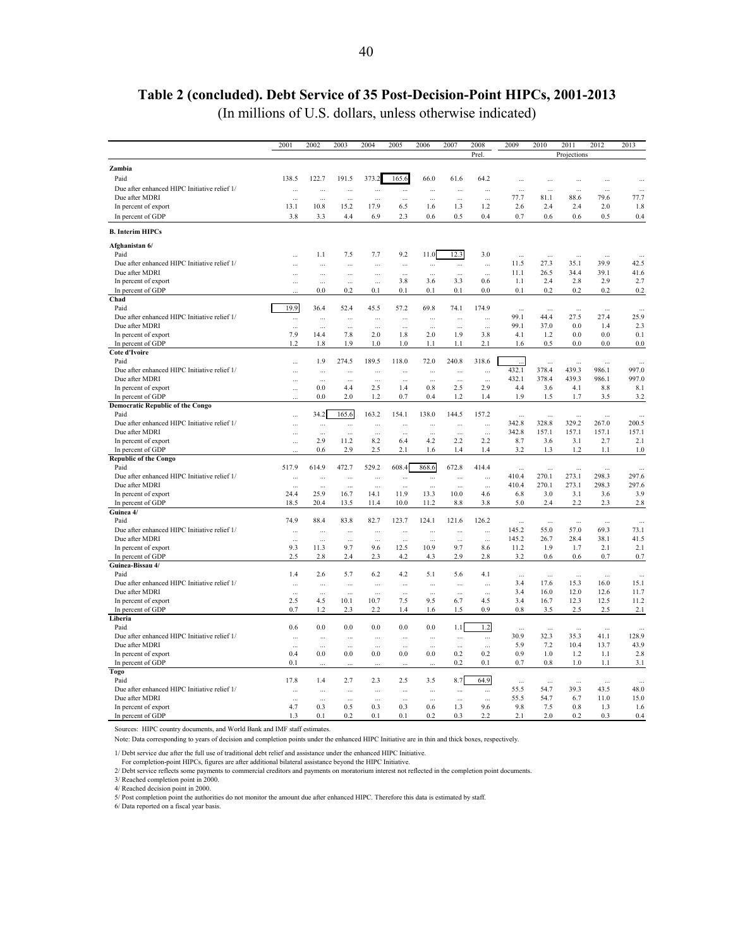## **Table 2 (concluded). Debt Service of 35 Post-Decision-Point HIPCs, 2001-2013**

(In millions of U.S. dollars, unless otherwise indicated)

|                                                              | 2001         | 2002       | 2003        | 2004        | 2005         | 2006         | 2007       | 2008       | 2009                | 2010        | 2011        | 2012        | 2013        |
|--------------------------------------------------------------|--------------|------------|-------------|-------------|--------------|--------------|------------|------------|---------------------|-------------|-------------|-------------|-------------|
|                                                              |              |            |             |             |              |              |            | Prel       |                     |             | Projections |             |             |
| Zambia                                                       |              |            |             |             |              |              |            |            |                     |             |             |             |             |
| Paid                                                         | 138.5        | 122.7      | 191.5       | 373.2       | 165.6        | 66.0         | 61.6       | 64.2       | $\ddotsc$           | $\cdots$    | Ω,          |             |             |
| Due after enhanced HIPC Initiative relief 1/                 |              | $\cdots$   |             | $\cdots$    | $\cdots$     |              | $\ddotsc$  | $\ddotsc$  | $\ddotsc$           | $\ddotsc$   | $\ddotsc$   | $\ddotsc$   | $\ddotsc$   |
| Due after MDRI                                               | $\ddotsc$    | $\ddotsc$  | Ц,          | $\cdots$    | $\cdots$     | $\cdots$     | $\ddotsc$  | $\cdots$   | 77.7                | 81.1        | 88.6        | 79.6        | 77.7        |
| In percent of export                                         | 13.1         | 10.8       | 15.2        | 17.9        | 6.5          | 1.6          | 1.3        | 1.2        | 2.6                 | 2.4         | 2.4         | 2.0         | 1.8         |
| In percent of GDP                                            | 3.8          | 3.3        | 4.4         | 6.9         | 2.3          | 0.6          | 0.5        | 0.4        | 0.7                 | 0.6         | 0.6         | 0.5         | 0.4         |
| <b>B.</b> Interim HIPCs                                      |              |            |             |             |              |              |            |            |                     |             |             |             |             |
| Afghanistan 6/                                               |              |            |             |             |              |              |            |            |                     |             |             |             |             |
| Paid                                                         |              | 1.1        | 7.5         | 7.7         | 9.2          | 11.0         | 12.3       | 3.0        | Ω,                  |             |             |             |             |
| Due after enhanced HIPC Initiative relief 1/                 | $\ddotsc$    | $\ddotsc$  | $\ddotsc$   | $\cdots$    | $\cdots$     | $\ddotsc$    | $\ddotsc$  | $\ddotsc$  | 11.5                | 27.3        | 35.1        | 39.9        | 42.5        |
| Due after MDRI                                               |              | ă.         | Ω,          |             | $\ddotsc$    | Ω,           | $\ddotsc$  | $\ddotsc$  | 11.1                | 26.5        | 34.4        | 39.1        | 41.6        |
| In percent of export                                         | $\ddotsc$    | $\ddotsc$  | $\ddotsc$   | $\ddotsc$   | 3.8          | 3.6          | 3.3        | 0.6        | 1.1                 | 2.4         | 2.8         | 2.9         | 2.7         |
| In percent of GDP<br>Chad                                    |              | 0.0        | 0.2         | 0.1         | 0.1          | 0.1          | 0.1        | 0.0        | 0.1                 | 0.2         | 0.2         | 0.2         | 0.2         |
| Paid                                                         | 19.9         | 36.4       | 52.4        | 45.5        | 57.2         | 69.8         | 74.1       | 174.9      | $\ddotsc$           |             |             |             |             |
| Due after enhanced HIPC Initiative relief 1/                 | $\cdots$     | $\ddotsc$  | $\cdots$    | $\cdots$    | $\cdots$     |              | à.         | $\ddotsc$  | 99.1                | 44.4        | 27.5        | 27.4        | 25.9        |
| Due after MDRI                                               | $\ddotsc$    | $\cdots$   | $\cdots$    | $\cdots$    | $\cdots$     | $\cdots$     | $\ddotsc$  | $\ddotsc$  | 99.1                | 37.0        | 0.0         | 1.4         | 2.3         |
| In percent of export                                         | 7.9          | 14.4       | 7.8         | 2.0         | 1.8          | 2.0          | 1.9        | 3.8        | 4.1                 | 1.2         | 0.0         | 0.0         | 0.1         |
| In percent of GDP                                            | 1.2          | 1.8        | 1.9         | 1.0         | 1.0          | 1.1          | 1.1        | 2.1        | 1.6                 | 0.5         | 0.0         | 0.0         | 0.0         |
| <b>Cote d'Ivoire</b>                                         |              |            |             |             |              |              |            |            |                     |             |             |             |             |
| Paid                                                         | $\ddotsc$    | 1.9        | 274.5       | 189.5       | 118.0        | 72.0         | 240.8      | 318.6      |                     | $\ddotsc$   | $\cdots$    | $\ddotsc$   | $\cdots$    |
| Due after enhanced HIPC Initiative relief 1/                 | Ω,           | $\ldots$   | $\cdots$    | $\cdots$    |              |              | $\ddotsc$  | $\cdots$   | 432.1               | 378.4       | 439.3       | 986.1       | 997.0       |
| Due after MDRI                                               | Ω,           | $\ddotsc$  | $\cdots$    | $\ddotsc$   | $\ddotsc$    | $\ddotsc$    | $\ddotsc$  | $\ddotsc$  | 432.1               | 378.4       | 439.3       | 986.1       | 997.0       |
| In percent of export                                         | Ω,           | 0.0<br>0.0 | 44<br>2.0   | 2.5<br>1.2  | 1.4<br>0.7   | 0.8<br>0.4   | 2.5<br>1.2 | 2.9<br>1.4 | 4.4<br>1.9          | 3.6<br>1.5  | 4.1<br>1.7  | 8.8<br>3.5  | 8.1         |
| In percent of GDP<br><b>Democratic Republic of the Congo</b> |              |            |             |             |              |              |            |            |                     |             |             |             | 3.2         |
| Paid                                                         |              | 34.2       | 165.6       | 163.2       | 154.1        | 138.0        | 144.5      | 157.2      | Ω,                  |             |             |             |             |
| Due after enhanced HIPC Initiative relief 1/                 |              | $\ddotsc$  | $\cdots$    | $\ddotsc$   | $\cdots$     | $\ddotsc$    | à.         | Ω,         | 342.8               | 328.8       | 329.2       | 267.0       | 200.5       |
| Due after MDRI                                               | Ω,           | $\ddotsc$  | Ω,          | $\ddotsc$   | $\ddotsc$    | Ω,           | $\ddotsc$  | ÷.         | 342.8               | 157.1       | 157.1       | 157.1       | 157.1       |
| In percent of export                                         | $\ddotsc$    | 2.9        | 11.2        | 8.2         | 6.4          | 4.2          | 2.2        | 2.2        | 8.7                 | 3.6         | 3.1         | 2.7         | 2.1         |
| In percent of GDP                                            |              | 0.6        | 2.9         | 2.5         | 2.1          | 1.6          | 1.4        | 1.4        | 3.2                 | 1.3         | 1.2         | 1.1         | 1.0         |
| <b>Republic of the Congo</b>                                 |              |            |             |             |              |              |            |            |                     |             |             |             |             |
| Paid                                                         | 517.9        | 614.9      | 472.7       | 529.2       | 608.4        | 868.6        | 672.8      | 414.4      | $\ddotsc$           | $\ddotsc$   | $\ddotsc$   | $\ddotsc$   | $\ldots$    |
| Due after enhanced HIPC Initiative relief 1/                 | Ω,           | $\ddotsc$  | $\ddotsc$   | $\cdots$    | $\cdots$     |              | $\ddotsc$  | $\ddotsc$  | 410.4               | 270.1       | 273.1       | 298.3       | 297.6       |
| Due after MDRI                                               | $\cdots$     | $\ddotsc$  | $\ddotsc$   | $\cdots$    | $\ddotsc$    | $\ddotsc$    | $\ddotsc$  | $\cdots$   | 410.4               | 270.1       | 273.1       | 298.3       | 297.6       |
| In percent of export<br>In percent of GDP                    | 24.4<br>18.5 | 25.9       | 16.7        | 14.1        | 11.9<br>10.0 | 13.3<br>11.2 | 10.0       | 4.6<br>3.8 | 6.8<br>5.0          | 3.0<br>2.4  | 3.1<br>2.2  | 3.6<br>2.3  | 3.9<br>2.8  |
| Guinea 4/                                                    |              | 20.4       | 13.5        | 11.4        |              |              | 8.8        |            |                     |             |             |             |             |
| Paid                                                         | 74.9         | 88.4       | 83.8        | 82.7        | 123.7        | 124.1        | 121.6      | 126.2      | $\bar{\mathcal{L}}$ | $\cdots$    | $\cdots$    | $\cdots$    | $\ddotsc$   |
| Due after enhanced HIPC Initiative relief 1/                 | $\ddotsc$    | $\cdots$   | $\ddotsc$   | $\cdots$    | $\cdots$     | ă.           | $\ddotsc$  | $\ddotsc$  | 145.2               | 55.0        | 57.0        | 69.3        | 73.1        |
| Due after MDRI                                               | ă.           | $\ddotsc$  |             |             | $\ddotsc$    |              |            | $\ddotsc$  | 145.2               | 26.7        | 28.4        | 38.1        | 41.5        |
| In percent of export                                         | 9.3          | 11.3       | 9.7         | 9.6         | 12.5         | 10.9         | 9.7        | 8.6        | 11.2                | 1.9         | 1.7         | 2.1         | 2.1         |
| In percent of GDP                                            | 2.5          | 2.8        | 2.4         | 2.3         | 4.2          | 4.3          | 2.9        | 2.8        | 3.2                 | 0.6         | 0.6         | 0.7         | 0.7         |
| Guinea-Bissau 4/                                             |              |            |             |             |              |              |            |            |                     |             |             |             |             |
| Paid                                                         | 1.4          | 2.6        | 5.7         | 6.2         | 4.2          | 5.1          | 5.6        | 4.1        | $\ddotsc$           | ă,          | Ω,          | ă.          | $\ddotsc$   |
| Due after enhanced HIPC Initiative relief 1/                 | $\ddotsc$    | $\cdots$   | $\cdots$    | $\ddotsc$   | $\cdots$     | $\ddotsc$    | $\ddotsc$  | $\ddotsc$  | 3.4                 | 17.6        | 15.3        | 16.0        | 15.1        |
| Due after MDRI                                               | $\ddotsc$    |            |             |             |              |              |            | $\ddotsc$  | 3.4                 | 16.0        | 12.0        | 12.6        | 11.7        |
| In percent of export                                         | 2.5<br>0.7   | 4.5<br>1.2 | 10.1<br>2.3 | 10.7<br>2.2 | 7.5<br>1.4   | 9.5<br>1.6   | 6.7<br>1.5 | 4.5<br>0.9 | 3.4<br>0.8          | 16.7<br>3.5 | 12.3<br>2.5 | 12.5<br>2.5 | 11.2<br>2.1 |
| In percent of GDP<br>Liberia                                 |              |            |             |             |              |              |            |            |                     |             |             |             |             |
| Paid                                                         | 0.6          | 0.0        | 0.0         | 0.0         | 0.0          | 0.0          | 1.1        | 1.2        | $\ddotsc$           | $\ddotsc$   | $\cdots$    | $\ddotsc$   |             |
| Due after enhanced HIPC Initiative relief 1/                 |              |            |             | $\cdots$    |              |              | $\cdots$   | $\ldots$   | 30.9                | 32.3        | 35.3        | 41.1        | 128.9       |
| Due after MDRI                                               | $\ddotsc$    | $\cdots$   | $\cdots$    | $\cdots$    | $\cdots$     | $\ddotsc$    | $\ddotsc$  | $\ddotsc$  | 5.9                 | 7.2         | 10.4        | 13.7        | 43.9        |
| In percent of export                                         | 0.4          | 0.0        | 0.0         | 0.0         | 0.0          | 0.0          | 0.2        | 0.2        | 0.9                 | 1.0         | 1.2         | 1.1         | 2.8         |
| In percent of GDP                                            | 0.1          | $\ddotsc$  | $\ddotsc$   | $\ddotsc$   | $\ddotsc$    | $\ddotsc$    | 0.2        | 0.1        | 0.7                 | 0.8         | 1.0         | 1.1         | 3.1         |
| Togo                                                         |              |            |             |             |              |              |            |            |                     |             |             |             |             |
| Paid                                                         | 17.8         | 1.4        | 2.7         | 2.3         | 2.5          | 3.5          | 8.7        | 64.9       | $\cdots$            | $\ddotsc$   | $\sim$      | $\sim$      | $\sim$      |
| Due after enhanced HIPC Initiative relief 1/                 | ă.           | $\ddotsc$  | $\ddotsc$   | $\cdots$    | $\cdots$     | Ω,           | à.         | $\cdots$   | 55.5                | 54.7        | 39.3        | 43.5        | 48.0        |
| Due after MDRI                                               | $\ddotsc$    | $\ddotsc$  | $\cdots$    | $\cdots$    | $\ddotsc$    | $\ddotsc$    | $\ddotsc$  | $\cdots$   | 55.5                | 54.7        | 6.7         | 11.0        | 15.0        |
| In percent of export                                         | 4.7          | 0.3        | 0.5         | 0.3         | 0.3          | 0.6          | 1.3        | 9.6        | 9.8                 | 7.5         | 0.8         | 1.3         | 1.6         |
| In percent of GDP                                            | 1.3          | 0.1        | 0.2         | 0.1         | 0.1          | 0.2          | 0.3        | 2.2        | 2.1                 | 2.0         | 0.2         | 0.3         | 0.4         |

Sources: HIPC country documents, and World Bank and IMF staff estimates.

Note: Data corresponding to years of decision and completion points under the enhanced HIPC Initiative are in thin and thick boxes, respectively.

1/ Debt service due after the full use of traditional debt relief and assistance under the enhanced HIPC Initiative.

For completion-point HIPCs, figures are after additional bilateral assistance beyond the HIPC Initiative.

2/ Debt service reflects some payments to commercial creditors and payments on moratorium interest not reflected in the completion point documents.

3/ Reached completion point in 2000.

4/ Reached decision point in 2000.

5/ Post completion point the authorities do not monitor the amount due after enhanced HIPC. Therefore this data is estimated by staff. 6/ Data reported on a fiscal year basis.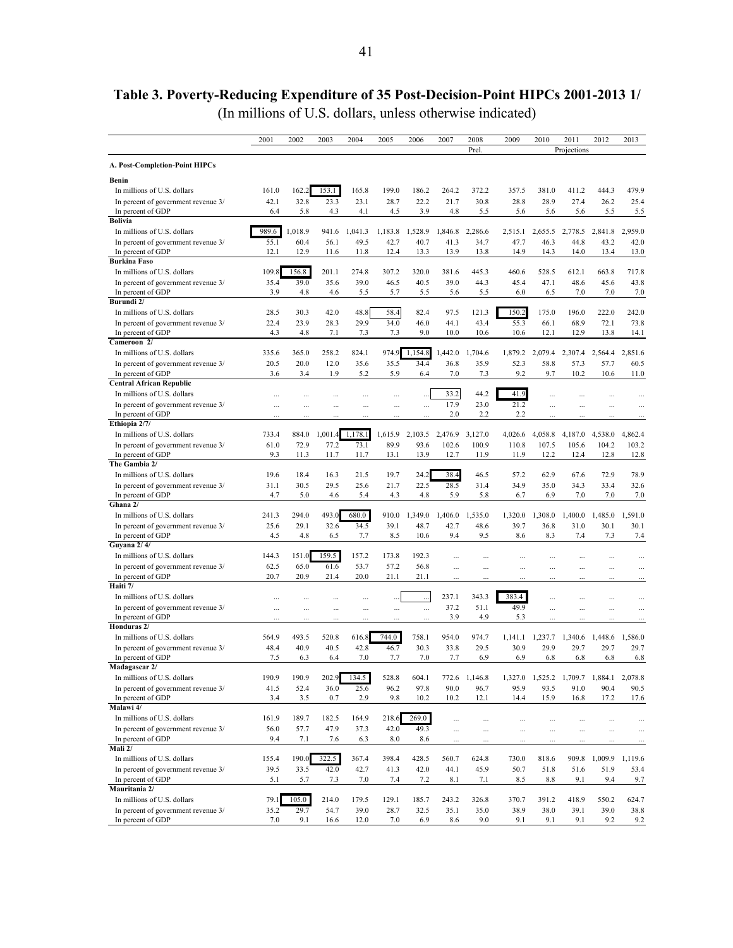# <span id="page-40-0"></span>**Table 3. Poverty-Reducing Expenditure of 35 Post-Decision-Point HIPCs 2001-2013 1/**

(In millions of U.S. dollars, unless otherwise indicated)

|                                                                    | 2001         | 2002         | 2003                 | 2004         | 2005      | 2006    | 2007                 | 2008          | 2009         | 2010            | 2011         | 2012                    | 2013                 |
|--------------------------------------------------------------------|--------------|--------------|----------------------|--------------|-----------|---------|----------------------|---------------|--------------|-----------------|--------------|-------------------------|----------------------|
|                                                                    |              |              |                      |              |           |         |                      | Prel.         |              |                 | Projections  |                         |                      |
| A. Post-Completion-Point HIPCs                                     |              |              |                      |              |           |         |                      |               |              |                 |              |                         |                      |
| Benin                                                              |              |              |                      |              |           |         |                      |               |              |                 |              |                         |                      |
| In millions of U.S. dollars                                        | 161.0        | 162.2        | 153.1                | 165.8        | 199.0     | 186.2   | 264.2                | 372.2         | 357.5        | 381.0           | 411.2        | 444.3                   | 479.9                |
| In percent of government revenue 3/                                | 42.1         | 32.8         | 23.3                 | 23.1         | 28.7      | 22.2    | 21.7                 | 30.8          | 28.8         | 28.9            | 27.4         | 26.2                    | 25.4                 |
| In percent of GDP                                                  | 6.4          | 5.8          | 4.3                  | 4.1          | 4.5       | 3.9     | 4.8                  | 5.5           | 5.6          | 5.6             | 5.6          | 5.5                     | 5.5                  |
| <b>Bolivia</b>                                                     |              |              |                      |              |           |         |                      |               |              |                 |              |                         |                      |
| In millions of U.S. dollars                                        | 989.6        | 1,018.9      | 941.6                | 1,041.3      | 1,183.8   | 1,528.9 | 1,846.8              | 2,286.6       | 2,515.1      | 2,655.5         | 2,778.5      | 2,841.8                 | 2,959.0              |
| In percent of government revenue 3/                                | 55.1<br>12.1 | 60.4<br>12.9 | 56.1<br>11.6         | 49.5<br>11.8 | 42.7      | 40.7    | 41.3<br>13.9         | 34.7          | 47.7<br>14.9 | 46.3<br>14.3    | 44.8<br>14.0 | 43.2<br>13.4            | 42.0<br>13.0         |
| In percent of GDP<br><b>Burkina Faso</b>                           |              |              |                      |              | 12.4      | 13.3    |                      | 13.8          |              |                 |              |                         |                      |
| In millions of U.S. dollars                                        | 109.8        | 156.8        | 201.1                | 274.8        | 307.2     | 320.0   | 381.6                | 445.3         | 460.6        | 528.5           | 612.1        | 663.8                   | 717.8                |
| In percent of government revenue 3/                                | 35.4         | 39.0         | 35.6                 | 39.0         | 46.5      | 40.5    | 39.0                 | 44.3          | 45.4         | 47.1            | 48.6         | 45.6                    | 43.8                 |
| In percent of GDP                                                  | 3.9          | 4.8          | 4.6                  | 5.5          | 5.7       | 5.5     | 5.6                  | 5.5           | 6.0          | 6.5             | 7.0          | 7.0                     | 7.0                  |
| Burundi 2/                                                         |              |              |                      |              |           |         |                      |               |              |                 |              |                         |                      |
| In millions of U.S. dollars                                        | 28.5         | 30.3         | 42.0                 | 48.8         | 58.4      | 82.4    | 97.5                 | 121.3         | 150.2        | 175.0           | 196.0        | 222.0                   | 242.0                |
| In percent of government revenue 3/                                | 22.4         | 23.9         | 28.3                 | 29.9         | 34.0      | 46.0    | 44.1                 | 43.4          | 55.3         | 66.1            | 68.9         | 72.1                    | 73.8                 |
| In percent of GDP                                                  | 4.3          | 4.8          | 7.1                  | 7.3          | 7.3       | 9.0     | 10.0                 | 10.6          | 10.6         | 12.1            | 12.9         | 13.8                    | 14.1                 |
| Cameroon 2/                                                        |              |              |                      |              |           |         |                      |               |              |                 |              |                         |                      |
| In millions of U.S. dollars                                        | 335.6        | 365.0        | 258.2                | 824.1        | 974.9     | 1,154.8 | 1,442.0              | 1,704.6       | 1,879.2      | 2,079.4         | 2,307.4      | 2,564.4                 | 2,851.6              |
| In percent of government revenue 3/                                | 20.5         | 20.0         | 12.0                 | 35.6         | 35.5      | 34.4    | 36.8                 | 35.9          | 52.3         | 58.8            | 57.3         | 57.7                    | 60.5                 |
| In percent of GDP                                                  | 3.6          | 3.4          | 1.9                  | 5.2          | 5.9       | 6.4     | 7.0                  | 7.3           | 9.2          | 9.7             | 10.2         | 10.6                    | 11.0                 |
| <b>Central African Republic</b>                                    |              |              |                      |              |           |         | 33.2                 | 44.2          | 41.9         |                 |              |                         |                      |
| In millions of U.S. dollars<br>In percent of government revenue 3/ |              |              |                      |              |           |         | 17.9                 | 23.0          | 21.2         |                 |              |                         |                      |
| In percent of GDP                                                  | $\ddotsc$    | .            | $\ddotsc$            | $\ddotsc$    | $\ddotsc$ |         | 2.0                  | 2.2           | 2.2          | $\ddotsc$       | $\cdots$     |                         | $\ddots$             |
| Ethiopia 2/7/                                                      | Ш,           |              |                      |              |           |         |                      |               |              | ш,              |              |                         |                      |
| In millions of U.S. dollars                                        | 733.4        | 884.0        | 1,001                | 1,178.1      | 1,615.9   | 2,103.5 | 2,476.9              | 3,127.0       | 4,026.6      | 4,058.8         | 4,187.0      | 4,538.0                 | 4,862.4              |
| In percent of government revenue 3/                                | 61.0         | 72.9         | 77.2                 | 73.1         | 89.9      | 93.6    | 102.6                | 100.9         | 110.8        | 107.5           | 105.6        | 104.2                   | 103.2                |
| In percent of GDP                                                  | 9.3          | 11.3         | 11.7                 | 11.7         | 13.1      | 13.9    | 12.7                 | 11.9          | 11.9         | 12.2            | 12.4         | 12.8                    | 12.8                 |
| The Gambia 2/                                                      |              |              |                      |              |           |         |                      |               |              |                 |              |                         |                      |
| In millions of U.S. dollars                                        | 19.6         | 18.4         | 16.3                 | 21.5         | 19.7      | 24.2    | 38.4                 | 46.5          | 57.2         | 62.9            | 67.6         | 72.9                    | 78.9                 |
| In percent of government revenue 3/                                | 31.1         | 30.5         | 29.5                 | 25.6         | 21.7      | 22.5    | 28.5                 | 31.4          | 34.9         | 35.0            | 34.3         | 33.4                    | 32.6                 |
| In percent of GDP                                                  | 4.7          | 5.0          | 4.6                  | 5.4          | 4.3       | 4.8     | 5.9                  | 5.8           | 6.7          | 6.9             | 7.0          | 7.0                     | 7.0                  |
| Ghana 2/                                                           |              |              |                      |              |           |         |                      |               |              |                 |              |                         |                      |
| In millions of U.S. dollars                                        | 241.3        | 294.0        | 493.0                | 680.0        | 910.0     | 1,349.0 | 1,406.0              | 1,535.0       | 1,320.0      | 1,308.0         | 1,400.0      | 1,485.0                 | 1,591.0              |
| In percent of government revenue 3/                                | 25.6         | 29.1         | 32.6                 | 34.5         | 39.1      | 48.7    | 42.7                 | 48.6          | 39.7         | 36.8            | 31.0         | 30.1                    | 30.1                 |
| In percent of GDP<br>Guyana 2/4/                                   | 4.5          | 4.8          | 6.5                  | 7.7          | 8.5       | 10.6    | 9.4                  | 9.5           | 8.6          | 8.3             | 7.4          | 7.3                     | 7.4                  |
| In millions of U.S. dollars                                        | 144.3        | 151.0        | 159.5                | 157.2        | 173.8     | 192.3   |                      |               |              |                 |              |                         |                      |
| In percent of government revenue 3/                                | 62.5         | 65.0         | 61.6                 | 53.7         | 57.2      | 56.8    | $\ddotsc$            |               | $\ddotsc$    |                 |              |                         |                      |
| In percent of GDP                                                  | 20.7         | 20.9         | 21.4                 | 20.0         | 21.1      | 21.1    | $\cdots$<br>         | $\ddotsc$     | $\cdots$     | $\ddotsc$       | .            |                         |                      |
| Haiti 7/                                                           |              |              |                      |              |           |         |                      |               |              |                 |              |                         |                      |
| In millions of U.S. dollars                                        | $\ddotsc$    |              |                      |              |           |         | 237.1                | 343.3         | 383.4        |                 |              |                         |                      |
| In percent of government revenue 3/                                | $\ddotsc$    |              | $\ddotsc$            | $\ddotsc$    |           |         | 37.2                 | 51.1          | 49.9         | $\ddotsc$       | $\ddotsc$    | $\cdots$                | $\ddotsc$            |
| In percent of GDP                                                  |              |              | $\ddot{\phantom{a}}$ |              |           |         | 3.9                  | 4.9           | 5.3          | $\ddotsc$       | .            |                         | $\cdots$             |
| Honduras 2/                                                        |              |              |                      |              |           |         |                      |               |              |                 |              |                         |                      |
| In millions of U.S. dollars                                        | 564.9        | 493.5        | 520.8                | 616.8        | 744.0     | 758.1   | 954.0                | 974.7         | 1,141.1      | 1,237.7         | 1,340.6      | 1,448.6                 | 1,586.0              |
| In percent of government revenue 3/                                | 48.4         | 40.9         | 40.5                 | 42.8         | 46.7      | 30.3    | 33.8                 | 29.5          | 30.9         | 29.9            | 29.7         | 29.7                    | 29.7                 |
| In percent of GDP                                                  | 7.5          | 6.3          | 6.4                  | 7.0          | 7.7       | 7.0     | 7.7                  | 6.9           | 6.9          | 6.8             | 6.8          | 6.8                     | 6.8                  |
| Madagascar 2/                                                      |              |              |                      |              |           |         |                      |               |              |                 |              |                         |                      |
| In millions of U.S. dollars                                        | 190.9        | 190.9        | 202.9                | 134.5        | 528.8     | 604.1   |                      | 772.6 1,146.8 |              | 1,327.0 1,525.2 |              | 1,709.7 1,884.1 2,078.8 |                      |
| In percent of government revenue 3/<br>In percent of GDP           | 41.5         | 52.4         | 36.0                 | 25.6         | 96.2      | 97.8    | 90.0                 | 96.7          | 95.9         | 93.5            | 91.0         | 90.4                    | 90.5                 |
| Malawi 4/                                                          | 3.4          | 3.5          | 0.7                  | 2.9          | 9.8       | 10.2    | 10.2                 | 12.1          | 14.4         | 15.9            | 16.8         | 17.2                    | 17.6                 |
| In millions of U.S. dollars                                        | 161.9        | 189.7        | 182.5                | 164.9        | 218.6     | 269.0   | $\cdots$             |               |              |                 | $\cdots$     |                         | $\cdots$             |
| In percent of government revenue 3/                                | 56.0         | 57.7         | 47.9                 | 37.3         | 42.0      | 49.3    |                      | $\cdots$      |              |                 | $\cdots$     | $\cdots$                |                      |
| In percent of GDP                                                  | 9.4          | 7.1          | 7.6                  | 6.3          | 8.0       | 8.6     | $\cdots$<br>$\cdots$ | $\ddotsc$     | $\cdots$     | <br>$\ddotsc$   |              | $\ddotsc$               | $\cdots$<br>$\cdots$ |
| Mali 2/                                                            |              |              |                      |              |           |         |                      |               |              |                 |              |                         |                      |
| In millions of U.S. dollars                                        | 155.4        | 190.0        | 322.5                | 367.4        | 398.4     | 428.5   | 560.7                | 624.8         | 730.0        | 818.6           | 909.8        | 1,009.9                 | 1,119.6              |
| In percent of government revenue 3/                                | 39.5         | 33.5         | 42.0                 | 42.7         | 41.3      | 42.0    | 44.1                 | 45.9          | 50.7         | 51.8            | 51.6         | 51.9                    | 53.4                 |
| In percent of GDP                                                  | 5.1          | 5.7          | 7.3                  | 7.0          | 7.4       | 7.2     | 8.1                  | 7.1           | 8.5          | 8.8             | 9.1          | 9.4                     | 9.7                  |
| Mauritania 2/                                                      |              |              |                      |              |           |         |                      |               |              |                 |              |                         |                      |
| In millions of U.S. dollars                                        | 79.1         | 105.0        | 214.0                | 179.5        | 129.1     | 185.7   | 243.2                | 326.8         | 370.7        | 391.2           | 418.9        | 550.2                   | 624.7                |
| In percent of government revenue 3/                                | 35.2         | 29.7         | 54.7                 | 39.0         | 28.7      | 32.5    | 35.1                 | 35.0          | 38.9         | 38.0            | 39.1         | 39.0                    | 38.8                 |
| In percent of GDP                                                  | 7.0          | 9.1          | 16.6                 | 12.0         | 7.0       | 6.9     | 8.6                  | 9.0           | 9.1          | 9.1             | 9.1          | 9.2                     | 9.2                  |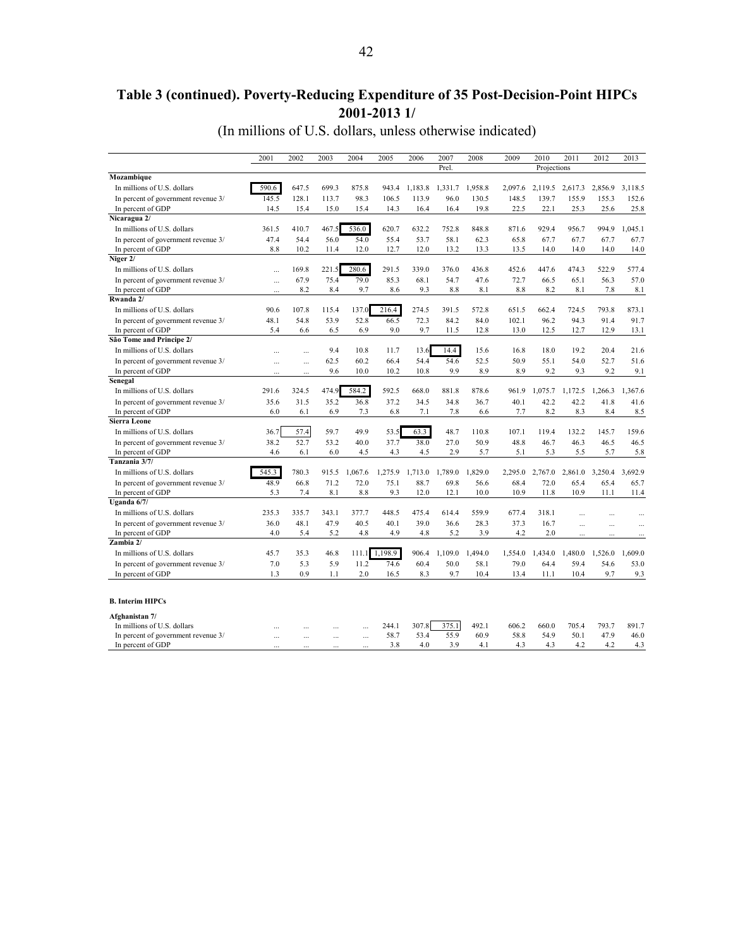## **Table 3 (continued). Poverty-Reducing Expenditure of 35 Post-Decision-Point HIPCs 2001-2013 1/**

(In millions of U.S. dollars, unless otherwise indicated)

|                                     | 2001      | 2002      | 2003  | 2004      | 2005    | 2006    | 2007    | 2008    | 2009    | 2010        | 2011    | 2012    | 2013      |
|-------------------------------------|-----------|-----------|-------|-----------|---------|---------|---------|---------|---------|-------------|---------|---------|-----------|
|                                     |           |           |       |           |         |         | Prel.   |         |         | Projections |         |         |           |
| Mozambique                          |           |           |       |           |         |         |         |         |         |             |         |         |           |
| In millions of U.S. dollars         | 590.6     | 647.5     | 699.3 | 875.8     | 943.4   | 1,183.8 | 1,331.7 | 1,958.8 | 2,097.6 | 2,119.5     | 2,617.3 | 2,856.9 | 3,118.5   |
| In percent of government revenue 3/ | 145.5     | 128.1     | 113.7 | 98.3      | 106.5   | 113.9   | 96.0    | 130.5   | 148.5   | 139.7       | 155.9   | 155.3   | 152.6     |
| In percent of GDP                   | 14.5      | 15.4      | 15.0  | 15.4      | 14.3    | 16.4    | 16.4    | 19.8    | 22.5    | 22.1        | 25.3    | 25.6    | 25.8      |
| Nicaragua 2/                        |           |           |       |           |         |         |         |         |         |             |         |         |           |
| In millions of U.S. dollars         | 361.5     | 410.7     | 467.5 | 536.0     | 620.7   | 632.2   | 752.8   | 848.8   | 871.6   | 929.4       | 956.7   | 994.9   | 1.045.1   |
| In percent of government revenue 3/ | 47.4      | 54.4      | 56.0  | 54.0      | 55.4    | 53.7    | 58.1    | 62.3    | 65.8    | 67.7        | 67.7    | 67.7    | 67.7      |
| In percent of GDP                   | 8.8       | 10.2      | 11.4  | 12.0      | 12.7    | 12.0    | 13.2    | 13.3    | 13.5    | 14.0        | 14.0    | 14.0    | 14.0      |
| Niger 2/                            |           |           |       |           |         |         |         |         |         |             |         |         |           |
| In millions of U.S. dollars         |           | 169.8     | 221.5 | 280.6     | 291.5   | 339.0   | 376.0   | 436.8   | 452.6   | 447.6       | 474.3   | 522.9   | 577.4     |
| In percent of government revenue 3/ |           | 67.9      | 75.4  | 79.0      | 85.3    | 68.1    | 54.7    | 47.6    | 72.7    | 66.5        | 65.1    | 56.3    | 57.0      |
| In percent of GDP                   | $\ddotsc$ | 8.2       | 8.4   | 9.7       | 8.6     | 9.3     | 8.8     | 8.1     | 8.8     | 8.2         | 8.1     | 7.8     | 8.1       |
| Rwanda 2/                           |           |           |       |           |         |         |         |         |         |             |         |         |           |
| In millions of U.S. dollars         | 90.6      | 107.8     | 115.4 | 137.0     | 216.4   | 274.5   | 391.5   | 572.8   | 651.5   | 662.4       | 724.5   | 793.8   | 873.1     |
| In percent of government revenue 3/ | 48.1      | 54.8      | 53.9  | 52.8      | 66.5    | 72.3    | 84.2    | 84.0    | 102.1   | 96.2        | 94.3    | 91.4    | 91.7      |
| In percent of GDP                   | 5.4       | 6.6       | 6.5   | 6.9       | 9.0     | 9.7     | 11.5    | 12.8    | 13.0    | 12.5        | 12.7    | 12.9    | 13.1      |
| São Tome and Principe 2/            |           |           |       |           |         |         |         |         |         |             |         |         |           |
| In millions of U.S. dollars         |           | $\ddotsc$ | 9.4   | 10.8      | 11.7    | 13.6    | 14.4    | 15.6    | 16.8    | 18.0        | 19.2    | 20.4    | 21.6      |
| In percent of government revenue 3/ | $\ddotsc$ | $\ddotsc$ | 62.5  | 60.2      | 66.4    | 54.4    | 54.6    | 52.5    | 50.9    | 55.1        | 54.0    | 52.7    | 51.6      |
| In percent of GDP                   |           |           | 9.6   | 10.0      | 10.2    | 10.8    | 9.9     | 8.9     | 8.9     | 9.2         | 9.3     | 9.2     | 9.1       |
| Senegal                             |           |           |       |           |         |         |         |         |         |             |         |         |           |
| In millions of U.S. dollars         | 291.6     | 324.5     | 474.9 | 584.2     | 592.5   | 668.0   | 881.8   | 878.6   | 961.9   | 1,075.7     | 1,172.5 | 1,266.3 | 1,367.6   |
| In percent of government revenue 3/ | 35.6      | 31.5      | 35.2  | 36.8      | 37.2    | 34.5    | 34.8    | 36.7    | 40.1    | 42.2        | 42.2    | 41.8    | 41.6      |
| In percent of GDP                   | 6.0       | 6.1       | 6.9   | 7.3       | 6.8     | 7.1     | 7.8     | 6.6     | 7.7     | 8.2         | 8.3     | 8.4     | 8.5       |
| <b>Sierra Leone</b>                 |           |           |       |           |         |         |         |         |         |             |         |         |           |
| In millions of U.S. dollars         | 36.7      | 57.4      | 59.7  | 49.9      | 53.5    | 63.3    | 48.7    | 110.8   | 107.1   | 119.4       | 132.2   | 145.7   | 159.6     |
| In percent of government revenue 3/ | 38.2      | 52.7      | 53.2  | 40.0      | 37.7    | 38.0    | 27.0    | 50.9    | 48.8    | 46.7        | 46.3    | 46.5    | 46.5      |
| In percent of GDP                   | 4.6       | 6.1       | 6.0   | 4.5       | 4.3     | 4.5     | 2.9     | 5.7     | 5.1     | 5.3         | 5.5     | 5.7     | 5.8       |
| Tanzania 3/7/                       |           |           |       |           |         |         |         |         |         |             |         |         |           |
| In millions of U.S. dollars         | 545.3     | 780.3     | 915.5 | 1,067.6   | 1,275.9 | 1,713.0 | 1,789.0 | 1,829.0 | 2,295.0 | 2,767.0     | 2,861.0 | 3,250.4 | 3.692.9   |
| In percent of government revenue 3/ | 48.9      | 66.8      | 71.2  | 72.0      | 75.1    | 88.7    | 69.8    | 56.6    | 68.4    | 72.0        | 65.4    | 65.4    | 65.7      |
| In percent of GDP                   | 5.3       | 7.4       | 8.1   | 8.8       | 9.3     | 12.0    | 12.1    | 10.0    | 10.9    | 11.8        | 10.9    | 11.1    | 11.4      |
| Uganda 6/7/                         |           |           |       |           |         |         |         |         |         |             |         |         |           |
| In millions of U.S. dollars         | 235.3     | 335.7     | 343.1 | 377.7     | 448.5   | 475.4   | 614.4   | 559.9   | 677.4   | 318.1       |         |         |           |
| In percent of government revenue 3/ | 36.0      | 48.1      | 47.9  | 40.5      | 40.1    | 39.0    | 36.6    | 28.3    | 37.3    | 16.7        |         |         | $\ddotsc$ |
| In percent of GDP<br>Zambia 2/      | 4.0       | 5.4       | 5.2   | 4.8       | 4.9     | 4.8     | 5.2     | 3.9     | 4.2     | 2.0         |         |         | $\cdots$  |
|                                     |           |           |       |           |         |         |         |         |         |             |         |         |           |
| In millions of U.S. dollars         | 45.7      | 35.3      | 46.8  | 111.1     | 1,198.9 | 906.4   | 1,109.0 | 1,494.0 | 1,554.0 | 1,434.0     | 1,480.0 | 1,526.0 | 1,609.0   |
| In percent of government revenue 3/ | 7.0       | 5.3       | 5.9   | 11.2      | 74.6    | 60.4    | 50.0    | 58.1    | 79.0    | 64.4        | 59.4    | 54.6    | 53.0      |
| In percent of GDP                   | 1.3       | 0.9       | 1.1   | 2.0       | 16.5    | 8.3     | 9.7     | 104     | 13.4    | 11.1        | 10.4    | 9.7     | 9.3       |
| <b>B.</b> Interim HIPCs             |           |           |       |           |         |         |         |         |         |             |         |         |           |
| Afghanistan 7/                      |           |           |       |           |         |         |         |         |         |             |         |         |           |
| In millions of U.S. dollars         |           |           |       |           | 244.1   | 307.8   | 375.1   | 492.1   | 606.2   | 660.0       | 705.4   | 793.7   | 891.7     |
| In percent of government revenue 3/ | $\ddotsc$ | $\ddotsc$ |       | $\ddotsc$ | 58.7    | 53.4    | 55.9    | 60.9    | 58.8    | 54.9        | 50.1    | 47.9    | 46.0      |
| In percent of GDP                   |           |           |       |           | 3.8     | 4.0     | 3.9     | 4.1     | 4.3     | 4.3         | 4.2     | 4.2     | 4.3       |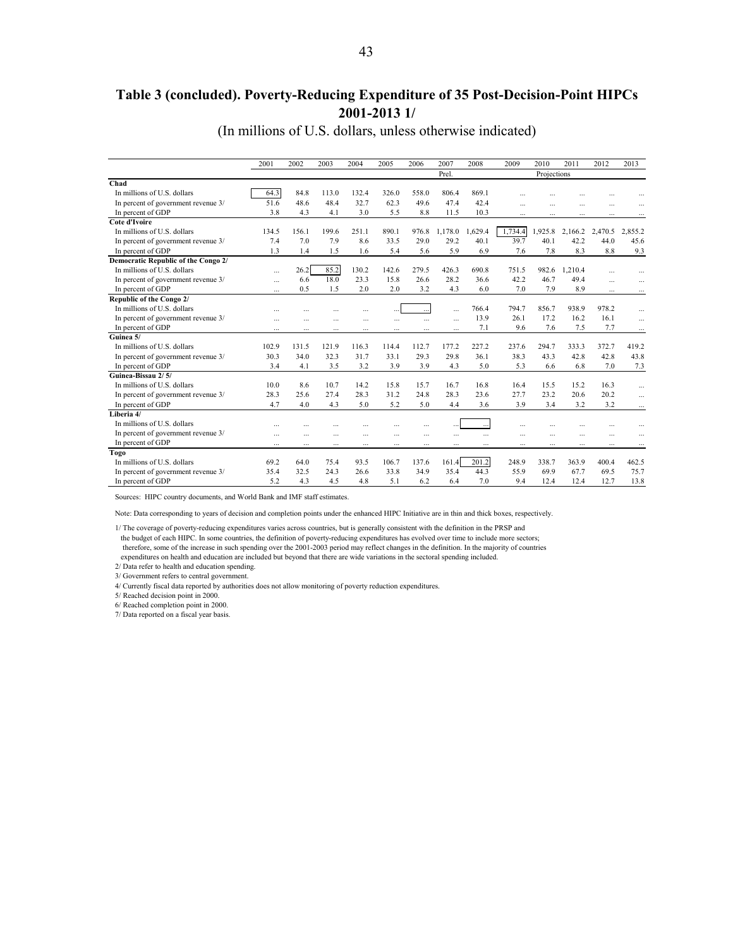### **Table 3 (concluded). Poverty-Reducing Expenditure of 35 Post-Decision-Point HIPCs 2001-2013 1/**

(In millions of U.S. dollars, unless otherwise indicated)

|                                     | 2001      | 2002      | 2003      | 2004           | 2005      | 2006     | 2007     | 2008      | 2009      | 2010        | 2011      | 2012           | 2013      |
|-------------------------------------|-----------|-----------|-----------|----------------|-----------|----------|----------|-----------|-----------|-------------|-----------|----------------|-----------|
|                                     |           |           |           |                |           |          | Prel.    |           |           | Projections |           |                |           |
| Chad                                |           |           |           |                |           |          |          |           |           |             |           |                |           |
| In millions of U.S. dollars         | 64.3      | 84.8      | 113.0     | 132.4          | 326.0     | 558.0    | 806.4    | 869.1     | $\ddotsc$ |             |           | $\ddotsc$      |           |
| In percent of government revenue 3/ | 51.6      | 48.6      | 48.4      | 32.7           | 62.3      | 496      | 474      | 424       | $\ddotsc$ | $\ddotsc$   | $\cdots$  |                | $\ddotsc$ |
| In percent of GDP                   | 38        | 43        | 41        | 3.0            | 5.5       | 8.8      | 11.5     | 10.3      | $\cdots$  | $\ddotsc$   | $\ddotsc$ | $\ddotsc$      | $\cdots$  |
| <b>Cote d'Ivoire</b>                |           |           |           |                |           |          |          |           |           |             |           |                |           |
| In millions of U.S. dollars         | 134.5     | 156.1     | 199.6     | 251.1          | 890.1     | 976.8    | 1,178.0  | 1.629.4   | 1,734.4   | 1,925.8     | 2.166.2   | 2,470.5        | 2.855.2   |
| In percent of government revenue 3/ | 7.4       | 7.0       | 7.9       | 8.6            | 33.5      | 29.0     | 29.2     | 40.1      | 39.7      | 40.1        | 42.2      | 44.0           | 45.6      |
| In percent of GDP                   | 1.3       | 1.4       | 1.5       | 1.6            | 5.4       | 5.6      | 5.9      | 6.9       | 7.6       | 7.8         | 8.3       | 8.8            | 9.3       |
| Democratic Republic of the Congo 2/ |           |           |           |                |           |          |          |           |           |             |           |                |           |
| In millions of U.S. dollars         | $\cdots$  | 26.2      | 85.2      | 130.2          | 142.6     | 279.5    | 426.3    | 690.8     | 751.5     | 982.6       | 1,210.4   |                |           |
| In percent of government revenue 3/ | $\cdots$  | 6.6       | 180       | 23.3           | 15.8      | 26.6     | 28.2     | 36.6      | 42.2      | 46.7        | 494       | $\overline{a}$ | $\cdots$  |
| In percent of GDP                   | $\ddotsc$ | 0.5       | 1.5       | 2.0            | 2.0       | 3.2      | 4.3      | 6.0       | 7.0       | 7.9         | 8.9       | $\cdots$       | $\cdots$  |
| Republic of the Congo 2/            |           |           |           |                |           |          |          |           |           |             |           |                |           |
| In millions of U.S. dollars         | $\sim$    |           |           |                |           |          |          | 7664      | 7947      | 856.7       | 938.9     | 978.2          | $\sim$    |
| In percent of government revenue 3/ | $\ddotsc$ |           |           |                |           | $\cdots$ | $\cdots$ | 13.9      | 26.1      | 17.2        | 16.2      | 16.1           | $\cdots$  |
| In percent of GDP                   | $\cdots$  |           |           |                |           |          |          | 7.1       | 9.6       | 7.6         | 7.5       | 7.7            | $\cdots$  |
| Guinea 5/                           |           |           |           |                |           |          |          |           |           |             |           |                |           |
| In millions of U.S. dollars         | 102.9     | 131.5     | 121.9     | 116.3          | 114.4     | 112.7    | 177.2    | 227.2     | 237.6     | 294.7       | 333.3     | 372.7          | 419.2     |
| In percent of government revenue 3/ | 30.3      | 34.0      | 32.3      | 31.7           | 33.1      | 29.3     | 29.8     | 36.1      | 38.3      | 43.3        | 42.8      | 42.8           | 43.8      |
| In percent of GDP                   | 3.4       | 4.1       | 3.5       | 3.2            | 3.9       | 3.9      | 4.3      | 5.0       | 5.3       | 6.6         | 6.8       | 7.0            | 7.3       |
| Guinea-Bissau 2/5/                  |           |           |           |                |           |          |          |           |           |             |           |                |           |
| In millions of U.S. dollars         | 10.0      | 8.6       | 10.7      | 14.2           | 15.8      | 157      | 16.7     | 16.8      | 16.4      | 15.5        | 15.2      | 16.3           | $\cdots$  |
| In percent of government revenue 3/ | 28.3      | 25.6      | 27.4      | 28.3           | 31.2      | 24.8     | 28.3     | 23.6      | 27.7      | 23.2        | 20.6      | 20.2           | $\cdots$  |
| In percent of GDP                   | 47        | 40        | 43        | 5.0            | 5.2       | 5.0      | 4.4      | 3.6       | 3.9       | 3.4         | 3.2       | 3.2            | $\cdots$  |
| Liberia 4/                          |           |           |           |                |           |          |          |           |           |             |           |                |           |
| In millions of U.S. dollars         |           |           |           |                |           |          |          |           |           |             |           | $\ddotsc$      |           |
| In percent of government revenue 3/ | $\ddotsc$ | $\ddotsc$ | $\ddotsc$ | $\overline{a}$ | $\ddotsc$ | $\cdots$ |          | $\ddotsc$ | $\ddotsc$ | $\sim$      | $\cdots$  | $\cdots$       | $\ddotsc$ |
| In percent of GDP                   | $\cdots$  | $\cdots$  | $\cdots$  | $\cdots$       | $\cdots$  | $\cdots$ | $\cdots$ | $\cdots$  | $\cdots$  | $\ddotsc$   | $\cdots$  | $\cdots$       | $\cdots$  |
| Togo                                |           |           |           |                |           |          |          |           |           |             |           |                |           |
| In millions of U.S. dollars         | 69.2      | 64.0      | 75.4      | 93.5           | 106.7     | 137.6    | 161.4    | 201.2     | 248.9     | 338.7       | 363.9     | 400.4          | 462.5     |
| In percent of government revenue 3/ | 35.4      | 32.5      | 24.3      | 26.6           | 33.8      | 34.9     | 35.4     | 44.3      | 55.9      | 69.9        | 67.7      | 69.5           | 75.7      |
| In percent of GDP                   | 52        | 43        | 4.5       | 48             | 51        | 62       | 64       | 70        | 94        | 12.4        | 12.4      | 127            | 13.8      |

Sources: HIPC country documents, and World Bank and IMF staff estimates.

Note: Data corresponding to years of decision and completion points under the enhanced HIPC Initiative are in thin and thick boxes, respectively.

1/ The coverage of poverty-reducing expenditures varies across countries, but is generally consistent with the definition in the PRSP and the budget of each HIPC. In some countries, the definition of poverty-reducing expenditures has evolved over time to include more sectors; therefore, some of the increase in such spending over the 2001-2003 period may reflect changes in the definition. In the majority of countries

expenditures on health and education are included but beyond that there are wide variations in the sectoral spending included.

2/ Data refer to health and education spending.

3/ Government refers to central government.

4/ Currently fiscal data reported by authorities does not allow monitoring of poverty reduction expenditures.

5/ Reached decision point in 2000.

6/ Reached completion point in 2000.

7/ Data reported on a fiscal year basis.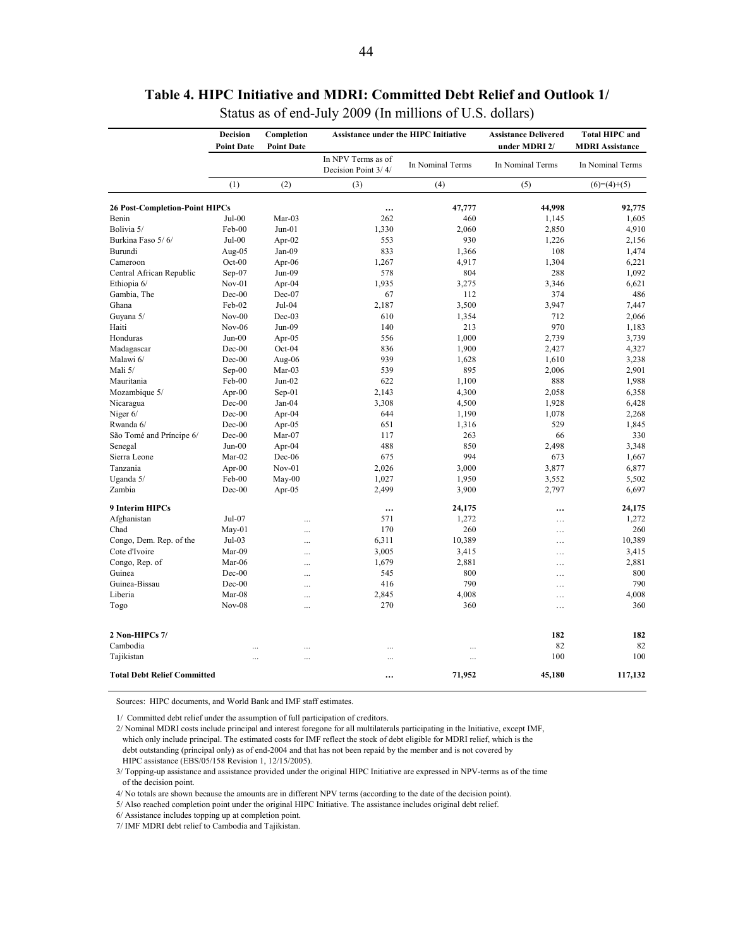<span id="page-43-0"></span>

|                                       | <b>Decision</b><br><b>Point Date</b> | Completion<br><b>Point Date</b> | <b>Assistance under the HIPC Initiative</b> |                  | <b>Assistance Delivered</b><br>under MDRI 2/ | <b>Total HIPC and</b><br><b>MDRI Assistance</b> |
|---------------------------------------|--------------------------------------|---------------------------------|---------------------------------------------|------------------|----------------------------------------------|-------------------------------------------------|
|                                       |                                      |                                 | In NPV Terms as of<br>Decision Point 3/4/   | In Nominal Terms | In Nominal Terms                             | In Nominal Terms                                |
|                                       | (1)                                  | (2)                             | (3)                                         | (4)              | (5)                                          | $(6)=(4)+(5)$                                   |
| <b>26 Post-Completion-Point HIPCs</b> |                                      |                                 | $\cdots$                                    | 47,777           | 44,998                                       | 92,775                                          |
| Benin                                 | Jul-00                               | Mar-03                          | 262                                         | 460              | 1,145                                        | 1,605                                           |
| Bolivia 5/                            | Feb-00                               | $Jun-01$                        | 1,330                                       | 2,060            | 2,850                                        | 4,910                                           |
| Burkina Faso 5/6/                     | Jul-00                               | Apr- $02$                       | 553                                         | 930              | 1,226                                        | 2,156                                           |
| Burundi                               | Aug-05                               | $Jan-09$                        | 833                                         | 1,366            | 108                                          | 1,474                                           |
| Cameroon                              | Oct-00                               | Apr-06                          | 1,267                                       | 4,917            | 1,304                                        | 6,221                                           |
| Central African Republic              | Sep-07                               | Jun-09                          | 578                                         | 804              | 288                                          | 1,092                                           |
| Ethiopia 6/                           | Nov-01                               | Apr-04                          | 1,935                                       | 3,275            | 3,346                                        | 6,621                                           |
| Gambia, The                           | Dec-00                               | Dec-07                          | 67                                          | 112              | 374                                          | 486                                             |
| Ghana                                 | Feb-02                               | Jul-04                          | 2,187                                       | 3,500            | 3,947                                        | 7,447                                           |
| Guyana 5/                             | $Nov-00$                             | $Dec-03$                        | 610                                         | 1,354            | 712                                          | 2,066                                           |
| Haiti                                 | <b>Nov-06</b>                        | Jun-09                          | 140                                         | 213              | 970                                          | 1,183                                           |
| Honduras                              | $Jun-00$                             | Apr-05                          | 556                                         | 1,000            | 2,739                                        | 3,739                                           |
| Madagascar                            | Dec-00                               | Oct-04                          | 836                                         | 1,900            | 2,427                                        | 4,327                                           |
| Malawi 6/                             | $Dec-00$                             | Aug-06                          | 939                                         | 1,628            | 1,610                                        | 3,238                                           |
| Mali 5/                               | Sep-00                               | Mar-03                          | 539                                         | 895              | 2,006                                        | 2,901                                           |
| Mauritania                            | Feb-00                               | $Jun-02$                        | 622                                         | 1,100            | 888                                          | 1,988                                           |
| Mozambique 5/                         | Apr-00                               | Sep-01                          | 2,143                                       | 4,300            | 2,058                                        | 6,358                                           |
| Nicaragua                             | Dec-00                               | Jan-04                          | 3,308                                       | 4,500            | 1,928                                        | 6,428                                           |
| Niger 6/                              | Dec-00                               | Apr-04                          | 644                                         | 1,190            | 1,078                                        | 2,268                                           |
| Rwanda 6/                             | Dec-00                               |                                 | 651                                         |                  | 529                                          | 1,845                                           |
|                                       |                                      | Apr-05                          |                                             | 1,316            |                                              |                                                 |
| São Tomé and Príncipe 6/              | Dec-00                               | Mar-07                          | 117                                         | 263              | 66                                           | 330                                             |
| Senegal                               | $Jun-00$                             | Apr-04                          | 488                                         | 850              | 2,498                                        | 3,348                                           |
| Sierra Leone                          | Mar-02                               | Dec-06                          | 675                                         | 994              | 673                                          | 1,667                                           |
| Tanzania                              | Apr-00                               | $Nov-01$                        | 2,026                                       | 3,000            | 3,877                                        | 6,877                                           |
| Uganda 5/                             | Feb-00                               | $May-00$                        | 1,027                                       | 1,950            | 3,552                                        | 5,502                                           |
| Zambia                                | Dec-00                               | Apr-05                          | 2,499                                       | 3,900            | 2,797                                        | 6,697                                           |
| 9 Interim HIPCs                       |                                      |                                 |                                             | 24,175           |                                              | 24,175                                          |
| Afghanistan                           | Jul-07                               | .                               | 571                                         | 1,272            | .                                            | 1,272                                           |
| Chad                                  | $May-01$                             | $\ddotsc$                       | 170                                         | 260              | .                                            | 260                                             |
| Congo, Dem. Rep. of the               | Jul-03                               | $\cdots$                        | 6,311                                       | 10,389           | .                                            | 10,389                                          |
| Cote d'Ivoire                         | Mar-09                               | $\ddotsc$                       | 3,005                                       | 3,415            | .                                            | 3,415                                           |
| Congo, Rep. of                        | Mar-06                               | $\ddotsc$                       | 1,679                                       | 2,881            | .                                            | 2,881                                           |
| Guinea                                | Dec-00                               | $\ddotsc$                       | 545                                         | 800              | $\cdots$                                     | 800                                             |
| Guinea-Bissau                         | Dec-00                               | $\cdots$                        | 416                                         | 790              | .                                            | 790                                             |
| Liberia                               | Mar-08                               |                                 | 2,845                                       | 4,008            | .                                            | 4,008                                           |
| Togo                                  | $Nov-08$                             |                                 | 270                                         | 360              | .                                            | 360                                             |
| 2 Non-HIPCs 7/                        |                                      |                                 |                                             |                  | 182                                          | 182                                             |
| Cambodia                              |                                      | $\ddots$                        |                                             |                  | 82                                           | 82                                              |
| Tajikistan                            |                                      | $\ddotsc$                       |                                             | $\ddotsc$        | 100                                          | 100                                             |
| <b>Total Debt Relief Committed</b>    |                                      |                                 |                                             | 71,952           | 45,180                                       | 117,132                                         |

# **Table 4. HIPC Initiative and MDRI: Committed Debt Relief and Outlook 1/**

Status as of end-July 2009 (In millions of U.S. dollars)

Sources: HIPC documents, and World Bank and IMF staff estimates.

1/ Committed debt relief under the assumption of full participation of creditors.

2/ Nominal MDRI costs include principal and interest foregone for all multilaterals participating in the Initiative, except IMF, which only include principal. The estimated costs for IMF reflect the stock of debt eligible for MDRI relief, which is the debt outstanding (principal only) as of end-2004 and that has not been repaid by the member and is not covered by HIPC assistance (EBS/05/158 Revision 1, 12/15/2005).

3/ Topping-up assistance and assistance provided under the original HIPC Initiative are expressed in NPV-terms as of the time of the decision point.

4/ No totals are shown because the amounts are in different NPV terms (according to the date of the decision point).

5/ Also reached completion point under the original HIPC Initiative. The assistance includes original debt relief.

6/ Assistance includes topping up at completion point.

7/ IMF MDRI debt relief to Cambodia and Tajikistan.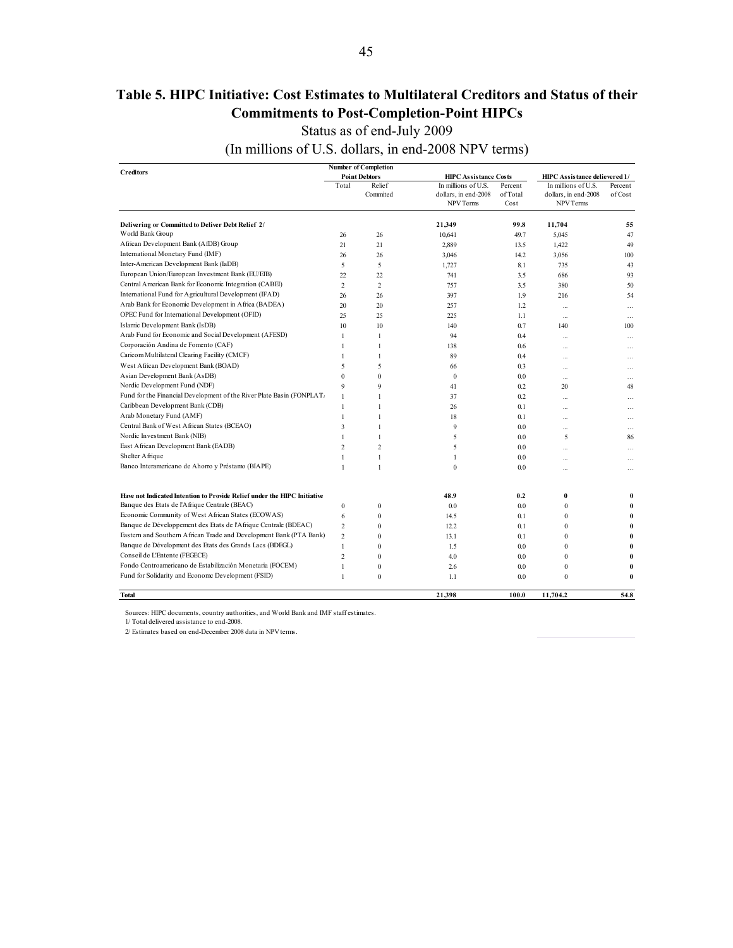## <span id="page-44-0"></span>**Table 5. HIPC Initiative: Cost Estimates to Multilateral Creditors and Status of their Commitments to Post-Completion-Point HIPCs**

Status as of end-July 2009

(In millions of U.S. dollars, in end-2008 NPV terms)

| <b>Creditors</b>                                                         |                              | <b>Number of Completion</b>  |                              |            |                               |                 |
|--------------------------------------------------------------------------|------------------------------|------------------------------|------------------------------|------------|-------------------------------|-----------------|
|                                                                          |                              | <b>Point Debtors</b>         | <b>HIPC Assistance Costs</b> |            | HIPC Assistance delievered 1/ |                 |
|                                                                          | Total                        | Relief                       | In millions of U.S.          | Percent    | In millions of U.S.           | Percent         |
|                                                                          |                              | Commited                     | dollars, in end-2008         | of Total   | dollars, in end-2008          | of Cost         |
|                                                                          |                              |                              | NPV Terms                    | Cost       | NPV Terms                     |                 |
| Delivering or Committed to Deliver Debt Relief 2/                        |                              |                              | 21,349                       | 99.8       | 11,704                        | 55              |
| World Bank Group                                                         | 26                           | 26                           | 10,641                       | 49.7       | 5,045                         | 47              |
| African Development Bank (AfDB) Group                                    | 21                           | 21                           | 2,889                        | 13.5       | 1,422                         | 49              |
| International Monetary Fund (IMF)                                        | 26                           | 26                           | 3,046                        | 14.2       | 3,056                         | 100             |
| Inter-American Development Bank (IaDB)                                   | 5                            | 5                            | 1,727                        | 8.1        | 735                           | 43              |
| European Union/European Investment Bank (EU/EIB)                         | 22                           | 22                           | 741                          | 3.5        | 686                           | 93              |
| Central American Bank for Economic Integration (CABEI)                   | $\overline{c}$               | $\overline{c}$               | 757                          | 3.5        | 380                           | 50              |
| International Fund for Agricultural Development (IFAD)                   | 26                           | 26                           | 397                          | 1.9        | 216                           | 54              |
| Arab Bank for Economic Development in Africa (BADEA)                     | 20                           | 20                           | 257                          | 1.2        |                               |                 |
| OPEC Fund for International Development (OFID)                           | 25                           | 25                           | 225                          | 1.1        | $\cdots$                      | .               |
| Islamic Development Bank (IsDB)                                          | 10                           | 10                           | 140                          | 0.7        | $\ddotsc$<br>140              | $\cdots$<br>100 |
| Arab Fund for Economic and Social Development (AFESD)                    | $\mathbf{1}$                 | $\mathbf{1}$                 | 94                           | 0.4        |                               |                 |
| Corporación Andina de Fomento (CAF)                                      | 1                            | $\mathbf{1}$                 | 138                          |            | $\sim$                        | $\ddotsc$       |
| Caricom Multilateral Clearing Facility (CMCF)                            | 1                            | $\mathbf{1}$                 | 89                           | 0.6        | $\ddotsc$                     | .               |
| West African Development Bank (BOAD)                                     | 5                            | 5                            |                              | 0.4<br>0.3 |                               | $\cdots$        |
| Asian Development Bank (AsDB)                                            | $\mathbf{0}$                 | $\theta$                     | 66<br>$\boldsymbol{0}$       |            | $\mathbf{r}$                  | $\ddotsc$       |
| Nordic Development Fund (NDF)                                            | 9                            | 9                            |                              | 0.0        |                               | $\cdots$        |
| Fund for the Financial Development of the River Plate Basin (FONPLAT.    |                              | $\mathbf{1}$                 | 41                           | 0.2        | 20                            | 48              |
| Caribbean Development Bank (CDB)                                         | $\mathbf{1}$                 |                              | 37                           | 0.2        |                               | .               |
| Arab Monetary Fund (AMF)                                                 | $\mathbf{1}$<br>$\mathbf{1}$ | $\mathbf{1}$                 | 26                           | 0.1        | $\sim$                        | .               |
| Central Bank of West African States (BCEAO)                              |                              | $\mathbf{1}$                 | 18                           | 0.1        |                               | .               |
| Nordic Investment Bank (NIB)                                             | 3                            | $\mathbf{1}$<br>$\mathbf{1}$ | 9                            | 0.0        |                               | .               |
|                                                                          | $\mathbf{1}$                 |                              | 5                            | 0.0        | 5                             | 86              |
| East African Development Bank (EADB)<br>Shelter Afrique                  | $\overline{c}$               | $\overline{c}$               | 5                            | 0.0        |                               | .               |
|                                                                          | 1                            | $\mathbf{1}$                 | 1                            | 0.0        |                               | .               |
| Banco Interamericano de Ahorro y Préstamo (BIAPE)                        | $\mathbf{1}$                 | $\mathbf{1}$                 | $\bf{0}$                     | 0.0        |                               | .               |
| Have not Indicated Intention to Provide Relief under the HIPC Initiative |                              |                              | 48.9                         | 0.2        | $\bf{0}$                      | $\bf{0}$        |
| Banque des Etats de l'Afrique Centrale (BEAC)                            | $\boldsymbol{0}$             | $\bf{0}$                     | 0.0                          | 0.0        | $\boldsymbol{0}$              | $\bf{0}$        |
| Economic Community of West African States (ECOWAS)                       | 6                            | $\mathbf{0}$                 | 14.5                         | 0.1        | $\mathbf{0}$                  | $\bf{0}$        |
| Banque de Développement des Etats de l'Afrique Centrale (BDEAC)          | $\overline{c}$               | $\theta$                     | 12.2                         | 0.1        | $\mathbf{0}$                  | $\bf{0}$        |
| Eastern and Southern African Trade and Development Bank (PTA Bank)       | $\overline{c}$               | $\mathbf{0}$                 | 13.1                         | 0.1        | $\bf{0}$                      | $\bf{0}$        |
| Banque de Dévelopment des Etats des Grands Lacs (BDEGL)                  | $\mathbf{1}$                 | $\overline{0}$               | 1.5                          | 0.0        | $\mathbf{0}$                  | $\bf{0}$        |
| Conseil de L'Entente (FEGECE)                                            | $\overline{c}$               | $\mathbf{0}$                 | 4.0                          | 0.0        | $\mathbf{0}$                  | $\bf{0}$        |
| Fondo Centroamericano de Estabilización Monetaria (FOCEM)                | $\mathbf{1}$                 | $\overline{0}$               | 2.6                          | 0.0        | $\boldsymbol{0}$              | $\bf{0}$        |
| Fund for Solidarity and Economc Development (FSID)                       | $\mathbf{1}$                 | $\bf{0}$                     | 1.1                          | 0.0        | $\mathbf{0}$                  | $\bf{0}$        |
| <b>Total</b>                                                             |                              |                              | 21.398                       | 100.0      | 11,704.2                      | 54.8            |

Sources: HIPC documents, country authorities, and World Bank and IMF staff estimates.

1/ Total delivered assistance to end-2008.

2/ Estimates based on end-December 2008 data in NPV terms.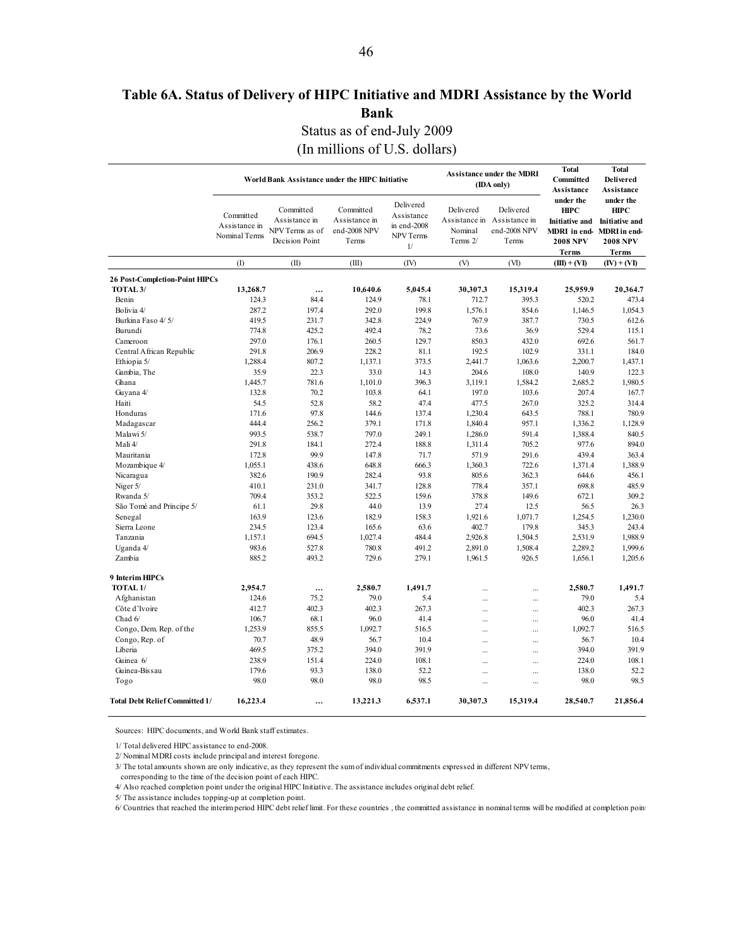# <span id="page-45-0"></span>**Table 6A. Status of Delivery of HIPC Initiative and MDRI Assistance by the World Bank**

Status as of end-July 2009

(In millions of U.S. dollars)

|                                       |                                             | <b>Total</b><br><b>Assistance under the MDRI</b><br>World Bank Assistance under the HIPC Initiative<br>Committed<br>(IDA only)<br>Assistance<br>under the<br>Delivered<br>Committed<br>Committed<br>Delivered<br>Delivered<br><b>HIPC</b> |                                        |                                              |                     |                                                      |                                                                               |                                                                                      |
|---------------------------------------|---------------------------------------------|-------------------------------------------------------------------------------------------------------------------------------------------------------------------------------------------------------------------------------------------|----------------------------------------|----------------------------------------------|---------------------|------------------------------------------------------|-------------------------------------------------------------------------------|--------------------------------------------------------------------------------------|
|                                       | Committed<br>Assistance in<br>Nominal Terms | Assistance in<br>NPV Terms as of<br>Decision Point                                                                                                                                                                                        | Assistance in<br>end-2008 NPV<br>Terms | Assistance<br>in end-2008<br>NPV Terms<br>1/ | Nominal<br>Terms 2/ | Assistance in Assistance in<br>end-2008 NPV<br>Terms | Initiative and<br>MDRI in end-MDRI in end-<br><b>2008 NPV</b><br><b>Terms</b> | under the<br><b>HIPC</b><br><b>Initiative and</b><br><b>2008 NPV</b><br><b>Terms</b> |
|                                       | (1)                                         | (II)                                                                                                                                                                                                                                      | (III)                                  | (IV)                                         | (V)                 | (VI)                                                 | $(III) + (VI)$                                                                | $(IV) + (VI)$                                                                        |
| <b>26 Post-Completion-Point HIPCs</b> |                                             |                                                                                                                                                                                                                                           |                                        |                                              |                     |                                                      |                                                                               |                                                                                      |
| TOTAL <sub>3</sub> /                  | 13,268.7                                    | $\ddotsc$                                                                                                                                                                                                                                 | 10,640.6                               | 5,045.4                                      | 30,307.3            | 15,319.4                                             | 25,959.9                                                                      | 20,364.7                                                                             |
| Benin                                 | 124.3                                       | 84.4                                                                                                                                                                                                                                      | 124.9                                  | 78.1                                         | 712.7               | 395.3                                                | 520.2                                                                         | 473.4                                                                                |
| Bolivia 4/                            | 287.2                                       | 197.4                                                                                                                                                                                                                                     | 292.0                                  | 199.8                                        | 1,576.1             | 854.6                                                | 1,146.5                                                                       | 1,054.3                                                                              |
| Burkina Faso 4/5/                     | 419.5                                       | 231.7                                                                                                                                                                                                                                     | 342.8                                  | 224.9                                        | 767.9               | 387.7                                                | 730.5                                                                         | 612.6                                                                                |
| Burundi                               | 774.8                                       | 425.2                                                                                                                                                                                                                                     | 492.4                                  | 78.2                                         | 73.6                | 36.9                                                 | 529.4                                                                         | 115.1                                                                                |
| Cameroon                              | 297.0                                       | 176.1                                                                                                                                                                                                                                     | 260.5                                  | 129.7                                        | 850.3               | 432.0                                                | 692.6                                                                         | 561.7                                                                                |
| Central African Republic              | 291.8                                       | 206.9                                                                                                                                                                                                                                     | 228.2                                  | 81.1                                         | 192.5               | 102.9                                                | 331.1                                                                         | 184.0                                                                                |
| Ethiopia 5/                           | 1,288.4                                     | 807.2                                                                                                                                                                                                                                     | 1,137.1                                | 373.5                                        | 2,441.7             | 1,063.6                                              | 2,200.7                                                                       | 1,437.1                                                                              |
| Gambia, The                           | 35.9                                        | 22.3                                                                                                                                                                                                                                      | 33.0                                   | 14.3                                         | 204.6               | 108.0                                                | 140.9                                                                         | 122.3                                                                                |
| Ghana                                 | 1,445.7                                     | 781.6                                                                                                                                                                                                                                     | 1,101.0                                | 396.3                                        | 3,119.1             | 1,584.2                                              | 2,685.2                                                                       | 1,980.5                                                                              |
| Guyana 4/                             | 132.8                                       | 70.2                                                                                                                                                                                                                                      | 103.8                                  | 64.1                                         | 197.0               | 103.6                                                | 207.4                                                                         | 167.7                                                                                |
| Haiti                                 | 54.5                                        | 52.8                                                                                                                                                                                                                                      | 58.2                                   | 47.4                                         | 477.5               | 267.0                                                | 325.2                                                                         | 314.4                                                                                |
| Honduras                              | 171.6                                       | 97.8                                                                                                                                                                                                                                      | 144.6                                  | 137.4                                        | 1,230.4             | 643.5                                                | 788.1                                                                         | 780.9                                                                                |
| Madagascar                            | 4444                                        | 256.2                                                                                                                                                                                                                                     | 379.1                                  | 171.8                                        | 1,840.4             | 957.1                                                | 1,336.2                                                                       | 1,128.9                                                                              |
| Malawi 5/                             | 993.5                                       | 538.7                                                                                                                                                                                                                                     | 797.0                                  | 249.1                                        |                     | 591.4                                                | 1,388.4                                                                       | 840.5                                                                                |
| Mali 4/                               | 291.8                                       | 184.1                                                                                                                                                                                                                                     | 272.4                                  | 188.8                                        | 1,286.0<br>1,311.4  | 705.2                                                | 977.6                                                                         | 894.0                                                                                |
|                                       | 172.8                                       | 99.9                                                                                                                                                                                                                                      | 147.8                                  | 71.7                                         | 571.9               | 291.6                                                | 439.4                                                                         | 363.4                                                                                |
| Mauritania                            |                                             |                                                                                                                                                                                                                                           |                                        |                                              |                     |                                                      |                                                                               |                                                                                      |
| Mozambique 4/                         | 1,055.1                                     | 438.6                                                                                                                                                                                                                                     | 648.8                                  | 666.3                                        | 1,360.3             | 722.6                                                | 1,371.4                                                                       | 1,388.9                                                                              |
| Nicaragua                             | 382.6                                       | 190.9                                                                                                                                                                                                                                     | 282.4                                  | 93.8                                         | 805.6               | 362.3                                                | 644.6                                                                         | 456.1                                                                                |
| Niger 5/                              | 410.1                                       | 231.0                                                                                                                                                                                                                                     | 341.7                                  | 128.8                                        | 778.4               | 357.1                                                | 698.8                                                                         | 485.9                                                                                |
| Rwanda 5/                             | 709.4                                       | 353.2                                                                                                                                                                                                                                     | 522.5                                  | 159.6                                        | 378.8               | 149.6                                                | 672.1                                                                         | 309.2                                                                                |
| São Tomé and Príncipe 5/              | 61.1                                        | 29.8                                                                                                                                                                                                                                      | 44.0                                   | 13.9                                         | 27.4                | 12.5                                                 | 56.5                                                                          | 26.3                                                                                 |
| Senegal                               | 163.9                                       | 123.6                                                                                                                                                                                                                                     | 182.9                                  | 158.3                                        | 1,921.6             | 1,071.7                                              | 1,254.5                                                                       | 1,230.0                                                                              |
| Sierra Leone                          | 234.5                                       | 123.4                                                                                                                                                                                                                                     | 165.6                                  | 63.6                                         | 402.7               | 179.8                                                | 345.3                                                                         | 243.4                                                                                |
| Tanzania                              | 1,157.1                                     | 694.5                                                                                                                                                                                                                                     | 1,027.4                                | 484.4                                        | 2,926.8             | 1,504.5                                              | 2,531.9                                                                       | 1,988.9                                                                              |
| Uganda 4/                             | 983.6                                       | 527.8                                                                                                                                                                                                                                     | 780.8                                  | 491.2                                        | 2,891.0             | 1,508.4                                              | 2,289.2                                                                       | 1,999.6                                                                              |
| Zambia                                | 885.2                                       | 493.2                                                                                                                                                                                                                                     | 729.6                                  | 279.1                                        | 1,961.5             | 926.5                                                | 1,656.1                                                                       | 1,205.6                                                                              |
| 9 Interim HIPCs                       |                                             |                                                                                                                                                                                                                                           |                                        |                                              |                     |                                                      |                                                                               |                                                                                      |
| TOTAL <sub>1</sub> /                  | 2.954.7                                     | $\cdots$                                                                                                                                                                                                                                  | 2,580.7                                | 1.491.7                                      |                     |                                                      | 2,580.7                                                                       | 1.491.7                                                                              |
| Afghanistan                           | 124.6                                       | 75.2                                                                                                                                                                                                                                      | 79.0                                   | 5.4                                          |                     |                                                      | 79.0                                                                          | 5.4                                                                                  |
| Côte d'Ivoire                         | 412.7                                       | 402.3                                                                                                                                                                                                                                     | 402.3                                  | 267.3                                        |                     |                                                      | 402.3                                                                         | 267.3                                                                                |
| Chad 6/                               | 106.7                                       | 68.1                                                                                                                                                                                                                                      | 96.0                                   | 41.4                                         |                     |                                                      | 96.0                                                                          | 41.4                                                                                 |
| Congo, Dem. Rep. of the               | 1,253.9                                     | 855.5                                                                                                                                                                                                                                     | 1,092.7                                | 516.5                                        | $\ddotsc$           | $\ddotsc$                                            | 1,092.7                                                                       | 516.5                                                                                |
| Congo, Rep. of                        | 70.7                                        | 48.9                                                                                                                                                                                                                                      | 56.7                                   | 10.4                                         |                     |                                                      | 56.7                                                                          | 10.4                                                                                 |
| Liberia                               | 469.5                                       | 375.2                                                                                                                                                                                                                                     | 394.0                                  | 391.9                                        |                     |                                                      | 394.0                                                                         | 391.9                                                                                |
| Guinea 6/                             | 238.9                                       | 151.4                                                                                                                                                                                                                                     | 224.0                                  | 108.1                                        |                     | $\ddotsc$                                            | 224.0                                                                         | 108.1                                                                                |
| Guinea-Bissau                         | 179.6                                       | 93.3                                                                                                                                                                                                                                      | 138.0                                  | 52.2                                         |                     |                                                      | 138.0                                                                         | 52.2                                                                                 |
| Togo                                  | 98.0                                        | 98.0                                                                                                                                                                                                                                      | 98.0                                   | 98.5                                         |                     |                                                      | 98.0                                                                          | 98.5                                                                                 |
| <b>Total Debt Relief Committed 1/</b> | 16,223.4                                    | $\ddotsc$                                                                                                                                                                                                                                 | 13,221.3                               | 6,537.1                                      | 30,307.3            | 15,319.4                                             | 28,540.7                                                                      | 21,856.4                                                                             |

Sources: HIPC documents, and World Bank staff estimates.

1/ Total delivered HIPC assistance to end-2008.

2/ Nominal MDRI costs include principal and interest foregone.

3/ The total amounts shown are only indicative, as they represent the sum of individual commitments expressed in different NPV terms,

corresponding to the time of the decision point of each HIPC.

4/ Also reached completion point under the original HIPC Initiative. The assistance includes original debt relief.

5/ The assistance includes topping-up at completion point.

6/ Countries that reached the interim period HIPC debt relief limit. For these countries , the committed assistance in nominal terms will be modified at completion point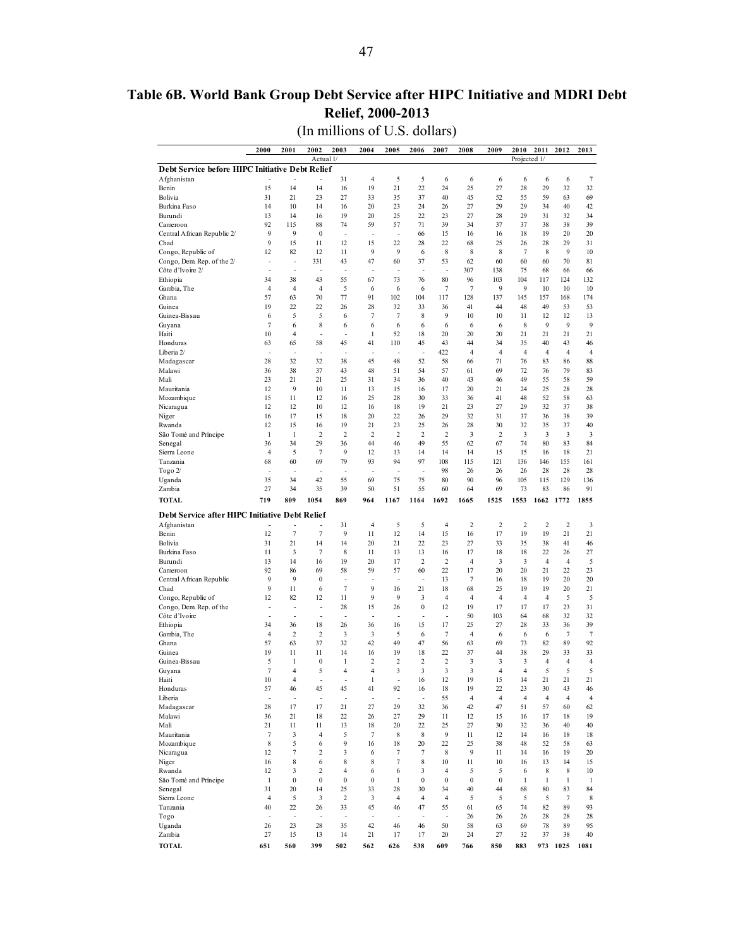## <span id="page-46-0"></span>**Table 6B. World Bank Group Debt Service after HIPC Initiative and MDRI Debt Relief, 2000-2013**

(In millions of U.S. dollars)

|                                                 | 2000                 | 2001                         | 2002                                        | 2003                   | 2004                     | 2005                 | 2006                     | 2007                       | 2008                  | 2009                  | 2010                 | 2011                 | 2012                 | 2013                 |
|-------------------------------------------------|----------------------|------------------------------|---------------------------------------------|------------------------|--------------------------|----------------------|--------------------------|----------------------------|-----------------------|-----------------------|----------------------|----------------------|----------------------|----------------------|
|                                                 |                      |                              | Actual 1/                                   |                        |                          |                      |                          |                            |                       |                       | Projected 1/         |                      |                      |                      |
| Debt Service before HIPC Initiative Debt Relief |                      |                              |                                             |                        |                          |                      |                          |                            |                       |                       |                      |                      |                      |                      |
| Afghanistan<br>Benin                            | 15                   | 14                           | 14                                          | 31<br>16               | 4<br>19                  | 5<br>21              | 5<br>22                  | 6<br>24                    | 6<br>25               | 6<br>27               | 6<br>28              | 6<br>29              | 6<br>32              | $\tau$<br>32         |
| Bolivia                                         | 31                   | 21                           | 23                                          | 27                     | 33                       | 35                   | 37                       | 40                         | 45                    | 52                    | 55                   | 59                   | 63                   | 69                   |
| Burkina Faso                                    | 14                   | 10                           | 14                                          | 16                     | 20                       | 23                   | 24                       | 26                         | 27                    | 29                    | 29                   | 34                   | 40                   | 42                   |
| Burundi                                         | 13                   | 14                           | 16                                          | 19                     | 20                       | 25                   | 22                       | 23                         | 27                    | 28                    | 29                   | 31                   | 32                   | 34                   |
| Cameroon                                        | 92                   | 115                          | 88                                          | 74                     | 59                       | 57                   | 71                       | 39                         | 34                    | 37                    | 37                   | 38                   | 38                   | 39                   |
| Central African Republic 2/<br>Chad             | 9<br>9               | 9<br>15                      | $\boldsymbol{0}$<br>11                      | ÷,<br>12               | ÷,<br>15                 | ÷,<br>22             | 66<br>28                 | 15<br>22                   | 16<br>68              | 16<br>25              | 18<br>26             | 19<br>28             | 20<br>29             | 20<br>31             |
| Congo, Republic of                              | 12                   | 82                           | 12                                          | 11                     | 9                        | 9                    | 6                        | 8                          | 8                     | 8                     | $\overline{7}$       | 8                    | 9                    | 10                   |
| Congo, Dem. Rep. of the 2/                      | $\overline{a}$       | ÷,                           | 331                                         | 43                     | 47                       | 60                   | 37                       | 53                         | 62                    | 60                    | 60                   | 60                   | 70                   | 81                   |
| Côte d'Ivoire 2/                                |                      | ÷                            | J.                                          | ÷,                     | ÷,                       | ÷,                   | ÷,                       | ÷,                         | 307                   | 138                   | 75                   | 68                   | 66                   | 66                   |
| Ethiopia                                        | 34                   | 38                           | 43                                          | 55                     | 67                       | 73                   | 76                       | 80                         | 96                    | 103                   | 104                  | 117                  | 124                  | 132                  |
| Gambia, The<br>Ghana                            | $\overline{4}$<br>57 | $\overline{4}$<br>63         | $\overline{4}$<br>70                        | 5<br>77                | 6<br>91                  | 6<br>102             | 6<br>104                 | $\tau$<br>117              | $\overline{7}$<br>128 | 9<br>137              | 9<br>145             | 10<br>157            | 10<br>168            | 10<br>174            |
| Guinea                                          | 19                   | 22                           | 22                                          | 26                     | 28                       | 32                   | 33                       | 36                         | 41                    | 44                    | 48                   | 49                   | 53                   | 53                   |
| Guinea-Bissau                                   | 6                    | 5                            | 5                                           | 6                      | $\overline{7}$           | $\tau$               | 8                        | 9                          | 10                    | 10                    | 11                   | 12                   | 12                   | 13                   |
| Guyana                                          | $\overline{7}$       | 6                            | 8                                           | 6                      | 6                        | 6                    | 6                        | 6                          | 6                     | 6                     | 8                    | 9                    | 9                    | 9                    |
| Haiti                                           | 10                   | $\overline{4}$               | J.                                          | ÷,                     | 1                        | 52                   | 18                       | 20                         | 20                    | 20                    | 21                   | 21                   | 21                   | 21                   |
| Honduras<br>Liberia 2/                          | 63                   | 65<br>J.                     | 58                                          | 45                     | 41                       | 110<br>L             | 45<br>$\overline{a}$     | 43<br>422                  | 44<br>$\overline{4}$  | 34<br>$\overline{4}$  | 35<br>$\overline{4}$ | 40<br>$\overline{4}$ | 43<br>$\overline{4}$ | 46<br>$\overline{4}$ |
| Madagascar                                      | 28                   | 32                           | 32                                          | 38                     | 45                       | 48                   | 52                       | 58                         | 66                    | 71                    | 76                   | 83                   | 86                   | 88                   |
| Malawi                                          | 36                   | 38                           | 37                                          | 43                     | 48                       | 51                   | 54                       | 57                         | 61                    | 69                    | 72                   | 76                   | 79                   | 83                   |
| Mali                                            | 23                   | 21                           | 21                                          | 25                     | 31                       | 34                   | 36                       | 40                         | 43                    | 46                    | 49                   | 55                   | 58                   | 59                   |
| Mauritania                                      | 12                   | 9                            | 10                                          | 11                     | 13                       | 15                   | 16                       | 17                         | 20                    | 21                    | 24                   | 25                   | 28                   | 28                   |
| Mozambique                                      | 15                   | 11                           | 12<br>10                                    | 16                     | 25                       | 28<br>18             | 30<br>19                 | 33<br>21                   | 36                    | 41<br>27              | 48<br>29             | 52<br>32             | 58<br>37             | 63<br>38             |
| Nicaragua<br>Niger                              | 12<br>16             | 12<br>17                     | 15                                          | 12<br>18               | 16<br>20                 | 22                   | 26                       | 29                         | 23<br>32              | 31                    | 37                   | 36                   | 38                   | 39                   |
| Rwanda                                          | 12                   | 15                           | 16                                          | 19                     | 21                       | 23                   | 25                       | 26                         | 28                    | 30                    | 32                   | 35                   | 37                   | 40                   |
| São Tomé and Príncipe                           | 1                    | 1                            | $\overline{c}$                              | $\overline{2}$         | $\overline{2}$           | $\overline{c}$       | $\overline{2}$           | $\overline{c}$             | 3                     | 2                     | 3                    | 3                    | 3                    | 3                    |
| Senegal                                         | 36                   | 34                           | 29                                          | 36                     | 44                       | 46                   | 49                       | 55                         | 62                    | 67                    | 74                   | 80                   | 83                   | 84                   |
| Sierra Leone                                    | $\overline{4}$       | 5                            | $\overline{7}$<br>69                        | 9<br>79                | 12<br>93                 | 13<br>94             | 14<br>97                 | 14                         | 14                    | 15                    | 15                   | 16                   | 18                   | 21                   |
| Tanzania<br>Togo 2/                             | 68<br>l,             | 60<br>J.                     | J.                                          | J.                     | l,                       | Ĭ.                   | ÷,                       | 108<br>98                  | 115<br>26             | 121<br>26             | 136<br>26            | 146<br>28            | 155<br>28            | 161<br>28            |
| Uganda                                          | 35                   | 34                           | 42                                          | 55                     | 69                       | 75                   | 75                       | 80                         | 90                    | 96                    | 105                  | 115                  | 129                  | 136                  |
| Zambia                                          | 27                   | 34                           | 35                                          | 39                     | 50                       | 51                   | 55                       | 60                         | 64                    | 69                    | 73                   | 83                   | 86                   | 91                   |
| <b>TOTAL</b>                                    | 719                  | 809                          | 1054                                        | 869                    | 964                      | 1167                 | 1164                     | 1692                       | 1665                  | 1525                  | 1553                 | 1662                 | 1772                 | 1855                 |
| Debt Service after HIPC Initiative Debt Relief  |                      |                              |                                             |                        |                          |                      |                          |                            |                       |                       |                      |                      |                      |                      |
| Afghanistan                                     |                      |                              |                                             | 31                     | $\overline{4}$           | 5                    | 5                        | 4                          | $\overline{2}$        | 2                     | $\overline{2}$       | $\overline{2}$       | $\overline{2}$       | 3                    |
| Benin                                           | 12                   | $\sqrt{ }$                   | $\tau$                                      | 9                      | 11                       | 12                   | 14                       | 15                         | 16                    | 17                    | 19                   | 19                   | 21                   | 21                   |
| Bolivia<br>Burkina Faso                         | 31<br>11             | 21<br>3                      | 14<br>$\tau$                                | 14<br>8                | 20<br>11                 | 21<br>13             | 22<br>13                 | 23<br>16                   | 27<br>17              | 33<br>18              | 35<br>18             | 38<br>22             | 41<br>26             | 46<br>27             |
| Burundi                                         | 13                   | 14                           | 16                                          | 19                     | 20                       | 17                   | 2                        | $\overline{c}$             | 4                     | 3                     | 3                    | $\overline{4}$       | $\overline{4}$       | 5                    |
| Cameroon                                        | 92                   | 86                           | 69                                          | 58                     | 59                       | 57                   | 60                       | 22                         | 17                    | 20                    | 20                   | 21                   | 22                   | 23                   |
| Central African Republic                        | 9                    | 9                            | $\mathbf{0}$                                | $\overline{a}$         |                          | ÷,                   | $\overline{a}$           | 13                         | $\overline{7}$        | 16                    | 18                   | 19                   | 20                   | 20                   |
| Chad                                            | 9                    | 11                           | 6                                           | $\overline{7}$         | 9                        | 16                   | 21                       | 18                         | 68                    | 25                    | 19                   | 19                   | 20                   | 21                   |
| Congo, Republic of                              | 12<br>÷              | 82<br>Ĭ.                     | 12<br>L,                                    | 11<br>28               | 9<br>15                  | 9<br>26              | 3<br>$\bf{0}$            | 4<br>12                    | 4<br>19               | 4<br>17               | 4<br>17              | $\overline{4}$<br>17 | 5<br>23              | 5<br>31              |
| Congo, Dem. Rep. of the<br>Côte d'Ivoire        | ä,                   | ÷,                           | J.                                          | L,                     | Ĭ.                       | $\overline{a}$       | ÷,                       | $\overline{a}$             | 50                    | 103                   | 64                   | 68                   | 32                   | 32                   |
| Ethiopia                                        | 34                   | 36                           | 18                                          | 26                     | 36                       | 16                   | 15                       | 17                         | 25                    | 27                    | 28                   | 33                   | 36                   | 39                   |
| Gambia, The                                     | $\overline{4}$       | $\overline{2}$               | $\overline{\mathbf{c}}$                     | 3                      | 3                        | 5                    | 6                        | $\tau$                     | $\overline{4}$        | 6                     | 6                    | 6                    | $\overline{7}$       | $\boldsymbol{7}$     |
| Ghana                                           | 57                   | 63                           | 37                                          | 32                     | 42                       | 49                   | 47                       | 56                         | 63                    | 69                    | 73                   | 82                   | 89                   | 92                   |
| Guinea<br>Guinea-Bissau                         | 19<br>5              | 11<br>1                      | 11<br>$\boldsymbol{0}$                      | 14<br>1                | 16<br>$\overline{c}$     | 19<br>$\overline{c}$ | 18<br>2                  | 22<br>2                    | 37<br>3               | 44<br>3               | 38<br>3              | 29<br>$\overline{4}$ | 33<br>$\overline{4}$ | 33<br>$\overline{4}$ |
| Guyana                                          | $\overline{7}$       | $\overline{4}$               | 5                                           | 4                      | 4                        | 3                    | 3                        | 3                          | 3                     | $\overline{4}$        | $\overline{4}$       | 5                    | 5                    | 5                    |
| Haiti                                           | 10                   | 4                            | ÷,                                          | $\overline{a}$         | 1                        | ÷,                   | 16                       | 12                         | 19                    | 15                    | 14                   | 21                   | 21                   | 21                   |
| Honduras                                        | 57                   | 46                           | 45                                          | 45                     | 41                       | 92                   | 16                       | 18                         | 19                    | 22                    | 23                   | 30                   | 43                   | 46                   |
| Liberia                                         | $\overline{a}$       | Ĭ.                           | ÷,                                          | ÷,                     | ł,                       | ÷                    | ÷,                       | 55                         | $\overline{4}$        | $\overline{4}$        | $\overline{4}$       | $\overline{4}$       | $\overline{4}$       | $\overline{4}$       |
| Madagascar<br>Malawi                            | 28<br>36             | 17<br>21                     | 17<br>18                                    | 21<br>22               | 27<br>26                 | 29<br>27             | 32<br>29                 | 36<br>11                   | 42<br>12              | 47<br>15              | 51<br>16             | 57<br>17             | 60<br>18             | 62<br>19             |
| Mali                                            | 21                   | 11                           | 11                                          | 13                     | 18                       | 20                   | 22                       | 25                         | 27                    | 30                    | 32                   | 36                   | 40                   | 40                   |
| Mauritania                                      | $\boldsymbol{7}$     | 3                            | $\overline{4}$                              | 5                      | $\tau$                   | 8                    | 8                        | 9                          | 11                    | 12                    | 14                   | 16                   | 18                   | 18                   |
| Mozambique                                      |                      |                              |                                             |                        |                          |                      |                          |                            |                       |                       |                      |                      |                      | 63                   |
|                                                 | 8                    | 5                            | 6                                           | 9                      | 16                       | 18                   | 20                       | 22                         | 25                    | 38                    | 48                   | 52                   | 58                   |                      |
| Nicaragua                                       | 12                   | $\tau$                       | 2                                           | 3                      | 6                        | $\tau$               | 7                        | 8                          | 9                     | 11                    | 14                   | 16                   | 19                   | 20                   |
| Niger                                           | 16                   | 8                            | 6                                           | 8                      | 8                        | 7                    | 8                        | 10                         | 11                    | 10                    | 16                   | 13                   | 14                   | 15                   |
| Rwanda                                          | 12                   | 3<br>$\boldsymbol{0}$        | $\overline{\mathbf{c}}$<br>$\boldsymbol{0}$ | 4                      | 6<br>$\bf{0}$            | 6                    | 3<br>$\bf{0}$            | $\overline{4}$<br>$\bf{0}$ | 5<br>$\boldsymbol{0}$ | 5<br>$\boldsymbol{0}$ | 6                    | 8                    | 8                    | 10                   |
| São Tomé and Príncipe<br>Senegal                | $\mathbf{1}$<br>31   | 20                           | 14                                          | $\boldsymbol{0}$<br>25 | 33                       | $\mathbf{1}$<br>28   | 30                       | 34                         | 40                    | 44                    | $\mathbf{1}$<br>68   | $\mathbf{1}$<br>80   | $\mathbf{1}$<br>83   | $\mathbf{1}$<br>84   |
| Sierra Leone                                    | $\overline{4}$       | 5                            | 3                                           | $\overline{c}$         | 3                        | $\overline{4}$       | 4                        | $\overline{4}$             | 5                     | 5                     | 5                    | 5                    | $\tau$               | 8                    |
| Tanzania                                        | 40                   | 22                           | 26                                          | 33                     | 45                       | 46                   | 47                       | 55                         | 61                    | 65                    | 74                   | 82                   | 89                   | 93                   |
| Togo                                            | $\overline{a}$       | $\qquad \qquad \blacksquare$ | $\overline{\phantom{a}}$                    | $\overline{a}$         | $\overline{\phantom{a}}$ | ÷,                   | $\overline{\phantom{a}}$ | $\overline{\phantom{a}}$   | 26                    | 26                    | 26                   | 28                   | 28                   | 28                   |
| Uganda<br>Zambia                                | 26<br>27             | 23<br>15                     | 28<br>13                                    | 35<br>14               | 42<br>21                 | 46<br>17             | 46<br>17                 | 50<br>20                   | 58<br>24              | 63<br>27              | 69<br>32             | 78<br>37             | 89<br>38             | 95<br>40             |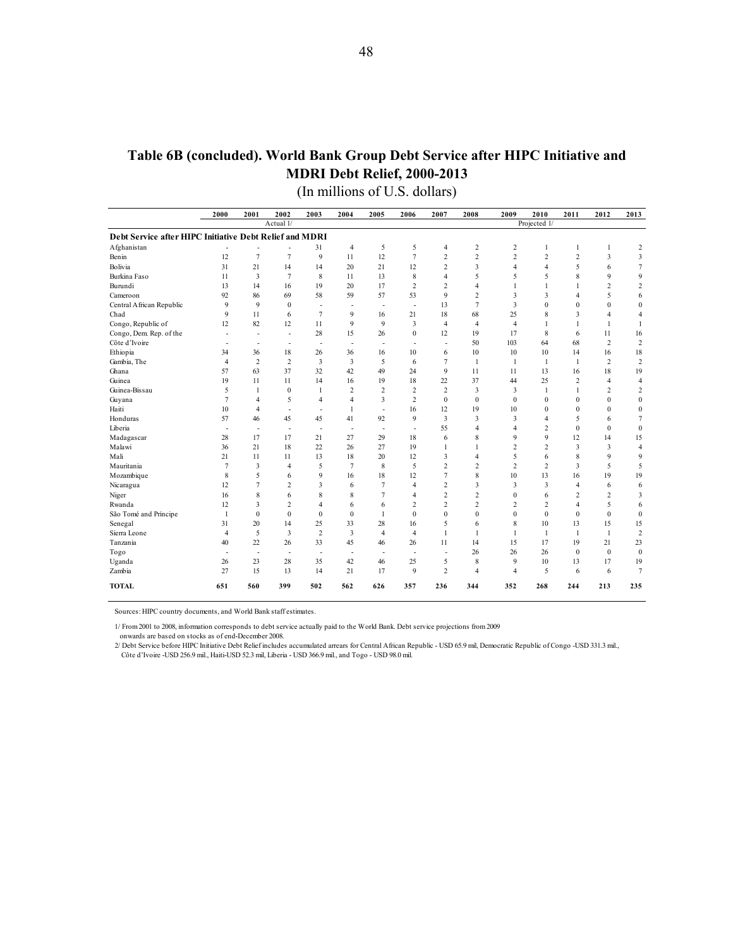# **Table 6B (concluded). World Bank Group Debt Service after HIPC Initiative and MDRI Debt Relief, 2000-2013**

(In millions of U.S. dollars)

|                                                         | 2000                     | 2001                     | 2002                     | 2003                     | 2004                     | 2005                     | 2006                     | 2007                     | 2008                    | 2009             | 2010                    | 2011           | 2012           | 2013                    |
|---------------------------------------------------------|--------------------------|--------------------------|--------------------------|--------------------------|--------------------------|--------------------------|--------------------------|--------------------------|-------------------------|------------------|-------------------------|----------------|----------------|-------------------------|
|                                                         |                          |                          | Actual 1/                |                          |                          |                          |                          |                          |                         |                  | Projected 1/            |                |                |                         |
| Debt Service after HIPC Initiative Debt Relief and MDRI |                          |                          |                          |                          |                          |                          |                          |                          |                         |                  |                         |                |                |                         |
| Afghanistan                                             |                          |                          | $\overline{a}$           | 31                       | $\overline{4}$           | 5                        | 5                        | 4                        | $\overline{\mathbf{c}}$ | 2                | 1                       | 1              | 1              | $\overline{2}$          |
| Benin                                                   | 12                       | $\overline{7}$           | $\overline{7}$           | 9                        | 11                       | 12                       | $\overline{7}$           | $\overline{c}$           | $\overline{2}$          | $\overline{c}$   | $\overline{c}$          | $\overline{c}$ | 3              | 3                       |
| Bolivia                                                 | 31                       | 21                       | 14                       | 14                       | 20                       | 21                       | 12                       | 2                        | 3                       | $\overline{4}$   | $\overline{4}$          | 5              | 6              | $\tau$                  |
| Burkina Faso                                            | 11                       | 3                        | $\overline{7}$           | 8                        | 11                       | 13                       | 8                        | 4                        | 5                       | 5                | 5                       | $\mathbf{8}$   | $\mathbf{Q}$   | $\mathbf{Q}$            |
| Burundi                                                 | 13                       | 14                       | 16                       | 19                       | 20                       | 17                       | $\overline{c}$           | 2                        | $\overline{4}$          | 1                | 1                       | 1              | $\overline{c}$ | $\overline{2}$          |
| Cameroon                                                | 92                       | 86                       | 69                       | 58                       | 59                       | 57                       | 53                       | 9                        | $\overline{c}$          | 3                | 3                       | $\overline{4}$ | 5              | 6                       |
| Central African Republic                                | 9                        | 9                        | $\mathbf{0}$             | $\overline{\phantom{a}}$ | $\overline{\phantom{a}}$ | $\overline{\phantom{a}}$ | $\overline{\phantom{a}}$ | 13                       | $\overline{7}$          | 3                | $\mathbf{0}$            | $\mathbf{0}$   | $\mathbf{0}$   | $\mathbf{0}$            |
| Chad                                                    | 9                        | 11                       | 6                        | 7                        | 9                        | 16                       | 21                       | 18                       | 68                      | 25               | 8                       | 3              | $\overline{4}$ | $\overline{4}$          |
| Congo, Republic of                                      | 12                       | 82                       | 12                       | 11                       | 9                        | 9                        | 3                        | 4                        | $\overline{4}$          | $\overline{4}$   | $\mathbf{1}$            | 1              | 1              | $\mathbf{1}$            |
| Congo, Dem. Rep. of the                                 | $\overline{a}$           | $\overline{\phantom{a}}$ | $\overline{\phantom{a}}$ | 28                       | 15                       | 26                       | $\boldsymbol{0}$         | 12                       | 19                      | 17               | 8                       | 6              | 11             | 16                      |
| Côte d'Ivoire                                           | Ĭ.                       | $\overline{\phantom{a}}$ | $\overline{\phantom{a}}$ | $\overline{\phantom{a}}$ | $\overline{\phantom{a}}$ | $\overline{\phantom{a}}$ | $\overline{\phantom{a}}$ | $\overline{\phantom{a}}$ | 50                      | 103              | 64                      | 68             | $\overline{2}$ | $\overline{2}$          |
| Ethiopia                                                | 34                       | 36                       | 18                       | 26                       | 36                       | 16                       | 10                       | 6                        | 10                      | 10               | 10                      | 14             | 16             | 18                      |
| Gambia, The                                             | $\overline{4}$           | $\overline{2}$           | $\overline{c}$           | 3                        | 3                        | 5                        | 6                        | 7                        | 1                       | 1                | 1                       | $\mathbf{1}$   | 2              | $\sqrt{2}$              |
| Ghana                                                   | 57                       | 63                       | 37                       | 32                       | 42                       | 49                       | 24                       | 9                        | 11                      | 11               | 13                      | 16             | 18             | 19                      |
| Guinea                                                  | 19                       | 11                       | 11                       | 14                       | 16                       | 19                       | 18                       | 22                       | 37                      | 44               | 25                      | $\overline{c}$ | $\overline{4}$ | $\overline{4}$          |
| Guinea-Bissau                                           | 5                        | $\mathbf{1}$             | $\mathbf{0}$             | 1                        | $\overline{2}$           | $\overline{2}$           | $\overline{2}$           | $\overline{c}$           | 3                       | 3                | $\mathbf{1}$            | $\mathbf{1}$   | $\overline{c}$ | $\sqrt{2}$              |
| Guyana                                                  | $\overline{7}$           | $\overline{4}$           | 5                        | $\overline{4}$           | 4                        | 3                        | $\overline{c}$           | $\mathbf{0}$             | $\mathbf{0}$            | $\boldsymbol{0}$ | $\mathbf{0}$            | $\mathbf{0}$   | $\mathbf{0}$   | $\boldsymbol{0}$        |
| Haiti                                                   | 10                       | $\overline{4}$           | $\overline{\phantom{a}}$ | $\overline{\phantom{a}}$ | $\mathbf{1}$             | $\overline{\phantom{a}}$ | 16                       | 12                       | 19                      | 10               | $\Omega$                | $\Omega$       | $\Omega$       | $\bf{0}$                |
| Honduras                                                | 57                       | 46                       | 45                       | 45                       | 41                       | 92                       | 9                        | 3                        | 3                       | 3                | $\overline{4}$          | 5              | 6              | $\tau$                  |
| Liberia                                                 | $\overline{\phantom{a}}$ | $\overline{\phantom{a}}$ | $\overline{\phantom{a}}$ | $\sim$                   | $\overline{\phantom{a}}$ | $\overline{\phantom{a}}$ | $\overline{\phantom{a}}$ | 55                       | $\overline{4}$          | 4                | $\overline{c}$          | $\mathbf{0}$   | $\mathbf{0}$   | $\mathbf{0}$            |
| Madagascar                                              | 28                       | 17                       | 17                       | 21                       | 27                       | 29                       | 18                       | 6                        | 8                       | 9                | 9                       | 12             | 14             | 15                      |
| Malawi                                                  | 36                       | 21                       | 18                       | 22                       | 26                       | 27                       | 19                       | 1                        | 1                       | 2                | $\overline{c}$          | 3              | 3              | $\overline{4}$          |
| Mali                                                    | 21                       | 11                       | 11                       | 13                       | 18                       | 20                       | 12                       | 3                        | $\overline{4}$          | 5                | 6                       | 8              | $\mathbf{Q}$   | 9                       |
| Mauritania                                              | $\overline{7}$           | 3                        | $\overline{4}$           | 5                        | $\overline{7}$           | 8                        | 5                        | 2                        | $\overline{c}$          | $\overline{2}$   | 2                       | 3              | 5              | 5                       |
| Mozambique                                              | 8                        | 5                        | 6                        | 9                        | 16                       | 18                       | 12                       | 7                        | 8                       | 10               | 13                      | 16             | 19             | 19                      |
| Nicaragua                                               | 12                       | $\overline{7}$           | $\overline{2}$           | $\overline{3}$           | 6                        | $\overline{7}$           | $\overline{4}$           | $\overline{c}$           | 3                       | 3                | $\overline{\mathbf{3}}$ | $\overline{4}$ | 6              | 6                       |
| Niger                                                   | 16                       | 8                        | 6                        | 8                        | 8                        | 7                        | $\overline{4}$           | $\overline{c}$           | $\overline{c}$          | $\mathbf{0}$     | 6                       | $\overline{2}$ | $\overline{c}$ | $\overline{\mathbf{3}}$ |
| Rwanda                                                  | 12                       | 3                        | $\overline{c}$           | $\overline{4}$           | 6                        | 6                        | $\overline{2}$           | $\overline{c}$           | $\overline{c}$          | 2                | 2                       | $\overline{4}$ | 5              | 6                       |
| São Tomé and Príncipe                                   | 1                        | $\mathbf{0}$             | $\theta$                 | $\mathbf{0}$             | $\theta$                 | 1                        | $\mathbf{0}$             | $\theta$                 | $\theta$                | $\mathbf{0}$     | $\Omega$                | $\mathbf{0}$   | $\Omega$       | $\boldsymbol{0}$        |
| Senegal                                                 | 31                       | 20                       | 14                       | 25                       | 33                       | 28                       | 16                       | 5                        | 6                       | 8                | 10                      | 13             | 15             | 15                      |
| Sierra Leone                                            | $\overline{4}$           | 5                        | 3                        | $\overline{c}$           | 3                        | $\overline{4}$           | $\overline{4}$           | $\mathbf{1}$             | 1                       | 1                | 1                       | 1              | 1              | $\sqrt{2}$              |
| Tanzania                                                | 40                       | 22                       | 26                       | 33                       | 45                       | 46                       | 26                       | 11                       | 14                      | 15               | 17                      | 19             | 21             | 23                      |
| Togo                                                    | $\overline{a}$           | $\overline{a}$           | $\overline{\phantom{a}}$ | $\overline{\phantom{a}}$ | $\overline{\phantom{a}}$ | $\overline{\phantom{a}}$ | $\overline{a}$           |                          | 26                      | 26               | 26                      | $\mathbf{0}$   | $\theta$       | $\bf{0}$                |
| Uganda                                                  | 26                       | 23                       | 28                       | 35                       | 42                       | 46                       | 25                       | 5                        | 8                       | 9                | 10                      | 13             | 17             | 19                      |
| Zambia                                                  | 27                       | 15                       | 13                       | 14                       | 21                       | 17                       | 9                        | $\overline{c}$           | $\overline{4}$          | $\overline{4}$   | 5                       | 6              | 6              | $7\overline{ }$         |
| <b>TOTAL</b>                                            | 651                      | 560                      | 399                      | 502                      | 562                      | 626                      | 357                      | 236                      | 344                     | 352              | 268                     | 244            | 213            | 235                     |

Sources: HIPC country documents, and World Bank staff estimates.

1/ From 2001 to 2008, information corresponds to debt service actually paid to the World Bank. Debt service projections from 2009

onwards are based on stocks as of end-December 2008. 2/ Debt Service before HIPC Initiative Debt Relief includes accumulated arrears for Central African Republic - USD 65.9 mil, Democratic Republic of Congo -USD 331.3 mil.,

Côte d'Ivoire -USD 256.9 mil., Haiti-USD 52.3 mil, Liberia - USD 366.9 mil., and Togo - USD 98.0 mil.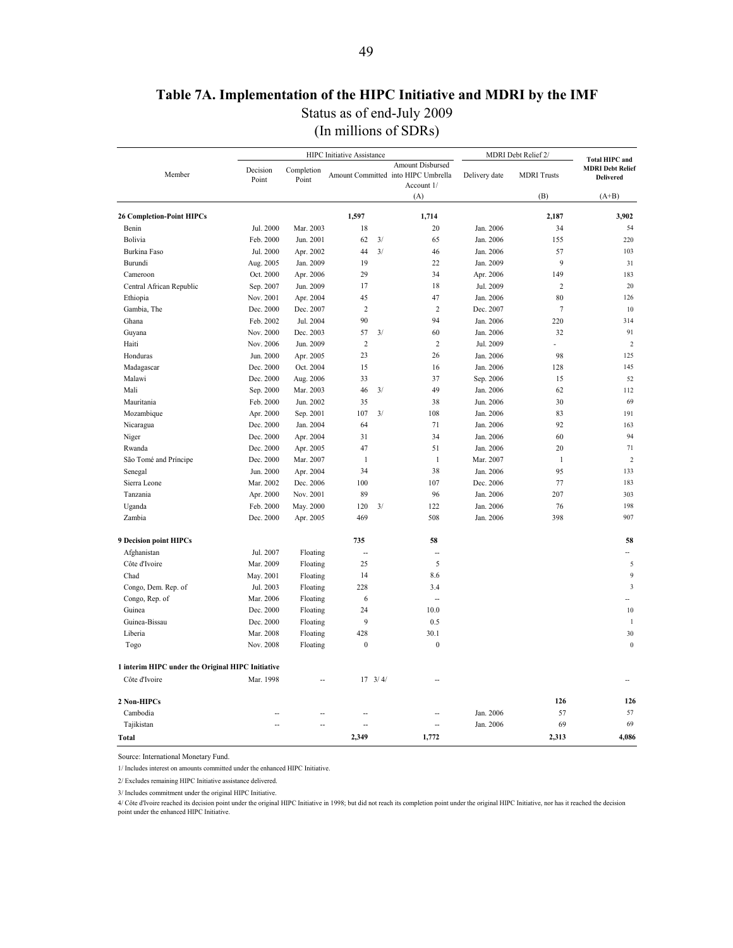## **Table 7A. Implementation of the HIPC Initiative and MDRI by the IMF**

Status as of end-July 2009

(In millions of SDRs)

<span id="page-48-0"></span>

|                                                   |                   |                     | HIPC Initiative Assistance |                  |                                                                       |               | MDRI Debt Relief 2/ |                                                                      |
|---------------------------------------------------|-------------------|---------------------|----------------------------|------------------|-----------------------------------------------------------------------|---------------|---------------------|----------------------------------------------------------------------|
| Member                                            | Decision<br>Point | Completion<br>Point |                            |                  | Amount Disbursed<br>Amount Committed into HIPC Umbrella<br>Account 1/ | Delivery date | <b>MDRI</b> Trusts  | <b>Total HIPC and</b><br><b>MDRI Debt Relief</b><br><b>Delivered</b> |
|                                                   |                   |                     |                            |                  | (A)                                                                   |               | (B)                 | $(A+B)$                                                              |
| <b>26 Completion-Point HIPCs</b>                  |                   |                     | 1,597                      |                  | 1,714                                                                 |               | 2,187               | 3,902                                                                |
| Benin                                             | Jul. 2000         | Mar. 2003           | 18                         |                  | 20                                                                    | Jan. 2006     | 34                  | 54                                                                   |
| Bolivia                                           | Feb. 2000         | Jun. 2001           | 62                         | 3/               | 65                                                                    | Jan. 2006     | 155                 | 220                                                                  |
| Burkina Faso                                      | Jul. 2000         | Apr. 2002           | 44                         | 3/               | 46                                                                    | Jan. 2006     | 57                  | 103                                                                  |
| Burundi                                           | Aug. 2005         | Jan. 2009           | 19                         |                  | 22                                                                    | Jan. 2009     | 9                   | 31                                                                   |
| Cameroon                                          | Oct. 2000         | Apr. 2006           | 29                         |                  | 34                                                                    | Apr. 2006     | 149                 | 183                                                                  |
| Central African Republic                          | Sep. 2007         | Jun. 2009           | 17                         |                  | 18                                                                    | Jul. 2009     | $\overline{c}$      | 20                                                                   |
| Ethiopia                                          | Nov. 2001         | Apr. 2004           | 45                         |                  | 47                                                                    | Jan. 2006     | 80                  | 126                                                                  |
| Gambia, The                                       | Dec. 2000         | Dec. 2007           | $\mathfrak 2$              |                  | $\overline{c}$                                                        | Dec. 2007     | $\overline{7}$      | 10                                                                   |
| Ghana                                             | Feb. 2002         | Jul. 2004           | 90                         |                  | 94                                                                    | Jan. 2006     | 220                 | 314                                                                  |
| Guyana                                            | Nov. 2000         | Dec. 2003           | 57                         | 3/               | 60                                                                    | Jan. 2006     | 32                  | 91                                                                   |
| Haiti                                             | Nov. 2006         | Jun. 2009           | $\overline{2}$             |                  | $\overline{2}$                                                        | Jul. 2009     | ÷                   | $\overline{2}$                                                       |
| Honduras                                          | Jun. 2000         | Apr. 2005           | 23                         |                  | 26                                                                    | Jan. 2006     | 98                  | 125                                                                  |
| Madagascar                                        | Dec. 2000         | Oct. 2004           | 15                         |                  | 16                                                                    | Jan. 2006     | 128                 | 145                                                                  |
| Malawi                                            | Dec. 2000         | Aug. 2006           | 33                         |                  | 37                                                                    | Sep. 2006     | 15                  | 52                                                                   |
| Mali                                              | Sep. 2000         | Mar. 2003           | 46                         | 3/               | 49                                                                    | Jan. 2006     | 62                  | 112                                                                  |
| Mauritania                                        | Feb. 2000         | Jun. 2002           | 35                         |                  | 38                                                                    | Jun. 2006     | 30                  | 69                                                                   |
| Mozambique                                        | Apr. 2000         | Sep. 2001           | 107                        | 3/               | 108                                                                   | Jan. 2006     | 83                  | 191                                                                  |
| Nicaragua                                         | Dec. 2000         | Jan. 2004           | 64                         |                  | 71                                                                    | Jan. 2006     | 92                  | 163                                                                  |
| Niger                                             | Dec. 2000         | Apr. 2004           | 31                         |                  | 34                                                                    | Jan. 2006     | 60                  | 94                                                                   |
| Rwanda                                            | Dec. 2000         | Apr. 2005           | 47                         |                  | 51                                                                    | Jan. 2006     | 20                  | 71                                                                   |
| São Tomé and Príncipe                             | Dec. 2000         | Mar. 2007           | $\mathbf{1}$               |                  | $\mathbf{1}$                                                          | Mar. 2007     | $\mathbf{1}$        | $\overline{2}$                                                       |
| Senegal                                           | Jun. 2000         | Apr. 2004           | 34                         |                  | 38                                                                    | Jan. 2006     | 95                  | 133                                                                  |
| Sierra Leone                                      | Mar. 2002         | Dec. 2006           | 100                        |                  | 107                                                                   | Dec. 2006     | 77                  | 183                                                                  |
| Tanzania                                          | Apr. 2000         | Nov. 2001           | 89                         |                  | 96                                                                    | Jan. 2006     | 207                 | 303                                                                  |
| Uganda                                            | Feb. 2000         | May. 2000           | 120                        | 3/               | 122                                                                   | Jan. 2006     | 76                  | 198                                                                  |
| Zambia                                            | Dec. 2000         | Apr. 2005           | 469                        |                  | 508                                                                   | Jan. 2006     | 398                 | 907                                                                  |
| <b>9 Decision point HIPCs</b>                     |                   |                     | 735                        |                  | 58                                                                    |               |                     | 58                                                                   |
| Afghanistan                                       | Jul. 2007         | Floating            | Ξ.                         |                  | ä.                                                                    |               |                     |                                                                      |
| Côte d'Ivoire                                     | Mar. 2009         | Floating            | 25                         |                  | 5                                                                     |               |                     | 5                                                                    |
| Chad                                              | May. 2001         | Floating            | 14                         |                  | 8.6                                                                   |               |                     | 9                                                                    |
| Congo, Dem. Rep. of                               | Jul. 2003         | Floating            | 228                        |                  | 3.4                                                                   |               |                     | $\overline{\mathbf{3}}$                                              |
| Congo, Rep. of                                    | Mar. 2006         | Floating            | 6                          |                  | Ξ.                                                                    |               |                     |                                                                      |
| Guinea                                            | Dec. 2000         | Floating            | 24                         |                  | 10.0                                                                  |               |                     | 10                                                                   |
| Guinea-Bissau                                     | Dec. 2000         | Floating            | 9                          |                  | 0.5                                                                   |               |                     | $\mathbf{1}$                                                         |
| Liberia                                           | Mar. 2008         | Floating            | 428                        |                  | 30.1                                                                  |               |                     | 30                                                                   |
| Togo                                              | Nov. 2008         | Floating            | $\mathbf{0}$               |                  | $\mathbf{0}$                                                          |               |                     | $\mathbf{0}$                                                         |
| 1 interim HIPC under the Original HIPC Initiative |                   |                     |                            |                  |                                                                       |               |                     |                                                                      |
| Côte d'Ivoire                                     | Mar. 1998         |                     |                            | $17 \frac{3}{4}$ |                                                                       |               |                     |                                                                      |
| 2 Non-HIPCs                                       |                   |                     |                            |                  |                                                                       |               | 126                 | 126                                                                  |
| Cambodia                                          |                   |                     |                            |                  |                                                                       | Jan. 2006     | 57                  | 57                                                                   |
| Tajikistan                                        |                   |                     | Ξ.                         |                  | Ξ.                                                                    | Jan. 2006     | 69                  | 69                                                                   |
| Total                                             |                   |                     | 2,349                      |                  | 1,772                                                                 |               | 2,313               | 4,086                                                                |

Source: International Monetary Fund.

1/ Includes interest on amounts committed under the enhanced HIPC Initiative.

2/ Excludes remaining HIPC Initiative assistance delivered.

3/ Includes commitment under the original HIPC Initiative.

4/ Côte d'Ivoire reached its decision point under the original HIPC Initiative in 1998; but did not reach its completion point under the original HIPC Initiative, nor has it reached the decision point under the enhanced HIPC Initiative.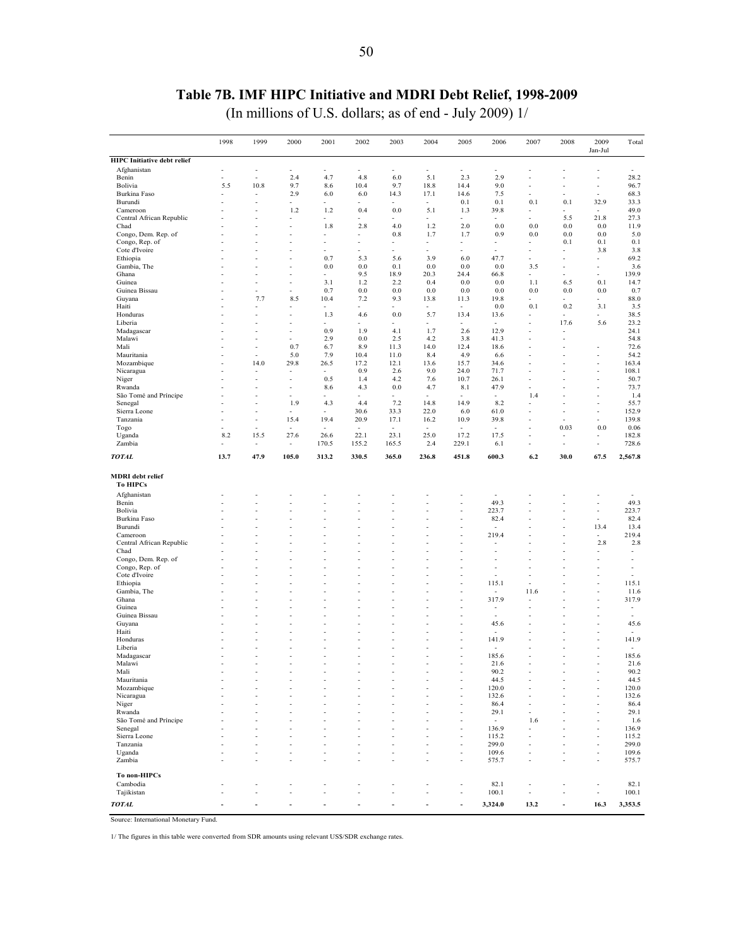## **Table 7B. IMF HIPC Initiative and MDRI Debt Relief, 1998-2009**

(In millions of U.S. dollars; as of end - July 2009) 1/

<span id="page-49-0"></span>

|                                            | 1998     | 1999                         | 2000                     | 2001                     | 2002                     | 2003                     | 2004                     | 2005                           | 2006                             | 2007                             | 2008                     | 2009                                       | Total          |
|--------------------------------------------|----------|------------------------------|--------------------------|--------------------------|--------------------------|--------------------------|--------------------------|--------------------------------|----------------------------------|----------------------------------|--------------------------|--------------------------------------------|----------------|
|                                            |          |                              |                          |                          |                          |                          |                          |                                |                                  |                                  |                          | Jan-Jul                                    |                |
| <b>HIPC</b> Initiative debt relief         |          |                              |                          |                          |                          |                          |                          |                                |                                  |                                  |                          |                                            |                |
| Afghanistan                                |          | ł,                           | ÷,                       |                          | ÷,                       |                          |                          | $\blacksquare$                 |                                  |                                  |                          |                                            |                |
| Benin                                      |          | ÷.                           | 2.4<br>9.7               | 4.7                      | 4.8                      | 6.0<br>9.7               | 5.1                      | 2.3<br>14.4                    | 2.9<br>9.0                       |                                  |                          | ÷,                                         | 28.2<br>96.7   |
| Bolivia<br>Burkina Faso                    | 5.5<br>٠ | 10.8<br>٠                    | 2.9                      | 8.6<br>6.0               | 10.4<br>6.0              | 14.3                     | 18.8<br>17.1             | 14.6                           | 7.5                              |                                  |                          | ÷,<br>$\overline{\phantom{a}}$             | 68.3           |
| Burundi                                    |          |                              | ÷.                       | ÷.                       | ÷,                       |                          | $\sim$                   | 0.1                            | 0.1                              | 0.1                              | 0.1                      | 32.9                                       | 33.3           |
| Cameroon                                   |          |                              | 1.2                      | 1.2                      | 0.4                      | 0.0                      | 5.1                      | 1.3                            | 39.8                             | $\overline{\phantom{a}}$         |                          | $\sim$                                     | 49.0           |
| Central African Republic                   |          |                              |                          | ÷,                       |                          |                          |                          | $\overline{\phantom{a}}$       |                                  | ÷,                               | 5.5                      | 21.8                                       | 27.3           |
| Chad                                       |          |                              | ÷,                       | 1.8                      | 2.8                      | 4.0                      | 1.2                      | 2.0                            | 0.0                              | 0.0                              | 0.0                      | 0.0                                        | 11.9           |
| Congo, Dem. Rep. of                        |          |                              |                          | ÷,                       | ä,                       | 0.8                      | 1.7                      | 1.7                            | 0.9                              | 0.0                              | 0.0                      | 0.0                                        | 5.0            |
| Congo, Rep. of                             |          | ä,                           | ÷,                       | ÷,                       | ä,                       | $\overline{\phantom{a}}$ | $\overline{\phantom{a}}$ | $\overline{\phantom{a}}$       | ٠                                | $\overline{\phantom{a}}$         | 0.1                      | 0.1                                        | 0.1            |
| Cote d'Ivoire<br>Ethiopia                  |          |                              | ł,<br>÷,                 | 0.7                      | 5.3                      | 5.6                      | 3.9                      | 6.0                            | 47.7                             | $\overline{\phantom{a}}$         |                          | 3.8<br>$\overline{a}$                      | 3.8<br>69.2    |
| Gambia, The                                |          |                              | ł,                       | 0.0                      | 0.0                      | 0.1                      | 0.0                      | 0.0                            | 0.0                              | 3.5                              |                          | ł,                                         | 3.6            |
| Ghana                                      |          |                              | ä,                       | ٠                        | 9.5                      | 18.9                     | 20.3                     | 24.4                           | 66.8                             | ٠                                |                          | ä,                                         | 139.9          |
| Guinea                                     |          |                              | ÷                        | 3.1                      | 1.2                      | 2.2                      | 0.4                      | 0.0                            | 0.0                              | 1.1                              | 6.5                      | 0.1                                        | 14.7           |
| Guinea Bissau                              |          |                              | ÷,                       | 0.7                      | 0.0                      | 0.0                      | 0.0                      | 0.0                            | 0.0                              | 0.0                              | 0.0                      | 0.0                                        | 0.7            |
| Guyana                                     |          | 7.7                          | 8.5                      | 10.4                     | 7.2                      | 9.3                      | 13.8                     | 11.3                           | 19.8                             | ٠                                |                          | $\overline{\phantom{a}}$                   | 88.0           |
| Haiti                                      |          | ÷,                           |                          |                          |                          |                          |                          | $\sim$                         | 0.0                              | 0.1                              | 0.2                      | 3.1                                        | 3.5            |
| Honduras                                   |          |                              | ÷,                       | 1.3                      | 4.6                      | 0.0                      | 5.7                      | 13.4                           | 13.6                             |                                  |                          |                                            | 38.5           |
| Liberia                                    |          |                              | ٠<br>÷,                  | 0.9                      | 1.9                      | 4.1                      | 1.7                      | ٠<br>2.6                       | $\overline{\phantom{a}}$<br>12.9 | ٠                                | 17.6<br>÷,               | 5.6                                        | 23.2<br>24.1   |
| Madagascar<br>Malawi                       |          |                              |                          | 2.9                      | 0.0                      | 2.5                      | 4.2                      | 3.8                            | 41.3                             |                                  |                          |                                            | 54.8           |
| Mali                                       |          |                              | 0.7                      | 6.7                      | 8.9                      | 11.3                     | 14.0                     | 12.4                           | 18.6                             |                                  |                          |                                            | 72.6           |
| Mauritania                                 |          |                              | 5.0                      | 7.9                      | 10.4                     | 11.0                     | 8.4                      | 4.9                            | 6.6                              |                                  |                          |                                            | 54.2           |
| Mozambique                                 | ٠        | 14.0                         | 29.8                     | 26.5                     | 17.2                     | 12.1                     | 13.6                     | 15.7                           | 34.6                             |                                  |                          | ÷,                                         | 163.4          |
| Nicaragua                                  |          |                              | ٠                        | $\blacksquare$           | 0.9                      | 2.6                      | 9.0                      | 24.0                           | 71.7                             |                                  |                          | ÷,                                         | 108.1          |
| Niger                                      | ٠        |                              | ÷                        | 0.5                      | 1.4                      | 4.2                      | 7.6                      | 10.7                           | 26.1                             | ÷                                |                          | ä,                                         | 50.7           |
| Rwanda                                     |          |                              | ٠                        | 8.6                      | 4.3                      | 0.0                      | 4.7                      | 8.1                            | 47.9                             |                                  |                          | ٠                                          | 73.7           |
| São Tomé and Príncipe                      |          |                              |                          | ÷                        | ٠                        | $\sim$                   | ٠                        | $\sim$                         | $\overline{\phantom{a}}$         | 1.4                              |                          | ä,                                         | 1.4            |
| Senegal<br>Sierra Leone                    |          |                              | 1.9                      | 4.3                      | 4.4                      | 7.2                      | 14.8                     | 14.9                           | 8.2                              | ÷,                               |                          | ÷,                                         | 55.7           |
| Tanzania                                   |          | $\qquad \qquad \blacksquare$ | $\sim$<br>15.4           | ٠<br>19.4                | 30.6<br>20.9             | 33.3<br>17.1             | 22.0<br>16.2             | 6.0<br>10.9                    | 61.0<br>39.8                     |                                  |                          | ÷,<br>ä,                                   | 152.9<br>139.8 |
| Togo                                       |          |                              | $\sim$                   | $\overline{\phantom{a}}$ | $\bar{a}$                | $\sim$                   | $\sim$                   | $\sim$                         | ٠                                | ÷                                | 0.03                     | $0.0\,$                                    | 0.06           |
| Uganda                                     | 8.2      | 15.5                         | 27.6                     | 26.6                     | 22.1                     | 23.1                     | 25.0                     | 17.2                           | 17.5                             | ٠                                | $\overline{\phantom{a}}$ | ä,                                         | 182.8          |
| Zambia                                     | ٠        |                              | $\overline{\phantom{a}}$ | 170.5                    | 155.2                    | 165.5                    | 2.4                      | 229.1                          | 6.1                              |                                  | $\overline{a}$           | ÷,                                         | 728.6          |
| <b>TOTAL</b>                               | 13.7     | 47.9                         | 105.0                    | 313.2                    | 330.5                    | 365.0                    | 236.8                    | 451.8                          | 600.3                            | 6.2                              | 30.0                     | 67.5                                       | 2,567.8        |
| <b>MDRI</b> debt relief<br><b>To HIPCs</b> |          |                              |                          |                          |                          |                          |                          |                                |                                  |                                  |                          |                                            |                |
| Afghanistan                                |          |                              |                          |                          |                          |                          |                          |                                |                                  |                                  |                          |                                            |                |
| Benin                                      |          |                              |                          |                          |                          |                          |                          | ٠                              | 49.3                             |                                  |                          | $\overline{\phantom{a}}$                   | 49.3           |
| Bolivia<br>Burkina Faso                    |          |                              |                          | ÷,                       |                          | ÷,                       |                          | $\sim$                         | 223.7<br>82.4                    |                                  |                          | ä,<br>$\ddot{\phantom{1}}$                 | 223.7<br>82.4  |
| Burundi                                    |          |                              |                          |                          |                          |                          |                          |                                | $\overline{\phantom{a}}$         |                                  |                          | 13.4                                       | 13.4           |
| Cameroon                                   |          |                              | ä,                       |                          | ÷,                       |                          |                          | ٠                              | 219.4                            |                                  |                          | $\blacksquare$                             | 219.4          |
| Central African Republic                   |          |                              |                          |                          |                          |                          |                          |                                |                                  |                                  |                          | 2.8                                        | 2.8            |
| Chad                                       |          |                              | ÷,                       | ä,                       |                          | ÷,                       |                          | ٠                              |                                  |                                  |                          | ÷,                                         | ٠              |
| Congo, Dem. Rep. of                        |          |                              | ł,                       |                          |                          |                          |                          |                                |                                  |                                  |                          |                                            |                |
| Congo, Rep. of                             |          |                              | ä,                       |                          |                          |                          |                          | ٠                              |                                  |                                  |                          |                                            | ÷,             |
| Cote d'Ivoire                              |          |                              |                          |                          |                          |                          |                          |                                |                                  |                                  |                          |                                            |                |
| Ethiopia<br>Gambia, The                    |          |                              | ä,                       | ÷,                       | ä,                       | ÷,                       |                          | $\sim$                         | 115.1<br>$\sim$                  | $\overline{\phantom{a}}$<br>11.6 |                          | í,<br>ł,                                   | 115.1<br>11.6  |
| Ghana                                      |          |                              | ٠                        | ٠                        | ٠                        |                          |                          | $\overline{\phantom{a}}$       | 317.9                            |                                  |                          | ä,                                         | 317.9          |
| Guinea                                     |          |                              | ÷                        |                          |                          |                          |                          | ٠                              | ٠                                |                                  |                          | ä,                                         | ٠              |
| Guinea Bissau                              |          |                              |                          |                          |                          |                          |                          | ٠                              |                                  |                                  |                          |                                            |                |
| Guyana                                     |          |                              |                          |                          |                          |                          |                          | ÷,                             | 45.6                             |                                  |                          |                                            | 45.6           |
| Haiti                                      |          |                              |                          |                          |                          |                          |                          |                                |                                  |                                  |                          |                                            |                |
| Honduras<br>Liberia                        |          |                              |                          |                          |                          |                          |                          | ÷,                             | 141.9                            |                                  |                          |                                            | 141.9          |
| Madagascar                                 |          |                              |                          |                          |                          |                          |                          | ٠<br>$\sim$                    | 185.6                            | $\overline{\phantom{a}}$         |                          | ÷,                                         | 185.6          |
| Malawi                                     |          |                              |                          |                          |                          |                          |                          |                                | 21.6                             |                                  |                          |                                            | 21.6           |
| Mali                                       |          | ÷,                           |                          | ٠                        | ä,                       |                          | ٠                        |                                | 90.2                             |                                  |                          | ä,                                         | 90.2           |
| Mauritania                                 |          | ÷                            |                          | ÷,                       | ÷,                       | $\blacksquare$           |                          | $\overline{\phantom{a}}$       | 44.5                             |                                  |                          | ÷,                                         | 44.5           |
| Mozambique                                 | ÷,       | ä,                           |                          | ÷,                       | ÷,                       | ÷,                       |                          | ÷,                             | 120.0                            |                                  |                          | ÷,                                         | 120.0          |
| Nicaragua                                  |          |                              |                          | ٠                        |                          | $\overline{\phantom{a}}$ |                          | $\overline{\phantom{a}}$       | 132.6                            |                                  |                          | $\blacksquare$                             | 132.6          |
| Niger                                      |          |                              |                          | ÷,                       |                          |                          |                          | ÷,                             | 86.4                             | $\overline{\phantom{a}}$         |                          | ä,                                         | 86.4           |
| Rwanda                                     |          |                              |                          | ÷,                       |                          |                          |                          | ٠                              | 29.1                             | ÷,                               |                          |                                            | 29.1           |
| São Tomé and Príncipe<br>Senegal           |          |                              |                          |                          |                          |                          |                          |                                | $\sim$                           | 1.6                              |                          |                                            | 1.6            |
| Sierra Leone                               |          |                              |                          |                          |                          |                          |                          | ٠<br>٠                         | 136.9<br>115.2                   | ÷,<br>$\overline{\phantom{a}}$   |                          | ÷,                                         | 136.9<br>115.2 |
| Tanzania                                   |          |                              |                          |                          |                          |                          |                          | $\overline{\phantom{a}}$       | 299.0                            |                                  |                          | $\overline{\phantom{a}}$                   | 299.0          |
| Uganda                                     |          | ÷,                           | ÷,                       | ÷,                       | $\overline{\phantom{a}}$ | ÷,                       | ÷,                       | $\sim$                         | 109.6                            | $\overline{\phantom{a}}$         |                          | $\sim$                                     | 109.6          |
| Zambia                                     |          | ł,                           | ÷,                       |                          | Ĭ.                       |                          |                          | ÷,                             | 575.7                            | ÷,                               |                          | ÷,                                         | 575.7          |
|                                            |          |                              |                          |                          |                          |                          |                          |                                |                                  |                                  |                          |                                            |                |
| To non-HIPCs                               |          |                              |                          |                          |                          |                          |                          |                                |                                  |                                  |                          |                                            |                |
| Cambodia<br>Tajikistan                     |          | ÷                            | ÷,                       | ä,                       | ÷,                       | ÷,                       |                          | $\overline{\phantom{a}}$<br>÷, | 82.1<br>100.1                    | ٠<br>$\blacksquare$              | ä,                       | $\overline{\phantom{a}}$<br>$\blacksquare$ | 82.1<br>100.1  |
|                                            |          |                              |                          |                          |                          |                          |                          |                                |                                  |                                  |                          |                                            |                |
| <b>TOTAL</b>                               |          |                              |                          |                          | ÷,                       |                          |                          | ٠                              | 3,324.0                          | 13.2                             | ÷                        | 16.3                                       | 3,353.5        |

Source: International Monetary Fund.

1/ The figures in this table were converted from SDR amounts using relevant US\$/SDR exchange rates.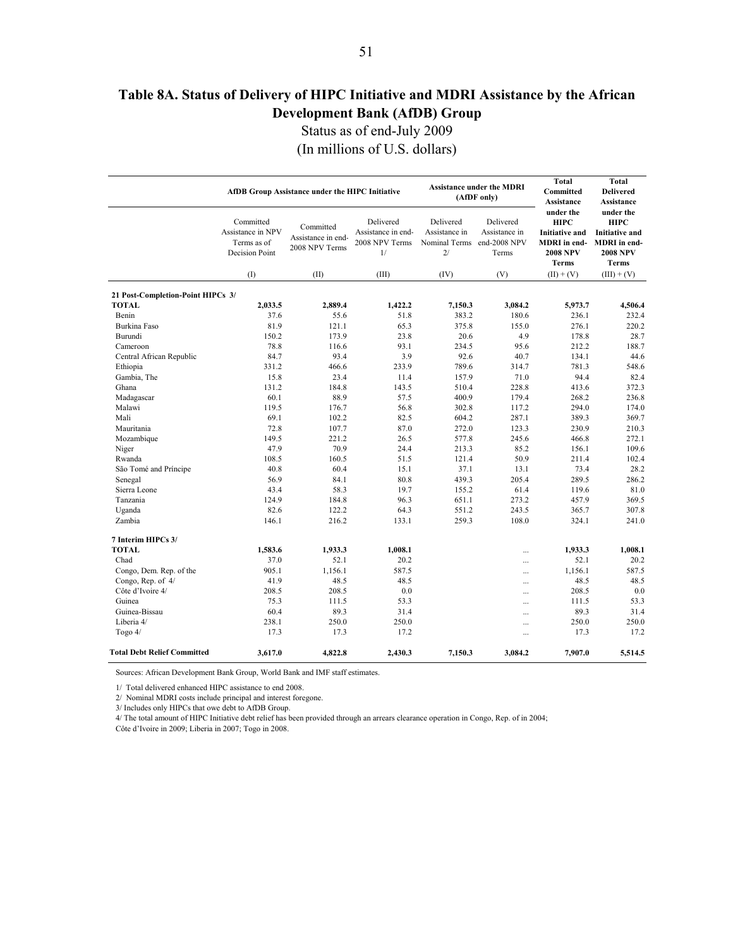## <span id="page-50-0"></span>**Table 8A. Status of Delivery of HIPC Initiative and MDRI Assistance by the African Development Bank (AfDB) Group**

Status as of end-July 2009

(In millions of U.S. dollars)

|                                                   |                                                                        | AfDB Group Assistance under the HIPC Initiative   |                                                         |                                                                | <b>Assistance under the MDRI</b><br>(AfDF only) | <b>Total</b><br>Committed<br>Assistance                                                       | <b>Total</b><br><b>Delivered</b><br>Assistance                                                       |
|---------------------------------------------------|------------------------------------------------------------------------|---------------------------------------------------|---------------------------------------------------------|----------------------------------------------------------------|-------------------------------------------------|-----------------------------------------------------------------------------------------------|------------------------------------------------------------------------------------------------------|
|                                                   | Committed<br>Assistance in NPV<br>Terms as of<br><b>Decision Point</b> | Committed<br>Assistance in end-<br>2008 NPV Terms | Delivered<br>Assistance in end-<br>2008 NPV Terms<br>1/ | Delivered<br>Assistance in<br>Nominal Terms end-2008 NPV<br>2/ | Delivered<br>Assistance in<br>Terms             | under the<br><b>HIPC</b><br><b>Initiative and</b><br>MDRI in end-<br><b>2008 NPV</b><br>Terms | under the<br><b>HIPC</b><br><b>Initiative and</b><br><b>MDRI</b> in end-<br><b>2008 NPV</b><br>Terms |
|                                                   | (I)                                                                    | (II)                                              | (III)                                                   | (IV)                                                           | (V)                                             | $(II) + (V)$                                                                                  | $(III) + (V)$                                                                                        |
|                                                   |                                                                        |                                                   |                                                         |                                                                |                                                 |                                                                                               |                                                                                                      |
| 21 Post-Completion-Point HIPCs 3/<br><b>TOTAL</b> | 2.033.5                                                                | 2,889.4                                           | 1,422.2                                                 | 7,150.3                                                        | 3,084.2                                         | 5,973.7                                                                                       | 4,506.4                                                                                              |
| Benin                                             | 37.6                                                                   | 55.6                                              | 51.8                                                    | 383.2                                                          | 180.6                                           | 236.1                                                                                         | 232.4                                                                                                |
| Burkina Faso                                      | 81.9                                                                   | 121.1                                             | 65.3                                                    | 375.8                                                          | 155.0                                           | 276.1                                                                                         | 220.2                                                                                                |
| Burundi                                           | 150.2                                                                  | 173.9                                             | 23.8                                                    | 20.6                                                           | 4.9                                             | 178.8                                                                                         | 28.7                                                                                                 |
| Cameroon                                          | 78.8                                                                   | 116.6                                             | 93.1                                                    | 234.5                                                          | 95.6                                            | 212.2                                                                                         | 188.7                                                                                                |
| Central African Republic                          | 84.7                                                                   | 93.4                                              | 3.9                                                     | 92.6                                                           | 40.7                                            | 134.1                                                                                         | 44.6                                                                                                 |
| Ethiopia                                          | 331.2                                                                  | 466.6                                             | 233.9                                                   | 789.6                                                          | 314.7                                           | 781.3                                                                                         | 548.6                                                                                                |
| Gambia, The                                       | 15.8                                                                   | 23.4                                              | 11.4                                                    | 157.9                                                          | 71.0                                            | 94.4                                                                                          | 82.4                                                                                                 |
| Ghana                                             | 131.2                                                                  | 184.8                                             | 143.5                                                   | 510.4                                                          | 228.8                                           | 413.6                                                                                         | 372.3                                                                                                |
| Madagascar                                        | 60.1                                                                   | 88.9                                              | 57.5                                                    | 400.9                                                          | 179.4                                           | 268.2                                                                                         | 236.8                                                                                                |
| Malawi                                            | 119.5                                                                  | 176.7                                             | 56.8                                                    | 302.8                                                          | 117.2                                           | 294.0                                                                                         | 174.0                                                                                                |
| Mali                                              | 69.1                                                                   | 102.2                                             | 82.5                                                    | 604.2                                                          | 287.1                                           | 389.3                                                                                         | 369.7                                                                                                |
| Mauritania                                        | 72.8                                                                   | 107.7                                             | 87.0                                                    | 272.0                                                          | 123.3                                           | 230.9                                                                                         | 210.3                                                                                                |
| Mozambique                                        | 149.5                                                                  | 221.2                                             | 26.5                                                    | 577.8                                                          | 245.6                                           | 466.8                                                                                         | 272.1                                                                                                |
| Niger                                             | 47.9                                                                   | 70.9                                              | 24.4                                                    | 213.3                                                          | 85.2                                            | 156.1                                                                                         | 109.6                                                                                                |
| Rwanda                                            | 108.5                                                                  | 160.5                                             | 51.5                                                    | 121.4                                                          | 50.9                                            | 211.4                                                                                         | 102.4                                                                                                |
| São Tomé and Príncipe                             | 40.8                                                                   | 60.4                                              | 15.1                                                    | 37.1                                                           | 13.1                                            | 73.4                                                                                          | 28.2                                                                                                 |
| Senegal                                           | 56.9                                                                   | 84.1                                              | 80.8                                                    | 439.3                                                          | 205.4                                           | 289.5                                                                                         | 286.2                                                                                                |
| Sierra Leone                                      | 43.4                                                                   | 58.3                                              | 19.7                                                    | 155.2                                                          | 61.4                                            | 119.6                                                                                         | 81.0                                                                                                 |
| Tanzania                                          | 124.9                                                                  | 184.8                                             | 96.3                                                    | 651.1                                                          | 273.2                                           | 457.9                                                                                         | 369.5                                                                                                |
| Uganda                                            | 82.6                                                                   | 122.2                                             | 64.3                                                    | 551.2                                                          | 243.5                                           | 365.7                                                                                         | 307.8                                                                                                |
| Zambia                                            | 146.1                                                                  | 216.2                                             | 133.1                                                   | 259.3                                                          | 108.0                                           | 324.1                                                                                         | 241.0                                                                                                |
| 7 Interim HIPCs 3/                                |                                                                        |                                                   |                                                         |                                                                |                                                 |                                                                                               |                                                                                                      |
| <b>TOTAL</b>                                      | 1,583.6                                                                | 1,933.3                                           | 1,008.1                                                 |                                                                |                                                 | 1,933.3                                                                                       | 1,008.1                                                                                              |
| Chad                                              | 37.0                                                                   | 52.1                                              | 20.2                                                    |                                                                | $\cdots$                                        | 52.1                                                                                          | 20.2                                                                                                 |
| Congo, Dem. Rep. of the                           | 905.1                                                                  | 1.156.1                                           | 587.5                                                   |                                                                | $\dddotsc$                                      | 1,156.1                                                                                       | 587.5                                                                                                |
| Congo, Rep. of 4/                                 | 41.9                                                                   | 48.5                                              | 48.5                                                    |                                                                | $\dddotsc$                                      | 48.5                                                                                          | 48.5                                                                                                 |
| Côte d'Ivoire 4/                                  | 208.5                                                                  | 208.5                                             | 0.0                                                     |                                                                | $\cdots$                                        | 208.5                                                                                         | 0.0                                                                                                  |
| Guinea                                            | 75.3                                                                   | 111.5                                             | 53.3                                                    |                                                                | $\ddotsc$                                       | 111.5                                                                                         | 53.3                                                                                                 |
| Guinea-Bissau                                     | 60.4                                                                   | 89.3                                              | 31.4                                                    |                                                                |                                                 | 89.3                                                                                          | 31.4                                                                                                 |
| Liberia 4/                                        | 238.1                                                                  | 250.0                                             | 250.0                                                   |                                                                | $\cdots$                                        | 250.0                                                                                         | 250.0                                                                                                |
| Togo $4/$                                         | 17.3                                                                   | 17.3                                              | 17.2                                                    |                                                                | $\cdots$<br>$\ddotsc$                           | 17.3                                                                                          | 17.2                                                                                                 |
|                                                   |                                                                        |                                                   |                                                         |                                                                |                                                 |                                                                                               |                                                                                                      |
| Total Debt Relief Committed                       | 3,617.0                                                                | 4,822.8                                           | 2,430.3                                                 | 7,150.3                                                        | 3,084.2                                         | 7,907.0                                                                                       | 5,514.5                                                                                              |

Sources: African Development Bank Group, World Bank and IMF staff estimates.

1/ Total delivered enhanced HIPC assistance to end 2008.

2/ Nominal MDRI costs include principal and interest foregone.

3/ Includes only HIPCs that owe debt to AfDB Group.

4/ The total amount of HIPC Initiative debt relief has been provided through an arrears clearance operation in Congo, Rep. of in 2004;

Côte d'Ivoire in 2009; Liberia in 2007; Togo in 2008.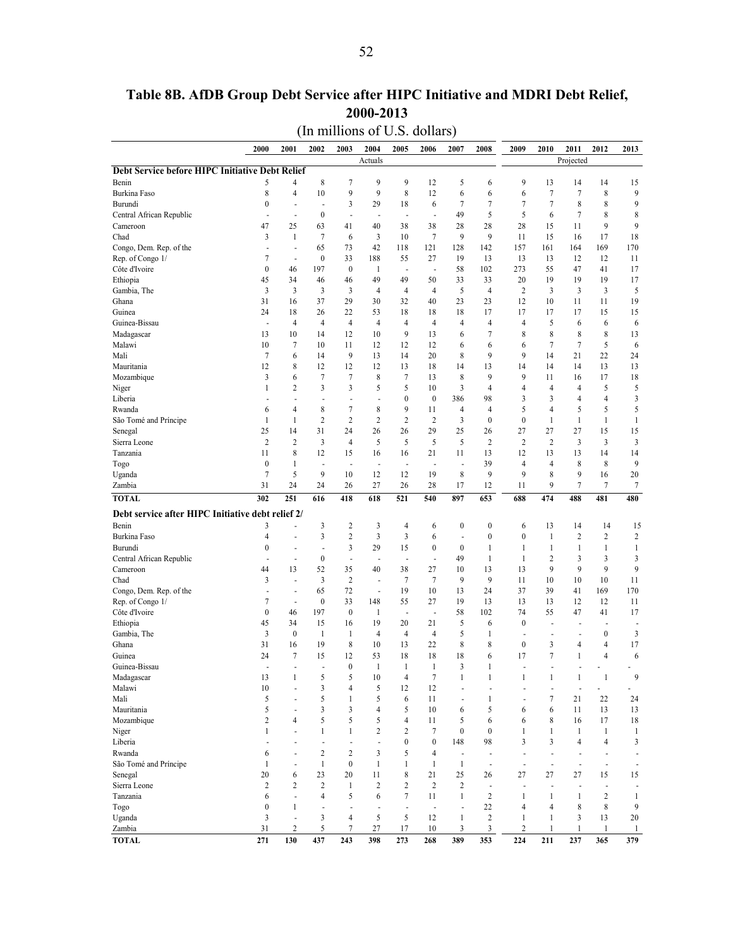<span id="page-51-0"></span>

|                                                   |                                              |                          |                          | (In millions of U.S. dollars) |                            |                          |                          |                          |                   |                          |                          |                          |                          |
|---------------------------------------------------|----------------------------------------------|--------------------------|--------------------------|-------------------------------|----------------------------|--------------------------|--------------------------|--------------------------|-------------------|--------------------------|--------------------------|--------------------------|--------------------------|
| 2000                                              | 2001                                         | 2002                     | 2003                     | 2004                          | 2005                       | 2006                     | 2007                     | 2008                     | 2009              | 2010                     | 2011                     | 2012                     | 2013                     |
| Debt Service before HIPC Initiative Debt Relief   |                                              |                          |                          | Actuals                       |                            |                          |                          |                          |                   |                          | Projected                |                          |                          |
| Benin                                             | 5<br>4                                       | 8                        | 7                        | 9                             | 9                          | 12                       | 5                        | 6                        | 9                 | 13                       | 14                       | 14                       | 15                       |
| Burkina Faso                                      | 8<br>$\overline{4}$                          | 10                       | 9                        | 9                             | 8                          | 12                       | 6                        | 6                        | 6                 | 7                        | 7                        | 8                        | 9                        |
| Burundi                                           | $\boldsymbol{0}$<br>٠                        | ÷,                       | 3                        | 29                            | 18                         | 6                        | $\overline{7}$           | $\overline{7}$           | 7                 | $\tau$                   | 8                        | 8                        | 9                        |
| Central African Republic                          | $\overline{\phantom{a}}$<br>٠                | $\boldsymbol{0}$         | ÷,                       | $\blacksquare$                | $\blacksquare$             | ÷,                       | 49                       | 5                        | 5                 | 6                        | $\overline{7}$           | 8                        | 8                        |
| 47<br>Cameroon                                    | 25                                           | 63                       | 41                       | 40                            | 38                         | 38                       | 28                       | 28                       | 28                | 15                       | 11                       | 9                        | 9                        |
| Chad                                              | 3<br>$\mathbf{1}$                            | $\overline{7}$           | 6                        | $\overline{3}$                | 10                         | $\tau$                   | 9                        | 9                        | 11                | 15                       | 16                       | 17                       | 18                       |
| Congo, Dem. Rep. of the                           | $\overline{\phantom{a}}$<br>٠                | 65                       | 73                       | 42                            | 118                        | 121                      | 128                      | 142                      | 157               | 161                      | 164                      | 169                      | 170                      |
| Rep. of Congo 1/                                  | 7<br>٠                                       | $\boldsymbol{0}$         | 33                       | 188                           | 55                         | 27                       | 19                       | 13                       | 13                | 13                       | 12                       | 12                       | 11                       |
| Côte d'Ivoire                                     | $\boldsymbol{0}$<br>46                       | 197                      | $\boldsymbol{0}$         | 1                             | $\blacksquare$             | ÷,                       | 58                       | 102                      | 273               | 55                       | 47                       | 41                       | 17                       |
| Ethiopia<br>45                                    | 34                                           | 46                       | 46                       | 49                            | 49                         | 50                       | 33                       | 33                       | 20                | 19                       | 19                       | 19                       | 17                       |
| Gambia, The                                       | 3<br>$\overline{3}$                          | 3                        | 3                        | $\overline{4}$                | $\overline{4}$             | $\overline{4}$           | 5                        | $\overline{4}$           | $\overline{c}$    | 3                        | 3                        | 3                        | 5                        |
| 31<br>Ghana                                       | 16                                           | 37                       | 29                       | 30                            | 32                         | 40                       | 23                       | 23                       | 12                | 10                       | 11                       | 11                       | 19                       |
| Guinea<br>24                                      | 18                                           | 26                       | 22                       | 53                            | 18                         | 18                       | 18                       | 17                       | 17                | 17                       | 17                       | 15                       | 15                       |
| Guinea-Bissau                                     | $\overline{4}$<br>÷,                         | $\overline{4}$           | $\overline{4}$           | $\overline{4}$                | 4                          | 4                        | $\overline{4}$           | $\overline{4}$           | 4                 | 5                        | 6                        | 6                        | 6                        |
| Madagascar<br>13                                  | 10                                           | 14                       | 12                       | 10                            | 9                          | 13                       | 6                        | $\overline{7}$           | 8                 | 8                        | 8                        | 8                        | 13                       |
| Malawi<br>10                                      | 7                                            | 10                       | 11                       | 12                            | 12                         | 12                       | 6                        | 6<br>9                   | 6<br>9            | $\tau$                   | $\tau$                   | 5                        | 6                        |
| Mali<br>Mauritania<br>12                          | 7<br>6<br>8                                  | 14<br>12                 | 9<br>12                  | 13<br>12                      | 14<br>13                   | 20<br>18                 | 8<br>14                  | 13                       | 14                | 14<br>14                 | 21<br>14                 | 22<br>13                 | 24<br>13                 |
| Mozambique                                        | 3<br>6                                       | $\tau$                   | 7                        | 8                             | 7                          | 13                       | 8                        | 9                        | 9                 | 11                       | 16                       | 17                       | 18                       |
| Niger                                             | 2<br>1                                       | 3                        | 3                        | 5                             | 5                          | 10                       | 3                        | 4                        | 4                 | $\overline{4}$           | 4                        | 5                        | 5                        |
| Liberia                                           |                                              | ÷,                       | ÷,                       | ÷,                            | $\boldsymbol{0}$           | $\boldsymbol{0}$         | 386                      | 98                       | 3                 | 3                        | 4                        | 4                        | 3                        |
| Rwanda                                            | 4<br>6                                       | 8                        | 7                        | 8                             | 9                          | 11                       | 4                        | 4                        | 5                 | 4                        | 5                        | 5                        | 5                        |
| São Tomé and Príncipe                             | $\mathbf{1}$<br>1                            | $\overline{c}$           | $\overline{2}$           | $\overline{2}$                | 2                          | $\overline{2}$           | 3                        | $\boldsymbol{0}$         | $\boldsymbol{0}$  | $\mathbf{1}$             | $\mathbf{1}$             | 1                        | $\mathbf{1}$             |
| 25<br>Senegal                                     | 14                                           | 31                       | 24                       | 26                            | 26                         | 29                       | 25                       | 26                       | 27                | 27                       | 27                       | 15                       | 15                       |
| Sierra Leone                                      | $\overline{c}$<br>$\overline{2}$             | 3                        | 4                        | 5                             | 5                          | 5                        | 5                        | $\overline{2}$           | 2                 | $\overline{2}$           | 3                        | 3                        | 3                        |
| Tanzania<br>11                                    | 8                                            | 12                       | 15                       | 16                            | 16                         | 21                       | 11                       | 13                       | 12                | 13                       | 13                       | 14                       | 14                       |
| Togo                                              | $\boldsymbol{0}$<br>-1                       | $\ddot{\phantom{1}}$     | $\blacksquare$           | $\overline{\phantom{a}}$      | ÷,                         | $\ddot{\phantom{1}}$     | $\blacksquare$           | 39                       | 4                 | 4                        | 8                        | 8                        | 9                        |
| Uganda                                            | 7<br>5                                       | 9                        | 10                       | 12                            | 12                         | 19                       | 8                        | 9                        | 9                 | 8                        | 9                        | 16                       | 20                       |
| Zambia<br>31                                      | 24                                           | 24                       | 26                       | 27                            | 26                         | 28                       | 17                       | 12                       | 11                | 9                        | $\tau$                   | 7                        | 7                        |
| 302<br><b>TOTAL</b>                               | 251                                          | 616                      | 418                      | 618                           | 521                        | 540                      | 897                      | 653                      | 688               | 474                      | 488                      | 481                      | 480                      |
| Debt service after HIPC Initiative debt relief 2/ |                                              |                          |                          |                               |                            |                          |                          |                          |                   |                          |                          |                          |                          |
| Benin                                             | 3                                            | 3                        | $\overline{\mathbf{c}}$  | 3                             | 4                          | 6                        | $\boldsymbol{0}$         | $\boldsymbol{0}$         | 6                 | 13                       | 14                       | 14                       | 15                       |
| Burkina Faso                                      | 4                                            | 3                        | $\overline{2}$           | 3                             | 3                          | 6                        | $\overline{\phantom{m}}$ | $\mathbf{0}$             | $\mathbf{0}$      | $\mathbf{1}$             | $\overline{c}$           | 2                        | $\overline{c}$           |
| Burundi                                           | $\boldsymbol{0}$<br>$\overline{\phantom{a}}$ | $\blacksquare$           | 3                        | 29                            | 15                         | $\mathbf{0}$             | $\mathbf{0}$             | 1                        | 1                 | $\mathbf{1}$             | 1                        | $\mathbf{1}$             | $\mathbf{1}$             |
| Central African Republic                          | $\overline{\phantom{a}}$                     | $\boldsymbol{0}$         | $\overline{\phantom{a}}$ | $\overline{a}$                | ÷,                         | ٠                        | 49                       | 1                        | $\mathbf{1}$      | $\overline{c}$           | 3                        | 3                        | 3                        |
| Cameroon                                          | 44<br>13                                     | 52                       | 35                       | 40                            | 38                         | 27                       | 10                       | 13                       | 13                | 9                        | 9                        | 9                        | 9                        |
| Chad                                              | 3<br>٠.                                      | 3                        | $\overline{2}$           | $\overline{\phantom{a}}$      | 7                          | $\overline{7}$           | 9                        | 9                        | 11                | 10                       | 10                       | 10                       | 11                       |
| Congo, Dem. Rep. of the                           | $\overline{\phantom{a}}$<br>٠                | 65                       | 72                       | $\blacksquare$                | 19                         | 10                       | 13                       | 24                       | 37                | 39                       | 41                       | 169                      | 170                      |
| Rep. of Congo 1/<br>Côte d'Ivoire                 | 7<br>٠<br>$\boldsymbol{0}$<br>46             | $\boldsymbol{0}$<br>197  | 33<br>$\boldsymbol{0}$   | 148<br>1                      | 55                         | 27<br>÷,                 | 19                       | 13<br>102                | 13<br>74          | 13<br>55                 | 12<br>47                 | 12<br>41                 | 11<br>17                 |
| 45<br>Ethiopia                                    | 34                                           | 15                       | 16                       | 19                            | $\ddot{\phantom{a}}$<br>20 | 21                       | 58<br>5                  | 6                        | $\mathbf{0}$      |                          |                          |                          | $\overline{\phantom{a}}$ |
| Gambia, The                                       | 3<br>$\mathbf{0}$                            | 1                        | 1                        | $\overline{4}$                | 4                          | $\overline{4}$           | 5                        | 1                        | ÷                 | $\overline{\phantom{a}}$ | $\overline{a}$           | $\boldsymbol{0}$         | 3                        |
| Ghana<br>31                                       | 16                                           | 19                       | 8                        | 10                            | 13                         | 22                       | 8                        | 8                        | $\mathbf{0}$      | 3                        | $\overline{4}$           | $\overline{4}$           | 17                       |
| 24<br>Guinea                                      | 7                                            | 15                       | 12                       | 53                            | 18                         | 18                       | 18                       | 6                        | 17                | $\boldsymbol{7}$         | 1                        | 4                        | 6                        |
| Guinea-Bissau                                     | ä,<br>٠                                      | ÷,                       | $\boldsymbol{0}$         | $\mathbf{1}$                  | $\mathbf{1}$               | $\mathbf{1}$             | $\mathfrak{Z}$           | 1                        |                   |                          |                          |                          |                          |
| Madagascar<br>13                                  | $\mathbf{1}$                                 | 5                        | 5                        | 10                            | 4                          | $\overline{7}$           | $\mathbf{1}$             | $\mathbf{1}$             | $\mathbf{1}$      | $\mathbf{1}$             | $\mathbf{1}$             | $\mathbf{1}$             | 9                        |
| Malawi<br>10                                      | $\ddot{\phantom{1}}$                         | 3                        | $\overline{4}$           | 5                             | 12                         | 12                       | ÷.                       | $\ddot{\phantom{1}}$     | ä,                | $\ddot{\phantom{1}}$     | $\ddot{\phantom{1}}$     |                          |                          |
| Mali                                              | 5<br>$\sim$                                  | 5                        | 1                        | 5                             | 6                          | 11                       | $\overline{\phantom{a}}$ | $\mathbf{1}$             | ÷,                | $\tau$                   | 21                       | 22                       | 24                       |
| Mauritania                                        | 5<br>$\ddot{\phantom{1}}$                    | 3                        | 3                        | $\overline{4}$                | 5                          | 10                       | 6                        | 5                        | 6                 | 6                        | 11                       | 13                       | 13                       |
| Mozambique                                        | 2<br>$\overline{4}$                          | 5                        | 5                        | 5                             | 4                          | 11                       | 5                        | 6                        | 6                 | 8                        | 16                       | 17                       | 18                       |
| Niger                                             | $\mathbf{1}$<br>÷,                           | $\mathbf{1}$             | $\mathbf{1}$             | 2                             | 2                          | 7                        | $\boldsymbol{0}$         | $\mathbf{0}$             | $\mathbf{1}$      | $\mathbf{1}$             | $\mathbf{1}$             | $\mathbf{1}$             | $\mathbf{1}$             |
| Liberia                                           | ÷,<br>$\sim$                                 | ٠                        | $\overline{\phantom{a}}$ | $\blacksquare$                | $\boldsymbol{0}$           | $\boldsymbol{0}$         | 148                      | 98                       | 3                 | 3                        | $\overline{4}$           | $\overline{4}$           | 3                        |
| Rwanda                                            | 6<br>÷,                                      | 2                        | $\overline{2}$           | 3                             | 5                          | 4                        | $\blacksquare$           | $\blacksquare$           | ÷.                | $\blacksquare$           | $\overline{a}$           | $\overline{a}$           | $\blacksquare$           |
| São Tomé and Príncipe                             | 1<br>$\sim$                                  | $\mathbf{1}$             | $\boldsymbol{0}$         | $\mathbf{1}$                  | 1                          | $\mathbf{1}$             | $\mathbf{1}$             | $\overline{\phantom{a}}$ | ÷,                | $\overline{\phantom{a}}$ | $\overline{\phantom{a}}$ | $\overline{\phantom{a}}$ | $\overline{\phantom{a}}$ |
| Senegal                                           | 20<br>6                                      | 23                       | 20                       | 11                            | 8                          | 21                       | 25                       | 26                       | 27                | 27                       | 27                       | 15                       | 15                       |
| Sierra Leone                                      | $\overline{c}$<br>2                          | $\overline{c}$           | 1                        | 2                             | 2                          | $\overline{2}$           | $\overline{c}$           | $\overline{\phantom{a}}$ | ÷                 | $\blacksquare$           | ÷,                       | $\overline{\phantom{a}}$ |                          |
| Tanzania                                          | 6<br>÷.                                      | $\overline{4}$           | 5                        | 6                             | 7                          | 11                       | $\mathbf{1}$             | $\overline{c}$           | $\mathbf{1}$      | $\mathbf{1}$             | $\mathbf{1}$             | 2                        | $\mathbf{1}$             |
| Togo                                              | $\boldsymbol{0}$<br>1                        | $\overline{\phantom{a}}$ | $\overline{\phantom{a}}$ | $\overline{\phantom{a}}$      | ٠                          | $\overline{\phantom{a}}$ |                          | 22<br>$\overline{2}$     | $\overline{4}$    | 4                        | 8                        | 8                        | 9                        |
| Uganda<br>Zambia<br>31                            | 3<br>$\ddot{\phantom{1}}$<br>$\overline{c}$  | 3<br>5                   | 4<br>7                   | 5<br>27                       | 5<br>17                    | 12<br>10                 | 1<br>3                   | 3                        | $\mathbf{1}$<br>2 | $\mathbf{1}$<br>1        | 3<br>$\mathbf{1}$        | 13<br>1                  | 20<br>$\mathbf{1}$       |
| 271<br><b>TOTAL</b>                               | 130                                          | 437                      | 243                      | 398                           | 273                        | 268                      | 389                      | 353                      | 224               | 211                      | 237                      | 365                      | 379                      |

**Table 8B. AfDB Group Debt Service after HIPC Initiative and MDRI Debt Relief, 2000-2013**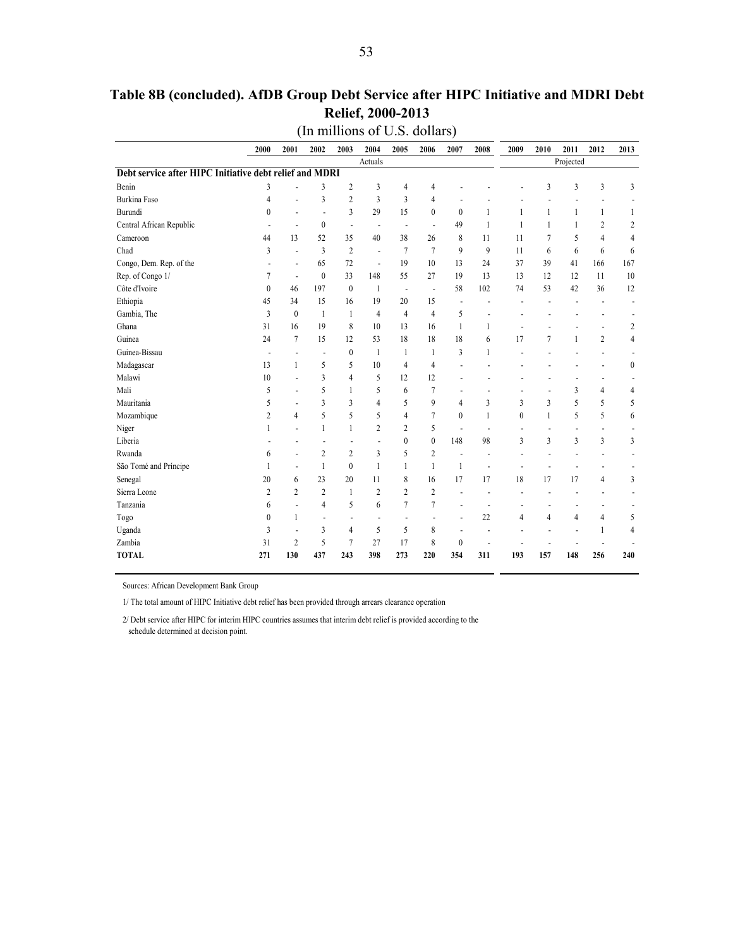|                                                         | 2000                     | 2001                     | 2002                     | 2003                     | 2004                     | 2005                     | 2006                     | 2007             | 2008           | 2009                     | 2010                     | 2011                     | 2012                     | 2013                     |
|---------------------------------------------------------|--------------------------|--------------------------|--------------------------|--------------------------|--------------------------|--------------------------|--------------------------|------------------|----------------|--------------------------|--------------------------|--------------------------|--------------------------|--------------------------|
|                                                         |                          |                          |                          |                          | Actuals                  |                          |                          |                  |                |                          |                          | Projected                |                          |                          |
| Debt service after HIPC Initiative debt relief and MDRI |                          |                          |                          |                          |                          |                          |                          |                  |                |                          |                          |                          |                          |                          |
| Benin                                                   | 3                        |                          | 3                        | 2                        | 3                        | 4                        | 4                        |                  |                |                          | 3                        | 3                        | 3                        | 3                        |
| <b>Burkina Faso</b>                                     | 4                        | ٠                        | 3                        | $\overline{2}$           | 3                        | 3                        | 4                        |                  |                |                          |                          |                          |                          |                          |
| Burundi                                                 | $\theta$                 | ÷                        | $\overline{a}$           | 3                        | 29                       | 15                       | $\theta$                 | $\theta$         | 1              | 1                        | $\mathbf{1}$             | $\mathbf{1}$             | $\mathbf{1}$             | 1                        |
| Central African Republic                                | $\overline{\phantom{a}}$ | $\overline{\phantom{a}}$ | $\mathbf{0}$             | $\overline{\phantom{a}}$ | $\overline{\phantom{a}}$ | $\overline{a}$           | $\overline{\phantom{a}}$ | 49               | 1              | 1                        | $\mathbf{1}$             | 1                        | $\overline{c}$           | 2                        |
| Cameroon                                                | 44                       | 13                       | 52                       | 35                       | 40                       | 38                       | 26                       | 8                | 11             | 11                       | 7                        | 5                        | $\overline{4}$           | 4                        |
| Chad                                                    | 3                        | ÷,                       | 3                        | $\overline{c}$           | $\overline{a}$           | 7                        | $\overline{7}$           | $\mathbf{Q}$     | 9              | 11                       | 6                        | 6                        | 6                        | 6                        |
| Congo, Dem. Rep. of the                                 |                          | $\overline{\phantom{a}}$ | 65                       | 72                       | $\overline{a}$           | 19                       | 10                       | 13               | 24             | 37                       | 39                       | 41                       | 166                      | 167                      |
| Rep. of Congo 1/                                        | 7                        | $\overline{\phantom{a}}$ | $\boldsymbol{0}$         | 33                       | 148                      | 55                       | 27                       | 19               | 13             | 13                       | 12                       | 12                       | 11                       | 10                       |
| Côte d'Ivoire                                           | $\mathbf{0}$             | 46                       | 197                      | $\mathbf{0}$             | 1                        | $\overline{\phantom{a}}$ | $\overline{\phantom{a}}$ | 58               | 102            | 74                       | 53                       | 42                       | 36                       | 12                       |
| Ethiopia                                                | 45                       | 34                       | 15                       | 16                       | 19                       | 20                       | 15                       | $\overline{a}$   | J.             |                          |                          |                          |                          | $\overline{\phantom{a}}$ |
| Gambia, The                                             | 3                        | $\theta$                 | $\mathbf{1}$             | 1                        | $\overline{4}$           | $\overline{4}$           | $\overline{4}$           | 5                |                |                          |                          |                          |                          |                          |
| Ghana                                                   | 31                       | 16                       | 19                       | 8                        | 10                       | 13                       | 16                       | 1                | 1              | ÷                        | $\overline{a}$           | $\overline{a}$           | $\overline{a}$           | 2                        |
| Guinea                                                  | 24                       | 7                        | 15                       | 12                       | 53                       | 18                       | 18                       | 18               | 6              | 17                       | $\overline{7}$           | $\mathbf{1}$             | $\mathfrak{2}$           | $\overline{4}$           |
| Guinea-Bissau                                           | $\overline{a}$           | $\overline{\phantom{0}}$ | $\overline{\phantom{a}}$ | $\mathbf{0}$             | 1                        | 1                        | 1                        | 3                | 1              |                          |                          |                          | $\overline{a}$           |                          |
| Madagascar                                              | 13                       | 1                        | 5                        | 5                        | 10                       | $\overline{4}$           | 4                        |                  |                |                          |                          |                          | $\overline{\phantom{a}}$ | $\mathbf{0}$             |
| Malawi                                                  | 10                       | $\overline{a}$           | $\overline{3}$           | $\overline{4}$           | 5                        | 12                       | 12                       |                  |                |                          |                          |                          | $\overline{a}$           |                          |
| Mali                                                    | 5                        | $\overline{a}$           | 5                        | 1                        | 5                        | 6                        | 7                        | $\overline{a}$   | L,             |                          |                          | 3                        | $\overline{4}$           | 4                        |
| Mauritania                                              | 5                        | $\overline{a}$           | 3                        | 3                        | 4                        | 5                        | 9                        | $\overline{4}$   | 3              | 3                        | 3                        | 5                        | 5                        | 5                        |
| Mozambique                                              | $\overline{2}$           | 4                        | 5                        | 5                        | 5                        | $\overline{4}$           | $\tau$                   | $\theta$         | 1              | $\theta$                 | $\mathbf{1}$             | 5                        | 5                        | 6                        |
| Niger                                                   | 1                        | L,                       | $\mathbf{1}$             | 1                        | $\overline{c}$           | $\overline{2}$           | 5                        | $\overline{a}$   | $\overline{a}$ | $\overline{\phantom{a}}$ | $\overline{\phantom{a}}$ | $\overline{\phantom{a}}$ | $\overline{\phantom{a}}$ |                          |
| Liberia                                                 |                          |                          |                          | $\overline{a}$           | L,                       | $\mathbf{0}$             | $\mathbf{0}$             | 148              | 98             | 3                        | 3                        | 3                        | 3                        | 3                        |
| Rwanda                                                  | 6                        | ÷,                       | $\overline{2}$           | $\overline{2}$           | 3                        | 5                        | $\overline{c}$           |                  | L,             |                          |                          |                          | $\overline{a}$           |                          |
| São Tomé and Príncipe                                   | 1                        | $\overline{a}$           | $\mathbf{1}$             | $\mathbf{0}$             | $\mathbf{1}$             | 1                        | 1                        | $\mathbf{1}$     | Ĭ.             |                          |                          |                          |                          |                          |
| Senegal                                                 | 20                       | 6                        | 23                       | 20                       | 11                       | 8                        | 16                       | 17               | 17             | 18                       | 17                       | 17                       | $\overline{4}$           | 3                        |
| Sierra Leone                                            | $\overline{2}$           | $\overline{c}$           | $\overline{2}$           | 1                        | $\overline{2}$           | $\overline{c}$           | $\overline{c}$           |                  |                |                          |                          |                          | $\overline{a}$           |                          |
| Tanzania                                                | 6                        | L,                       | 4                        | 5                        | 6                        | $\overline{7}$           | $\overline{7}$           |                  | $\overline{a}$ | $\overline{\phantom{a}}$ |                          | $\overline{a}$           | $\overline{\phantom{a}}$ |                          |
| Togo                                                    | $\mathbf{0}$             | 1                        | $\overline{a}$           | $\overline{\phantom{a}}$ | $\overline{a}$           | $\overline{\phantom{a}}$ | $\overline{a}$           |                  | 22             | $\overline{4}$           | $\overline{4}$           | $\overline{4}$           | $\overline{4}$           | 5                        |
| Uganda                                                  | 3                        | $\overline{a}$           | 3                        | 4                        | 5                        | 5                        | 8                        | $\overline{a}$   | ٠              |                          |                          |                          | 1                        | 4                        |
| Zambia                                                  | 31                       | $\overline{2}$           | 5                        | 7                        | 27                       | 17                       | 8                        | $\boldsymbol{0}$ |                |                          |                          |                          |                          |                          |
| <b>TOTAL</b>                                            | 271                      | 130                      | 437                      | 243                      | 398                      | 273                      | 220                      | 354              | 311            | 193                      | 157                      | 148                      | 256                      | 240                      |

## **Table 8B (concluded). AfDB Group Debt Service after HIPC Initiative and MDRI Debt Relief, 2000-2013**

Sources: African Development Bank Group

1/ The total amount of HIPC Initiative debt relief has been provided through arrears clearance operation

2/ Debt service after HIPC for interim HIPC countries assumes that interim debt relief is provided according to the schedule determined at decision point.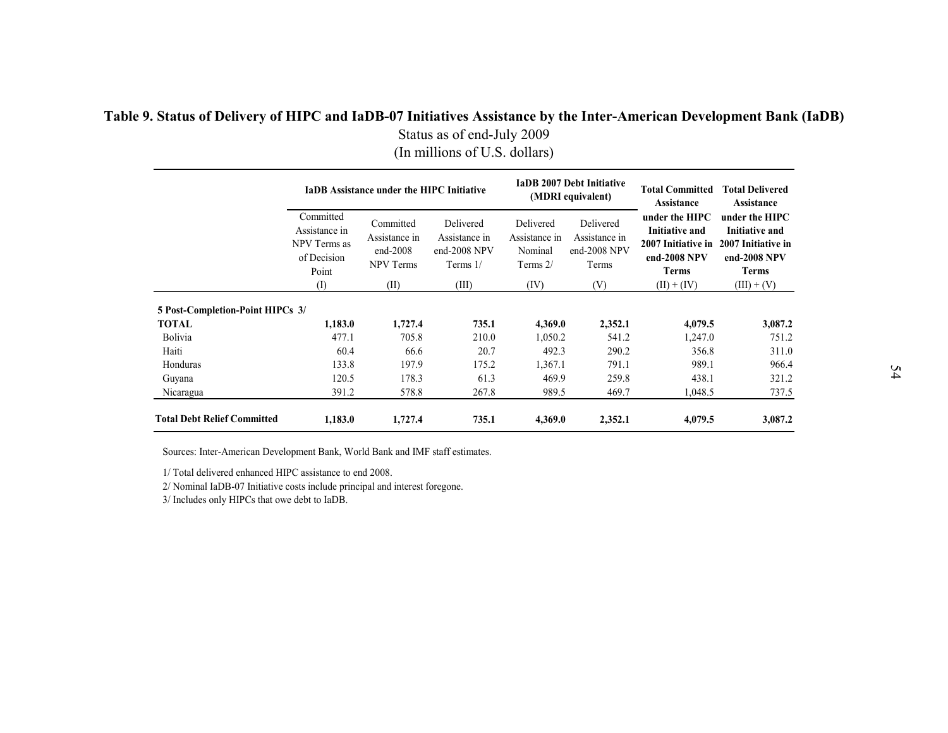### **Table 9. Status of Delivery of HIPC and IaDB-07 Initiatives Assistance by the Inter-American Development Bank (IaDB)**  Status as of end-July 2009 (In millions of U.S. dollars)

|                                    |                                                                    | <b>IaDB</b> Assistance under the HIPC Initiative             |                                                          |                                                     | <b>IaDB 2007 Debt Initiative</b><br>(MDRI equivalent) | <b>Total Committed</b><br><b>Assistance</b>                                            | <b>Total Delivered</b><br>Assistance                                                   |
|------------------------------------|--------------------------------------------------------------------|--------------------------------------------------------------|----------------------------------------------------------|-----------------------------------------------------|-------------------------------------------------------|----------------------------------------------------------------------------------------|----------------------------------------------------------------------------------------|
|                                    | Committed<br>Assistance in<br>NPV Terms as<br>of Decision<br>Point | Committed<br>Assistance in<br>$end-2008$<br><b>NPV Terms</b> | Delivered<br>Assistance in<br>end-2008 NPV<br>Terms $1/$ | Delivered<br>Assistance in<br>Nominal<br>Terms $2/$ | Delivered<br>Assistance in<br>end-2008 NPV<br>Terms   | under the HIPC<br><b>Initiative and</b><br>2007 Initiative in<br>end-2008 NPV<br>Terms | under the HIPC<br><b>Initiative and</b><br>2007 Initiative in<br>end-2008 NPV<br>Terms |
|                                    | $($ I                                                              | (II)                                                         | (III)                                                    | (IV)                                                | (V)                                                   | $(II) + (IV)$                                                                          | $(III) + (V)$                                                                          |
| 5 Post-Completion-Point HIPCs 3/   |                                                                    |                                                              |                                                          |                                                     |                                                       |                                                                                        |                                                                                        |
| <b>TOTAL</b>                       | 1,183.0                                                            | 1,727.4                                                      | 735.1                                                    | 4,369.0                                             | 2,352.1                                               | 4,079.5                                                                                | 3,087.2                                                                                |
| Bolivia                            | 477.1                                                              | 705.8                                                        | 210.0                                                    | 1,050.2                                             | 541.2                                                 | 1,247.0                                                                                | 751.2                                                                                  |
| Haiti                              | 60.4                                                               | 66.6                                                         | 20.7                                                     | 492.3                                               | 290.2                                                 | 356.8                                                                                  | 311.0                                                                                  |
| Honduras                           | 133.8                                                              | 197.9                                                        | 175.2                                                    | 1,367.1                                             | 791.1                                                 | 989.1                                                                                  | 966.4                                                                                  |
| Guyana                             | 120.5                                                              | 178.3                                                        | 61.3                                                     | 469.9                                               | 259.8                                                 | 438.1                                                                                  | 321.2                                                                                  |
| Nicaragua                          | 391.2                                                              | 578.8                                                        | 267.8                                                    | 989.5                                               | 469.7                                                 | 1,048.5                                                                                | 737.5                                                                                  |
| <b>Total Debt Relief Committed</b> | 1,183.0                                                            | 1,727.4                                                      | 735.1                                                    | 4,369.0                                             | 2,352.1                                               | 4,079.5                                                                                | 3,087.2                                                                                |

Sources: Inter-American Development Bank, World Bank and IMF staff estimates.

1/ Total delivered enhanced HIPC assistance to end 2008.

2/ Nominal IaDB-07 Initiative costs include principal and interest foregone.

<span id="page-53-0"></span>3/ Includes only HIPCs that owe debt to IaDB.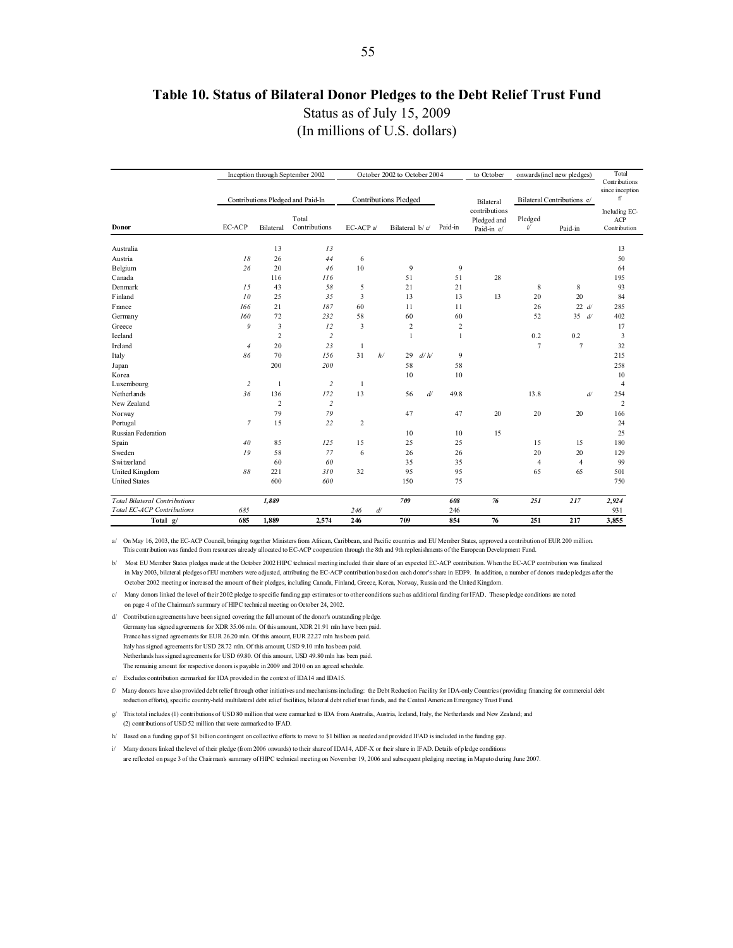#### **Table 10. Status of Bilateral Donor Pledges to the Debt Relief Trust Fund**

Status as of July 15, 2009

(In millions of U.S. dollars)

<span id="page-54-0"></span>

|                                      |                |                | Inception through September 2002  |                |    | October 2002 to October 2004 |      |                | to October    |                | onwards(incl new pledges)  | Total                            |
|--------------------------------------|----------------|----------------|-----------------------------------|----------------|----|------------------------------|------|----------------|---------------|----------------|----------------------------|----------------------------------|
|                                      |                |                |                                   |                |    |                              |      |                |               |                |                            | Contributions<br>since inception |
|                                      |                |                | Contributions Pledged and Paid-In |                |    | <b>Contributions Pledged</b> |      |                | Bilateral     |                | Bilateral Contributions e/ | f/                               |
|                                      |                |                |                                   |                |    |                              |      |                | contributions |                |                            | Including EC-                    |
|                                      |                |                | Total                             |                |    |                              |      |                | Pledged and   | Pledged        |                            | ACP                              |
| Donor                                | EC-ACP         | Bilateral      | Contributions                     | EC-ACP a/      |    | Bilateral b/c/               |      | Paid-in        | Paid-in e/    | $i\prime$      | Paid-in                    | Contribution                     |
| Australia                            |                | 13             | 13                                |                |    |                              |      |                |               |                |                            | 13                               |
| Austria                              | 18             | 26             | 44                                | 6              |    |                              |      |                |               |                |                            | 50                               |
| Belgium                              | 26             | 20             | 46                                | 10             |    | 9                            |      | 9              |               |                |                            | 64                               |
| Canada                               |                | 116            | 116                               |                |    | 51                           |      | 51             | 28            |                |                            | 195                              |
| Denmark                              | 15             | 43             | 58                                | 5              |    | 21                           |      | 21             |               | 8              | 8                          | 93                               |
| Finland                              | 10             | 25             | 35                                | 3              |    | 13                           |      | 13             | 13            | 20             | 20                         | 84                               |
| France                               | 166            | 21             | 187                               | 60             |    | 11                           |      | 11             |               | 26             | 22 d                       | 285                              |
| Germany                              | 160            | 72             | 232                               | 58             |    | 60                           |      | 60             |               | 52             | 35<br>d                    | 402                              |
| Greece                               | 9              | 3              | 12                                | 3              |    | $\overline{2}$               |      | $\overline{c}$ |               |                |                            | 17                               |
| Iceland                              |                | $\overline{2}$ | $\overline{c}$                    |                |    | $\mathbf{1}$                 |      | 1              |               | 0.2            | 0.2                        | 3                                |
| Ireland                              | $\overline{4}$ | 20             | 23                                | $\mathbf{1}$   |    |                              |      |                |               | $\overline{7}$ | $\overline{7}$             | 32                               |
| Italy                                | 86             | 70             | 156                               | 31             | h/ | 29                           | d/h/ | 9              |               |                |                            | 215                              |
| Japan                                |                | 200            | 200                               |                |    | 58                           |      | 58             |               |                |                            | 258                              |
| Korea                                |                |                |                                   |                |    | 10                           |      | 10             |               |                |                            | 10                               |
| Luxembourg                           | $\overline{c}$ | $\overline{1}$ | $\overline{c}$                    | 1              |    |                              |      |                |               |                |                            | 4                                |
| Netherlands                          | 36             | 136            | 172                               | 13             |    | 56                           | d    | 49.8           |               | 13.8           | $d\prime$                  | 254                              |
| New Zealand                          |                | $\overline{2}$ | $\overline{c}$                    |                |    |                              |      |                |               |                |                            | 2                                |
| Norway                               |                | 79             | 79                                |                |    | 47                           |      | 47             | 20            | 20             | 20                         | 166                              |
| Portugal                             | $\mathcal{I}$  | 15             | 22                                | $\overline{c}$ |    |                              |      |                |               |                |                            | 24                               |
| Russian Federation                   |                |                |                                   |                |    | 10                           |      | 10             | 15            |                |                            | 25                               |
| Spain                                | 40             | 85             | 125                               | 15             |    | 25                           |      | 25             |               | 15             | 15                         | 180                              |
| Sweden                               | 19             | 58             | 77                                | 6              |    | 26                           |      | 26             |               | 20             | 20                         | 129                              |
| <b>Switzerland</b>                   |                | 60             | 60                                |                |    | 35                           |      | 35             |               | $\overline{4}$ | 4                          | 99                               |
| United Kingdom                       | 88             | 221            | 310                               | 32             |    | 95                           |      | 95             |               | 65             | 65                         | 501                              |
| <b>United States</b>                 |                | 600            | 600                               |                |    | 150                          |      | 75             |               |                |                            | 750                              |
| <b>Total Bilateral Contributions</b> |                | 1,889          |                                   |                |    | 709                          |      | 608            | 76            | 251            | 217                        | 2,924                            |
| Total EC-ACP Contributions           | 685            |                |                                   | 246            | ď  |                              |      | 246            |               |                |                            | 931                              |
| Total g/                             | 685            | 1,889          | 2,574                             | 246            |    | 709                          |      | 854            | 76            | 251            | 217                        | 3,855                            |

a/ On May 16, 2003, the EC-ACP Council, bringing together Ministers from African, Caribbean, and Pacific countries and EU Member States, approved a contribution of EUR 200 million. This contribution was funded from resources already allocated to EC-ACP cooperation through the 8th and 9th replenishments of the European Development Fund.

b/ Most EU Member States pledges made at the October 2002 HIPC technical meeting included their share of an expected EC-ACP contribution. When the EC-ACP contribution was finalized in May 2003, bilateral pledges of EU members were adjusted, attributing the EC-ACP contribution based on each donor's share in EDF9. In addition, a number of donors made pledges after the October 2002 meeting or increased the amount of their pledges, including Canada, Finland, Greece, Korea, Norway, Russia and the United Kingdom.

c/ Many donors linked the level of their 2002 pledge to specific funding gap estimates or to other conditions such as additional funding for IFAD. These pledge conditions are noted on page 4 of the Chairman's summary of HIPC technical meeting on October 24, 2002.

- d/ Contribution agreements have been signed covering the full amount of the donor's outstanding pledge. Germany has signed agreements for XDR 35.06 mln. Of this amount, XDR 21.91 mln have been paid. France has signed agreements for EUR 26.20 mln. Of this amount, EUR 22.27 mln has been paid. Italy has signed agreements for USD 28.72 mln. Of this amount, USD 9.10 mln has been paid. Netherlands has signed agreements for USD 69.80. Of this amount, USD 49.80 mln has been paid. The remainig amount for respective donors is payable in 2009 and 2010 on an agreed schedule.
- e/ Excludes contribution earmarked for IDA provided in the context of IDA14 and IDA15.

f/ Many donors have also provided debt relief through other initiatives and mechanisms including: the Debt Reduction Facility for IDA-only Countries (providing financing for commercial debt reduction efforts), specific country-held multilateral debt relief facilities, bilateral debt relief trust funds, and the Central American Emergency Trust Fund.

- g/ This total includes (1) contributions of USD 80 million that were earmarked to IDA from Australia, Austria, Iceland, Italy, the Netherlands and New Zealand; and (2) contributions of USD 52 million that were earmarked to IFAD.
- h/ Based on a funding gap of \$1 billion contingent on collective efforts to move to \$1 billion as needed and provided IFAD is included in the funding gap.
- i/ Many donors linked the level of their pledge (from 2006 onwards) to their share of IDA14, ADF-X or their share in IFAD. Details of pledge conditions are reflected on page 3 of the Chairman's summary of HIPC technical meeting on November 19, 2006 and subsequent pledging meeting in Maputo during June 2007.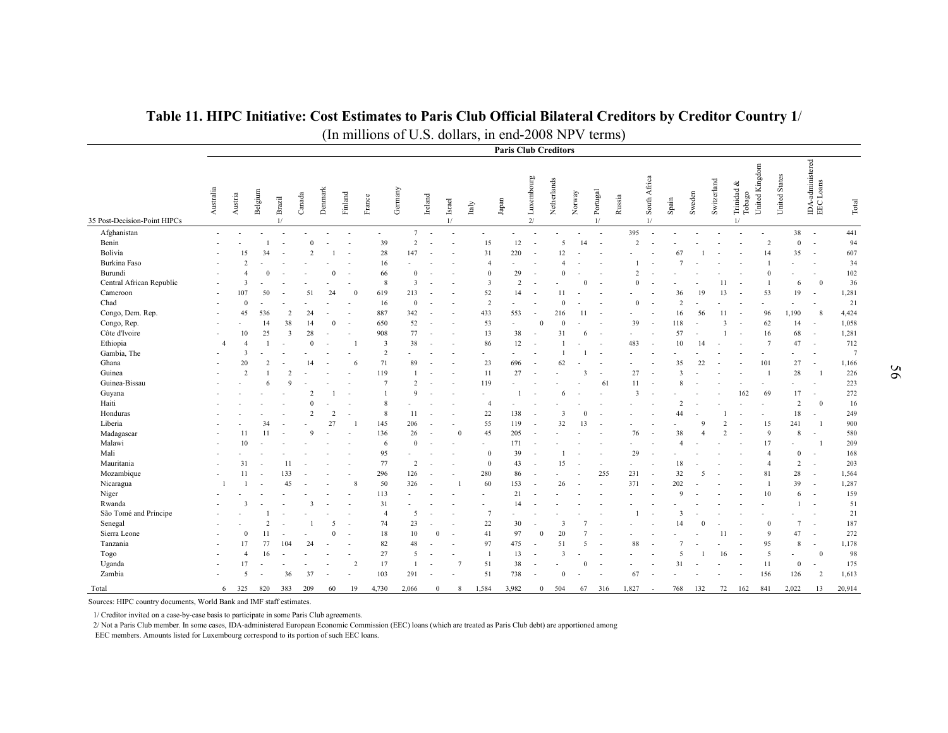|                              |                          |                         |                |                |                |                |                          |                |                |              |                          |                          | <b>Paris Club Creditors</b> |                          |                |                          |                          |                         |                          |                |                          |               |                            |                     |                 |                                                                  |                 |
|------------------------------|--------------------------|-------------------------|----------------|----------------|----------------|----------------|--------------------------|----------------|----------------|--------------|--------------------------|--------------------------|-----------------------------|--------------------------|----------------|--------------------------|--------------------------|-------------------------|--------------------------|----------------|--------------------------|---------------|----------------------------|---------------------|-----------------|------------------------------------------------------------------|-----------------|
| 35 Post-Decision-Point HIPCs | Australia                | Austria                 | Belgium        | Brazil<br>1/   | Canada         | Denmark        | Finland                  | France         | Gernany        | Ireland      | Israel<br>1/             | Italy                    | Japan                       | Luxembourg<br>2/         | Netherlands    | Norway                   | Portugal<br>1/           | Russia                  | South Africa<br>1/       | Spain          | Sweden                   | Switzerland   | Trinidad &<br>Tobago<br>1/ | Kingdom<br>United 1 | United States   | $\begin{tabular}{l} D A-administered \\ EEC Loans \end{tabular}$ | Total           |
| Afghanistan                  | $\overline{a}$           |                         |                |                |                |                |                          |                | $\tau$         |              |                          |                          | ÷,                          |                          |                |                          |                          | 395                     | $\overline{\phantom{a}}$ |                |                          |               |                            |                     | 38              | $\sim$                                                           | 441             |
| Benin                        |                          |                         |                |                | $\theta$       |                |                          | 39             | $\overline{2}$ |              |                          | 15                       | 12                          |                          | 5              | 14                       |                          | 2                       |                          |                |                          |               |                            | $\overline{2}$      | $\mathbf{0}$    | $\sim$                                                           | 94              |
| Bolivia                      |                          | 15                      | 34             |                | $\overline{2}$ |                | $\overline{\phantom{a}}$ | 28             | 147            |              | $\overline{a}$           | 31                       | 220                         | $\sim$                   | 12             |                          |                          |                         |                          | 67             |                          |               |                            | 14                  | 35              | $\sim$                                                           | 607             |
| <b>Burkina Faso</b>          |                          | $\overline{2}$          |                |                |                |                |                          | 16             |                |              |                          | $\overline{A}$           |                             |                          | $\overline{A}$ |                          |                          |                         |                          |                |                          |               |                            |                     |                 | ÷,                                                               | 34              |
| Burundi                      |                          |                         | $\Omega$       |                |                | $\Omega$       |                          | 66             | $\mathbf{0}$   |              |                          | $\theta$                 | 29                          |                          | $\mathbf{0}$   |                          |                          | $\overline{2}$          |                          |                |                          |               |                            | $\Omega$            |                 |                                                                  | 102             |
| Central African Republic     |                          | $\overline{\mathbf{3}}$ |                |                |                |                |                          | 8              | 3              |              |                          | $\overline{\mathbf{3}}$  | $\overline{2}$              |                          |                |                          | $\overline{\phantom{a}}$ | $\Omega$                |                          |                | $\blacksquare$           | 11            |                            |                     | 6               | $\overline{0}$                                                   | 36              |
| Cameroon                     | $\overline{\phantom{a}}$ | 107                     | 50             |                | 51             | 24             | $\theta$                 | 619            | 213            |              |                          | 52                       | 14                          |                          | 11             |                          |                          |                         | $\overline{\phantom{a}}$ | 36             | 19                       | 13            |                            | 53                  | 19              | $\overline{a}$                                                   | 1,281           |
| Chad                         | $\sim$                   | $\mathbf{0}$            |                |                |                |                |                          | 16             | $\bf{0}$       |              |                          | $\overline{2}$           | ٠                           |                          | $\Omega$       |                          |                          | $\mathbf{0}$            | $\overline{\phantom{a}}$ | $\overline{2}$ |                          |               |                            |                     |                 | $\overline{a}$                                                   | 21              |
| Congo, Dem. Rep.             | $\sim$                   | 45                      | 536            | $\overline{2}$ | 24             |                |                          | 887            | 342            |              |                          | 433                      | 553                         | $\sim$                   | 216            | 11                       | $\sim$                   | $\sim$                  | $\overline{a}$           | 16             | 56                       | 11            |                            | 96                  | 1.190           | 8                                                                | 4,424           |
| Congo, Rep.                  | ÷,                       |                         | 14             | 38             | 14             | $\Omega$       |                          | 650            | 52             | ٠.           |                          | 53                       | ÷,                          | $\Omega$                 | $\Omega$       |                          |                          | 39                      | $\sim$                   | 118            |                          | $\mathbf{3}$  |                            | 62                  | 14              | $\sim$                                                           | 1,058           |
| Côte d'Ivoire                |                          | 10                      | 25             | $\overline{3}$ | 28             |                |                          | 908            | 77             |              |                          | 13                       | 38                          |                          | 31             | 6                        |                          |                         | $\overline{a}$           | 57             |                          |               |                            | 16                  | 68              | $\overline{a}$                                                   | 1,281           |
| Ethiopia                     | $\overline{4}$           | $\overline{A}$          |                |                | $\theta$       |                |                          | $\overline{3}$ | 38             |              |                          | 86                       | 12                          |                          |                |                          |                          | 483                     | $\sim$                   | 10             | 14                       |               |                            | $7\phantom{.0}$     | 47              | $\overline{a}$                                                   | 712             |
| Gambia, The                  |                          | 3                       |                |                |                |                |                          | $\overline{2}$ |                |              |                          | $\overline{\phantom{a}}$ |                             |                          |                |                          |                          |                         | $\overline{a}$           |                |                          |               |                            |                     |                 | $\sim$                                                           | $7\phantom{.0}$ |
| Ghana                        |                          | 20                      | $\overline{2}$ |                | 14             |                | 6                        | 71             | 89             |              |                          | 23                       | 696                         |                          | 62             |                          |                          |                         |                          | 35             | 22                       |               |                            | 101                 | 27              | $\sim$                                                           | 1,166           |
| Guinea                       |                          | $\overline{2}$          |                | $\overline{2}$ |                |                |                          | 119            | $\overline{1}$ |              |                          | 11                       | 27                          |                          |                | $\overline{\mathbf{3}}$  | $\sim$                   | 27                      | $\overline{\phantom{a}}$ | $\mathbf{3}$   |                          |               |                            | $\overline{1}$      | 28              | $\overline{1}$                                                   | 226             |
| Guinea-Bissau                |                          |                         | 6              | $\mathbf Q$    |                |                |                          | $\overline{7}$ | $\overline{2}$ |              |                          | 119                      |                             |                          |                |                          | 61                       | 11                      |                          |                |                          |               |                            |                     |                 |                                                                  | 223             |
| Guyana                       |                          |                         |                |                | 2              |                |                          |                | $\mathbf Q$    |              |                          |                          |                             |                          | 6              |                          |                          | $\overline{\mathbf{3}}$ |                          |                |                          |               | 162                        | 69                  | 17              | $\overline{a}$                                                   | 272             |
| Haiti                        |                          |                         |                |                | $\sqrt{ }$     |                |                          | 8              |                |              |                          | $\overline{4}$           |                             |                          |                |                          |                          |                         |                          | $\overline{2}$ |                          |               |                            |                     | 2               | $\mathbf{0}$                                                     | 16              |
| Honduras                     |                          |                         |                |                | $\overline{c}$ | $\overline{2}$ | $\overline{\phantom{a}}$ | 8              | 11             |              |                          | 22                       | 138                         | $\overline{\phantom{a}}$ | 3              | $\Omega$                 |                          |                         |                          | 44             | $\overline{a}$           |               |                            |                     | 18              | $\sim$                                                           | 249             |
| Liberia                      |                          |                         | 34             |                |                | 27             |                          | 145            | 206            |              |                          | 55                       | 119                         |                          | 32             | 13                       |                          |                         |                          |                | 9                        | $\mathcal{D}$ |                            | 15                  | 241             |                                                                  | 900             |
| Madagascar                   |                          | 11                      | 11             |                | $\mathbf{Q}$   |                |                          | 136            | 26             |              | $\mathbf{0}$             | 45                       | 205                         |                          |                |                          |                          | 76                      | $\overline{\phantom{a}}$ | 38             |                          | $\mathcal{D}$ |                            | $\mathbf{Q}$        | 8               | $\sim$                                                           | 580             |
| Malawi                       |                          | 10                      |                |                |                |                |                          | 6              | $\mathbf{0}$   |              |                          |                          | 171                         |                          |                |                          |                          |                         |                          | $\overline{A}$ |                          |               |                            | 17                  |                 |                                                                  | 209             |
| Mali                         |                          |                         |                |                |                |                |                          | 95             |                |              |                          | $\Omega$                 | 39                          |                          |                |                          | ÷,                       | 29                      | $\overline{a}$           |                |                          |               |                            | $\overline{4}$      | $\mathbf{0}$    | $\overline{a}$                                                   | 168             |
| Mauritania                   |                          | 31                      |                | 11             |                |                |                          | 77             | 2              |              |                          | $\overline{0}$           | 43                          | $\overline{\phantom{a}}$ | 15             |                          | $\overline{a}$           |                         |                          | 18             |                          |               |                            | $\overline{4}$      | $\overline{c}$  | ÷,                                                               | 203             |
| Mozambique                   | ٠                        | 11                      | $\sim$         | 133            |                |                |                          | 296            | 126            | ٠.           |                          | 280                      | 86                          |                          |                |                          | 255                      | 231                     | $\sim$                   | 32             | $\overline{5}$           | ÷,            |                            | 81                  | 28              | $\sim$                                                           | 1,564           |
| Nicaragua                    |                          |                         |                | 45             |                |                | 8                        | 50             | 326            |              |                          | 60                       | 153                         |                          | 26             |                          | $\overline{a}$           | 371                     | $\sim$                   | 202            |                          |               |                            | $\overline{1}$      | 39              | $\sim$                                                           | 1,287           |
| Niger                        |                          |                         |                |                |                |                |                          | 113            | $\overline{a}$ |              |                          |                          | 21                          |                          |                |                          |                          |                         |                          | $\mathbf Q$    |                          |               |                            | $10\,$              | 6               | $\sim$                                                           | 159             |
| Rwanda                       |                          | $\mathbf{3}$            |                |                | 3              |                |                          | 31             |                |              |                          |                          | 14                          |                          |                |                          |                          |                         |                          |                |                          |               |                            |                     | $\overline{1}$  | $\overline{a}$                                                   | 51              |
| São Tomé and Príncipe        |                          |                         |                |                |                |                |                          | $\overline{4}$ | .5             |              |                          |                          |                             |                          |                |                          |                          |                         |                          | $\mathbf{3}$   |                          |               |                            |                     |                 |                                                                  | 21              |
| Senegal                      |                          |                         | $\overline{2}$ |                |                | 5              | $\overline{\phantom{a}}$ | 74             | 23             |              |                          | 22                       | 30                          |                          | 3              |                          |                          |                         |                          | 14             | $\Omega$                 |               |                            | $\theta$            | $7\phantom{.0}$ | ÷,                                                               | 187             |
| Sierra Leone                 |                          | $\mathbf{0}$            | 11             |                |                | $\theta$       | $\overline{\phantom{a}}$ | $18\,$         | $10\,$         | $\mathbf{0}$ | $\overline{\phantom{a}}$ | 41                       | 97                          | $\theta$                 | 20             |                          |                          |                         |                          |                |                          | 11            |                            | $\mathbf{Q}$        | 47              | $\sim$                                                           | 272             |
| Tanzania                     |                          | 17                      | 77             | 104            | 24             |                |                          | 82             | 48             |              |                          | 97                       | 475                         | $\overline{\phantom{a}}$ | 51             | $\overline{\mathcal{L}}$ |                          | 88                      |                          |                |                          |               |                            | 95                  | $\,$ 8 $\,$     | $\sim$                                                           | 1,178           |
| Togo                         |                          | $\overline{A}$          | 16             |                |                |                |                          | 27             | 5              |              | ÷,                       | $\overline{1}$           | 13                          |                          | 3              |                          |                          |                         |                          | $\overline{5}$ |                          | 16            |                            | 5                   |                 | $\overline{0}$                                                   | 98              |
| Uganda                       |                          | 17                      |                |                |                |                | $\overline{2}$           | 17             | $\overline{1}$ |              | $\overline{7}$           | 51                       | 38                          |                          |                |                          |                          |                         |                          | 31             | $\sim$                   |               |                            | 11                  | $\bf{0}$        | $\sim$                                                           | 175             |
| Zambia                       | $\overline{a}$           | 5                       | $\sim$         | 36             | 37             |                |                          | 103            | 291            | ٠.           |                          | 51                       | 738                         | $\overline{\phantom{a}}$ | $\mathbf{0}$   |                          |                          | 67                      | $\overline{\phantom{a}}$ |                | $\overline{\phantom{a}}$ | ÷,            | $\overline{\phantom{a}}$   | 156                 | 126             | 2                                                                | 1,613           |
| Total                        | 6                        | 325                     | 820            | 383            | 209            | 60             | 19                       | 4,730          | 2,066          | $\Omega$     | 8                        | 1,584                    | 3.982                       | $\theta$                 | 504            | 67                       | 316                      | 1,827                   | $\overline{\phantom{a}}$ | 768            | 132                      | 72            | 162                        | 841                 | 2,022           | 13                                                               | 20,914          |

### **Table 11. HIPC Initiative: Cost Estimates to Paris Club Official Bilateral Creditors by Creditor Country 1**/ (In millions of U.S. dollars, in end-2008 NPV terms)

Sources: HIPC country documents, World Bank and IMF staff estimates.

1/ Creditor invited on a case-by-case basis to participate in some Paris Club agreements.

2/ Not a Paris Club member. In some cases, IDA-administered European Economic Commission (EEC) loans (which are treated as Paris Club debt) are apportioned among

<span id="page-55-0"></span>EEC members. Amounts listed for Luxembourg correspond to its portion of such EEC loans.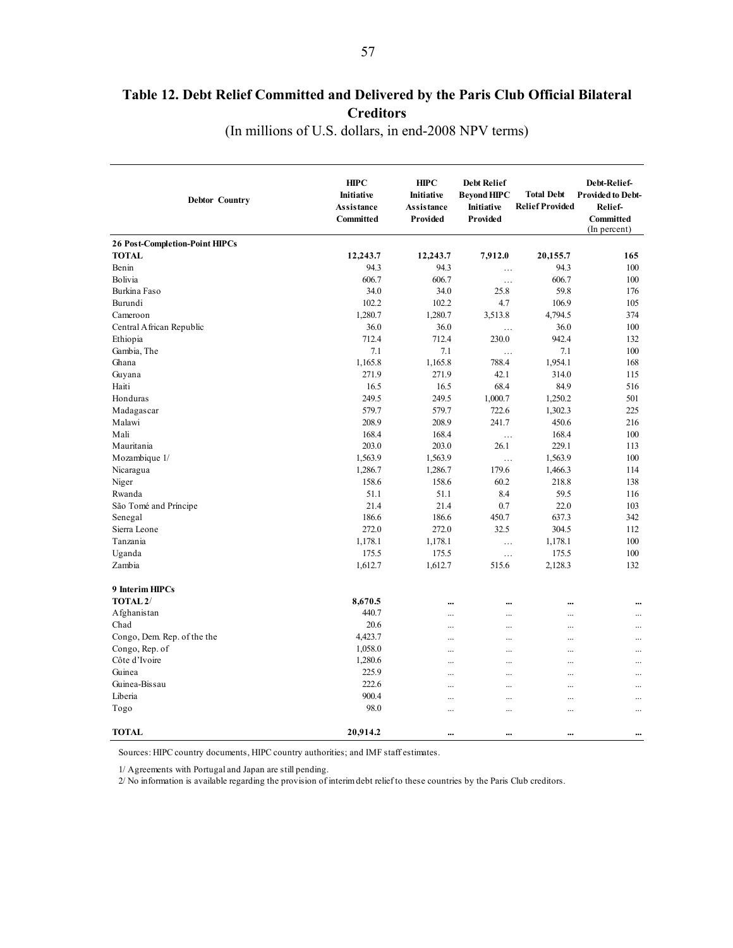# <span id="page-56-0"></span>**Table 12. Debt Relief Committed and Delivered by the Paris Club Official Bilateral Creditors**

(In millions of U.S. dollars, in end-2008 NPV terms)

| <b>Debtor Country</b>                 | <b>HIPC</b><br><b>Initiative</b><br><b>Assistance</b><br>Committed | <b>HIPC</b><br>Initiative<br><b>Assistance</b><br>Provided | <b>Debt Relief</b><br><b>Beyond HIPC</b><br>Initiative<br>Provided | <b>Total Debt</b><br><b>Relief Provided</b> | Debt-Relief-<br><b>Provided to Debt-</b><br>Relief-<br>Committed<br>(In percent) |
|---------------------------------------|--------------------------------------------------------------------|------------------------------------------------------------|--------------------------------------------------------------------|---------------------------------------------|----------------------------------------------------------------------------------|
| <b>26 Post-Completion-Point HIPCs</b> |                                                                    |                                                            |                                                                    |                                             |                                                                                  |
| <b>TOTAL</b>                          | 12,243.7                                                           | 12,243.7                                                   | 7,912.0                                                            | 20,155.7                                    | 165                                                                              |
| Benin                                 | 94.3                                                               | 94.3                                                       | $\cdots$                                                           | 94.3                                        | 100                                                                              |
| Bolivia                               | 606.7                                                              | 606.7                                                      | $\ldots$                                                           | 606.7                                       | 100                                                                              |
| Burkina Faso                          | 34.0                                                               | 34.0                                                       | 25.8                                                               | 59.8                                        | 176                                                                              |
| Burundi                               | 102.2                                                              | 102.2                                                      | 4.7                                                                | 106.9                                       | 105                                                                              |
| Cameroon                              | 1,280.7                                                            | 1,280.7                                                    | 3,513.8                                                            | 4,794.5                                     | 374                                                                              |
| Central African Republic              | 36.0                                                               | 36.0                                                       | $\ddotsc$                                                          | 36.0                                        | 100                                                                              |
| Ethiopia                              | 712.4                                                              | 712.4                                                      | 230.0                                                              | 942.4                                       | 132                                                                              |
| Gambia, The                           | 7.1                                                                | 7.1                                                        | $\cdots$                                                           | 7.1                                         | 100                                                                              |
| Ghana                                 | 1,165.8                                                            | 1,165.8                                                    | 788.4                                                              | 1,954.1                                     | 168                                                                              |
| Guyana                                | 271.9                                                              | 271.9                                                      | 42.1                                                               | 314.0                                       | 115                                                                              |
| Haiti                                 | 16.5                                                               | 16.5                                                       | 68.4                                                               | 84.9                                        | 516                                                                              |
| Honduras                              | 249.5                                                              | 249.5                                                      | 1,000.7                                                            | 1,250.2                                     | 501                                                                              |
| Madagascar                            | 579.7                                                              | 579.7                                                      | 722.6                                                              | 1,302.3                                     | 225                                                                              |
| Malawi                                | 208.9                                                              | 208.9                                                      | 241.7                                                              | 450.6                                       | 216                                                                              |
| Mali                                  | 168.4                                                              | 168.4                                                      | $\ldots$                                                           | 168.4                                       | 100                                                                              |
| Mauritania                            | 203.0                                                              | 203.0                                                      | 26.1                                                               | 229.1                                       | 113                                                                              |
| Mozambique 1/                         | 1,563.9                                                            | 1,563.9                                                    | $\cdots$                                                           | 1,563.9                                     | 100                                                                              |
| Nicaragua                             | 1,286.7                                                            | 1,286.7                                                    | 179.6                                                              | 1,466.3                                     | 114                                                                              |
| Niger                                 | 158.6                                                              | 158.6                                                      | 60.2                                                               | 218.8                                       | 138                                                                              |
| Rwanda                                | 51.1                                                               | 51.1                                                       | 8.4                                                                | 59.5                                        | 116                                                                              |
| São Tomé and Príncipe                 | 21.4                                                               | 21.4                                                       | 0.7                                                                | 22.0                                        | 103                                                                              |
| Senegal                               | 186.6                                                              | 186.6                                                      | 450.7                                                              | 637.3                                       | 342                                                                              |
| Sierra Leone                          | 272.0                                                              | 272.0                                                      | 32.5                                                               | 304.5                                       | 112                                                                              |
| Tanzania                              | 1,178.1                                                            | 1,178.1                                                    | $\ddotsc$                                                          | 1,178.1                                     | 100                                                                              |
| Uganda                                | 175.5                                                              | 175.5                                                      | $\cdots$                                                           | 175.5                                       | 100                                                                              |
| Zambia                                | 1,612.7                                                            | 1,612.7                                                    | 515.6                                                              | 2,128.3                                     | 132                                                                              |
| 9 Interim HIPCs                       |                                                                    |                                                            |                                                                    |                                             |                                                                                  |
| TOTAL <sub>2</sub> /                  | 8,670.5                                                            |                                                            |                                                                    |                                             |                                                                                  |
| Afghanistan                           | 440.7                                                              |                                                            |                                                                    | .                                           | $\cdots$                                                                         |
| Chad                                  | 20.6                                                               | $\ddotsc$                                                  | $\cdots$                                                           |                                             | $\cdots$                                                                         |
| Congo, Dem. Rep. of the the           | 4,423.7                                                            |                                                            | $\cdots$                                                           | .                                           |                                                                                  |
| Congo, Rep. of                        | 1,058.0                                                            |                                                            |                                                                    |                                             |                                                                                  |
| Côte d'Ivoire                         | 1,280.6                                                            |                                                            | $\ddotsc$                                                          |                                             |                                                                                  |
| Guinea                                | 225.9                                                              | $\ddotsc$                                                  | $\cdots$                                                           |                                             | $\ddotsc$                                                                        |
| Guinea-Bissau                         | 222.6                                                              |                                                            | $\ddotsc$                                                          |                                             |                                                                                  |
| Liberia                               | 900.4                                                              | .                                                          |                                                                    |                                             |                                                                                  |
| Togo                                  | 98.0                                                               |                                                            | $\ddotsc$                                                          |                                             |                                                                                  |
| <b>TOTAL</b>                          | 20.914.2                                                           | $\ddotsc$                                                  | $\ddotsc$                                                          |                                             |                                                                                  |

Sources: HIPC country documents, HIPC country authorities; and IMF staff estimates.

1/ Agreements with Portugal and Japan are still pending.

2/ No information is available regarding the provision of interim debt relief to these countries by the Paris Club creditors.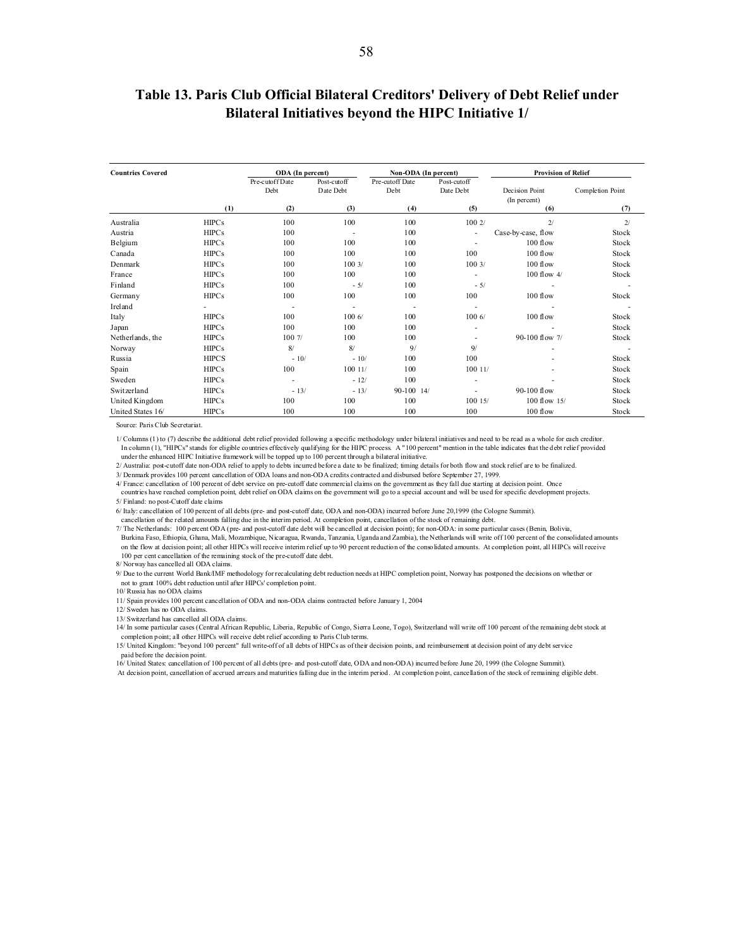### **Table 13. Paris Club Official Bilateral Creditors' Delivery of Debt Relief under Bilateral Initiatives beyond the HIPC Initiative 1/**

| <b>Countries Covered</b> |              | ODA (In percent)        |                          | Non-ODA (In percent)    |                          | <b>Provision of Relief</b>     |                  |
|--------------------------|--------------|-------------------------|--------------------------|-------------------------|--------------------------|--------------------------------|------------------|
|                          |              | Pre-cutoff Date<br>Debt | Post-cutoff<br>Date Debt | Pre-cutoff Date<br>Debt | Post-cutoff<br>Date Debt | Decision Point<br>(In percent) | Completion Point |
|                          | (1)          | (2)                     | (3)                      | (4)                     | (5)                      | (6)                            | (7)              |
| Australia                | HIPCs        | 100                     | 100                      | 100                     | 1002/                    | 2/                             | 2/               |
| Austria                  | HIPCs        | 100                     |                          | 100                     | ٠                        | Case-by-case, flow             | Stock            |
| Belgium                  | <b>HIPCs</b> | 100                     | 100                      | 100                     | ٠                        | $100$ flow                     | Stock            |
| Canada                   | <b>HIPCs</b> | 100                     | 100                      | 100                     | 100                      | $100$ flow                     | Stock            |
| Denmark                  | HIPCs        | 100                     | 1003/                    | 100                     | 1003/                    | 100 flow                       | Stock            |
| France                   | <b>HIPCs</b> | 100                     | 100                      | 100                     | ٠                        | 100 flow 4/                    | Stock            |
| Finland                  | HIPCs        | 100                     | $-5/$                    | 100                     | $-5/$                    |                                |                  |
| Germany                  | <b>HIPCs</b> | 100                     | 100                      | 100                     | 100                      | 100 flow                       | Stock            |
| Ireland                  |              | ٠                       | ÷                        | ٠.                      |                          |                                |                  |
| Italy                    | HIPCs        | 100                     | 1006/                    | 100                     | 1006/                    | 100 flow                       | Stock            |
| Japan                    | HIPCs        | 100                     | 100                      | 100                     |                          |                                | Stock            |
| Netherlands, the         | HIPCs        | 1007/                   | 100                      | 100                     |                          | 90-100 flow 7/                 | Stock            |
| Norway                   | HIPCs        | 8/                      | 8/                       | 9/                      | 9/                       |                                |                  |
| Russia                   | <b>HIPCS</b> | $-10/$                  | $-10/$                   | 100                     | 100                      |                                | Stock            |
| Spain                    | <b>HIPCs</b> | 100                     | 100 11/                  | 100                     | 10011/                   |                                | Stock            |
| Sweden                   | <b>HIPCs</b> | ٠                       | $-12/$                   | 100                     |                          |                                | Stock            |
| Switzerland              | HIPCs        | $-13/$                  | $-13/$                   | $90-100$ 14/            |                          | $90 - 100$ flow                | Stock            |
| United Kingdom           | <b>HIPCs</b> | 100                     | 100                      | 100                     | 10015/                   | $100$ flow $15/$               | Stock            |
| United States 16/        | HIPCs        | 100                     | 100                      | 100                     | 100                      | 100 flow                       | Stock            |

Source: Paris Club Secretariat.

1/ Columns (1) to (7) describe the additional debt relief provided following a specific methodology under bilateral initiatives and need to be read as a whole for each creditor. In column (1), "HIPCs" stands for eligible countries effectively qualifying for the HIPC process. A "100 percent" mention in the table indicates that the debt relief provided

under the enhanced HIPC Initiative framework will be topped up to 100 percent through a bilateral initiative.<br>2/ Australia: post-cutoff date non-ODA relief to apply to debts incurred before a date to be finalized; timing d

3/ Denmark provides 100 percent cancellation of ODA loans and non-ODA credits contracted and disbursed before September 27, 1999.

4/ France: cancellation of 100 percent of debt service on pre-cutoff date commercial claims on the government as they fall due starting at decision point. Once countries have reached completion point, debt relief on ODA claims on the government will go to a special account and will be used for specific development projects. 5/ Finland: no post-Cutoff date claims

6/ Italy: cancellation of 100 percent of all debts (pre- and post-cutoff date, ODA and non-ODA) incurred before June 20,1999 (the Cologne Summit).

cancellation of the related amounts falling due in the interim period. At completion point, cancellation of the stock of remaining debt.<br>7/ The Netherlands: 100 percent ODA (pre- and post-cutoff date debt will be cancelled

Burkina Faso, Ethiopia, Ghana, Mali, Mozambique, Nicaragua, Rwanda, Tanzania, Uganda and Zambia), the Netherlands will write off 100 percent of the consolidated amounts on the flow at decision point; all other HIPCs will receive interim relief up to 90 percent reduction of the consolidated amounts. At completion point, all HIPCs will receive 100 per cent cancellation of the remaining stock of the pre-cutoff date debt.

8/ Norway has cancelled all ODA claims.

9/ Due to the current World Bank/IMF methodology for recalculating debt reduction needs at HIPC completion point, Norway has postponed the decisions on whether or not to grant 100% debt reduction until after HIPCs' completion point. 10/ Russia has no ODA claims

11/ Spain provides 100 percent cancellation of ODA and non-ODA claims contracted before January 1, 2004

12/ Sweden has no ODA claims.

13/ Switzerland has cancelled all ODA claims.

14/ In some particular cases (Central African Republic, Liberia, Republic of Congo, Sierra Leone, Togo), Switzerland will write off 100 percent of the remaining debt stock at

completion point; all other HIPCs will receive debt relief according to Paris Club terms.

<span id="page-57-0"></span>58

15/ United Kingdom: "beyond 100 percent" full write-off of all debts of HIPCs as of their decision points, and reimbursement at decision point of any debt service paid before the decision point.

16/ United States: cancellation of 100 percent of all debts (pre- and post-cutoff date, ODA and non-ODA) incurred before June 20, 1999 (the Cologne Summit).

At decision point, cancellation of accrued arrears and maturities falling due in the interim period. At completion point, cancellation of the stock of remaining eligible debt.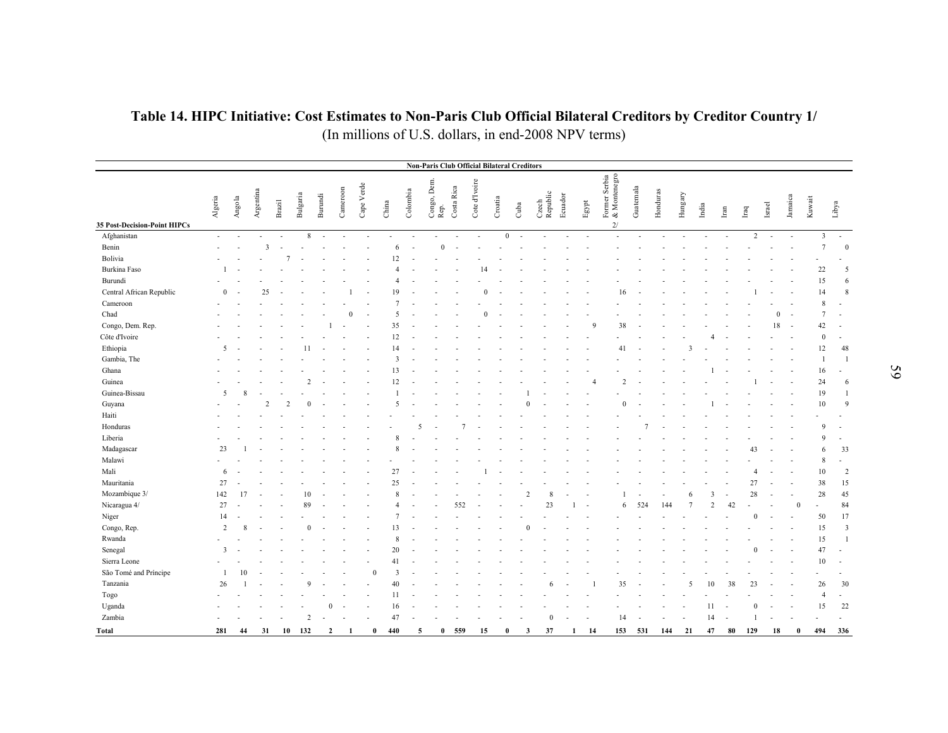### **Table 14. HIPC Initiative: Cost Estimates to Non-Paris Club Official Bilateral Creditors by Creditor Country 1/**  (In millions of U.S. dollars, in end-2008 NPV terms)

<span id="page-58-0"></span>

|                              |                |                |               |               |                |                |                          |                          |                            |                           |                     |            | <b>Non-Paris Club Official Bilateral Creditors</b> |         |                        |                          |                          |                       |                                     |                          |                          |                |                          |                          |               |                |          |              |                |                          |
|------------------------------|----------------|----------------|---------------|---------------|----------------|----------------|--------------------------|--------------------------|----------------------------|---------------------------|---------------------|------------|----------------------------------------------------|---------|------------------------|--------------------------|--------------------------|-----------------------|-------------------------------------|--------------------------|--------------------------|----------------|--------------------------|--------------------------|---------------|----------------|----------|--------------|----------------|--------------------------|
| 35 Post-Decision-Point HIPCs | Algeria        | Angola         | Argentina     | Brazil        | Bulgaria       | Burundi        | Cameroon                 | Cape Verde               | China                      | $\operatorname{Colombia}$ | Congo, Dem.<br>Rep. | Costa Rica | Cote d'Ivoire                                      | Croatia | Cuba                   | Czech<br>Republic        | Ecuador                  | $\operatorname{Espt}$ | Former Serbia<br>& Montenegro<br>2/ | Guatemala                | Honduras                 | Hungary        | India                    | Iran                     | $_{\rm Iraq}$ | Israel         |          | Jamaica      | Kuwait         | Libya                    |
| Afghanistan                  | $\sim$         | $\overline{a}$ |               |               | 8              | $\sim$         | $\overline{\phantom{a}}$ | $\overline{\phantom{a}}$ |                            |                           | $\overline{a}$      | $\sim$     | $\sim$                                             |         | $\mathbf{0}$<br>$\sim$ | $\overline{\phantom{a}}$ | $\overline{\phantom{a}}$ | $\sim$                |                                     | $\overline{\phantom{a}}$ | $\overline{\phantom{a}}$ | $\sim$         | $\overline{\phantom{a}}$ | $\overline{\phantom{a}}$ |               | $\overline{2}$ | $\sim$   | $\sim$       | $\overline{3}$ | $\sim$                   |
| Benin                        |                |                | 3             |               |                |                |                          |                          | 6                          |                           | $\theta$            |            |                                                    |         |                        |                          |                          |                       |                                     |                          |                          |                |                          |                          |               |                |          |              | $\tau$         | $\mathbf{0}$             |
| Bolivia                      |                |                |               |               |                |                |                          | $\overline{\phantom{a}}$ | 12                         |                           |                     |            |                                                    |         |                        |                          |                          |                       |                                     |                          |                          |                |                          |                          |               |                |          |              |                |                          |
| Burkina Faso                 |                |                |               |               |                |                |                          |                          |                            |                           |                     |            | 14                                                 |         |                        |                          |                          |                       |                                     |                          |                          |                |                          |                          |               |                |          |              | 22             | 5                        |
| Burundi                      |                |                |               |               |                |                |                          |                          |                            |                           |                     |            |                                                    |         |                        |                          |                          |                       |                                     |                          |                          |                |                          |                          |               |                |          |              | 15             | 6                        |
| Central African Republic     | $\mathbf{0}$   |                | 25            |               |                |                |                          |                          | 19                         |                           |                     |            |                                                    |         |                        |                          |                          |                       | 16                                  |                          |                          |                |                          |                          |               |                |          |              | 14             | 8                        |
| Cameroon                     |                |                |               |               |                |                |                          |                          |                            |                           |                     |            |                                                    |         |                        |                          |                          |                       |                                     |                          |                          |                |                          |                          |               |                |          |              | 8              |                          |
| Chad                         |                |                |               |               |                |                | $\Omega$                 |                          | 5                          |                           |                     |            |                                                    |         |                        |                          |                          |                       |                                     |                          |                          |                |                          |                          |               |                | $\Omega$ |              | $\tau$         |                          |
| Congo, Dem. Rep.             |                |                |               |               |                |                |                          |                          | 35                         |                           |                     |            |                                                    |         |                        |                          |                          |                       | 38<br>$\mathbf Q$                   |                          |                          |                |                          |                          |               |                | 18       | $\sim$       | 42             | $\overline{\phantom{a}}$ |
| Côte d'Ivoire                |                |                |               |               |                |                |                          |                          | 12                         |                           |                     |            |                                                    |         |                        |                          |                          |                       |                                     |                          |                          |                |                          |                          |               |                |          |              | $\mathbf{0}$   |                          |
| Ethiopia                     | 5              |                |               |               | 11             |                |                          |                          | 14                         |                           |                     |            |                                                    |         |                        |                          |                          |                       | 41                                  |                          |                          | 3              |                          |                          |               |                |          |              | 12             | 48                       |
| Gambia, The                  |                |                |               |               |                |                |                          |                          | $\overline{3}$             |                           |                     |            |                                                    |         |                        |                          |                          |                       |                                     |                          |                          |                |                          |                          |               |                |          |              | $\mathbf{1}$   | $\overline{1}$           |
| Ghana                        |                |                |               |               |                |                |                          |                          | 13                         |                           |                     |            |                                                    |         |                        |                          |                          |                       |                                     |                          |                          |                |                          |                          |               |                |          |              | 16             |                          |
| Guinea                       |                |                |               |               |                |                |                          |                          | 12                         |                           |                     |            |                                                    |         |                        |                          |                          |                       |                                     | 2                        |                          |                |                          |                          |               |                |          |              | 24             | 6                        |
| Guinea-Bissau                | 5              |                |               |               |                |                |                          |                          |                            |                           |                     |            |                                                    |         |                        |                          |                          |                       |                                     |                          |                          |                |                          |                          |               |                |          |              | 19             |                          |
| Guyana                       |                |                | $\mathcal{P}$ | $\mathcal{D}$ | $\Omega$       |                |                          |                          | $\overline{\phantom{0}}$   |                           |                     |            |                                                    |         | $\Omega$               |                          |                          |                       |                                     | $\Omega$                 |                          |                |                          |                          |               |                |          |              | 10             | $\overline{Q}$           |
| Haiti                        |                |                |               |               |                |                |                          |                          |                            |                           |                     |            |                                                    |         |                        |                          |                          |                       |                                     |                          |                          |                |                          |                          |               |                |          |              |                |                          |
| Honduras                     |                |                |               |               |                |                |                          |                          |                            |                           |                     |            |                                                    |         |                        |                          |                          |                       |                                     |                          |                          |                |                          |                          |               |                |          |              | $\mathbf Q$    |                          |
| Liberia                      |                |                |               |               |                |                |                          |                          | 8                          |                           |                     |            |                                                    |         |                        |                          |                          |                       |                                     |                          |                          |                |                          |                          |               |                |          |              | $\mathbf Q$    | $\overline{a}$           |
| Madagascar                   | 23             |                |               |               |                |                |                          |                          | 8                          |                           |                     |            |                                                    |         |                        |                          |                          |                       |                                     |                          |                          |                |                          |                          | 43            |                |          |              | 6              | 33                       |
| Malawi                       |                |                |               |               |                |                |                          |                          |                            |                           |                     |            |                                                    |         |                        |                          |                          |                       |                                     |                          |                          |                |                          |                          |               |                |          |              | 8              | $\overline{\phantom{a}}$ |
| Mali                         | 6              |                |               |               |                |                |                          |                          | 27                         |                           |                     |            |                                                    |         |                        |                          |                          |                       |                                     |                          |                          |                |                          |                          |               |                |          |              | 10             | $\overline{2}$           |
| Mauritania                   | 27             |                |               |               |                |                |                          |                          | 25                         |                           |                     |            |                                                    |         |                        |                          |                          |                       |                                     |                          |                          |                |                          |                          | 27            |                |          |              | 38             | 15                       |
| Mozambique 3/                | 142            | 17             |               |               | 10             |                |                          |                          | $\mathbf{\hat{x}}$         |                           |                     |            |                                                    |         | $\mathfrak{D}$         |                          |                          |                       |                                     |                          |                          | 6              |                          | $\mathbf{3}$             | 28            |                |          | L.           | $28\,$         | 45                       |
| Nicaragua 4/                 | 27             |                |               |               | 89             |                |                          |                          | $\overline{A}$             |                           |                     | 552        |                                                    |         |                        | 23                       |                          |                       |                                     | 524<br>6                 | 144                      | $\overline{7}$ |                          | 42<br>$\overline{2}$     |               |                |          | $\mathbf{0}$ | ÷,             | 84                       |
| Niger                        | 14             |                |               |               |                |                |                          |                          |                            |                           |                     |            |                                                    |         |                        |                          |                          |                       |                                     |                          |                          |                |                          |                          |               | $\Omega$       |          |              | 50             | 17                       |
| Congo, Rep.                  | $\overline{2}$ |                |               |               | $\theta$       |                |                          |                          | 13                         |                           |                     |            |                                                    |         | $\theta$               |                          |                          |                       |                                     |                          |                          |                |                          |                          |               |                |          |              | 15             | $\overline{3}$           |
| Rwanda                       |                |                |               |               |                |                |                          |                          | $\mathbf{\hat{z}}$         |                           |                     |            |                                                    |         |                        |                          |                          |                       |                                     |                          |                          |                |                          |                          |               |                |          |              | 15             | $\overline{1}$           |
| Senegal                      | $\mathbf{3}$   |                |               |               |                |                |                          |                          | 20                         |                           |                     |            |                                                    |         |                        |                          |                          |                       |                                     |                          |                          |                |                          |                          |               |                |          |              | 47             |                          |
| Sierra Leone                 |                |                |               |               |                |                |                          |                          | 41                         |                           |                     |            |                                                    |         |                        |                          |                          |                       |                                     |                          |                          |                |                          |                          |               |                |          |              | 10             |                          |
| São Tomé and Príncipe        | -1             | 10             |               |               |                |                |                          |                          | $\overline{3}$<br>$\theta$ |                           |                     |            |                                                    |         |                        |                          |                          |                       |                                     |                          |                          |                |                          |                          |               |                |          |              |                |                          |
| Tanzania                     | 26             |                |               |               | 9              |                |                          |                          | 40                         |                           |                     |            |                                                    |         |                        | 6                        |                          |                       | 35                                  |                          |                          | 5              |                          | 10<br>38                 | 23            |                |          |              | 26             | 30                       |
| Togo                         |                |                |               |               |                |                |                          |                          | 11                         |                           |                     |            |                                                    |         |                        |                          |                          |                       |                                     |                          |                          |                |                          |                          |               |                |          |              | $\overline{4}$ | $\overline{a}$           |
| Uganda                       |                |                |               |               |                |                |                          |                          | 16                         |                           |                     |            |                                                    |         |                        |                          |                          |                       |                                     |                          |                          |                | 11                       |                          |               |                |          |              | 15             | 22                       |
| Zambia                       |                |                |               |               | $\overline{2}$ |                |                          |                          | 47                         |                           |                     |            |                                                    |         |                        | $\Omega$                 |                          |                       | 14                                  |                          |                          |                |                          | 14                       |               |                |          |              |                |                          |
| Total                        | 281            | 44             | 31            | 10            | 132            | $\overline{2}$ |                          |                          | 440<br>$\theta$            | 5                         | $\bf{0}$            | 559        | 15                                                 |         | $\mathbf{3}$           | 37                       | $\mathbf{1}$             | 14                    | 153                                 | 531                      | 144                      | 21             | 47                       | 80                       | 129           |                | 18       | $\theta$     | 494            | 336                      |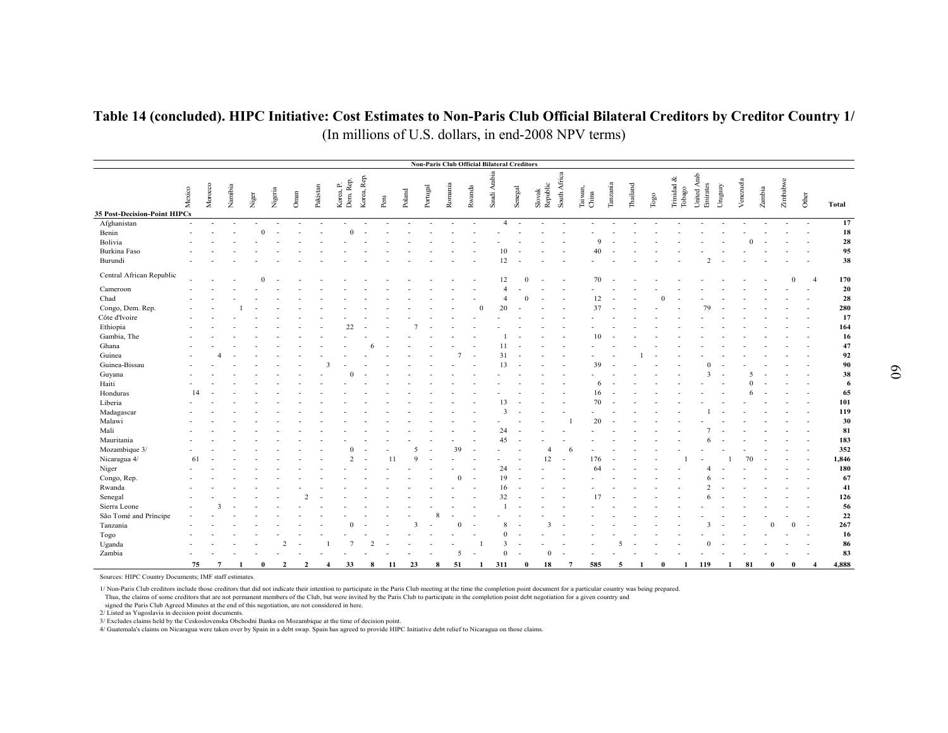### **Table 14 (concluded). HIPC Initiative: Cost Estimates to Non-Paris Club Official Bilateral Creditors by Creditor Country 1/**  (In millions of U.S. dollars, in end-2008 NPV terms)

|                              |        |         |        |       |              |               |               |                  |                       |                          |      |    |          |          |         |              | <b>Non-Paris Club Official Bilateral Creditors</b> |         |              |                    |                |                  |                          |          |              |                         |             |          |         |           |          |          |                        |          |
|------------------------------|--------|---------|--------|-------|--------------|---------------|---------------|------------------|-----------------------|--------------------------|------|----|----------|----------|---------|--------------|----------------------------------------------------|---------|--------------|--------------------|----------------|------------------|--------------------------|----------|--------------|-------------------------|-------------|----------|---------|-----------|----------|----------|------------------------|----------|
| 35 Post-Decision-Point HIPCs | Mexico | Morocco | Nambia | Niger |              | Nigeria       | Oman          | Pakistan         | Korea, P.<br>Dem Rep. | Korea, Rep.              | Peru |    | Poland   | Portugal | Romania | Rwanda       | Saudi Arabia                                       | Senegal |              | Slovak<br>Republic | South Africa   | Taiwan,<br>China | Tanzania                 | Thailand | $\Gamma$ ogo | Trinidad $\&$<br>Tobago | United Arab | Emirates | Uruguay | Venezuela | Zambia   | Zimbabwe | Other                  | Total    |
| Afghanistan                  | $\sim$ |         | $\sim$ |       |              |               |               |                  |                       |                          |      |    |          | ÷,       |         |              | $\overline{4}$                                     | $\sim$  |              |                    |                |                  |                          |          |              |                         |             |          |         |           |          |          |                        | 17       |
| Benin                        | ÷      |         |        |       | $\mathbf{0}$ | $\sim$        |               |                  | $\Omega$              | $\overline{\phantom{a}}$ |      |    |          |          |         |              |                                                    |         |              |                    |                |                  |                          |          |              |                         |             |          |         |           |          |          |                        | 18       |
| Bolivia                      |        |         |        |       |              |               |               |                  |                       |                          |      |    |          |          |         |              |                                                    |         |              |                    |                | $\mathbf Q$      |                          |          |              |                         |             |          |         |           |          |          |                        | 28       |
| Burkina Faso                 |        |         |        |       |              |               |               |                  |                       |                          |      |    |          |          |         |              | 10                                                 |         |              |                    |                | 40               |                          |          |              |                         |             |          |         |           |          |          |                        | 95       |
| Burundi                      |        |         |        |       |              |               |               |                  |                       |                          |      |    |          |          |         |              | 12                                                 |         |              |                    |                |                  |                          |          |              |                         |             |          |         |           |          |          |                        | 38       |
|                              |        |         |        |       |              |               |               |                  |                       |                          |      |    |          |          |         |              |                                                    |         |              |                    |                |                  |                          |          |              |                         |             |          |         |           |          |          |                        |          |
| Central African Republic     |        |         |        |       | $\Omega$     |               |               |                  |                       |                          |      |    |          |          |         |              | 12                                                 |         |              |                    |                | 70               |                          |          |              |                         |             |          |         |           |          |          | $\boldsymbol{\Lambda}$ | 170      |
| Cameroon                     |        |         |        |       |              |               |               |                  |                       |                          |      |    |          |          |         |              |                                                    |         |              |                    |                |                  |                          |          |              |                         |             |          |         |           |          |          |                        | 20       |
| Chad                         |        |         |        |       |              |               |               |                  |                       |                          |      |    |          |          |         |              |                                                    |         |              |                    |                | 12               |                          |          |              |                         |             |          |         |           |          |          |                        | 28       |
| Congo, Dem. Rep.             |        |         |        |       |              |               |               |                  |                       |                          |      |    |          |          |         |              | 20                                                 |         |              |                    |                | 37               |                          |          |              |                         |             | 79       |         |           |          |          |                        | 280      |
| Côte d'Ivoire                |        |         |        |       |              |               |               |                  |                       |                          |      |    |          |          |         |              |                                                    |         |              |                    |                |                  |                          |          |              |                         |             |          |         |           |          |          |                        | 17       |
| Ethiopia                     |        |         |        |       |              |               |               |                  | 22                    |                          |      |    |          |          |         |              |                                                    |         |              |                    |                |                  |                          |          |              |                         |             |          |         |           |          |          |                        | 164      |
| Gambia, The                  |        |         |        |       |              |               |               |                  |                       |                          |      |    |          |          |         |              |                                                    |         |              |                    |                | 10               |                          |          |              |                         |             |          |         |           |          |          |                        | 16       |
| Ghana                        |        |         |        |       |              |               |               |                  |                       |                          |      |    |          |          |         |              | 11                                                 |         |              |                    |                |                  |                          |          |              |                         |             |          |         |           |          |          |                        | 47       |
| Guinea                       |        |         |        |       |              |               |               |                  |                       |                          |      |    |          |          |         |              | 31                                                 |         |              |                    |                |                  |                          |          |              |                         |             |          |         |           |          |          |                        | 92       |
| Guinea-Bissau                |        |         |        |       |              |               |               |                  |                       |                          |      |    |          |          |         |              | 13                                                 |         |              |                    |                | 39               |                          |          |              |                         |             |          |         |           |          |          |                        | 90       |
| Guyana                       |        |         |        |       |              |               |               |                  |                       |                          |      |    |          |          |         |              |                                                    |         |              |                    |                |                  |                          |          |              |                         |             |          |         |           |          |          |                        | 38       |
| Haiti                        |        |         |        |       |              |               |               |                  |                       |                          |      |    |          |          |         |              |                                                    |         |              |                    |                | 6                |                          |          |              |                         |             |          |         |           |          |          |                        | 6        |
| Honduras                     | 14     |         |        |       |              |               |               |                  |                       |                          |      |    |          |          |         |              |                                                    |         |              |                    |                | 16               |                          |          |              |                         |             |          |         |           |          |          |                        | 65       |
| Liberia                      |        |         |        |       |              |               |               |                  |                       |                          |      |    |          |          |         |              | 13                                                 |         |              |                    |                | 70               |                          |          |              |                         |             |          |         |           |          |          |                        | 101      |
| Madagascar                   |        |         |        |       |              |               |               |                  |                       |                          |      |    |          |          |         |              |                                                    |         |              |                    |                |                  |                          |          |              |                         |             |          |         |           |          |          |                        | 119      |
| Malawi                       |        |         |        |       |              |               |               |                  |                       |                          |      |    |          |          |         |              |                                                    |         |              |                    |                | 20               |                          |          |              |                         |             |          |         |           |          |          |                        | 30       |
| Mali                         |        |         |        |       |              |               |               |                  |                       |                          |      |    |          |          |         |              | 24                                                 |         |              |                    |                |                  |                          |          |              |                         |             |          |         |           |          |          |                        | 81       |
| Mauritania                   |        |         |        |       |              |               |               |                  |                       |                          |      |    |          |          |         |              | 45                                                 |         |              |                    |                |                  |                          |          |              |                         |             |          |         |           |          |          |                        | 183      |
| Mozambique 3/                |        |         |        |       |              |               |               |                  |                       |                          |      |    | 5        |          | 39      |              |                                                    |         |              |                    | 6              |                  |                          |          |              |                         |             |          |         |           |          |          |                        | 352      |
| Nicaragua 4/                 | 61     |         |        |       |              |               |               |                  |                       |                          |      | 11 | $\Omega$ |          |         |              |                                                    |         |              | 12                 | $\sim$         | 176              |                          |          |              |                         |             |          |         |           |          |          |                        | 1,846    |
| Niger                        |        |         |        |       |              |               |               |                  |                       |                          |      |    |          |          |         |              | 24                                                 |         |              |                    |                | 64               |                          |          |              |                         |             |          |         |           |          |          |                        | 180      |
| Congo, Rep.                  |        |         |        |       |              |               |               |                  |                       |                          |      |    |          |          |         |              | 19                                                 |         |              |                    |                |                  |                          |          |              |                         |             |          |         |           |          |          |                        | 67       |
| Rwanda                       |        |         |        |       |              |               |               |                  |                       |                          |      |    |          |          |         |              | 16                                                 |         |              |                    |                |                  |                          |          |              |                         |             |          |         |           |          |          |                        | 41       |
| Senegal                      |        |         |        |       |              |               |               |                  |                       |                          |      |    |          |          |         |              | 32                                                 |         |              |                    |                | 17               |                          |          |              |                         |             |          |         |           |          |          |                        | 126      |
| Sierra Leone                 |        | 3       |        |       |              |               |               |                  |                       |                          |      |    |          |          |         |              |                                                    |         |              |                    |                |                  |                          |          |              |                         |             |          |         |           |          |          |                        | 56       |
| São Tomé and Príncipe        |        |         |        |       |              |               |               |                  |                       |                          |      |    |          |          |         |              |                                                    |         |              |                    |                |                  |                          |          |              |                         |             |          |         |           |          |          |                        | $\bf 22$ |
| Tanzania                     |        |         |        |       |              |               |               |                  |                       |                          |      |    |          |          |         |              |                                                    |         |              |                    |                |                  |                          |          |              |                         |             |          |         |           |          |          |                        | 267      |
| Togo                         |        |         |        |       |              |               |               |                  |                       |                          |      |    |          |          |         |              |                                                    |         |              |                    |                |                  |                          |          |              |                         |             |          |         |           |          |          |                        | 16       |
| Uganda                       |        |         |        |       |              | $\mathcal{D}$ |               |                  |                       |                          |      |    |          |          |         |              |                                                    |         |              |                    |                |                  | $\overline{\phantom{0}}$ |          |              |                         |             |          |         |           |          |          |                        | 86       |
| Zambia                       |        |         |        |       |              |               |               |                  |                       |                          |      |    |          |          | 5       |              | $\Omega$                                           |         |              | $\mathbf{0}$       |                |                  |                          |          |              |                         |             |          |         |           |          |          |                        | 83       |
|                              | 75     | 7       |        |       | 0            | $\mathcal{I}$ | $\mathcal{P}$ | $\boldsymbol{4}$ | 33                    |                          | 8    | 11 | 23       | 8        | 51      | $\mathbf{1}$ | 311                                                |         | $\mathbf{0}$ | 18                 | $\overline{7}$ | 585              | 5                        |          |              | $\mathbf{0}$            | 119         |          |         | 81        | $\Omega$ |          | $\boldsymbol{4}$       | 4,888    |

Sources: HIPC Country Documents; IMF staff estimates.

1/ Non-Paris Club creditors include those creditors that did not indicate their intention to participate in the Paris Club meeting at the time the completion point document for a particular country was being prepared.

Thus, the claims of some creditors that are not permanent members of the Club, but were invited by the Paris Club to participate in the completion point debt negotiation for a given country and

signed the Paris Club Agreed Minutes at the end of this negotiation, are not considered in here.

2/ Listed as Yugoslavia in decision point documents.

3/ Excludes claims held by the Ceskoslovenska Obchodni Banka on Mozambique at the time of decision point.

4/ Guatemala's claims on Nicaragua were taken over by Spain in a debt swap. Spain has agreed to provide HIPC Initiative debt relief to Nicaragua on those claims.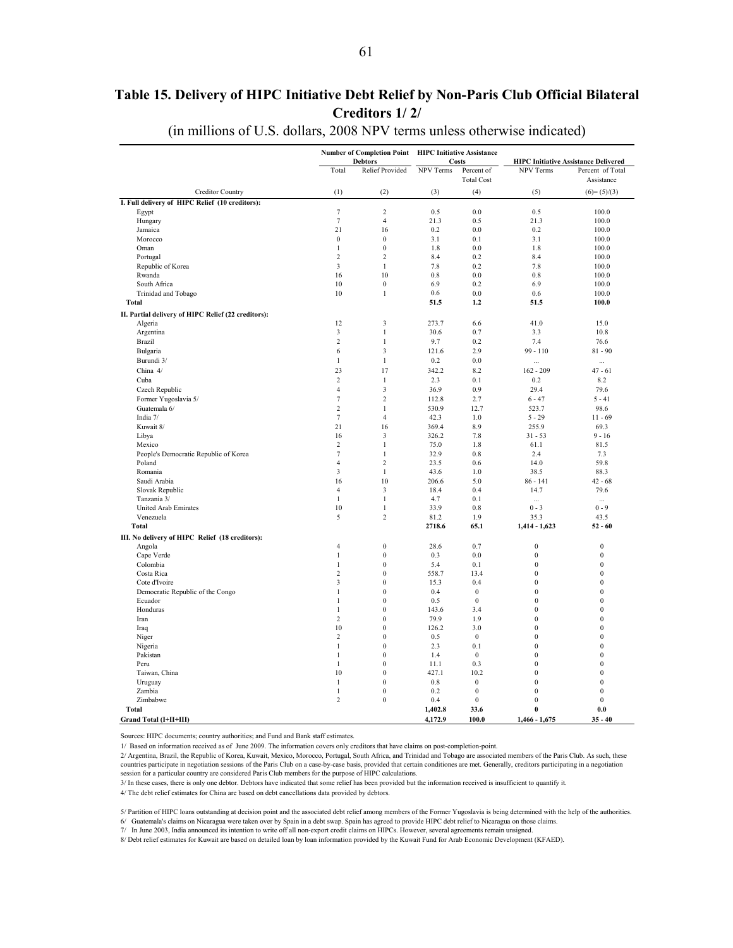## <span id="page-60-0"></span>**Table 15. Delivery of HIPC Initiative Debt Relief by Non-Paris Club Official Bilateral Creditors 1/ 2/**

#### (in millions of U.S. dollars, 2008 NPV terms unless otherwise indicated)

| NPV Terms<br>Total<br><b>Relief Provided</b><br>Percent of<br>NPV Terms<br>Percent of Total<br><b>Total Cost</b><br>Assistance<br>Creditor Country<br>(1)<br>(3)<br>(4)<br>(5)<br>$(6)=(5)/(3)$<br>(2)<br>I. Full delivery of HIPC Relief (10 creditors):<br>$\tau$<br>$\mathfrak 2$<br>0.5<br>0.0<br>0.5<br>100.0<br>Egypt<br>$\overline{7}$<br>Hungary<br>$\overline{4}$<br>21.3<br>0.5<br>21.3<br>100.0<br>21<br>16<br>0.2<br>0.0<br>Jamaica<br>0.2<br>100.0<br>Morocco<br>$\mathbf{0}$<br>$\boldsymbol{0}$<br>3.1<br>0.1<br>3.1<br>100.0<br>$\boldsymbol{0}$<br>Oman<br>$\mathbf{1}$<br>1.8<br>0.0<br>1.8<br>100.0<br>$\overline{c}$<br>$\overline{c}$<br>0.2<br>8.4<br>8.4<br>Portugal<br>100.0<br>Republic of Korea<br>$\mathfrak{Z}$<br>$\mathbf{1}$<br>7.8<br>0.2<br>7.8<br>100.0<br>Rwanda<br>16<br>10<br>0.8<br>0.0<br>0.8<br>100.0<br>$\boldsymbol{0}$<br>South Africa<br>10<br>6.9<br>0.2<br>6.9<br>100.0<br>Trinidad and Tobago<br>10<br>$\mathbf{1}$<br>0.6<br>0.0<br>0.6<br>100.0<br><b>Total</b><br>51.5<br>1.2<br>51.5<br>100.0<br>II. Partial delivery of HIPC Relief (22 creditors):<br>$\overline{\mathbf{3}}$<br>12<br>273.7<br>6.6<br>41.0<br>15.0<br>Algeria<br>$\mathfrak{Z}$<br>$\,1$<br>0.7<br>30.6<br>3.3<br>10.8<br>Argentina<br><b>Brazil</b><br>$\overline{c}$<br>$\mathbf{1}$<br>9.7<br>0.2<br>7.4<br>76.6<br>$\overline{\mathbf{3}}$<br>Bulgaria<br>6<br>121.6<br>2.9<br>$99 - 110$<br>$81 - 90$<br>Burundi 3/<br>$\mathbf{1}$<br>0.2<br>0.0<br>$\mathbf{1}$<br><br>$\cdots$<br>23<br>17<br>342.2<br>China 4/<br>8.2<br>$162 - 209$<br>$47 - 61$<br>Cuba<br>$\overline{c}$<br>2.3<br>0.1<br>$\mathbf{1}$<br>0.2<br>8.2<br>Czech Republic<br>$\overline{4}$<br>3<br>36.9<br>0.9<br>29.4<br>79.6<br>$\overline{7}$<br>$\overline{2}$<br>Former Yugoslavia 5/<br>112.8<br>2.7<br>$6 - 47$<br>$5 - 41$<br>$\overline{2}$<br>Guatemala 6/<br>$\mathbf{1}$<br>530.9<br>12.7<br>523.7<br>98.6<br>$\tau$<br>$\overline{4}$<br>1.0<br>India 7/<br>42.3<br>$5 - 29$<br>$11 - 69$<br>21<br>Kuwait 8/<br>16<br>369.4<br>8.9<br>255.9<br>69.3<br>3<br>Libya<br>16<br>326.2<br>7.8<br>$31 - 53$<br>$9 - 16$<br>$\mathfrak 2$<br>$\mathbf{1}$<br>75.0<br>1.8<br>Mexico<br>61.1<br>81.5<br>$\tau$<br>$\mathbf{1}$<br>32.9<br>$0.8\,$<br>2.4<br>People's Democratic Republic of Korea<br>7.3<br>Poland<br>$\overline{4}$<br>$\overline{c}$<br>23.5<br>0.6<br>14.0<br>59.8<br>3<br>Romania<br>$\mathbf{1}$<br>43.6<br>1.0<br>38.5<br>88.3<br>10<br>Saudi Arabia<br>16<br>206.6<br>5.0<br>$86 - 141$<br>$42 - 68$<br>Slovak Republic<br>$\overline{4}$<br>3<br>18.4<br>0.4<br>14.7<br>79.6<br>$\mathbf{1}$<br>$\mathbf{1}$<br>0.1<br>Tanzania 3/<br>4.7<br>$\ddotsc$<br>$\ddotsc$<br>10<br>$\mathbf{1}$<br>33.9<br>0.8<br>$0 - 3$<br>$0 - 9$<br><b>United Arab Emirates</b><br>Venezuela<br>5<br>$\overline{c}$<br>1.9<br>81.2<br>35.3<br>43.5<br>2718.6<br>65.1<br><b>Total</b><br>$1,414 - 1,623$<br>$52 - 60$<br>III. No delivery of HIPC Relief (18 creditors):<br>$\mathbf{0}$<br>28.6<br>0.7<br>$\boldsymbol{0}$<br>$\boldsymbol{0}$<br>Angola<br>$\overline{4}$<br>$\mathbf{0}$<br>$\boldsymbol{0}$<br>0.3<br>0.0<br>$\boldsymbol{0}$<br>Cape Verde<br>$\mathbf{1}$<br>Colombia<br>$\overline{0}$<br>0.1<br>$\boldsymbol{0}$<br>$\overline{0}$<br>$\mathbf{1}$<br>5.4<br>$\overline{c}$<br>$\overline{0}$<br>558.7<br>13.4<br>$\mathbf{0}$<br>$\mathbf{0}$<br>Costa Rica<br>0.4<br>$\overline{0}$<br>Cote d'Ivoire<br>3<br>$\mathbf{0}$<br>15.3<br>$\mathbf{0}$<br>$\mathbf{0}$<br>$\boldsymbol{0}$<br>$\mathbf{0}$<br>$\mathbf{1}$<br>0.4<br>$\boldsymbol{0}$<br>Democratic Republic of the Congo<br>$\overline{0}$<br>$\overline{0}$<br>$\overline{0}$<br>Ecuador<br>$\mathbf{1}$<br>0.5<br>$\mathbf{0}$<br>$\boldsymbol{0}$<br>$\boldsymbol{0}$<br>$\boldsymbol{0}$<br>Honduras<br>$\mathbf{1}$<br>143.6<br>3.4<br>$\overline{c}$<br>$\mathbf{0}$<br>79.9<br>$\bf{0}$<br>$\mathbf{0}$<br>1.9<br>Iran<br>10<br>$\theta$<br>3.0<br>$\boldsymbol{0}$<br>$\theta$<br>Iraq<br>126.2<br>$\overline{c}$<br>$\overline{0}$<br>$\boldsymbol{0}$<br>0.5<br>$\boldsymbol{0}$<br>Niger<br>$\bf{0}$<br>$\mathbf{0}$<br>$\overline{0}$<br>$\overline{0}$<br>0.1<br>Nigeria<br>$\mathbf{1}$<br>2.3<br>$\overline{0}$<br>$\overline{0}$<br>Pakistan<br>$\mathbf{1}$<br>1.4<br>$\mathbf{0}$<br>$\boldsymbol{0}$<br>$\mathbf{1}$<br>$\mathbf{0}$<br>11.1<br>0.3<br>$\mathbf{0}$<br>$\mathbf{0}$<br>Peru<br>$\mathbf{0}$<br>427.1<br>$\mathbf{0}$<br>10<br>10.2<br>$\boldsymbol{0}$<br>Taiwan, China<br>$\overline{0}$<br>$\mathbf{0}$<br>$\overline{0}$<br>Uruguay<br>$\mathbf{1}$<br>0.8<br>$\mathbf{0}$<br>$\boldsymbol{0}$<br>$\boldsymbol{0}$<br>$\boldsymbol{0}$<br>Zambia<br>$\mathbf{1}$<br>0.2<br>$\boldsymbol{0}$<br>$\mathbf{0}$<br>$\overline{c}$<br>$\mathbf{0}$<br>$\mathbf{0}$<br>$\mathbf{0}$<br>Zimbabwe<br>0.4<br>1,402.8<br>33.6<br>$\bf{0}$<br>0.0<br>Total<br>4,172.9<br>100.0<br>Grand Total (I+II+III)<br>$1,466 - 1,675$<br>$35 - 40$ |  | Number of Completion Point HIPC Initiative Assistance<br><b>Debtors</b> | <b>Costs</b> | <b>HIPC Initiative Assistance Delivered</b> |  |  |  |  |  |  |
|-------------------------------------------------------------------------------------------------------------------------------------------------------------------------------------------------------------------------------------------------------------------------------------------------------------------------------------------------------------------------------------------------------------------------------------------------------------------------------------------------------------------------------------------------------------------------------------------------------------------------------------------------------------------------------------------------------------------------------------------------------------------------------------------------------------------------------------------------------------------------------------------------------------------------------------------------------------------------------------------------------------------------------------------------------------------------------------------------------------------------------------------------------------------------------------------------------------------------------------------------------------------------------------------------------------------------------------------------------------------------------------------------------------------------------------------------------------------------------------------------------------------------------------------------------------------------------------------------------------------------------------------------------------------------------------------------------------------------------------------------------------------------------------------------------------------------------------------------------------------------------------------------------------------------------------------------------------------------------------------------------------------------------------------------------------------------------------------------------------------------------------------------------------------------------------------------------------------------------------------------------------------------------------------------------------------------------------------------------------------------------------------------------------------------------------------------------------------------------------------------------------------------------------------------------------------------------------------------------------------------------------------------------------------------------------------------------------------------------------------------------------------------------------------------------------------------------------------------------------------------------------------------------------------------------------------------------------------------------------------------------------------------------------------------------------------------------------------------------------------------------------------------------------------------------------------------------------------------------------------------------------------------------------------------------------------------------------------------------------------------------------------------------------------------------------------------------------------------------------------------------------------------------------------------------------------------------------------------------------------------------------------------------------------------------------------------------------------------------------------------------------------------------------------------------------------------------------------------------------------------------------------------------------------------------------------------------------------------------------------------------------------------------------------------------------------------------------------------------------------------------------------------------------------------------------------------------------------------------------------------------------------------------------------------------------------------------------------------------------------------------------------------------------------------------------------------------------------------------------------------------------------------------------------------------------------------------------------------------------------------------------------------------------------------------------------------------------------------------------------------------------------------------------------------------------------------------------------------------------------------------------------------------------------------------------------------------------------|--|-------------------------------------------------------------------------|--------------|---------------------------------------------|--|--|--|--|--|--|
|                                                                                                                                                                                                                                                                                                                                                                                                                                                                                                                                                                                                                                                                                                                                                                                                                                                                                                                                                                                                                                                                                                                                                                                                                                                                                                                                                                                                                                                                                                                                                                                                                                                                                                                                                                                                                                                                                                                                                                                                                                                                                                                                                                                                                                                                                                                                                                                                                                                                                                                                                                                                                                                                                                                                                                                                                                                                                                                                                                                                                                                                                                                                                                                                                                                                                                                                                                                                                                                                                                                                                                                                                                                                                                                                                                                                                                                                                                                                                                                                                                                                                                                                                                                                                                                                                                                                                                                                                                                                                                                                                                                                                                                                                                                                                                                                                                                                                                                                                                   |  |                                                                         |              |                                             |  |  |  |  |  |  |
|                                                                                                                                                                                                                                                                                                                                                                                                                                                                                                                                                                                                                                                                                                                                                                                                                                                                                                                                                                                                                                                                                                                                                                                                                                                                                                                                                                                                                                                                                                                                                                                                                                                                                                                                                                                                                                                                                                                                                                                                                                                                                                                                                                                                                                                                                                                                                                                                                                                                                                                                                                                                                                                                                                                                                                                                                                                                                                                                                                                                                                                                                                                                                                                                                                                                                                                                                                                                                                                                                                                                                                                                                                                                                                                                                                                                                                                                                                                                                                                                                                                                                                                                                                                                                                                                                                                                                                                                                                                                                                                                                                                                                                                                                                                                                                                                                                                                                                                                                                   |  |                                                                         |              |                                             |  |  |  |  |  |  |
|                                                                                                                                                                                                                                                                                                                                                                                                                                                                                                                                                                                                                                                                                                                                                                                                                                                                                                                                                                                                                                                                                                                                                                                                                                                                                                                                                                                                                                                                                                                                                                                                                                                                                                                                                                                                                                                                                                                                                                                                                                                                                                                                                                                                                                                                                                                                                                                                                                                                                                                                                                                                                                                                                                                                                                                                                                                                                                                                                                                                                                                                                                                                                                                                                                                                                                                                                                                                                                                                                                                                                                                                                                                                                                                                                                                                                                                                                                                                                                                                                                                                                                                                                                                                                                                                                                                                                                                                                                                                                                                                                                                                                                                                                                                                                                                                                                                                                                                                                                   |  |                                                                         |              |                                             |  |  |  |  |  |  |
|                                                                                                                                                                                                                                                                                                                                                                                                                                                                                                                                                                                                                                                                                                                                                                                                                                                                                                                                                                                                                                                                                                                                                                                                                                                                                                                                                                                                                                                                                                                                                                                                                                                                                                                                                                                                                                                                                                                                                                                                                                                                                                                                                                                                                                                                                                                                                                                                                                                                                                                                                                                                                                                                                                                                                                                                                                                                                                                                                                                                                                                                                                                                                                                                                                                                                                                                                                                                                                                                                                                                                                                                                                                                                                                                                                                                                                                                                                                                                                                                                                                                                                                                                                                                                                                                                                                                                                                                                                                                                                                                                                                                                                                                                                                                                                                                                                                                                                                                                                   |  |                                                                         |              |                                             |  |  |  |  |  |  |
|                                                                                                                                                                                                                                                                                                                                                                                                                                                                                                                                                                                                                                                                                                                                                                                                                                                                                                                                                                                                                                                                                                                                                                                                                                                                                                                                                                                                                                                                                                                                                                                                                                                                                                                                                                                                                                                                                                                                                                                                                                                                                                                                                                                                                                                                                                                                                                                                                                                                                                                                                                                                                                                                                                                                                                                                                                                                                                                                                                                                                                                                                                                                                                                                                                                                                                                                                                                                                                                                                                                                                                                                                                                                                                                                                                                                                                                                                                                                                                                                                                                                                                                                                                                                                                                                                                                                                                                                                                                                                                                                                                                                                                                                                                                                                                                                                                                                                                                                                                   |  |                                                                         |              |                                             |  |  |  |  |  |  |
|                                                                                                                                                                                                                                                                                                                                                                                                                                                                                                                                                                                                                                                                                                                                                                                                                                                                                                                                                                                                                                                                                                                                                                                                                                                                                                                                                                                                                                                                                                                                                                                                                                                                                                                                                                                                                                                                                                                                                                                                                                                                                                                                                                                                                                                                                                                                                                                                                                                                                                                                                                                                                                                                                                                                                                                                                                                                                                                                                                                                                                                                                                                                                                                                                                                                                                                                                                                                                                                                                                                                                                                                                                                                                                                                                                                                                                                                                                                                                                                                                                                                                                                                                                                                                                                                                                                                                                                                                                                                                                                                                                                                                                                                                                                                                                                                                                                                                                                                                                   |  |                                                                         |              |                                             |  |  |  |  |  |  |
|                                                                                                                                                                                                                                                                                                                                                                                                                                                                                                                                                                                                                                                                                                                                                                                                                                                                                                                                                                                                                                                                                                                                                                                                                                                                                                                                                                                                                                                                                                                                                                                                                                                                                                                                                                                                                                                                                                                                                                                                                                                                                                                                                                                                                                                                                                                                                                                                                                                                                                                                                                                                                                                                                                                                                                                                                                                                                                                                                                                                                                                                                                                                                                                                                                                                                                                                                                                                                                                                                                                                                                                                                                                                                                                                                                                                                                                                                                                                                                                                                                                                                                                                                                                                                                                                                                                                                                                                                                                                                                                                                                                                                                                                                                                                                                                                                                                                                                                                                                   |  |                                                                         |              |                                             |  |  |  |  |  |  |
|                                                                                                                                                                                                                                                                                                                                                                                                                                                                                                                                                                                                                                                                                                                                                                                                                                                                                                                                                                                                                                                                                                                                                                                                                                                                                                                                                                                                                                                                                                                                                                                                                                                                                                                                                                                                                                                                                                                                                                                                                                                                                                                                                                                                                                                                                                                                                                                                                                                                                                                                                                                                                                                                                                                                                                                                                                                                                                                                                                                                                                                                                                                                                                                                                                                                                                                                                                                                                                                                                                                                                                                                                                                                                                                                                                                                                                                                                                                                                                                                                                                                                                                                                                                                                                                                                                                                                                                                                                                                                                                                                                                                                                                                                                                                                                                                                                                                                                                                                                   |  |                                                                         |              |                                             |  |  |  |  |  |  |
|                                                                                                                                                                                                                                                                                                                                                                                                                                                                                                                                                                                                                                                                                                                                                                                                                                                                                                                                                                                                                                                                                                                                                                                                                                                                                                                                                                                                                                                                                                                                                                                                                                                                                                                                                                                                                                                                                                                                                                                                                                                                                                                                                                                                                                                                                                                                                                                                                                                                                                                                                                                                                                                                                                                                                                                                                                                                                                                                                                                                                                                                                                                                                                                                                                                                                                                                                                                                                                                                                                                                                                                                                                                                                                                                                                                                                                                                                                                                                                                                                                                                                                                                                                                                                                                                                                                                                                                                                                                                                                                                                                                                                                                                                                                                                                                                                                                                                                                                                                   |  |                                                                         |              |                                             |  |  |  |  |  |  |
|                                                                                                                                                                                                                                                                                                                                                                                                                                                                                                                                                                                                                                                                                                                                                                                                                                                                                                                                                                                                                                                                                                                                                                                                                                                                                                                                                                                                                                                                                                                                                                                                                                                                                                                                                                                                                                                                                                                                                                                                                                                                                                                                                                                                                                                                                                                                                                                                                                                                                                                                                                                                                                                                                                                                                                                                                                                                                                                                                                                                                                                                                                                                                                                                                                                                                                                                                                                                                                                                                                                                                                                                                                                                                                                                                                                                                                                                                                                                                                                                                                                                                                                                                                                                                                                                                                                                                                                                                                                                                                                                                                                                                                                                                                                                                                                                                                                                                                                                                                   |  |                                                                         |              |                                             |  |  |  |  |  |  |
|                                                                                                                                                                                                                                                                                                                                                                                                                                                                                                                                                                                                                                                                                                                                                                                                                                                                                                                                                                                                                                                                                                                                                                                                                                                                                                                                                                                                                                                                                                                                                                                                                                                                                                                                                                                                                                                                                                                                                                                                                                                                                                                                                                                                                                                                                                                                                                                                                                                                                                                                                                                                                                                                                                                                                                                                                                                                                                                                                                                                                                                                                                                                                                                                                                                                                                                                                                                                                                                                                                                                                                                                                                                                                                                                                                                                                                                                                                                                                                                                                                                                                                                                                                                                                                                                                                                                                                                                                                                                                                                                                                                                                                                                                                                                                                                                                                                                                                                                                                   |  |                                                                         |              |                                             |  |  |  |  |  |  |
|                                                                                                                                                                                                                                                                                                                                                                                                                                                                                                                                                                                                                                                                                                                                                                                                                                                                                                                                                                                                                                                                                                                                                                                                                                                                                                                                                                                                                                                                                                                                                                                                                                                                                                                                                                                                                                                                                                                                                                                                                                                                                                                                                                                                                                                                                                                                                                                                                                                                                                                                                                                                                                                                                                                                                                                                                                                                                                                                                                                                                                                                                                                                                                                                                                                                                                                                                                                                                                                                                                                                                                                                                                                                                                                                                                                                                                                                                                                                                                                                                                                                                                                                                                                                                                                                                                                                                                                                                                                                                                                                                                                                                                                                                                                                                                                                                                                                                                                                                                   |  |                                                                         |              |                                             |  |  |  |  |  |  |
|                                                                                                                                                                                                                                                                                                                                                                                                                                                                                                                                                                                                                                                                                                                                                                                                                                                                                                                                                                                                                                                                                                                                                                                                                                                                                                                                                                                                                                                                                                                                                                                                                                                                                                                                                                                                                                                                                                                                                                                                                                                                                                                                                                                                                                                                                                                                                                                                                                                                                                                                                                                                                                                                                                                                                                                                                                                                                                                                                                                                                                                                                                                                                                                                                                                                                                                                                                                                                                                                                                                                                                                                                                                                                                                                                                                                                                                                                                                                                                                                                                                                                                                                                                                                                                                                                                                                                                                                                                                                                                                                                                                                                                                                                                                                                                                                                                                                                                                                                                   |  |                                                                         |              |                                             |  |  |  |  |  |  |
|                                                                                                                                                                                                                                                                                                                                                                                                                                                                                                                                                                                                                                                                                                                                                                                                                                                                                                                                                                                                                                                                                                                                                                                                                                                                                                                                                                                                                                                                                                                                                                                                                                                                                                                                                                                                                                                                                                                                                                                                                                                                                                                                                                                                                                                                                                                                                                                                                                                                                                                                                                                                                                                                                                                                                                                                                                                                                                                                                                                                                                                                                                                                                                                                                                                                                                                                                                                                                                                                                                                                                                                                                                                                                                                                                                                                                                                                                                                                                                                                                                                                                                                                                                                                                                                                                                                                                                                                                                                                                                                                                                                                                                                                                                                                                                                                                                                                                                                                                                   |  |                                                                         |              |                                             |  |  |  |  |  |  |
|                                                                                                                                                                                                                                                                                                                                                                                                                                                                                                                                                                                                                                                                                                                                                                                                                                                                                                                                                                                                                                                                                                                                                                                                                                                                                                                                                                                                                                                                                                                                                                                                                                                                                                                                                                                                                                                                                                                                                                                                                                                                                                                                                                                                                                                                                                                                                                                                                                                                                                                                                                                                                                                                                                                                                                                                                                                                                                                                                                                                                                                                                                                                                                                                                                                                                                                                                                                                                                                                                                                                                                                                                                                                                                                                                                                                                                                                                                                                                                                                                                                                                                                                                                                                                                                                                                                                                                                                                                                                                                                                                                                                                                                                                                                                                                                                                                                                                                                                                                   |  |                                                                         |              |                                             |  |  |  |  |  |  |
|                                                                                                                                                                                                                                                                                                                                                                                                                                                                                                                                                                                                                                                                                                                                                                                                                                                                                                                                                                                                                                                                                                                                                                                                                                                                                                                                                                                                                                                                                                                                                                                                                                                                                                                                                                                                                                                                                                                                                                                                                                                                                                                                                                                                                                                                                                                                                                                                                                                                                                                                                                                                                                                                                                                                                                                                                                                                                                                                                                                                                                                                                                                                                                                                                                                                                                                                                                                                                                                                                                                                                                                                                                                                                                                                                                                                                                                                                                                                                                                                                                                                                                                                                                                                                                                                                                                                                                                                                                                                                                                                                                                                                                                                                                                                                                                                                                                                                                                                                                   |  |                                                                         |              |                                             |  |  |  |  |  |  |
|                                                                                                                                                                                                                                                                                                                                                                                                                                                                                                                                                                                                                                                                                                                                                                                                                                                                                                                                                                                                                                                                                                                                                                                                                                                                                                                                                                                                                                                                                                                                                                                                                                                                                                                                                                                                                                                                                                                                                                                                                                                                                                                                                                                                                                                                                                                                                                                                                                                                                                                                                                                                                                                                                                                                                                                                                                                                                                                                                                                                                                                                                                                                                                                                                                                                                                                                                                                                                                                                                                                                                                                                                                                                                                                                                                                                                                                                                                                                                                                                                                                                                                                                                                                                                                                                                                                                                                                                                                                                                                                                                                                                                                                                                                                                                                                                                                                                                                                                                                   |  |                                                                         |              |                                             |  |  |  |  |  |  |
|                                                                                                                                                                                                                                                                                                                                                                                                                                                                                                                                                                                                                                                                                                                                                                                                                                                                                                                                                                                                                                                                                                                                                                                                                                                                                                                                                                                                                                                                                                                                                                                                                                                                                                                                                                                                                                                                                                                                                                                                                                                                                                                                                                                                                                                                                                                                                                                                                                                                                                                                                                                                                                                                                                                                                                                                                                                                                                                                                                                                                                                                                                                                                                                                                                                                                                                                                                                                                                                                                                                                                                                                                                                                                                                                                                                                                                                                                                                                                                                                                                                                                                                                                                                                                                                                                                                                                                                                                                                                                                                                                                                                                                                                                                                                                                                                                                                                                                                                                                   |  |                                                                         |              |                                             |  |  |  |  |  |  |
|                                                                                                                                                                                                                                                                                                                                                                                                                                                                                                                                                                                                                                                                                                                                                                                                                                                                                                                                                                                                                                                                                                                                                                                                                                                                                                                                                                                                                                                                                                                                                                                                                                                                                                                                                                                                                                                                                                                                                                                                                                                                                                                                                                                                                                                                                                                                                                                                                                                                                                                                                                                                                                                                                                                                                                                                                                                                                                                                                                                                                                                                                                                                                                                                                                                                                                                                                                                                                                                                                                                                                                                                                                                                                                                                                                                                                                                                                                                                                                                                                                                                                                                                                                                                                                                                                                                                                                                                                                                                                                                                                                                                                                                                                                                                                                                                                                                                                                                                                                   |  |                                                                         |              |                                             |  |  |  |  |  |  |
|                                                                                                                                                                                                                                                                                                                                                                                                                                                                                                                                                                                                                                                                                                                                                                                                                                                                                                                                                                                                                                                                                                                                                                                                                                                                                                                                                                                                                                                                                                                                                                                                                                                                                                                                                                                                                                                                                                                                                                                                                                                                                                                                                                                                                                                                                                                                                                                                                                                                                                                                                                                                                                                                                                                                                                                                                                                                                                                                                                                                                                                                                                                                                                                                                                                                                                                                                                                                                                                                                                                                                                                                                                                                                                                                                                                                                                                                                                                                                                                                                                                                                                                                                                                                                                                                                                                                                                                                                                                                                                                                                                                                                                                                                                                                                                                                                                                                                                                                                                   |  |                                                                         |              |                                             |  |  |  |  |  |  |
|                                                                                                                                                                                                                                                                                                                                                                                                                                                                                                                                                                                                                                                                                                                                                                                                                                                                                                                                                                                                                                                                                                                                                                                                                                                                                                                                                                                                                                                                                                                                                                                                                                                                                                                                                                                                                                                                                                                                                                                                                                                                                                                                                                                                                                                                                                                                                                                                                                                                                                                                                                                                                                                                                                                                                                                                                                                                                                                                                                                                                                                                                                                                                                                                                                                                                                                                                                                                                                                                                                                                                                                                                                                                                                                                                                                                                                                                                                                                                                                                                                                                                                                                                                                                                                                                                                                                                                                                                                                                                                                                                                                                                                                                                                                                                                                                                                                                                                                                                                   |  |                                                                         |              |                                             |  |  |  |  |  |  |
|                                                                                                                                                                                                                                                                                                                                                                                                                                                                                                                                                                                                                                                                                                                                                                                                                                                                                                                                                                                                                                                                                                                                                                                                                                                                                                                                                                                                                                                                                                                                                                                                                                                                                                                                                                                                                                                                                                                                                                                                                                                                                                                                                                                                                                                                                                                                                                                                                                                                                                                                                                                                                                                                                                                                                                                                                                                                                                                                                                                                                                                                                                                                                                                                                                                                                                                                                                                                                                                                                                                                                                                                                                                                                                                                                                                                                                                                                                                                                                                                                                                                                                                                                                                                                                                                                                                                                                                                                                                                                                                                                                                                                                                                                                                                                                                                                                                                                                                                                                   |  |                                                                         |              |                                             |  |  |  |  |  |  |
|                                                                                                                                                                                                                                                                                                                                                                                                                                                                                                                                                                                                                                                                                                                                                                                                                                                                                                                                                                                                                                                                                                                                                                                                                                                                                                                                                                                                                                                                                                                                                                                                                                                                                                                                                                                                                                                                                                                                                                                                                                                                                                                                                                                                                                                                                                                                                                                                                                                                                                                                                                                                                                                                                                                                                                                                                                                                                                                                                                                                                                                                                                                                                                                                                                                                                                                                                                                                                                                                                                                                                                                                                                                                                                                                                                                                                                                                                                                                                                                                                                                                                                                                                                                                                                                                                                                                                                                                                                                                                                                                                                                                                                                                                                                                                                                                                                                                                                                                                                   |  |                                                                         |              |                                             |  |  |  |  |  |  |
|                                                                                                                                                                                                                                                                                                                                                                                                                                                                                                                                                                                                                                                                                                                                                                                                                                                                                                                                                                                                                                                                                                                                                                                                                                                                                                                                                                                                                                                                                                                                                                                                                                                                                                                                                                                                                                                                                                                                                                                                                                                                                                                                                                                                                                                                                                                                                                                                                                                                                                                                                                                                                                                                                                                                                                                                                                                                                                                                                                                                                                                                                                                                                                                                                                                                                                                                                                                                                                                                                                                                                                                                                                                                                                                                                                                                                                                                                                                                                                                                                                                                                                                                                                                                                                                                                                                                                                                                                                                                                                                                                                                                                                                                                                                                                                                                                                                                                                                                                                   |  |                                                                         |              |                                             |  |  |  |  |  |  |
|                                                                                                                                                                                                                                                                                                                                                                                                                                                                                                                                                                                                                                                                                                                                                                                                                                                                                                                                                                                                                                                                                                                                                                                                                                                                                                                                                                                                                                                                                                                                                                                                                                                                                                                                                                                                                                                                                                                                                                                                                                                                                                                                                                                                                                                                                                                                                                                                                                                                                                                                                                                                                                                                                                                                                                                                                                                                                                                                                                                                                                                                                                                                                                                                                                                                                                                                                                                                                                                                                                                                                                                                                                                                                                                                                                                                                                                                                                                                                                                                                                                                                                                                                                                                                                                                                                                                                                                                                                                                                                                                                                                                                                                                                                                                                                                                                                                                                                                                                                   |  |                                                                         |              |                                             |  |  |  |  |  |  |
|                                                                                                                                                                                                                                                                                                                                                                                                                                                                                                                                                                                                                                                                                                                                                                                                                                                                                                                                                                                                                                                                                                                                                                                                                                                                                                                                                                                                                                                                                                                                                                                                                                                                                                                                                                                                                                                                                                                                                                                                                                                                                                                                                                                                                                                                                                                                                                                                                                                                                                                                                                                                                                                                                                                                                                                                                                                                                                                                                                                                                                                                                                                                                                                                                                                                                                                                                                                                                                                                                                                                                                                                                                                                                                                                                                                                                                                                                                                                                                                                                                                                                                                                                                                                                                                                                                                                                                                                                                                                                                                                                                                                                                                                                                                                                                                                                                                                                                                                                                   |  |                                                                         |              |                                             |  |  |  |  |  |  |
|                                                                                                                                                                                                                                                                                                                                                                                                                                                                                                                                                                                                                                                                                                                                                                                                                                                                                                                                                                                                                                                                                                                                                                                                                                                                                                                                                                                                                                                                                                                                                                                                                                                                                                                                                                                                                                                                                                                                                                                                                                                                                                                                                                                                                                                                                                                                                                                                                                                                                                                                                                                                                                                                                                                                                                                                                                                                                                                                                                                                                                                                                                                                                                                                                                                                                                                                                                                                                                                                                                                                                                                                                                                                                                                                                                                                                                                                                                                                                                                                                                                                                                                                                                                                                                                                                                                                                                                                                                                                                                                                                                                                                                                                                                                                                                                                                                                                                                                                                                   |  |                                                                         |              |                                             |  |  |  |  |  |  |
|                                                                                                                                                                                                                                                                                                                                                                                                                                                                                                                                                                                                                                                                                                                                                                                                                                                                                                                                                                                                                                                                                                                                                                                                                                                                                                                                                                                                                                                                                                                                                                                                                                                                                                                                                                                                                                                                                                                                                                                                                                                                                                                                                                                                                                                                                                                                                                                                                                                                                                                                                                                                                                                                                                                                                                                                                                                                                                                                                                                                                                                                                                                                                                                                                                                                                                                                                                                                                                                                                                                                                                                                                                                                                                                                                                                                                                                                                                                                                                                                                                                                                                                                                                                                                                                                                                                                                                                                                                                                                                                                                                                                                                                                                                                                                                                                                                                                                                                                                                   |  |                                                                         |              |                                             |  |  |  |  |  |  |
|                                                                                                                                                                                                                                                                                                                                                                                                                                                                                                                                                                                                                                                                                                                                                                                                                                                                                                                                                                                                                                                                                                                                                                                                                                                                                                                                                                                                                                                                                                                                                                                                                                                                                                                                                                                                                                                                                                                                                                                                                                                                                                                                                                                                                                                                                                                                                                                                                                                                                                                                                                                                                                                                                                                                                                                                                                                                                                                                                                                                                                                                                                                                                                                                                                                                                                                                                                                                                                                                                                                                                                                                                                                                                                                                                                                                                                                                                                                                                                                                                                                                                                                                                                                                                                                                                                                                                                                                                                                                                                                                                                                                                                                                                                                                                                                                                                                                                                                                                                   |  |                                                                         |              |                                             |  |  |  |  |  |  |
|                                                                                                                                                                                                                                                                                                                                                                                                                                                                                                                                                                                                                                                                                                                                                                                                                                                                                                                                                                                                                                                                                                                                                                                                                                                                                                                                                                                                                                                                                                                                                                                                                                                                                                                                                                                                                                                                                                                                                                                                                                                                                                                                                                                                                                                                                                                                                                                                                                                                                                                                                                                                                                                                                                                                                                                                                                                                                                                                                                                                                                                                                                                                                                                                                                                                                                                                                                                                                                                                                                                                                                                                                                                                                                                                                                                                                                                                                                                                                                                                                                                                                                                                                                                                                                                                                                                                                                                                                                                                                                                                                                                                                                                                                                                                                                                                                                                                                                                                                                   |  |                                                                         |              |                                             |  |  |  |  |  |  |
|                                                                                                                                                                                                                                                                                                                                                                                                                                                                                                                                                                                                                                                                                                                                                                                                                                                                                                                                                                                                                                                                                                                                                                                                                                                                                                                                                                                                                                                                                                                                                                                                                                                                                                                                                                                                                                                                                                                                                                                                                                                                                                                                                                                                                                                                                                                                                                                                                                                                                                                                                                                                                                                                                                                                                                                                                                                                                                                                                                                                                                                                                                                                                                                                                                                                                                                                                                                                                                                                                                                                                                                                                                                                                                                                                                                                                                                                                                                                                                                                                                                                                                                                                                                                                                                                                                                                                                                                                                                                                                                                                                                                                                                                                                                                                                                                                                                                                                                                                                   |  |                                                                         |              |                                             |  |  |  |  |  |  |
|                                                                                                                                                                                                                                                                                                                                                                                                                                                                                                                                                                                                                                                                                                                                                                                                                                                                                                                                                                                                                                                                                                                                                                                                                                                                                                                                                                                                                                                                                                                                                                                                                                                                                                                                                                                                                                                                                                                                                                                                                                                                                                                                                                                                                                                                                                                                                                                                                                                                                                                                                                                                                                                                                                                                                                                                                                                                                                                                                                                                                                                                                                                                                                                                                                                                                                                                                                                                                                                                                                                                                                                                                                                                                                                                                                                                                                                                                                                                                                                                                                                                                                                                                                                                                                                                                                                                                                                                                                                                                                                                                                                                                                                                                                                                                                                                                                                                                                                                                                   |  |                                                                         |              |                                             |  |  |  |  |  |  |
|                                                                                                                                                                                                                                                                                                                                                                                                                                                                                                                                                                                                                                                                                                                                                                                                                                                                                                                                                                                                                                                                                                                                                                                                                                                                                                                                                                                                                                                                                                                                                                                                                                                                                                                                                                                                                                                                                                                                                                                                                                                                                                                                                                                                                                                                                                                                                                                                                                                                                                                                                                                                                                                                                                                                                                                                                                                                                                                                                                                                                                                                                                                                                                                                                                                                                                                                                                                                                                                                                                                                                                                                                                                                                                                                                                                                                                                                                                                                                                                                                                                                                                                                                                                                                                                                                                                                                                                                                                                                                                                                                                                                                                                                                                                                                                                                                                                                                                                                                                   |  |                                                                         |              |                                             |  |  |  |  |  |  |
|                                                                                                                                                                                                                                                                                                                                                                                                                                                                                                                                                                                                                                                                                                                                                                                                                                                                                                                                                                                                                                                                                                                                                                                                                                                                                                                                                                                                                                                                                                                                                                                                                                                                                                                                                                                                                                                                                                                                                                                                                                                                                                                                                                                                                                                                                                                                                                                                                                                                                                                                                                                                                                                                                                                                                                                                                                                                                                                                                                                                                                                                                                                                                                                                                                                                                                                                                                                                                                                                                                                                                                                                                                                                                                                                                                                                                                                                                                                                                                                                                                                                                                                                                                                                                                                                                                                                                                                                                                                                                                                                                                                                                                                                                                                                                                                                                                                                                                                                                                   |  |                                                                         |              |                                             |  |  |  |  |  |  |
|                                                                                                                                                                                                                                                                                                                                                                                                                                                                                                                                                                                                                                                                                                                                                                                                                                                                                                                                                                                                                                                                                                                                                                                                                                                                                                                                                                                                                                                                                                                                                                                                                                                                                                                                                                                                                                                                                                                                                                                                                                                                                                                                                                                                                                                                                                                                                                                                                                                                                                                                                                                                                                                                                                                                                                                                                                                                                                                                                                                                                                                                                                                                                                                                                                                                                                                                                                                                                                                                                                                                                                                                                                                                                                                                                                                                                                                                                                                                                                                                                                                                                                                                                                                                                                                                                                                                                                                                                                                                                                                                                                                                                                                                                                                                                                                                                                                                                                                                                                   |  |                                                                         |              |                                             |  |  |  |  |  |  |
|                                                                                                                                                                                                                                                                                                                                                                                                                                                                                                                                                                                                                                                                                                                                                                                                                                                                                                                                                                                                                                                                                                                                                                                                                                                                                                                                                                                                                                                                                                                                                                                                                                                                                                                                                                                                                                                                                                                                                                                                                                                                                                                                                                                                                                                                                                                                                                                                                                                                                                                                                                                                                                                                                                                                                                                                                                                                                                                                                                                                                                                                                                                                                                                                                                                                                                                                                                                                                                                                                                                                                                                                                                                                                                                                                                                                                                                                                                                                                                                                                                                                                                                                                                                                                                                                                                                                                                                                                                                                                                                                                                                                                                                                                                                                                                                                                                                                                                                                                                   |  |                                                                         |              |                                             |  |  |  |  |  |  |
|                                                                                                                                                                                                                                                                                                                                                                                                                                                                                                                                                                                                                                                                                                                                                                                                                                                                                                                                                                                                                                                                                                                                                                                                                                                                                                                                                                                                                                                                                                                                                                                                                                                                                                                                                                                                                                                                                                                                                                                                                                                                                                                                                                                                                                                                                                                                                                                                                                                                                                                                                                                                                                                                                                                                                                                                                                                                                                                                                                                                                                                                                                                                                                                                                                                                                                                                                                                                                                                                                                                                                                                                                                                                                                                                                                                                                                                                                                                                                                                                                                                                                                                                                                                                                                                                                                                                                                                                                                                                                                                                                                                                                                                                                                                                                                                                                                                                                                                                                                   |  |                                                                         |              |                                             |  |  |  |  |  |  |
|                                                                                                                                                                                                                                                                                                                                                                                                                                                                                                                                                                                                                                                                                                                                                                                                                                                                                                                                                                                                                                                                                                                                                                                                                                                                                                                                                                                                                                                                                                                                                                                                                                                                                                                                                                                                                                                                                                                                                                                                                                                                                                                                                                                                                                                                                                                                                                                                                                                                                                                                                                                                                                                                                                                                                                                                                                                                                                                                                                                                                                                                                                                                                                                                                                                                                                                                                                                                                                                                                                                                                                                                                                                                                                                                                                                                                                                                                                                                                                                                                                                                                                                                                                                                                                                                                                                                                                                                                                                                                                                                                                                                                                                                                                                                                                                                                                                                                                                                                                   |  |                                                                         |              |                                             |  |  |  |  |  |  |
|                                                                                                                                                                                                                                                                                                                                                                                                                                                                                                                                                                                                                                                                                                                                                                                                                                                                                                                                                                                                                                                                                                                                                                                                                                                                                                                                                                                                                                                                                                                                                                                                                                                                                                                                                                                                                                                                                                                                                                                                                                                                                                                                                                                                                                                                                                                                                                                                                                                                                                                                                                                                                                                                                                                                                                                                                                                                                                                                                                                                                                                                                                                                                                                                                                                                                                                                                                                                                                                                                                                                                                                                                                                                                                                                                                                                                                                                                                                                                                                                                                                                                                                                                                                                                                                                                                                                                                                                                                                                                                                                                                                                                                                                                                                                                                                                                                                                                                                                                                   |  |                                                                         |              |                                             |  |  |  |  |  |  |
|                                                                                                                                                                                                                                                                                                                                                                                                                                                                                                                                                                                                                                                                                                                                                                                                                                                                                                                                                                                                                                                                                                                                                                                                                                                                                                                                                                                                                                                                                                                                                                                                                                                                                                                                                                                                                                                                                                                                                                                                                                                                                                                                                                                                                                                                                                                                                                                                                                                                                                                                                                                                                                                                                                                                                                                                                                                                                                                                                                                                                                                                                                                                                                                                                                                                                                                                                                                                                                                                                                                                                                                                                                                                                                                                                                                                                                                                                                                                                                                                                                                                                                                                                                                                                                                                                                                                                                                                                                                                                                                                                                                                                                                                                                                                                                                                                                                                                                                                                                   |  |                                                                         |              |                                             |  |  |  |  |  |  |
|                                                                                                                                                                                                                                                                                                                                                                                                                                                                                                                                                                                                                                                                                                                                                                                                                                                                                                                                                                                                                                                                                                                                                                                                                                                                                                                                                                                                                                                                                                                                                                                                                                                                                                                                                                                                                                                                                                                                                                                                                                                                                                                                                                                                                                                                                                                                                                                                                                                                                                                                                                                                                                                                                                                                                                                                                                                                                                                                                                                                                                                                                                                                                                                                                                                                                                                                                                                                                                                                                                                                                                                                                                                                                                                                                                                                                                                                                                                                                                                                                                                                                                                                                                                                                                                                                                                                                                                                                                                                                                                                                                                                                                                                                                                                                                                                                                                                                                                                                                   |  |                                                                         |              |                                             |  |  |  |  |  |  |
|                                                                                                                                                                                                                                                                                                                                                                                                                                                                                                                                                                                                                                                                                                                                                                                                                                                                                                                                                                                                                                                                                                                                                                                                                                                                                                                                                                                                                                                                                                                                                                                                                                                                                                                                                                                                                                                                                                                                                                                                                                                                                                                                                                                                                                                                                                                                                                                                                                                                                                                                                                                                                                                                                                                                                                                                                                                                                                                                                                                                                                                                                                                                                                                                                                                                                                                                                                                                                                                                                                                                                                                                                                                                                                                                                                                                                                                                                                                                                                                                                                                                                                                                                                                                                                                                                                                                                                                                                                                                                                                                                                                                                                                                                                                                                                                                                                                                                                                                                                   |  |                                                                         |              |                                             |  |  |  |  |  |  |
|                                                                                                                                                                                                                                                                                                                                                                                                                                                                                                                                                                                                                                                                                                                                                                                                                                                                                                                                                                                                                                                                                                                                                                                                                                                                                                                                                                                                                                                                                                                                                                                                                                                                                                                                                                                                                                                                                                                                                                                                                                                                                                                                                                                                                                                                                                                                                                                                                                                                                                                                                                                                                                                                                                                                                                                                                                                                                                                                                                                                                                                                                                                                                                                                                                                                                                                                                                                                                                                                                                                                                                                                                                                                                                                                                                                                                                                                                                                                                                                                                                                                                                                                                                                                                                                                                                                                                                                                                                                                                                                                                                                                                                                                                                                                                                                                                                                                                                                                                                   |  |                                                                         |              |                                             |  |  |  |  |  |  |
|                                                                                                                                                                                                                                                                                                                                                                                                                                                                                                                                                                                                                                                                                                                                                                                                                                                                                                                                                                                                                                                                                                                                                                                                                                                                                                                                                                                                                                                                                                                                                                                                                                                                                                                                                                                                                                                                                                                                                                                                                                                                                                                                                                                                                                                                                                                                                                                                                                                                                                                                                                                                                                                                                                                                                                                                                                                                                                                                                                                                                                                                                                                                                                                                                                                                                                                                                                                                                                                                                                                                                                                                                                                                                                                                                                                                                                                                                                                                                                                                                                                                                                                                                                                                                                                                                                                                                                                                                                                                                                                                                                                                                                                                                                                                                                                                                                                                                                                                                                   |  |                                                                         |              |                                             |  |  |  |  |  |  |
|                                                                                                                                                                                                                                                                                                                                                                                                                                                                                                                                                                                                                                                                                                                                                                                                                                                                                                                                                                                                                                                                                                                                                                                                                                                                                                                                                                                                                                                                                                                                                                                                                                                                                                                                                                                                                                                                                                                                                                                                                                                                                                                                                                                                                                                                                                                                                                                                                                                                                                                                                                                                                                                                                                                                                                                                                                                                                                                                                                                                                                                                                                                                                                                                                                                                                                                                                                                                                                                                                                                                                                                                                                                                                                                                                                                                                                                                                                                                                                                                                                                                                                                                                                                                                                                                                                                                                                                                                                                                                                                                                                                                                                                                                                                                                                                                                                                                                                                                                                   |  |                                                                         |              |                                             |  |  |  |  |  |  |
|                                                                                                                                                                                                                                                                                                                                                                                                                                                                                                                                                                                                                                                                                                                                                                                                                                                                                                                                                                                                                                                                                                                                                                                                                                                                                                                                                                                                                                                                                                                                                                                                                                                                                                                                                                                                                                                                                                                                                                                                                                                                                                                                                                                                                                                                                                                                                                                                                                                                                                                                                                                                                                                                                                                                                                                                                                                                                                                                                                                                                                                                                                                                                                                                                                                                                                                                                                                                                                                                                                                                                                                                                                                                                                                                                                                                                                                                                                                                                                                                                                                                                                                                                                                                                                                                                                                                                                                                                                                                                                                                                                                                                                                                                                                                                                                                                                                                                                                                                                   |  |                                                                         |              |                                             |  |  |  |  |  |  |
|                                                                                                                                                                                                                                                                                                                                                                                                                                                                                                                                                                                                                                                                                                                                                                                                                                                                                                                                                                                                                                                                                                                                                                                                                                                                                                                                                                                                                                                                                                                                                                                                                                                                                                                                                                                                                                                                                                                                                                                                                                                                                                                                                                                                                                                                                                                                                                                                                                                                                                                                                                                                                                                                                                                                                                                                                                                                                                                                                                                                                                                                                                                                                                                                                                                                                                                                                                                                                                                                                                                                                                                                                                                                                                                                                                                                                                                                                                                                                                                                                                                                                                                                                                                                                                                                                                                                                                                                                                                                                                                                                                                                                                                                                                                                                                                                                                                                                                                                                                   |  |                                                                         |              |                                             |  |  |  |  |  |  |
|                                                                                                                                                                                                                                                                                                                                                                                                                                                                                                                                                                                                                                                                                                                                                                                                                                                                                                                                                                                                                                                                                                                                                                                                                                                                                                                                                                                                                                                                                                                                                                                                                                                                                                                                                                                                                                                                                                                                                                                                                                                                                                                                                                                                                                                                                                                                                                                                                                                                                                                                                                                                                                                                                                                                                                                                                                                                                                                                                                                                                                                                                                                                                                                                                                                                                                                                                                                                                                                                                                                                                                                                                                                                                                                                                                                                                                                                                                                                                                                                                                                                                                                                                                                                                                                                                                                                                                                                                                                                                                                                                                                                                                                                                                                                                                                                                                                                                                                                                                   |  |                                                                         |              |                                             |  |  |  |  |  |  |
|                                                                                                                                                                                                                                                                                                                                                                                                                                                                                                                                                                                                                                                                                                                                                                                                                                                                                                                                                                                                                                                                                                                                                                                                                                                                                                                                                                                                                                                                                                                                                                                                                                                                                                                                                                                                                                                                                                                                                                                                                                                                                                                                                                                                                                                                                                                                                                                                                                                                                                                                                                                                                                                                                                                                                                                                                                                                                                                                                                                                                                                                                                                                                                                                                                                                                                                                                                                                                                                                                                                                                                                                                                                                                                                                                                                                                                                                                                                                                                                                                                                                                                                                                                                                                                                                                                                                                                                                                                                                                                                                                                                                                                                                                                                                                                                                                                                                                                                                                                   |  |                                                                         |              |                                             |  |  |  |  |  |  |
|                                                                                                                                                                                                                                                                                                                                                                                                                                                                                                                                                                                                                                                                                                                                                                                                                                                                                                                                                                                                                                                                                                                                                                                                                                                                                                                                                                                                                                                                                                                                                                                                                                                                                                                                                                                                                                                                                                                                                                                                                                                                                                                                                                                                                                                                                                                                                                                                                                                                                                                                                                                                                                                                                                                                                                                                                                                                                                                                                                                                                                                                                                                                                                                                                                                                                                                                                                                                                                                                                                                                                                                                                                                                                                                                                                                                                                                                                                                                                                                                                                                                                                                                                                                                                                                                                                                                                                                                                                                                                                                                                                                                                                                                                                                                                                                                                                                                                                                                                                   |  |                                                                         |              |                                             |  |  |  |  |  |  |
|                                                                                                                                                                                                                                                                                                                                                                                                                                                                                                                                                                                                                                                                                                                                                                                                                                                                                                                                                                                                                                                                                                                                                                                                                                                                                                                                                                                                                                                                                                                                                                                                                                                                                                                                                                                                                                                                                                                                                                                                                                                                                                                                                                                                                                                                                                                                                                                                                                                                                                                                                                                                                                                                                                                                                                                                                                                                                                                                                                                                                                                                                                                                                                                                                                                                                                                                                                                                                                                                                                                                                                                                                                                                                                                                                                                                                                                                                                                                                                                                                                                                                                                                                                                                                                                                                                                                                                                                                                                                                                                                                                                                                                                                                                                                                                                                                                                                                                                                                                   |  |                                                                         |              |                                             |  |  |  |  |  |  |
|                                                                                                                                                                                                                                                                                                                                                                                                                                                                                                                                                                                                                                                                                                                                                                                                                                                                                                                                                                                                                                                                                                                                                                                                                                                                                                                                                                                                                                                                                                                                                                                                                                                                                                                                                                                                                                                                                                                                                                                                                                                                                                                                                                                                                                                                                                                                                                                                                                                                                                                                                                                                                                                                                                                                                                                                                                                                                                                                                                                                                                                                                                                                                                                                                                                                                                                                                                                                                                                                                                                                                                                                                                                                                                                                                                                                                                                                                                                                                                                                                                                                                                                                                                                                                                                                                                                                                                                                                                                                                                                                                                                                                                                                                                                                                                                                                                                                                                                                                                   |  |                                                                         |              |                                             |  |  |  |  |  |  |
|                                                                                                                                                                                                                                                                                                                                                                                                                                                                                                                                                                                                                                                                                                                                                                                                                                                                                                                                                                                                                                                                                                                                                                                                                                                                                                                                                                                                                                                                                                                                                                                                                                                                                                                                                                                                                                                                                                                                                                                                                                                                                                                                                                                                                                                                                                                                                                                                                                                                                                                                                                                                                                                                                                                                                                                                                                                                                                                                                                                                                                                                                                                                                                                                                                                                                                                                                                                                                                                                                                                                                                                                                                                                                                                                                                                                                                                                                                                                                                                                                                                                                                                                                                                                                                                                                                                                                                                                                                                                                                                                                                                                                                                                                                                                                                                                                                                                                                                                                                   |  |                                                                         |              |                                             |  |  |  |  |  |  |
|                                                                                                                                                                                                                                                                                                                                                                                                                                                                                                                                                                                                                                                                                                                                                                                                                                                                                                                                                                                                                                                                                                                                                                                                                                                                                                                                                                                                                                                                                                                                                                                                                                                                                                                                                                                                                                                                                                                                                                                                                                                                                                                                                                                                                                                                                                                                                                                                                                                                                                                                                                                                                                                                                                                                                                                                                                                                                                                                                                                                                                                                                                                                                                                                                                                                                                                                                                                                                                                                                                                                                                                                                                                                                                                                                                                                                                                                                                                                                                                                                                                                                                                                                                                                                                                                                                                                                                                                                                                                                                                                                                                                                                                                                                                                                                                                                                                                                                                                                                   |  |                                                                         |              |                                             |  |  |  |  |  |  |
|                                                                                                                                                                                                                                                                                                                                                                                                                                                                                                                                                                                                                                                                                                                                                                                                                                                                                                                                                                                                                                                                                                                                                                                                                                                                                                                                                                                                                                                                                                                                                                                                                                                                                                                                                                                                                                                                                                                                                                                                                                                                                                                                                                                                                                                                                                                                                                                                                                                                                                                                                                                                                                                                                                                                                                                                                                                                                                                                                                                                                                                                                                                                                                                                                                                                                                                                                                                                                                                                                                                                                                                                                                                                                                                                                                                                                                                                                                                                                                                                                                                                                                                                                                                                                                                                                                                                                                                                                                                                                                                                                                                                                                                                                                                                                                                                                                                                                                                                                                   |  |                                                                         |              |                                             |  |  |  |  |  |  |
|                                                                                                                                                                                                                                                                                                                                                                                                                                                                                                                                                                                                                                                                                                                                                                                                                                                                                                                                                                                                                                                                                                                                                                                                                                                                                                                                                                                                                                                                                                                                                                                                                                                                                                                                                                                                                                                                                                                                                                                                                                                                                                                                                                                                                                                                                                                                                                                                                                                                                                                                                                                                                                                                                                                                                                                                                                                                                                                                                                                                                                                                                                                                                                                                                                                                                                                                                                                                                                                                                                                                                                                                                                                                                                                                                                                                                                                                                                                                                                                                                                                                                                                                                                                                                                                                                                                                                                                                                                                                                                                                                                                                                                                                                                                                                                                                                                                                                                                                                                   |  |                                                                         |              |                                             |  |  |  |  |  |  |
|                                                                                                                                                                                                                                                                                                                                                                                                                                                                                                                                                                                                                                                                                                                                                                                                                                                                                                                                                                                                                                                                                                                                                                                                                                                                                                                                                                                                                                                                                                                                                                                                                                                                                                                                                                                                                                                                                                                                                                                                                                                                                                                                                                                                                                                                                                                                                                                                                                                                                                                                                                                                                                                                                                                                                                                                                                                                                                                                                                                                                                                                                                                                                                                                                                                                                                                                                                                                                                                                                                                                                                                                                                                                                                                                                                                                                                                                                                                                                                                                                                                                                                                                                                                                                                                                                                                                                                                                                                                                                                                                                                                                                                                                                                                                                                                                                                                                                                                                                                   |  |                                                                         |              |                                             |  |  |  |  |  |  |
|                                                                                                                                                                                                                                                                                                                                                                                                                                                                                                                                                                                                                                                                                                                                                                                                                                                                                                                                                                                                                                                                                                                                                                                                                                                                                                                                                                                                                                                                                                                                                                                                                                                                                                                                                                                                                                                                                                                                                                                                                                                                                                                                                                                                                                                                                                                                                                                                                                                                                                                                                                                                                                                                                                                                                                                                                                                                                                                                                                                                                                                                                                                                                                                                                                                                                                                                                                                                                                                                                                                                                                                                                                                                                                                                                                                                                                                                                                                                                                                                                                                                                                                                                                                                                                                                                                                                                                                                                                                                                                                                                                                                                                                                                                                                                                                                                                                                                                                                                                   |  |                                                                         |              |                                             |  |  |  |  |  |  |

Sources: HIPC documents; country authorities; and Fund and Bank staff estimates.

1/ Based on information received as of June 2009. The information covers only creditors that have claims on post-completion-point.

2/ Argentina, Brazil, the Republic of Korea, Kuwait, Mexico, Morocco, Portugal, South Africa, and Trinidad and Tobago are associated members of the Paris Club. As such, these countries participate in negotiation sessions of the Paris Club on a case-by-case basis, provided that certain conditiones are met. Generally, creditors participating in a negotiation session for a particular country are considered Paris Club members for the purpose of HIPC calculations.

3/ In these cases, there is only one debtor. Debtors have indicated that some relief has been provided but the information received is insufficient to quantify it.

4/ The debt relief estimates for China are based on debt cancellations data provided by debtors.

6/ Guatemala's claims on Nicaragua were taken over by Spain in a debt swap. Spain has agreed to provide HIPC debt relief to Nicaragua on those claims. 5/ Partition of HIPC loans outstanding at decision point and the associated debt relief among members of the Former Yugoslavia is being determined with the help of the authorities.

7/ In June 2003, India announced its intention to write off all non-export credit claims on HIPCs. However, several agreements remain unsigned.

8/ Debt relief estimates for Kuwait are based on detailed loan by loan information provided by the Kuwait Fund for Arab Economic Development (KFAED).